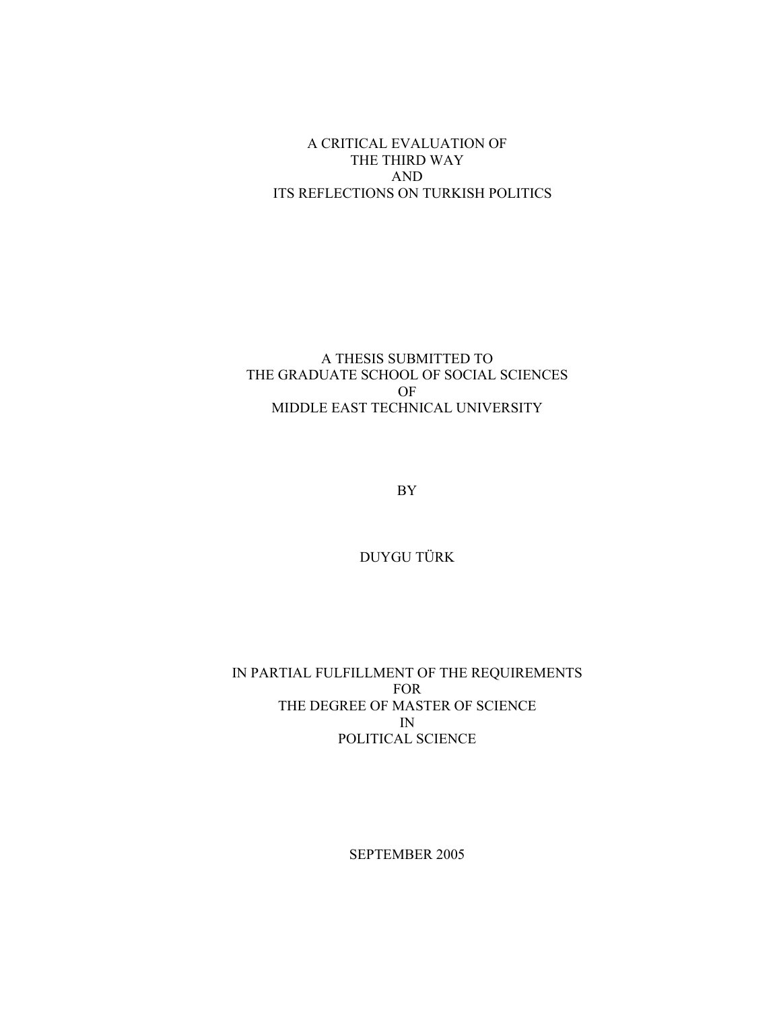## A CRITICAL EVALUATION OF THE THIRD WAY **AND** ITS REFLECTIONS ON TURKISH POLITICS

### A THESIS SUBMITTED TO THE GRADUATE SCHOOL OF SOCIAL SCIENCES OF MIDDLE EAST TECHNICAL UNIVERSITY

 ${\rm BY}$ 

DUYGU TÜRK

IN PARTIAL FULFILLMENT OF THE REQUIREMENTS **FOR** THE DEGREE OF MASTER OF SCIENCE  $IN$ POLITICAL SCIENCE

SEPTEMBER 2005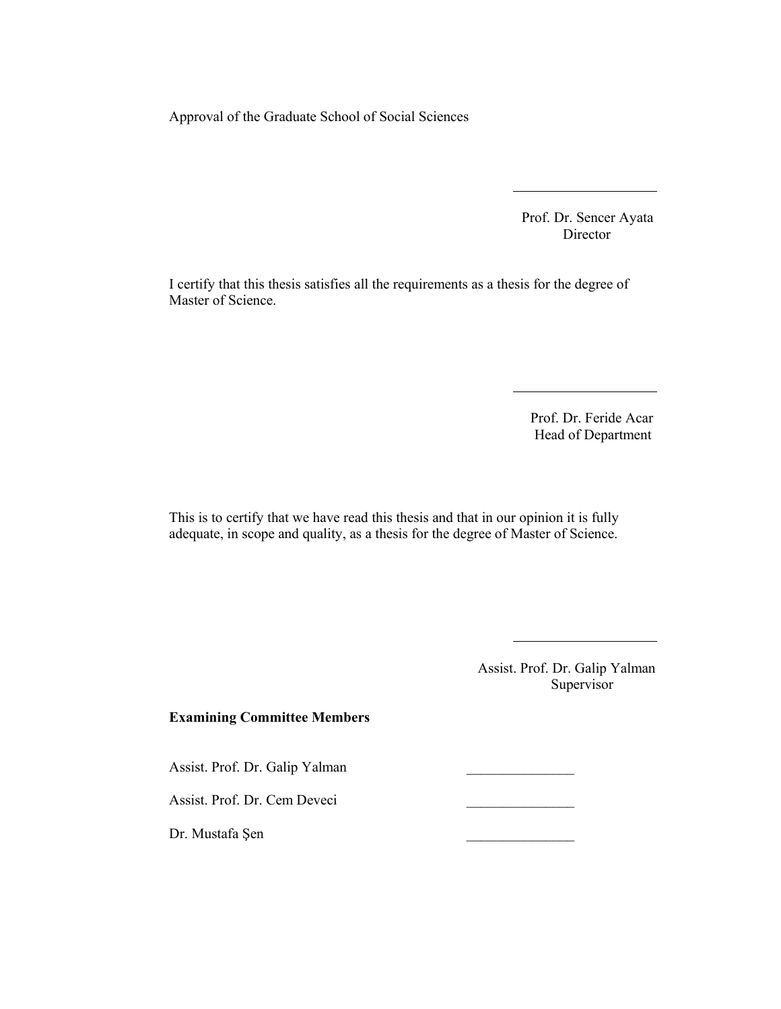Approval of the Graduate School of Social Sciences

Prof. Dr. Sencer Ayata Director

I certify that this thesis satisfies all the requirements as a thesis for the degree of Master of Science.

> Prof. Dr. Feride Acar Head of Department

This is to certify that we have read this thesis and that in our opinion it is fully adequate, in scope and quality, as a thesis for the degree of Master of Science.

> Assist. Prof. Dr. Galip Yalman Supervisor

#### **Examining Committee Members**

Assist. Prof. Dr. Galip Yalman

Assist. Prof. Dr. Cem Deveci

Dr. Mustafa Şen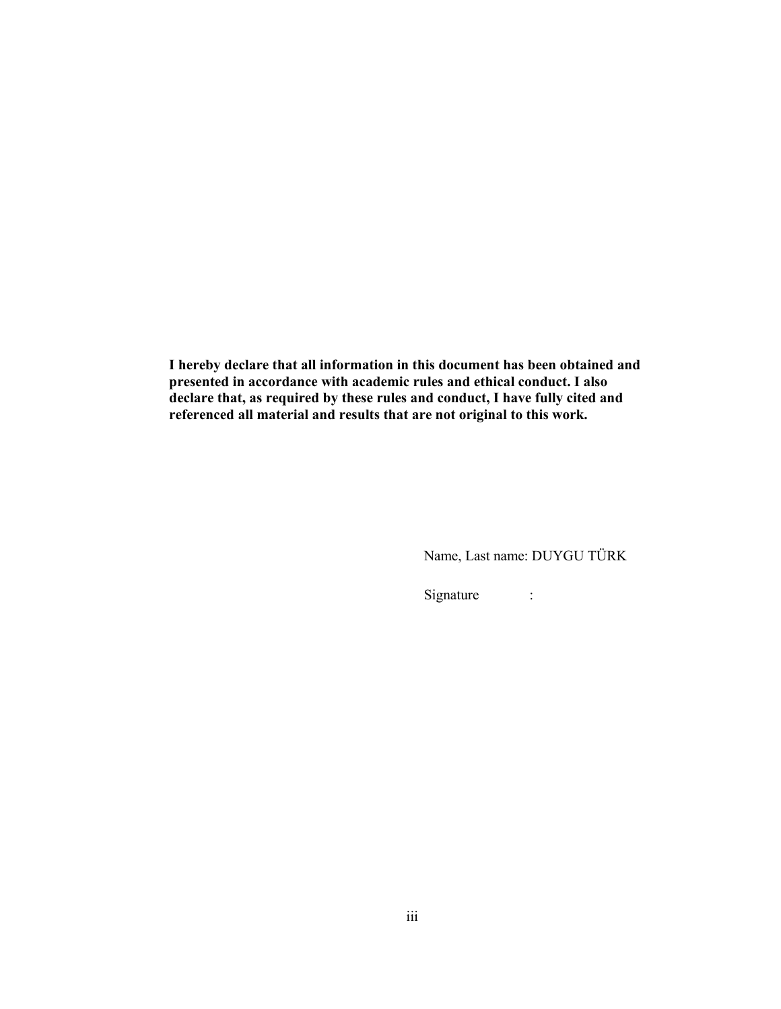I hereby declare that all information in this document has been obtained and presented in accordance with academic rules and ethical conduct. I also declare that, as required by these rules and conduct, I have fully cited and referenced all material and results that are not original to this work.

Name, Last name: DUYGU TÜRK

Signature  $\sim 10^{11}$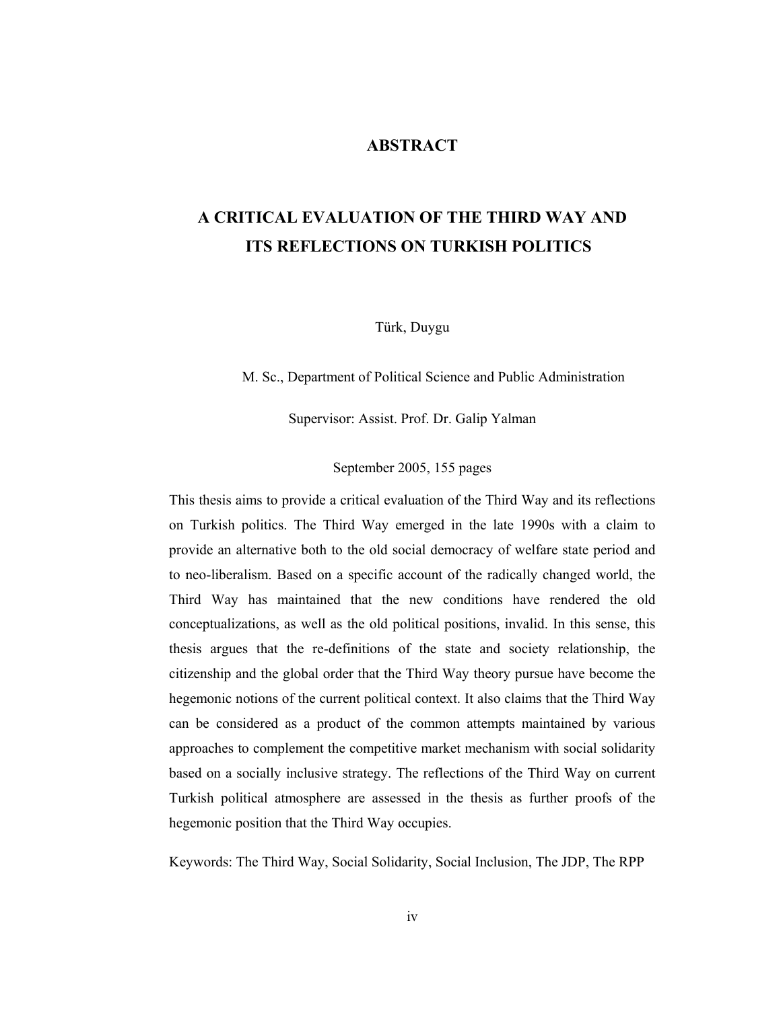#### **ABSTRACT**

## A CRITICAL EVALUATION OF THE THIRD WAY AND **ITS REFLECTIONS ON TURKISH POLITICS**

Türk, Duygu

M. Sc., Department of Political Science and Public Administration

Supervisor: Assist. Prof. Dr. Galip Yalman

September 2005, 155 pages

This thesis aims to provide a critical evaluation of the Third Way and its reflections on Turkish politics. The Third Way emerged in the late 1990s with a claim to provide an alternative both to the old social democracy of welfare state period and to neo-liberalism. Based on a specific account of the radically changed world, the Third Way has maintained that the new conditions have rendered the old conceptualizations, as well as the old political positions, invalid. In this sense, this thesis argues that the re-definitions of the state and society relationship, the citizenship and the global order that the Third Way theory pursue have become the hegemonic notions of the current political context. It also claims that the Third Way can be considered as a product of the common attempts maintained by various approaches to complement the competitive market mechanism with social solidarity based on a socially inclusive strategy. The reflections of the Third Way on current Turkish political atmosphere are assessed in the thesis as further proofs of the hegemonic position that the Third Way occupies.

Keywords: The Third Way, Social Solidarity, Social Inclusion, The JDP, The RPP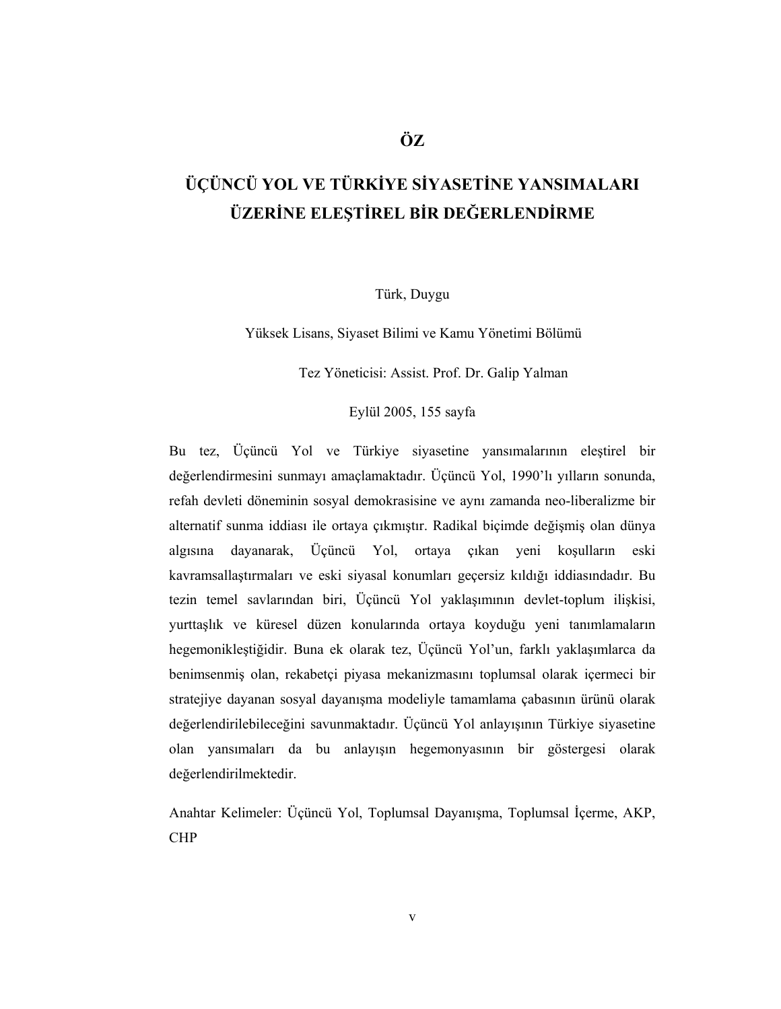# ÜÇÜNCÜ YOL VE TÜRKİYE SİYASETİNE YANSIMALARI ÜZERİNE ELESTİREL BİR DEĞERLENDİRME

## Türk, Duygu

Yüksek Lisans, Siyaset Bilimi ve Kamu Yönetimi Bölümü

Tez Yöneticisi: Assist. Prof. Dr. Galip Yalman

Eylül 2005, 155 sayfa

Bu tez, Üçüncü Yol ve Türkiye siyasetine yansımalarının eleştirel bir değerlendirmesini sunmayı amaçlamaktadır. Üçüncü Yol, 1990'lı yılların sonunda, refah devleti döneminin sosyal demokrasisine ve aynı zamanda neo-liberalizme bir alternatif sunma iddiası ile ortaya çıkmıştır. Radikal biçimde değişmiş olan dünya Üçüncü Yol, ortaya çıkan yeni koşulların eski algısına dayanarak, kavramsallastırmaları ve eski siyasal konumları geçersiz kıldığı iddiasındadır. Bu tezin temel savlarından biri, Üçüncü Yol yaklaşımının devlet-toplum ilişkisi, yurttaslık ve küresel düzen konularında ortaya koyduğu yeni tanımlamaların hegemonikleştiğidir. Buna ek olarak tez, Üçüncü Yol'un, farklı yaklaşımlarca da benimsenmiş olan, rekabetçi piyasa mekanizmasını toplumsal olarak içermeci bir stratejiye dayanan sosyal dayanışma modeliyle tamamlama çabasının ürünü olarak değerlendirilebileceğini savunmaktadır. Üçüncü Yol anlayışının Türkiye siyasetine olan yansımaları da bu anlayışın hegemonyasının bir göstergesi olarak değerlendirilmektedir.

Anahtar Kelimeler: Üçüncü Yol, Toplumsal Dayanışma, Toplumsal İçerme, AKP, **CHP**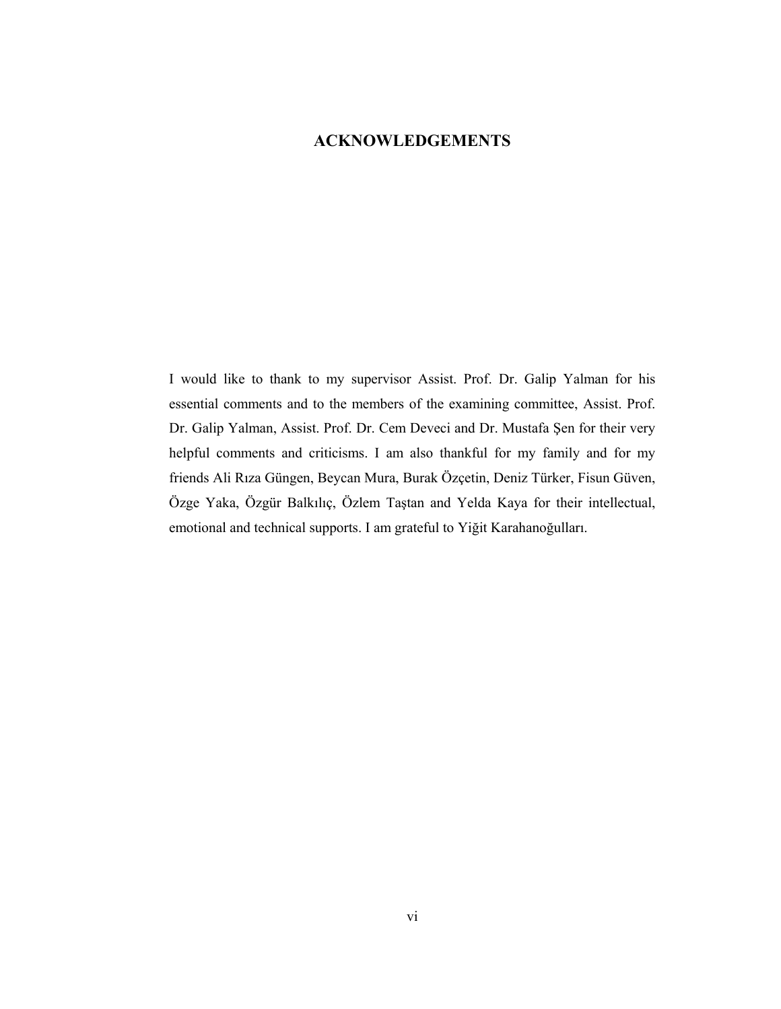## **ACKNOWLEDGEMENTS**

I would like to thank to my supervisor Assist. Prof. Dr. Galip Yalman for his essential comments and to the members of the examining committee, Assist. Prof. Dr. Galip Yalman, Assist. Prof. Dr. Cem Deveci and Dr. Mustafa Şen for their very helpful comments and criticisms. I am also thankful for my family and for my friends Ali Rıza Güngen, Beycan Mura, Burak Özçetin, Deniz Türker, Fisun Güven, Özge Yaka, Özgür Balkılıç, Özlem Taştan and Yelda Kaya for their intellectual, emotional and technical supports. I am grateful to Yiğit Karahanoğulları.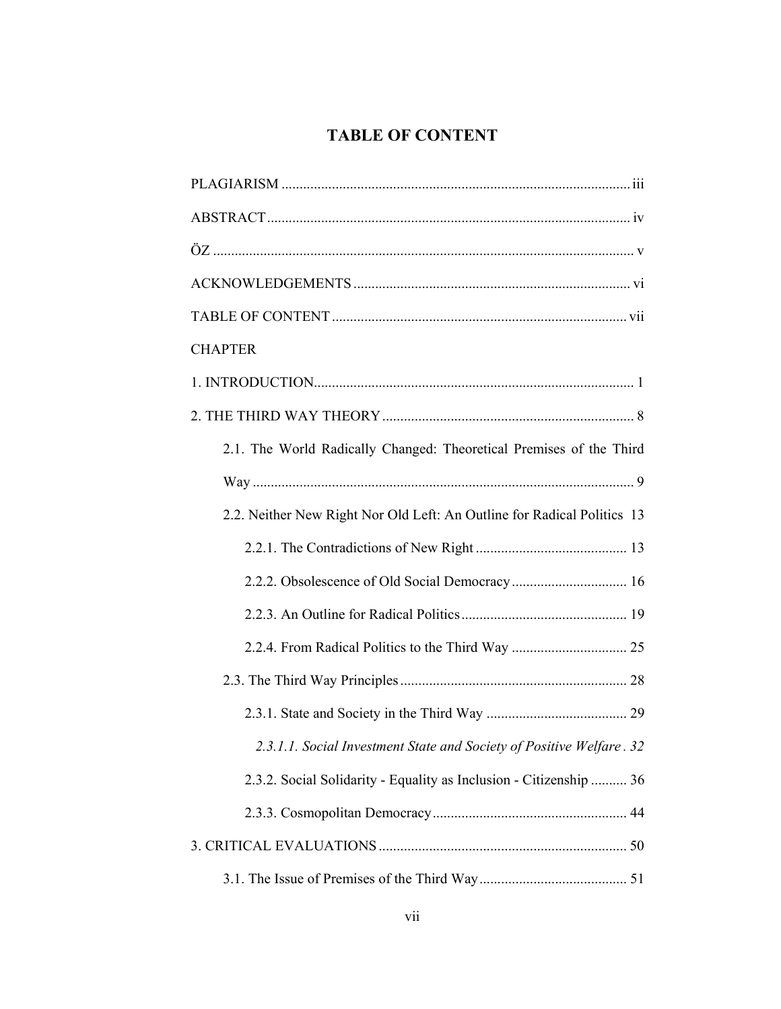## **TABLE OF CONTENT**

| <b>CHAPTER</b>                                                          |
|-------------------------------------------------------------------------|
|                                                                         |
|                                                                         |
| 2.1. The World Radically Changed: Theoretical Premises of the Third     |
|                                                                         |
| 2.2. Neither New Right Nor Old Left: An Outline for Radical Politics 13 |
|                                                                         |
|                                                                         |
|                                                                         |
|                                                                         |
|                                                                         |
|                                                                         |
| 2.3.1.1. Social Investment State and Society of Positive Welfare. 32    |
| 2.3.2. Social Solidarity - Equality as Inclusion - Citizenship  36      |
|                                                                         |
|                                                                         |
|                                                                         |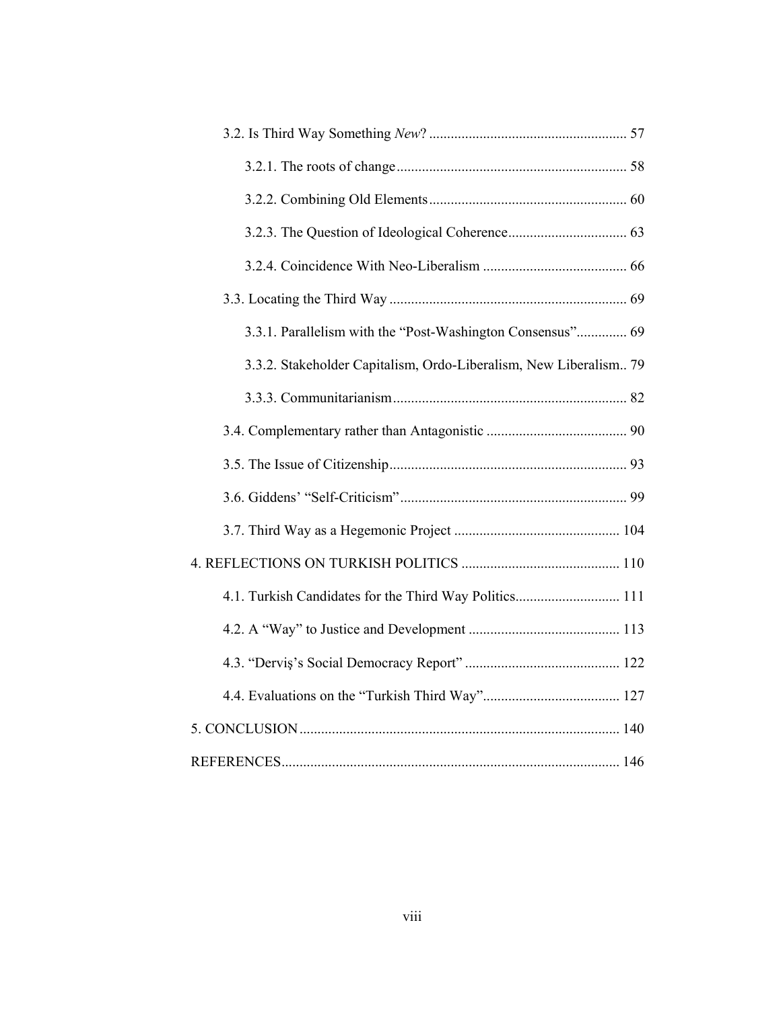| 3.3.1. Parallelism with the "Post-Washington Consensus" 69        |  |
|-------------------------------------------------------------------|--|
| 3.3.2. Stakeholder Capitalism, Ordo-Liberalism, New Liberalism 79 |  |
|                                                                   |  |
|                                                                   |  |
|                                                                   |  |
|                                                                   |  |
|                                                                   |  |
|                                                                   |  |
| 4.1. Turkish Candidates for the Third Way Politics 111            |  |
|                                                                   |  |
|                                                                   |  |
|                                                                   |  |
|                                                                   |  |
|                                                                   |  |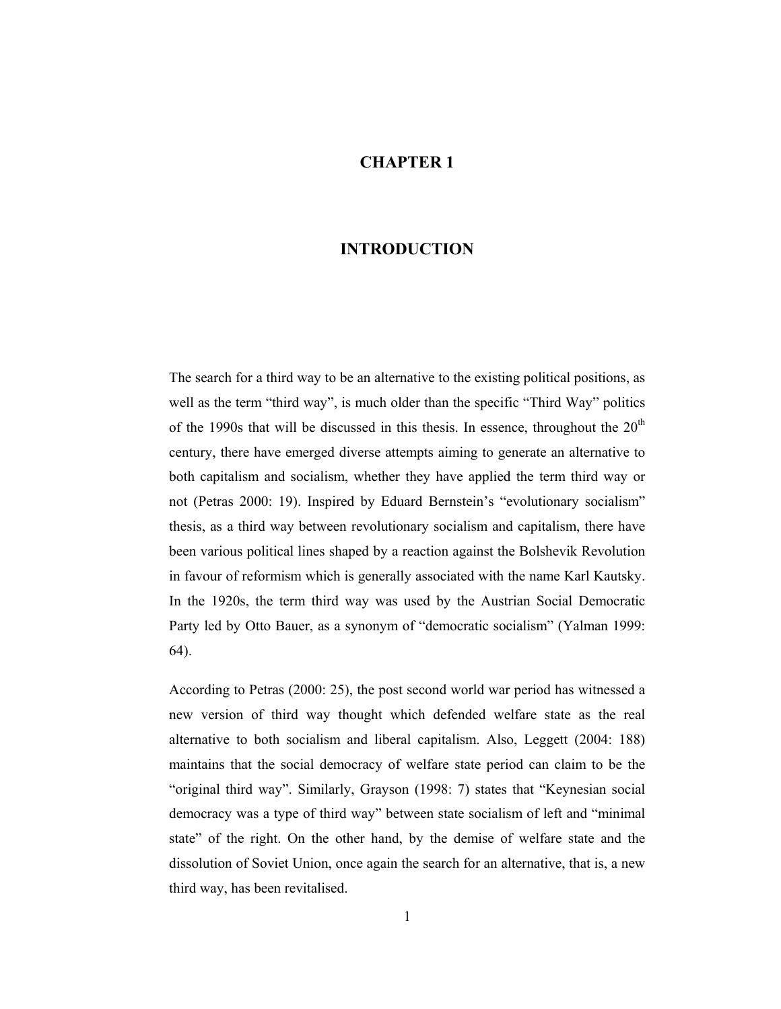## **CHAPTER 1**

#### **INTRODUCTION**

The search for a third way to be an alternative to the existing political positions, as well as the term "third way", is much older than the specific "Third Way" politics of the 1990s that will be discussed in this thesis. In essence, throughout the  $20<sup>th</sup>$ century, there have emerged diverse attempts aiming to generate an alternative to both capitalism and socialism, whether they have applied the term third way or not (Petras 2000: 19). Inspired by Eduard Bernstein's "evolutionary socialism" thesis, as a third way between revolutionary socialism and capitalism, there have been various political lines shaped by a reaction against the Bolshevik Revolution in favour of reformism which is generally associated with the name Karl Kautsky. In the 1920s, the term third way was used by the Austrian Social Democratic Party led by Otto Bauer, as a synonym of "democratic socialism" (Yalman 1999: 64).

According to Petras (2000: 25), the post second world war period has witnessed a new version of third way thought which defended welfare state as the real alternative to both socialism and liberal capitalism. Also, Leggett (2004: 188) maintains that the social democracy of welfare state period can claim to be the "original third way". Similarly, Grayson (1998: 7) states that "Keynesian social democracy was a type of third way" between state socialism of left and "minimal" state" of the right. On the other hand, by the demise of welfare state and the dissolution of Soviet Union, once again the search for an alternative, that is, a new third way, has been revitalised.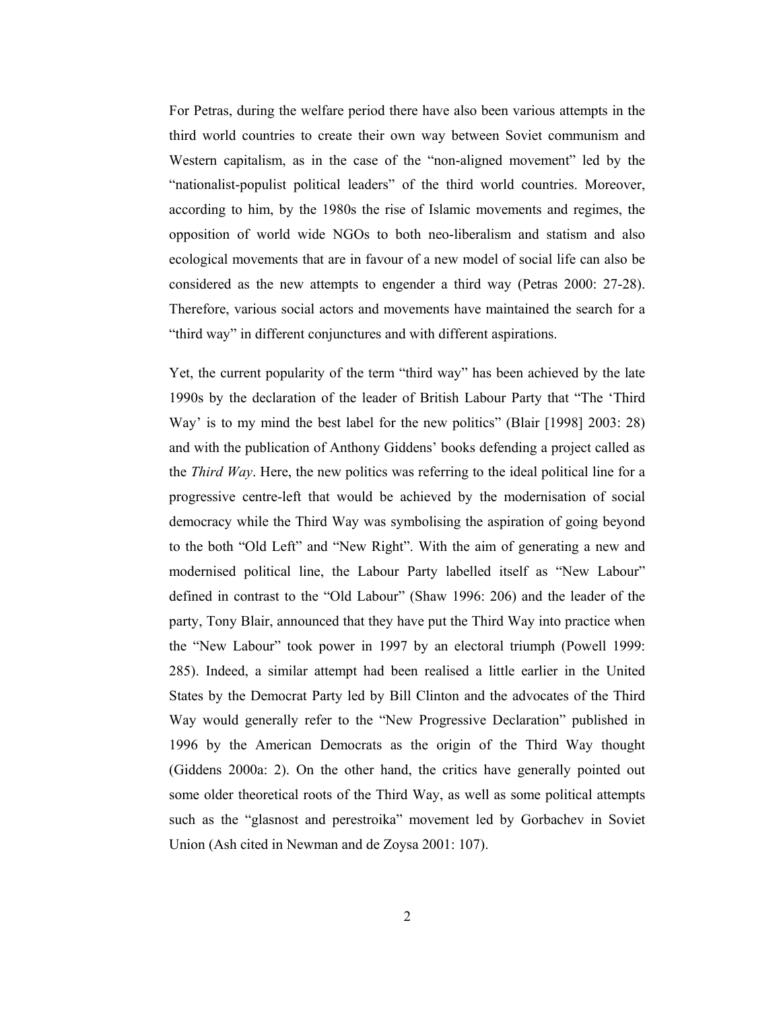For Petras, during the welfare period there have also been various attempts in the third world countries to create their own way between Soviet communism and Western capitalism, as in the case of the "non-aligned movement" led by the "nationalist-populist political leaders" of the third world countries. Moreover, according to him, by the 1980s the rise of Islamic movements and regimes, the opposition of world wide NGOs to both neo-liberalism and statism and also ecological movements that are in favour of a new model of social life can also be considered as the new attempts to engender a third way (Petras 2000: 27-28). Therefore, various social actors and movements have maintained the search for a "third way" in different conjunctures and with different aspirations.

Yet, the current popularity of the term "third way" has been achieved by the late 1990s by the declaration of the leader of British Labour Party that "The 'Third Way' is to my mind the best label for the new politics" (Blair [1998] 2003: 28) and with the publication of Anthony Giddens' books defending a project called as the Third Way. Here, the new politics was referring to the ideal political line for a progressive centre-left that would be achieved by the modernisation of social democracy while the Third Way was symbolising the aspiration of going beyond to the both "Old Left" and "New Right". With the aim of generating a new and modernised political line, the Labour Party labelled itself as "New Labour" defined in contrast to the "Old Labour" (Shaw 1996: 206) and the leader of the party, Tony Blair, announced that they have put the Third Way into practice when the "New Labour" took power in 1997 by an electoral triumph (Powell 1999: 285). Indeed, a similar attempt had been realised a little earlier in the United States by the Democrat Party led by Bill Clinton and the advocates of the Third Way would generally refer to the "New Progressive Declaration" published in 1996 by the American Democrats as the origin of the Third Way thought (Giddens 2000a: 2). On the other hand, the critics have generally pointed out some older theoretical roots of the Third Way, as well as some political attempts such as the "glasnost and perestroika" movement led by Gorbachev in Soviet Union (Ash cited in Newman and de Zoysa 2001: 107).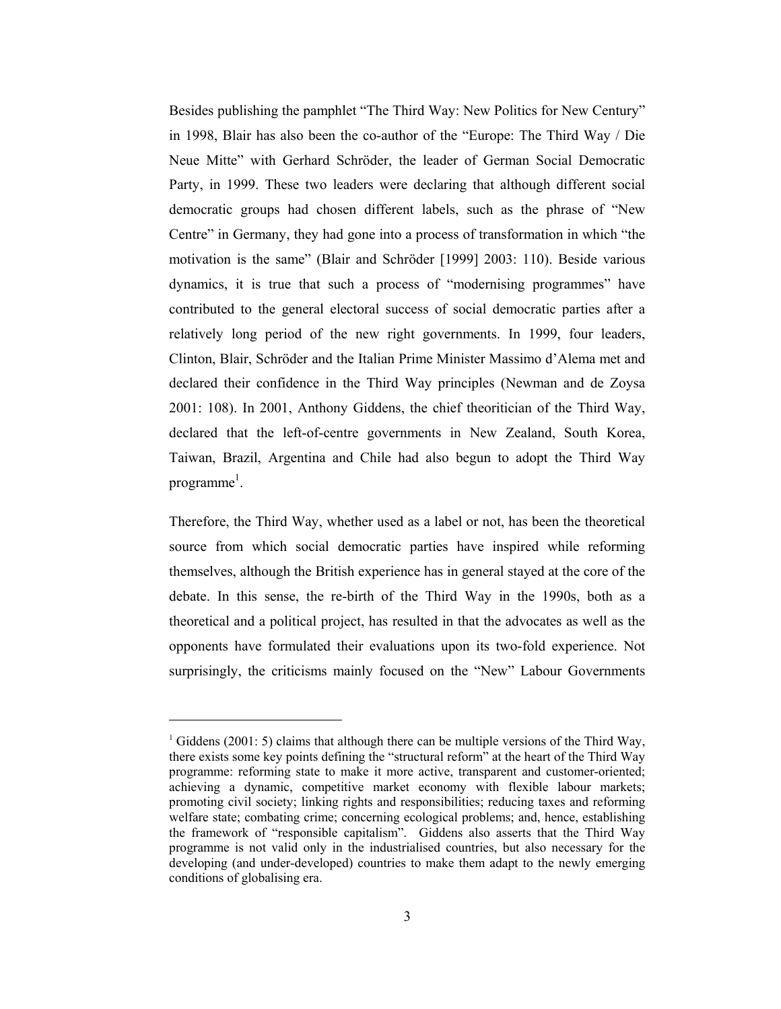Besides publishing the pamphlet "The Third Way: New Politics for New Century" in 1998. Blair has also been the co-author of the "Europe: The Third Way / Die Neue Mitte" with Gerhard Schröder, the leader of German Social Democratic Party, in 1999. These two leaders were declaring that although different social democratic groups had chosen different labels, such as the phrase of "New Centre" in Germany, they had gone into a process of transformation in which "the motivation is the same" (Blair and Schröder [1999] 2003: 110). Beside various dynamics, it is true that such a process of "modernising programmes" have contributed to the general electoral success of social democratic parties after a relatively long period of the new right governments. In 1999, four leaders, Clinton, Blair, Schröder and the Italian Prime Minister Massimo d'Alema met and declared their confidence in the Third Way principles (Newman and de Zoysa 2001: 108). In 2001, Anthony Giddens, the chief theoritician of the Third Way, declared that the left-of-centre governments in New Zealand, South Korea, Taiwan, Brazil, Argentina and Chile had also begun to adopt the Third Way programme<sup> $l$ </sup>.

Therefore, the Third Way, whether used as a label or not, has been the theoretical source from which social democratic parties have inspired while reforming themselves, although the British experience has in general stayed at the core of the debate. In this sense, the re-birth of the Third Way in the 1990s, both as a theoretical and a political project, has resulted in that the advocates as well as the opponents have formulated their evaluations upon its two-fold experience. Not surprisingly, the criticisms mainly focused on the "New" Labour Governments

 $1$  Giddens (2001: 5) claims that although there can be multiple versions of the Third Way, there exists some key points defining the "structural reform" at the heart of the Third Way programme: reforming state to make it more active, transparent and customer-oriented; achieving a dynamic, competitive market economy with flexible labour markets; promoting civil society; linking rights and responsibilities; reducing taxes and reforming welfare state; combating crime; concerning ecological problems; and, hence, establishing the framework of "responsible capitalism". Giddens also asserts that the Third Way programme is not valid only in the industrialised countries, but also necessary for the developing (and under-developed) countries to make them adapt to the newly emerging conditions of globalising era.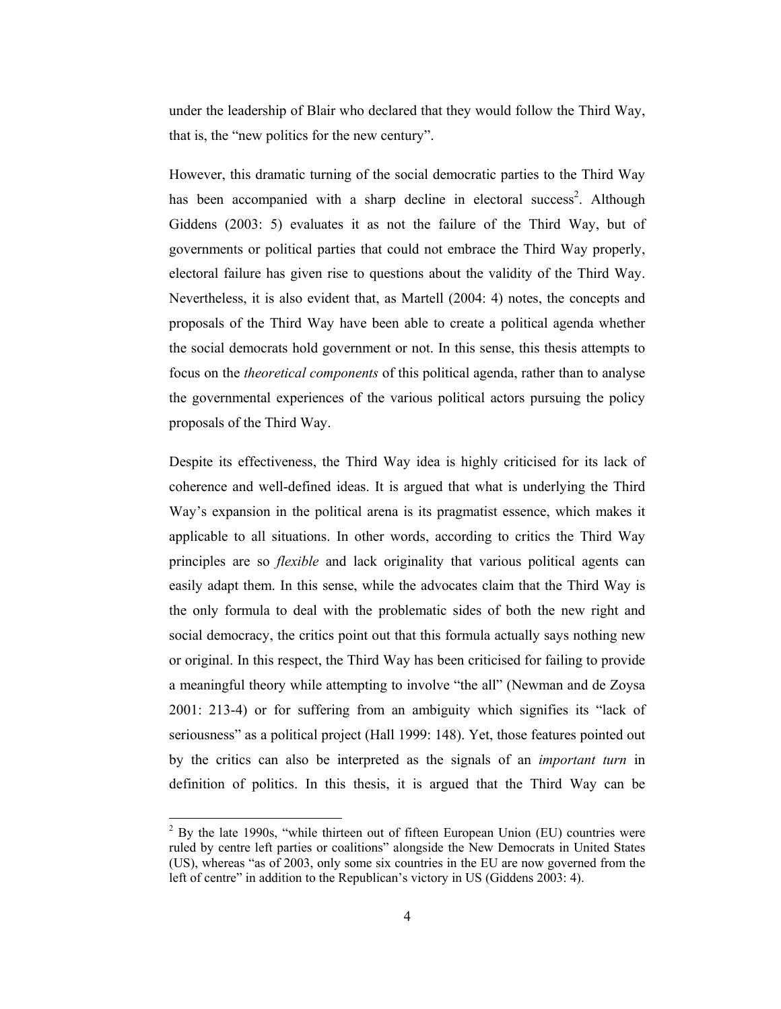under the leadership of Blair who declared that they would follow the Third Way, that is, the "new politics for the new century".

However, this dramatic turning of the social democratic parties to the Third Way has been accompanied with a sharp decline in electoral success<sup>2</sup>. Although Giddens (2003: 5) evaluates it as not the failure of the Third Way, but of governments or political parties that could not embrace the Third Way properly, electoral failure has given rise to questions about the validity of the Third Way. Nevertheless, it is also evident that, as Martell (2004: 4) notes, the concepts and proposals of the Third Way have been able to create a political agenda whether the social democrats hold government or not. In this sense, this thesis attempts to focus on the *theoretical components* of this political agenda, rather than to analyse the governmental experiences of the various political actors pursuing the policy proposals of the Third Way.

Despite its effectiveness, the Third Way idea is highly criticised for its lack of coherence and well-defined ideas. It is argued that what is underlying the Third Way's expansion in the political arena is its pragmatist essence, which makes it applicable to all situations. In other words, according to critics the Third Way principles are so *flexible* and lack originality that various political agents can easily adapt them. In this sense, while the advocates claim that the Third Way is the only formula to deal with the problematic sides of both the new right and social democracy, the critics point out that this formula actually says nothing new or original. In this respect, the Third Way has been criticised for failing to provide a meaningful theory while attempting to involve "the all" (Newman and de Zoysa 2001: 213-4) or for suffering from an ambiguity which signifies its "lack of seriousness" as a political project (Hall 1999: 148). Yet, those features pointed out by the critics can also be interpreted as the signals of an *important turn* in definition of politics. In this thesis, it is argued that the Third Way can be

 $2$  By the late 1990s, "while thirteen out of fifteen European Union (EU) countries were ruled by centre left parties or coalitions" alongside the New Democrats in United States (US), whereas "as of 2003, only some six countries in the EU are now governed from the left of centre" in addition to the Republican's victory in US (Giddens 2003: 4).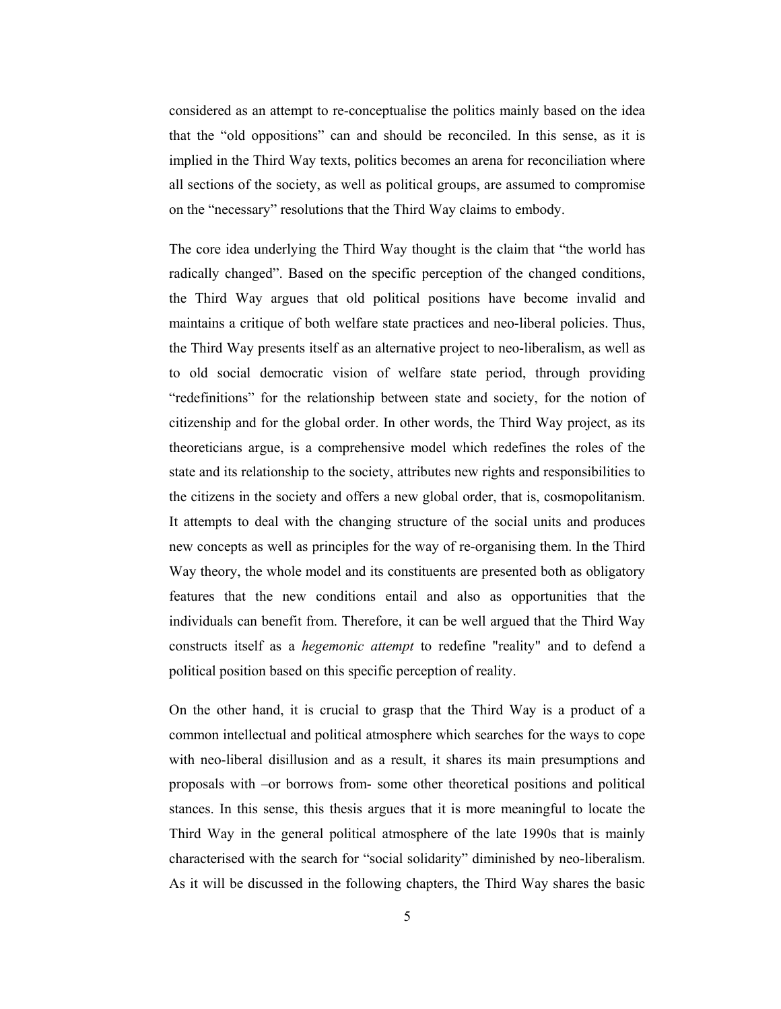considered as an attempt to re-conceptualise the politics mainly based on the idea that the "old oppositions" can and should be reconciled. In this sense, as it is implied in the Third Way texts, politics becomes an arena for reconciliation where all sections of the society, as well as political groups, are assumed to compromise on the "necessary" resolutions that the Third Way claims to embody.

The core idea underlying the Third Way thought is the claim that "the world has radically changed". Based on the specific perception of the changed conditions, the Third Way argues that old political positions have become invalid and maintains a critique of both welfare state practices and neo-liberal policies. Thus, the Third Way presents itself as an alternative project to neo-liberalism, as well as to old social democratic vision of welfare state period, through providing "redefinitions" for the relationship between state and society, for the notion of citizenship and for the global order. In other words, the Third Way project, as its theoreticians argue, is a comprehensive model which redefines the roles of the state and its relationship to the society, attributes new rights and responsibilities to the citizens in the society and offers a new global order, that is, cosmopolitanism. It attempts to deal with the changing structure of the social units and produces new concepts as well as principles for the way of re-organising them. In the Third Way theory, the whole model and its constituents are presented both as obligatory features that the new conditions entail and also as opportunities that the individuals can benefit from. Therefore, it can be well argued that the Third Way constructs itself as a *hegemonic attempt* to redefine "reality" and to defend a political position based on this specific perception of reality.

On the other hand, it is crucial to grasp that the Third Way is a product of a common intellectual and political atmosphere which searches for the ways to cope with neo-liberal disillusion and as a result, it shares its main presumptions and proposals with -or borrows from- some other theoretical positions and political stances. In this sense, this thesis argues that it is more meaningful to locate the Third Way in the general political atmosphere of the late 1990s that is mainly characterised with the search for "social solidarity" diminished by neo-liberalism. As it will be discussed in the following chapters, the Third Way shares the basic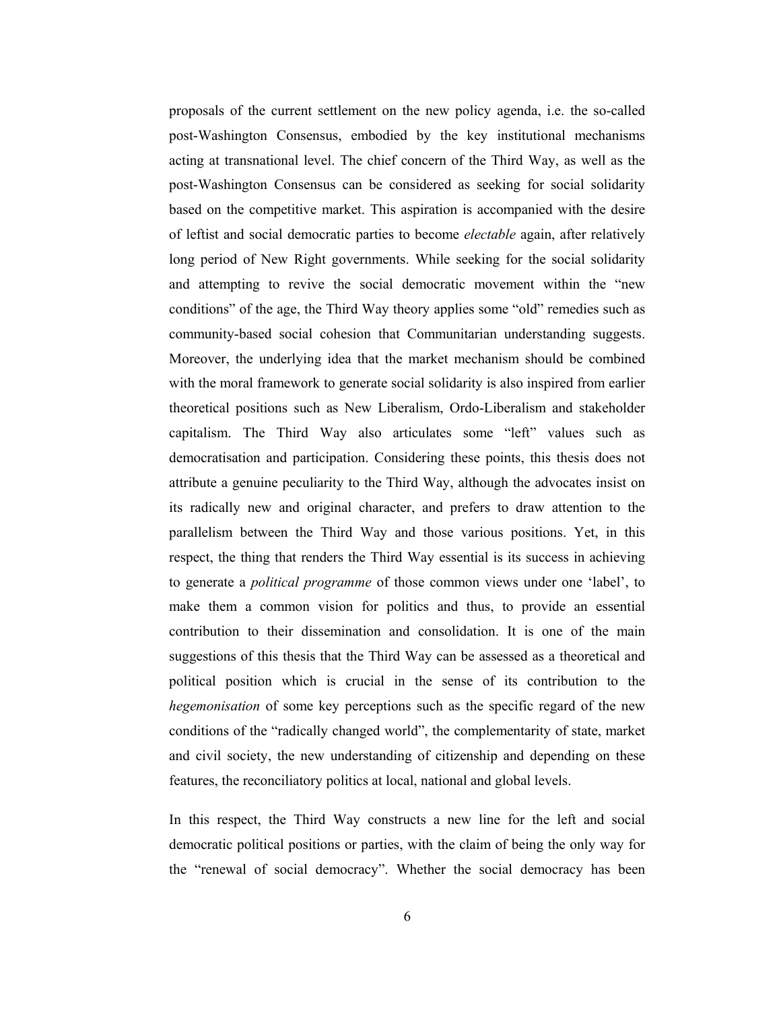proposals of the current settlement on the new policy agenda, *i.e.* the so-called post-Washington Consensus, embodied by the key institutional mechanisms acting at transnational level. The chief concern of the Third Way, as well as the post-Washington Consensus can be considered as seeking for social solidarity based on the competitive market. This aspiration is accompanied with the desire of leftist and social democratic parties to become *electable* again, after relatively long period of New Right governments. While seeking for the social solidarity and attempting to revive the social democratic movement within the "new conditions" of the age, the Third Way theory applies some "old" remedies such as community-based social cohesion that Communitarian understanding suggests. Moreover, the underlying idea that the market mechanism should be combined with the moral framework to generate social solidarity is also inspired from earlier theoretical positions such as New Liberalism, Ordo-Liberalism and stakeholder capitalism. The Third Way also articulates some "left" values such as democratisation and participation. Considering these points, this thesis does not attribute a genuine peculiarity to the Third Way, although the advocates insist on its radically new and original character, and prefers to draw attention to the parallelism between the Third Way and those various positions. Yet, in this respect, the thing that renders the Third Way essential is its success in achieving to generate a *political programme* of those common views under one 'label', to make them a common vision for politics and thus, to provide an essential contribution to their dissemination and consolidation. It is one of the main suggestions of this thesis that the Third Way can be assessed as a theoretical and political position which is crucial in the sense of its contribution to the hegemonisation of some key perceptions such as the specific regard of the new conditions of the "radically changed world", the complementarity of state, market and civil society, the new understanding of citizenship and depending on these features, the reconciliatory politics at local, national and global levels.

In this respect, the Third Way constructs a new line for the left and social democratic political positions or parties, with the claim of being the only way for the "renewal of social democracy". Whether the social democracy has been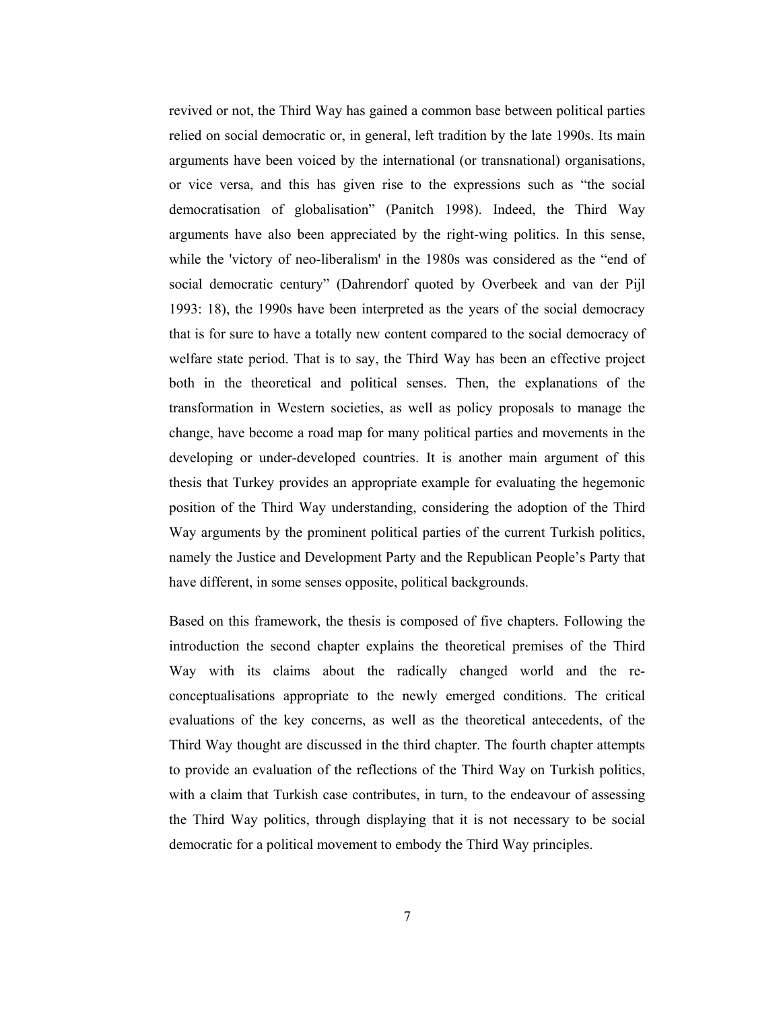revived or not, the Third Way has gained a common base between political parties relied on social democratic or, in general, left tradition by the late 1990s. Its main arguments have been voiced by the international (or transnational) organisations, or vice versa, and this has given rise to the expressions such as "the social democratisation of globalisation" (Panitch 1998). Indeed, the Third Way arguments have also been appreciated by the right-wing politics. In this sense, while the 'victory of neo-liberalism' in the 1980s was considered as the "end of social democratic century" (Dahrendorf quoted by Overbeek and van der Pijl 1993: 18), the 1990s have been interpreted as the years of the social democracy that is for sure to have a totally new content compared to the social democracy of welfare state period. That is to say, the Third Way has been an effective project both in the theoretical and political senses. Then, the explanations of the transformation in Western societies, as well as policy proposals to manage the change, have become a road map for many political parties and movements in the developing or under-developed countries. It is another main argument of this thesis that Turkey provides an appropriate example for evaluating the hegemonic position of the Third Way understanding, considering the adoption of the Third Way arguments by the prominent political parties of the current Turkish politics, namely the Justice and Development Party and the Republican People's Party that have different, in some senses opposite, political backgrounds.

Based on this framework, the thesis is composed of five chapters. Following the introduction the second chapter explains the theoretical premises of the Third Way with its claims about the radically changed world and the reconceptualisations appropriate to the newly emerged conditions. The critical evaluations of the key concerns, as well as the theoretical antecedents, of the Third Way thought are discussed in the third chapter. The fourth chapter attempts to provide an evaluation of the reflections of the Third Way on Turkish politics, with a claim that Turkish case contributes, in turn, to the endeavour of assessing the Third Way politics, through displaying that it is not necessary to be social democratic for a political movement to embody the Third Way principles.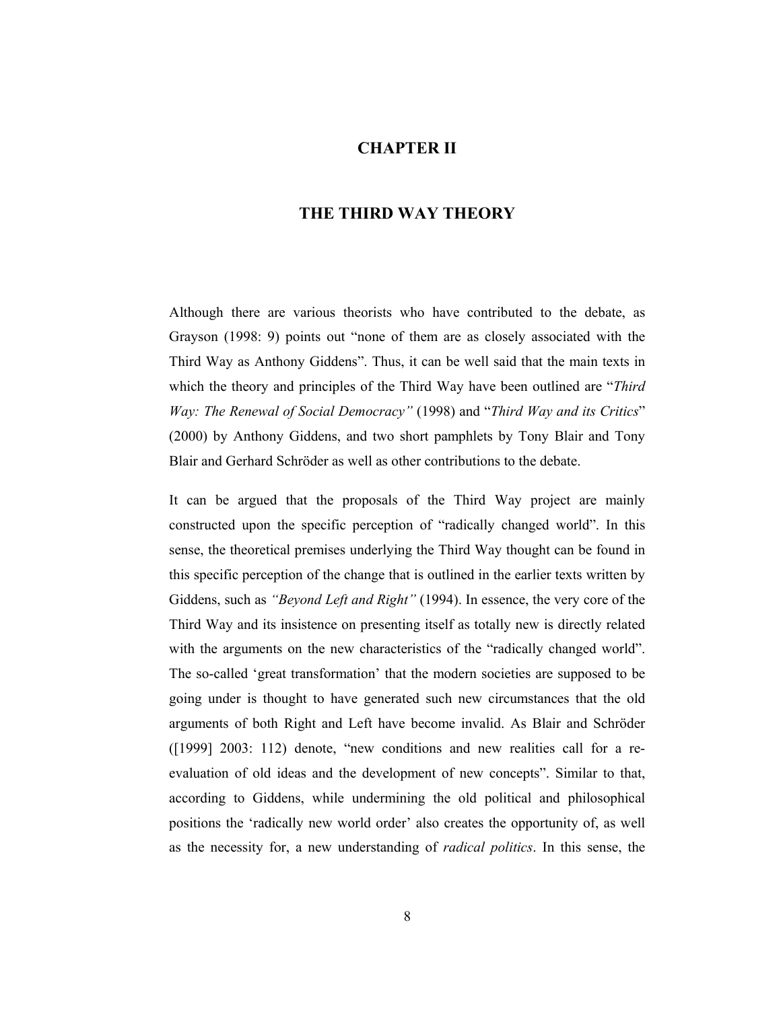## **CHAPTER II**

## THE THIRD WAY THEORY

Although there are various theorists who have contributed to the debate, as Grayson (1998: 9) points out "none of them are as closely associated with the Third Way as Anthony Giddens". Thus, it can be well said that the main texts in which the theory and principles of the Third Way have been outlined are "Third" Way: The Renewal of Social Democracy" (1998) and "Third Way and its Critics" (2000) by Anthony Giddens, and two short pamphlets by Tony Blair and Tony Blair and Gerhard Schröder as well as other contributions to the debate.

It can be argued that the proposals of the Third Way project are mainly constructed upon the specific perception of "radically changed world". In this sense, the theoretical premises underlying the Third Way thought can be found in this specific perception of the change that is outlined in the earlier texts written by Giddens, such as "Beyond Left and Right" (1994). In essence, the very core of the Third Way and its insistence on presenting itself as totally new is directly related with the arguments on the new characteristics of the "radically changed world". The so-called 'great transformation' that the modern societies are supposed to be going under is thought to have generated such new circumstances that the old arguments of both Right and Left have become invalid. As Blair and Schröder ([1999] 2003: 112) denote, "new conditions and new realities call for a reevaluation of old ideas and the development of new concepts". Similar to that, according to Giddens, while undermining the old political and philosophical positions the 'radically new world order' also creates the opportunity of, as well as the necessity for, a new understanding of *radical politics*. In this sense, the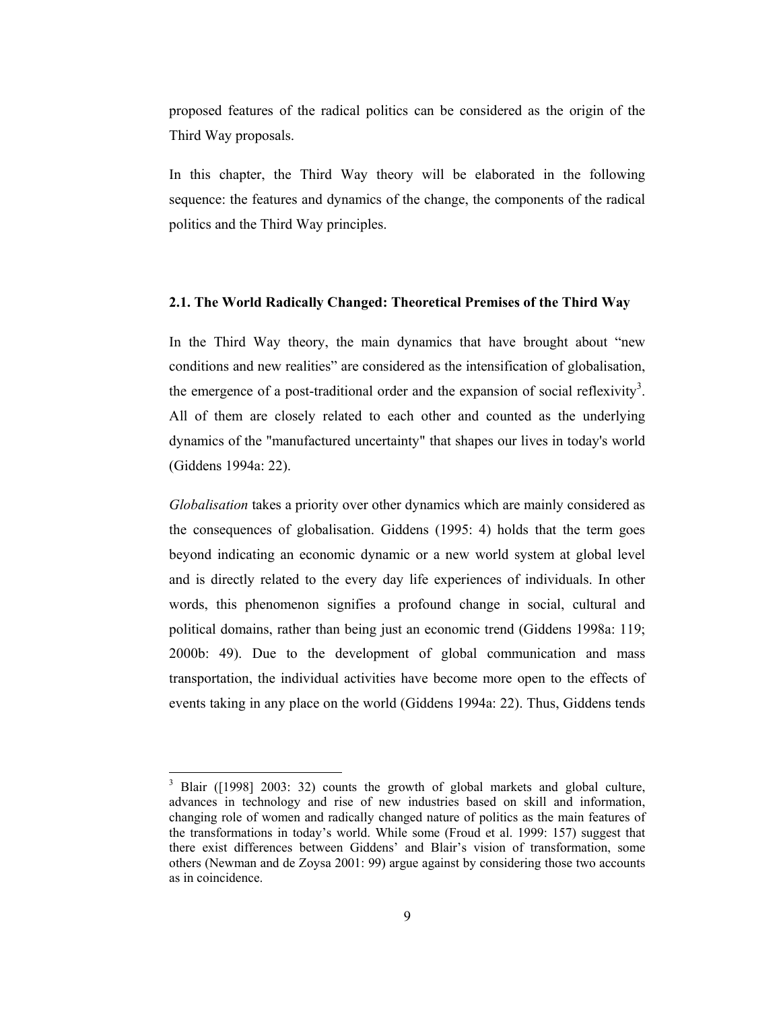proposed features of the radical politics can be considered as the origin of the Third Way proposals.

In this chapter, the Third Way theory will be elaborated in the following sequence: the features and dynamics of the change, the components of the radical politics and the Third Way principles.

#### 2.1. The World Radically Changed: Theoretical Premises of the Third Way

In the Third Way theory, the main dynamics that have brought about "new conditions and new realities" are considered as the intensification of globalisation, the emergence of a post-traditional order and the expansion of social reflexivity<sup>3</sup>. All of them are closely related to each other and counted as the underlying dynamics of the "manufactured uncertainty" that shapes our lives in today's world (Giddens 1994a: 22).

Globalisation takes a priority over other dynamics which are mainly considered as the consequences of globalisation. Giddens (1995: 4) holds that the term goes beyond indicating an economic dynamic or a new world system at global level and is directly related to the every day life experiences of individuals. In other words, this phenomenon signifies a profound change in social, cultural and political domains, rather than being just an economic trend (Giddens 1998a: 119; 2000b: 49). Due to the development of global communication and mass transportation, the individual activities have become more open to the effects of events taking in any place on the world (Giddens 1994a: 22). Thus, Giddens tends

<sup>&</sup>lt;sup>3</sup> Blair ([1998] 2003: 32) counts the growth of global markets and global culture, advances in technology and rise of new industries based on skill and information, changing role of women and radically changed nature of politics as the main features of the transformations in today's world. While some (Froud et al. 1999: 157) suggest that there exist differences between Giddens' and Blair's vision of transformation, some others (Newman and de Zoysa 2001: 99) argue against by considering those two accounts as in coincidence.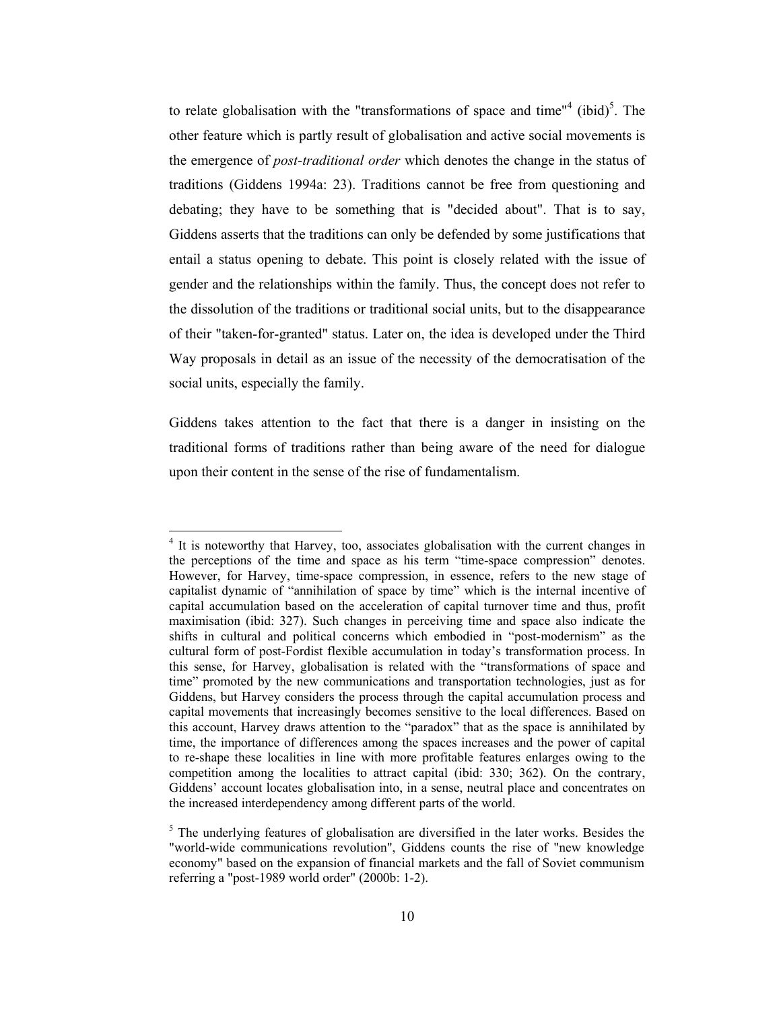to relate globalisation with the "transformations of space and time"<sup>4</sup> (ibid)<sup>5</sup>. The other feature which is partly result of globalisation and active social movements is the emergence of *post-traditional order* which denotes the change in the status of traditions (Giddens 1994a: 23). Traditions cannot be free from questioning and debating; they have to be something that is "decided about". That is to say, Giddens asserts that the traditions can only be defended by some justifications that entail a status opening to debate. This point is closely related with the issue of gender and the relationships within the family. Thus, the concept does not refer to the dissolution of the traditions or traditional social units, but to the disappearance of their "taken-for-granted" status. Later on, the idea is developed under the Third Way proposals in detail as an issue of the necessity of the democratisation of the social units, especially the family.

Giddens takes attention to the fact that there is a danger in insisting on the traditional forms of traditions rather than being aware of the need for dialogue upon their content in the sense of the rise of fundamentalism.

<sup>&</sup>lt;sup>4</sup> It is noteworthy that Harvey, too, associates globalisation with the current changes in the perceptions of the time and space as his term "time-space compression" denotes. However, for Harvey, time-space compression, in essence, refers to the new stage of capitalist dynamic of "annihilation of space by time" which is the internal incentive of capital accumulation based on the acceleration of capital turnover time and thus, profit maximisation (ibid: 327). Such changes in perceiving time and space also indicate the shifts in cultural and political concerns which embodied in "post-modernism" as the cultural form of post-Fordist flexible accumulation in today's transformation process. In this sense, for Harvey, globalisation is related with the "transformations of space and time" promoted by the new communications and transportation technologies, just as for Giddens, but Harvey considers the process through the capital accumulation process and capital movements that increasingly becomes sensitive to the local differences. Based on this account, Harvey draws attention to the "paradox" that as the space is annihilated by time, the importance of differences among the spaces increases and the power of capital to re-shape these localities in line with more profitable features enlarges owing to the competition among the localities to attract capital (ibid: 330; 362). On the contrary, Giddens' account locates globalisation into, in a sense, neutral place and concentrates on the increased interdependency among different parts of the world.

 $\frac{1}{2}$ . The underlying features of globalisation are diversified in the later works. Besides the "world-wide communications revolution", Giddens counts the rise of "new knowledge economy" based on the expansion of financial markets and the fall of Soviet communism referring a "post-1989 world order" (2000b: 1-2).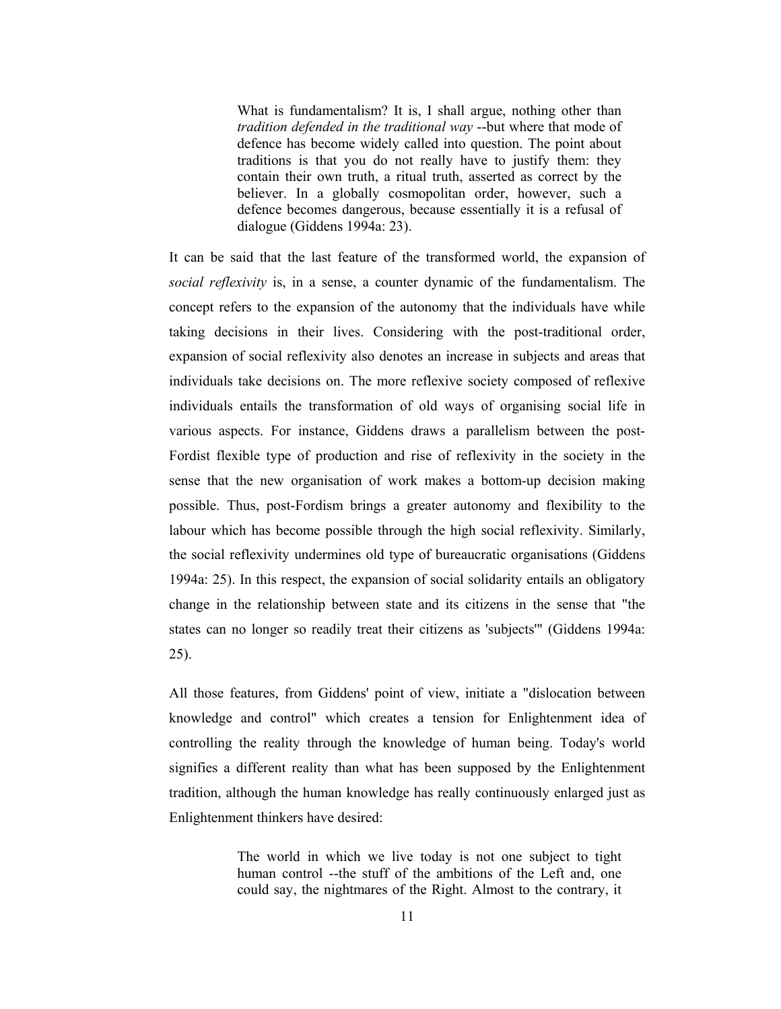What is fundamentalism? It is, I shall argue, nothing other than tradition defended in the traditional way --but where that mode of defence has become widely called into question. The point about traditions is that you do not really have to justify them: they contain their own truth, a ritual truth, asserted as correct by the believer. In a globally cosmopolitan order, however, such a defence becomes dangerous, because essentially it is a refusal of dialogue (Giddens 1994a: 23).

It can be said that the last feature of the transformed world, the expansion of social reflexivity is, in a sense, a counter dynamic of the fundamentalism. The concept refers to the expansion of the autonomy that the individuals have while taking decisions in their lives. Considering with the post-traditional order, expansion of social reflexivity also denotes an increase in subjects and areas that individuals take decisions on. The more reflexive society composed of reflexive individuals entails the transformation of old ways of organising social life in various aspects. For instance, Giddens draws a parallelism between the post-Fordist flexible type of production and rise of reflexivity in the society in the sense that the new organisation of work makes a bottom-up decision making possible. Thus, post-Fordism brings a greater autonomy and flexibility to the labour which has become possible through the high social reflexivity. Similarly, the social reflexivity undermines old type of bureaucratic organisations (Giddens 1994a: 25). In this respect, the expansion of social solidarity entails an obligatory change in the relationship between state and its citizens in the sense that "the states can no longer so readily treat their citizens as 'subjects'" (Giddens 1994a: 25).

All those features, from Giddens' point of view, initiate a "dislocation between knowledge and control" which creates a tension for Enlightenment idea of controlling the reality through the knowledge of human being. Today's world signifies a different reality than what has been supposed by the Enlightenment tradition, although the human knowledge has really continuously enlarged just as Enlightenment thinkers have desired:

> The world in which we live today is not one subject to tight human control --the stuff of the ambitions of the Left and, one could say, the nightmares of the Right. Almost to the contrary, it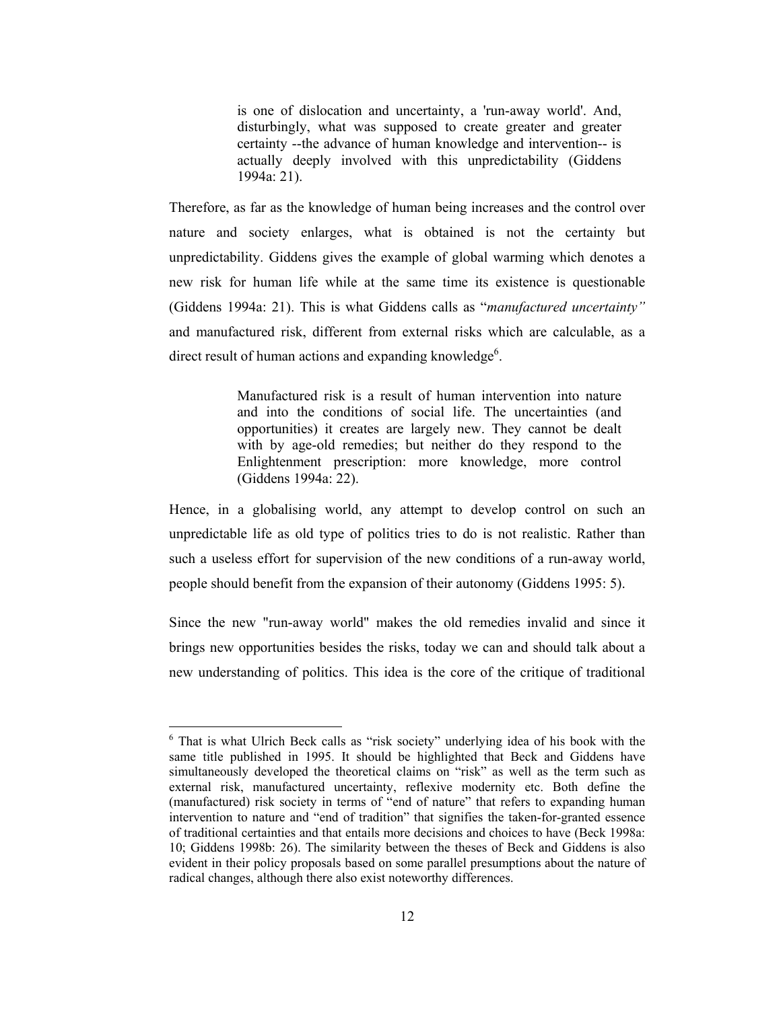is one of dislocation and uncertainty, a 'run-away world'. And, disturbingly, what was supposed to create greater and greater certainty -- the advance of human knowledge and intervention-- is actually deeply involved with this unpredictability (Giddens  $1994a: 21$ ).

Therefore, as far as the knowledge of human being increases and the control over nature and society enlarges, what is obtained is not the certainty but unpredictability. Giddens gives the example of global warming which denotes a new risk for human life while at the same time its existence is questionable (Giddens 1994a: 21). This is what Giddens calls as "manufactured uncertainty" and manufactured risk, different from external risks which are calculable, as a direct result of human actions and expanding knowledge<sup>6</sup>.

> Manufactured risk is a result of human intervention into nature and into the conditions of social life. The uncertainties (and opportunities) it creates are largely new. They cannot be dealt with by age-old remedies; but neither do they respond to the Enlightenment prescription: more knowledge, more control (Giddens 1994a: 22).

Hence, in a globalising world, any attempt to develop control on such an unpredictable life as old type of politics tries to do is not realistic. Rather than such a useless effort for supervision of the new conditions of a run-away world, people should benefit from the expansion of their autonomy (Giddens 1995: 5).

Since the new "run-away world" makes the old remedies invalid and since it brings new opportunities besides the risks, today we can and should talk about a new understanding of politics. This idea is the core of the critique of traditional

<sup>&</sup>lt;sup>6</sup> That is what Ulrich Beck calls as "risk society" underlying idea of his book with the same title published in 1995. It should be highlighted that Beck and Giddens have simultaneously developed the theoretical claims on "risk" as well as the term such as external risk, manufactured uncertainty, reflexive modernity etc. Both define the (manufactured) risk society in terms of "end of nature" that refers to expanding human intervention to nature and "end of tradition" that signifies the taken-for-granted essence of traditional certainties and that entails more decisions and choices to have (Beck 1998a: 10; Giddens 1998b: 26). The similarity between the theses of Beck and Giddens is also evident in their policy proposals based on some parallel presumptions about the nature of radical changes, although there also exist noteworthy differences.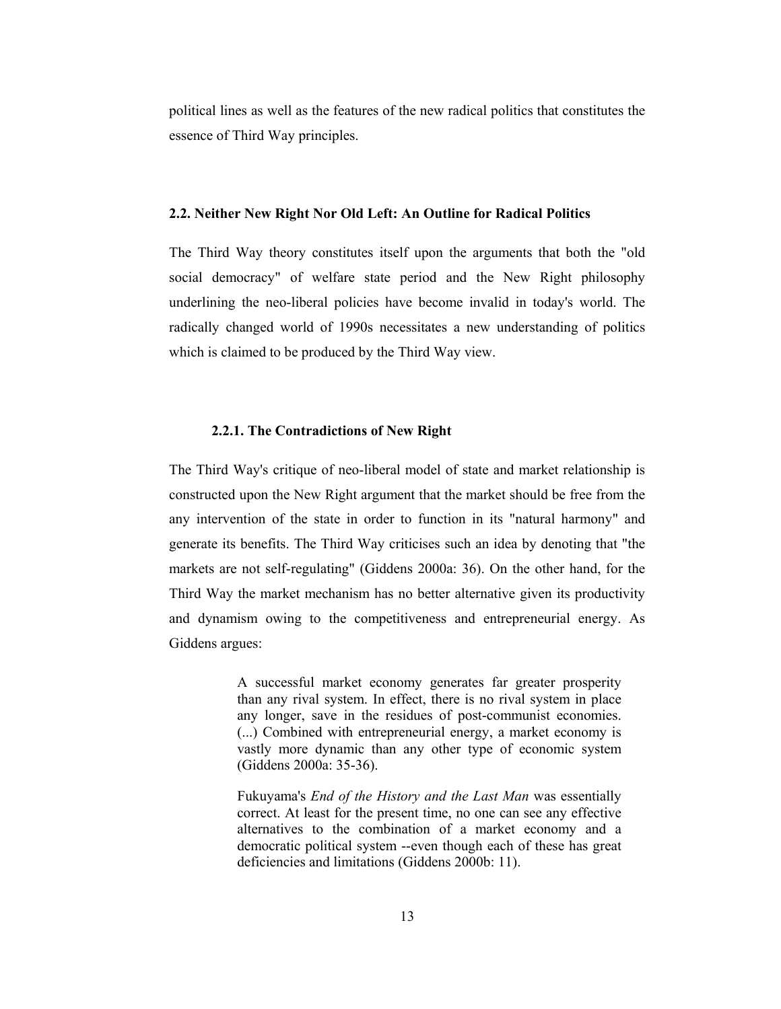political lines as well as the features of the new radical politics that constitutes the essence of Third Way principles.

#### 2.2. Neither New Right Nor Old Left: An Outline for Radical Politics

The Third Way theory constitutes itself upon the arguments that both the "old" social democracy" of welfare state period and the New Right philosophy underlining the neo-liberal policies have become invalid in today's world. The radically changed world of 1990s necessitates a new understanding of politics which is claimed to be produced by the Third Way view.

#### 2.2.1. The Contradictions of New Right

The Third Way's critique of neo-liberal model of state and market relationship is constructed upon the New Right argument that the market should be free from the any intervention of the state in order to function in its "natural harmony" and generate its benefits. The Third Way criticises such an idea by denoting that "the markets are not self-regulating" (Giddens 2000a: 36). On the other hand, for the Third Way the market mechanism has no better alternative given its productivity and dynamism owing to the competitiveness and entrepreneurial energy. As Giddens argues:

> A successful market economy generates far greater prosperity than any rival system. In effect, there is no rival system in place any longer, save in the residues of post-communist economies. (...) Combined with entrepreneurial energy, a market economy is vastly more dynamic than any other type of economic system (Giddens 2000a: 35-36).

> Fukuyama's *End of the History and the Last Man* was essentially correct. At least for the present time, no one can see any effective alternatives to the combination of a market economy and a democratic political system --even though each of these has great deficiencies and limitations (Giddens 2000b: 11).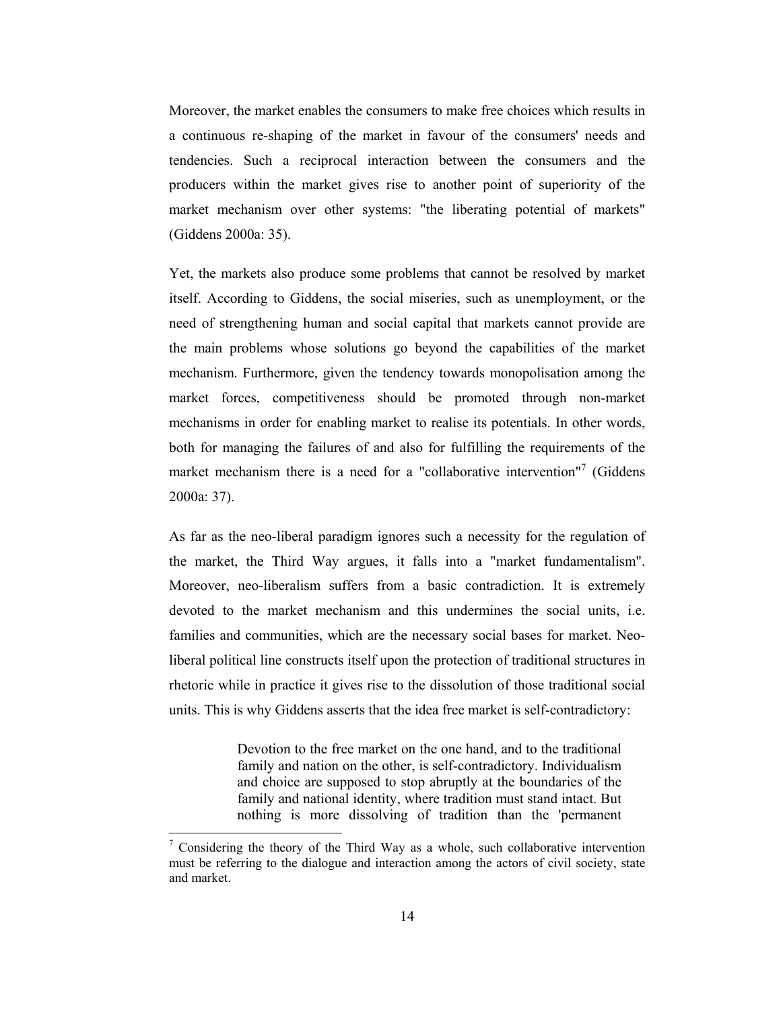Moreover, the market enables the consumers to make free choices which results in a continuous re-shaping of the market in favour of the consumers' needs and tendencies. Such a reciprocal interaction between the consumers and the producers within the market gives rise to another point of superiority of the market mechanism over other systems: "the liberating potential of markets" (Giddens 2000a: 35).

Yet, the markets also produce some problems that cannot be resolved by market itself. According to Giddens, the social miseries, such as unemployment, or the need of strengthening human and social capital that markets cannot provide are the main problems whose solutions go beyond the capabilities of the market mechanism. Furthermore, given the tendency towards monopolisation among the market forces, competitiveness should be promoted through non-market mechanisms in order for enabling market to realise its potentials. In other words, both for managing the failures of and also for fulfilling the requirements of the market mechanism there is a need for a "collaborative intervention"<sup>7</sup> (Giddens  $2000a: 37$ ).

As far as the neo-liberal paradigm ignores such a necessity for the regulation of the market, the Third Way argues, it falls into a "market fundamentalism". Moreover, neo-liberalism suffers from a basic contradiction. It is extremely devoted to the market mechanism and this undermines the social units, i.e. families and communities, which are the necessary social bases for market. Neoliberal political line constructs itself upon the protection of traditional structures in rhetoric while in practice it gives rise to the dissolution of those traditional social units. This is why Giddens asserts that the idea free market is self-contradictory:

> Devotion to the free market on the one hand, and to the traditional family and nation on the other, is self-contradictory. Individualism and choice are supposed to stop abruptly at the boundaries of the family and national identity, where tradition must stand intact. But nothing is more dissolving of tradition than the 'permanent

 $\frac{7}{7}$  Considering the theory of the Third Way as a whole, such collaborative intervention must be referring to the dialogue and interaction among the actors of civil society, state and market.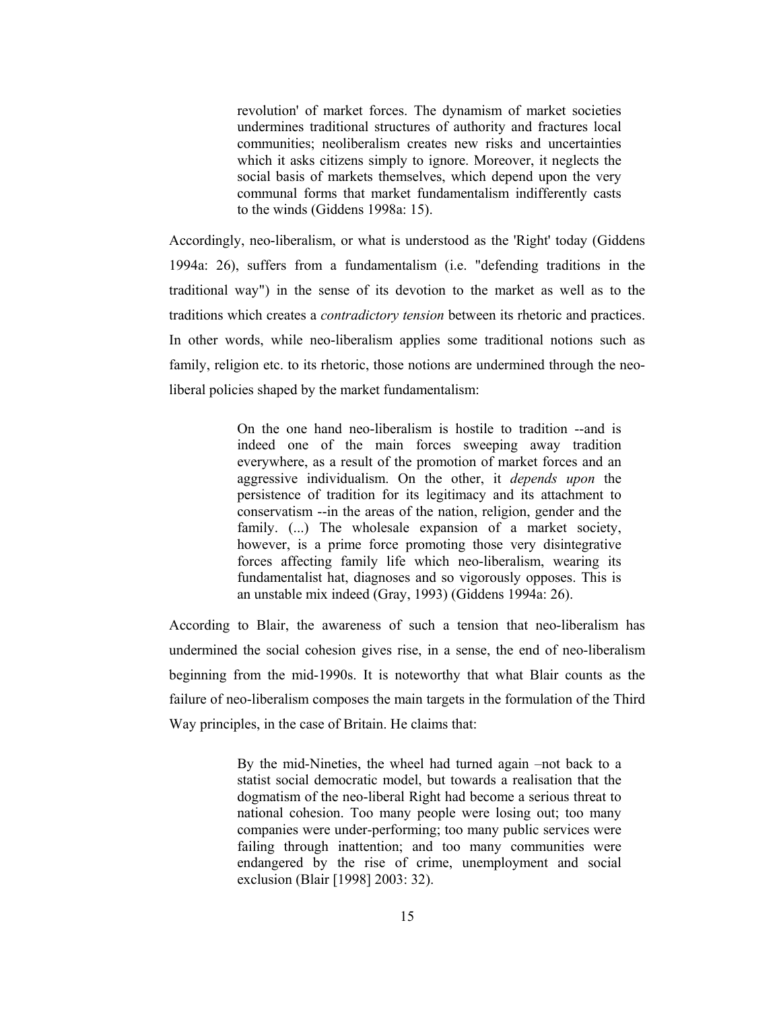revolution' of market forces. The dynamism of market societies undermines traditional structures of authority and fractures local communities: neoliberalism creates new risks and uncertainties which it asks citizens simply to ignore. Moreover, it neglects the social basis of markets themselves, which depend upon the very communal forms that market fundamentalism indifferently casts to the winds (Giddens 1998a: 15).

Accordingly, neo-liberalism, or what is understood as the 'Right' today (Giddens 1994a: 26), suffers from a fundamentalism (i.e. "defending traditions in the traditional way") in the sense of its devotion to the market as well as to the traditions which creates a *contradictory tension* between its rhetoric and practices. In other words, while neo-liberalism applies some traditional notions such as family, religion etc. to its rhetoric, those notions are undermined through the neoliberal policies shaped by the market fundamentalism:

> On the one hand neo-liberalism is hostile to tradition --and is indeed one of the main forces sweeping away tradition everywhere, as a result of the promotion of market forces and an aggressive individualism. On the other, it *depends upon* the persistence of tradition for its legitimacy and its attachment to conservatism -- in the areas of the nation, religion, gender and the family. (...) The wholesale expansion of a market society, however, is a prime force promoting those very disintegrative forces affecting family life which neo-liberalism, wearing its fundamentalist hat, diagnoses and so vigorously opposes. This is an unstable mix indeed (Gray, 1993) (Giddens 1994a: 26).

According to Blair, the awareness of such a tension that neo-liberalism has undermined the social cohesion gives rise, in a sense, the end of neo-liberalism beginning from the mid-1990s. It is noteworthy that what Blair counts as the failure of neo-liberalism composes the main targets in the formulation of the Third Way principles, in the case of Britain. He claims that:

> By the mid-Nineties, the wheel had turned again -not back to a statist social democratic model, but towards a realisation that the dogmatism of the neo-liberal Right had become a serious threat to national cohesion. Too many people were losing out; too many companies were under-performing; too many public services were failing through inattention; and too many communities were endangered by the rise of crime, unemployment and social exclusion (Blair [1998] 2003: 32).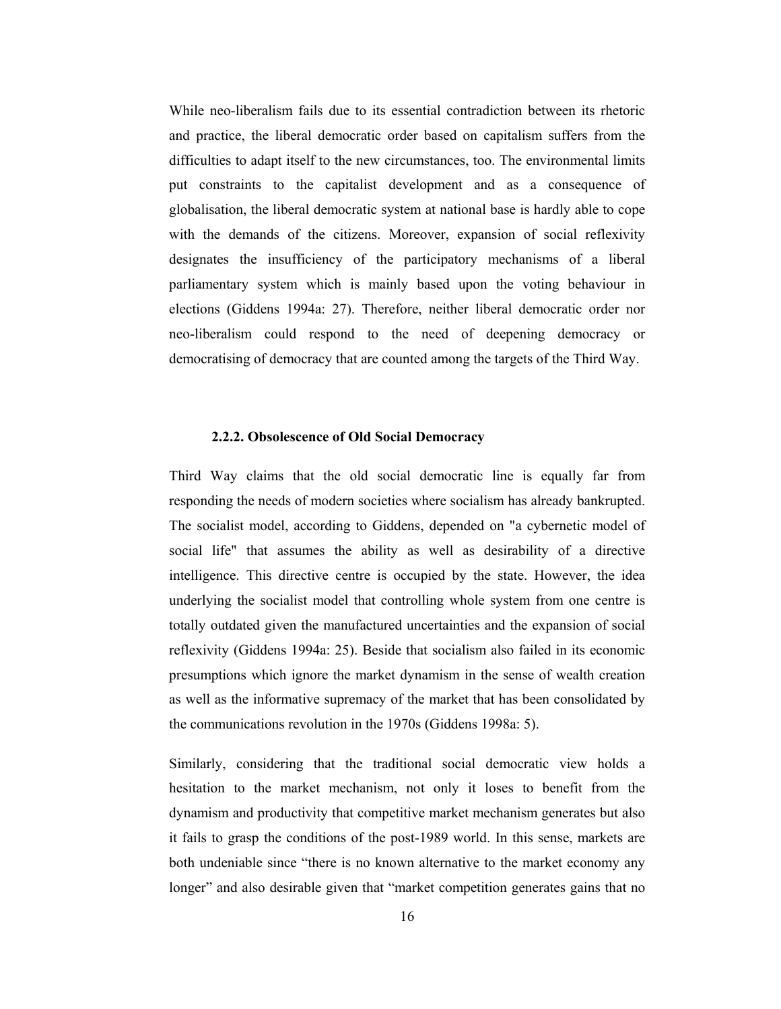While neo-liberalism fails due to its essential contradiction between its rhetoric and practice, the liberal democratic order based on capitalism suffers from the difficulties to adapt itself to the new circumstances, too. The environmental limits put constraints to the capitalist development and as a consequence of globalisation, the liberal democratic system at national base is hardly able to cope with the demands of the citizens. Moreover, expansion of social reflexivity designates the insufficiency of the participatory mechanisms of a liberal parliamentary system which is mainly based upon the voting behaviour in elections (Giddens 1994a: 27). Therefore, neither liberal democratic order nor neo-liberalism could respond to the need of deepening democracy or democratising of democracy that are counted among the targets of the Third Way.

#### 2.2.2. Obsolescence of Old Social Democracy

Third Way claims that the old social democratic line is equally far from responding the needs of modern societies where socialism has already bankrupted. The socialist model, according to Giddens, depended on "a cybernetic model of social life" that assumes the ability as well as desirability of a directive intelligence. This directive centre is occupied by the state. However, the idea underlying the socialist model that controlling whole system from one centre is totally outdated given the manufactured uncertainties and the expansion of social reflexivity (Giddens 1994a: 25). Beside that socialism also failed in its economic presumptions which ignore the market dynamism in the sense of wealth creation as well as the informative supremacy of the market that has been consolidated by the communications revolution in the 1970s (Giddens 1998a: 5).

Similarly, considering that the traditional social democratic view holds a hesitation to the market mechanism, not only it loses to benefit from the dynamism and productivity that competitive market mechanism generates but also it fails to grasp the conditions of the post-1989 world. In this sense, markets are both undeniable since "there is no known alternative to the market economy any longer" and also desirable given that "market competition generates gains that no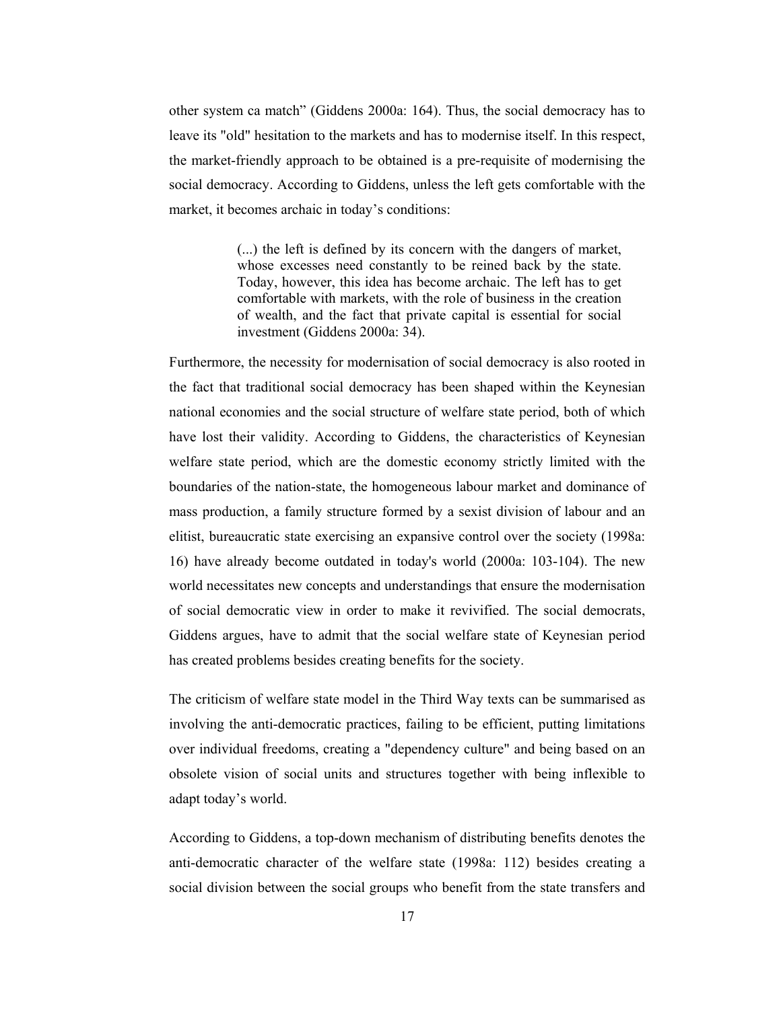other system ca match" (Giddens 2000a: 164). Thus, the social democracy has to leave its "old" hesitation to the markets and has to modernise itself. In this respect, the market-friendly approach to be obtained is a pre-requisite of modernising the social democracy. According to Giddens, unless the left gets comfortable with the market, it becomes archaic in today's conditions:

> (...) the left is defined by its concern with the dangers of market. whose excesses need constantly to be reined back by the state. Today, however, this idea has become archaic. The left has to get comfortable with markets, with the role of business in the creation of wealth, and the fact that private capital is essential for social investment (Giddens 2000a: 34).

Furthermore, the necessity for modernisation of social democracy is also rooted in the fact that traditional social democracy has been shaped within the Keynesian national economies and the social structure of welfare state period, both of which have lost their validity. According to Giddens, the characteristics of Keynesian welfare state period, which are the domestic economy strictly limited with the boundaries of the nation-state, the homogeneous labour market and dominance of mass production, a family structure formed by a sexist division of labour and an elitist, bureaucratic state exercising an expansive control over the society (1998a: 16) have already become outdated in today's world (2000a: 103-104). The new world necessitates new concepts and understandings that ensure the modernisation of social democratic view in order to make it revivified. The social democrats, Giddens argues, have to admit that the social welfare state of Keynesian period has created problems besides creating benefits for the society.

The criticism of welfare state model in the Third Way texts can be summarised as involving the anti-democratic practices, failing to be efficient, putting limitations over individual freedoms, creating a "dependency culture" and being based on an obsolete vision of social units and structures together with being inflexible to adapt today's world.

According to Giddens, a top-down mechanism of distributing benefits denotes the anti-democratic character of the welfare state (1998a: 112) besides creating a social division between the social groups who benefit from the state transfers and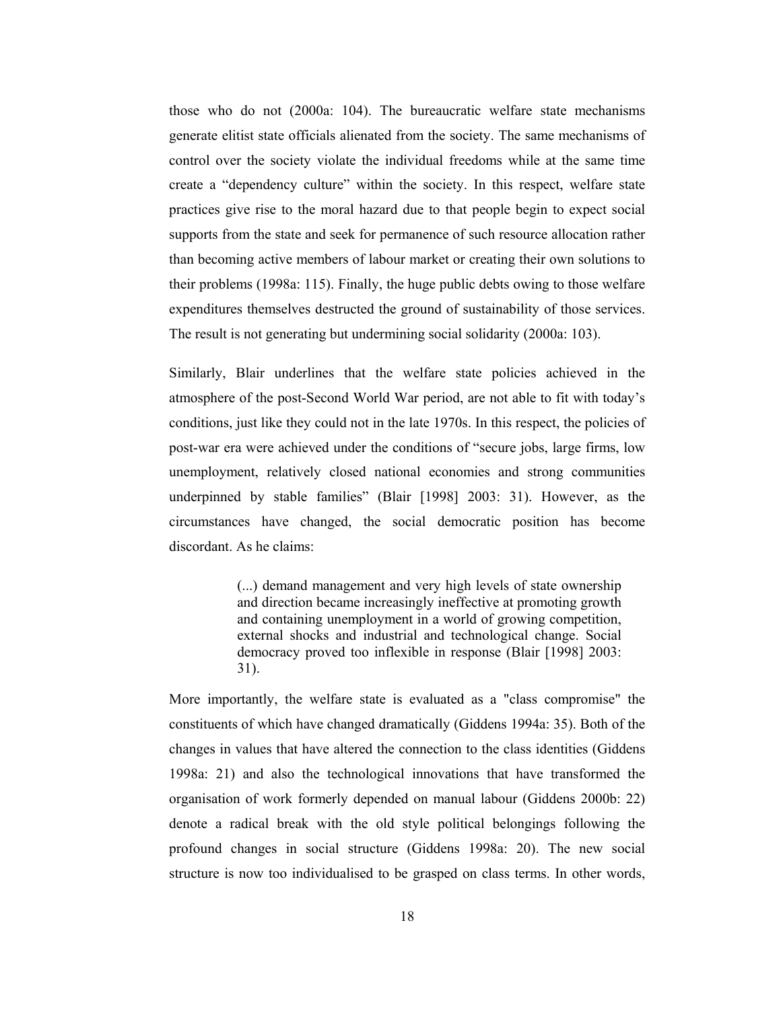those who do not (2000a: 104). The bureaucratic welfare state mechanisms generate elitist state officials alienated from the society. The same mechanisms of control over the society violate the individual freedoms while at the same time create a "dependency culture" within the society. In this respect, welfare state practices give rise to the moral hazard due to that people begin to expect social supports from the state and seek for permanence of such resource allocation rather than becoming active members of labour market or creating their own solutions to their problems (1998a: 115). Finally, the huge public debts owing to those welfare expenditures themselves destructed the ground of sustainability of those services. The result is not generating but undermining social solidarity (2000a: 103).

Similarly, Blair underlines that the welfare state policies achieved in the atmosphere of the post-Second World War period, are not able to fit with today's conditions, just like they could not in the late 1970s. In this respect, the policies of post-war era were achieved under the conditions of "secure jobs, large firms, low unemployment, relatively closed national economies and strong communities underpinned by stable families" (Blair [1998] 2003: 31). However, as the circumstances have changed, the social democratic position has become discordant. As he claims:

> (...) demand management and very high levels of state ownership and direction became increasingly ineffective at promoting growth and containing unemployment in a world of growing competition, external shocks and industrial and technological change. Social democracy proved too inflexible in response (Blair [1998] 2003:  $31$ ).

More importantly, the welfare state is evaluated as a "class compromise" the constituents of which have changed dramatically (Giddens 1994a: 35). Both of the changes in values that have altered the connection to the class identities (Giddens 1998a: 21) and also the technological innovations that have transformed the organisation of work formerly depended on manual labour (Giddens 2000b: 22) denote a radical break with the old style political belongings following the profound changes in social structure (Giddens 1998a: 20). The new social structure is now too individualised to be grasped on class terms. In other words,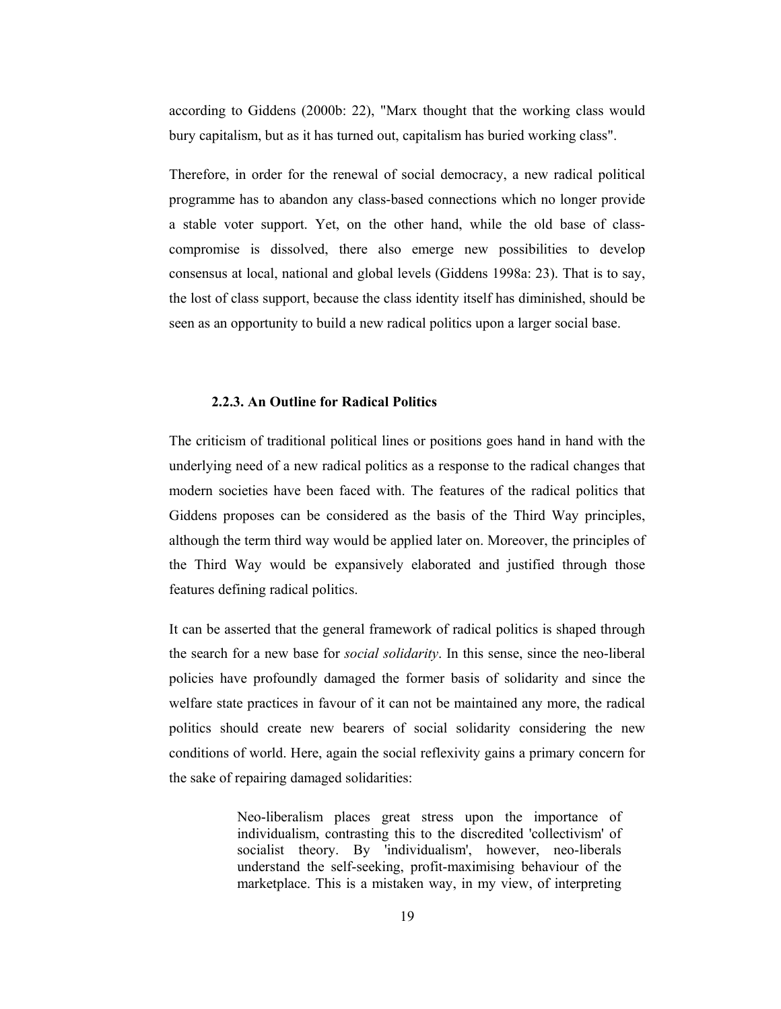according to Giddens (2000b: 22), "Marx thought that the working class would bury capitalism, but as it has turned out, capitalism has buried working class".

Therefore, in order for the renewal of social democracy, a new radical political programme has to abandon any class-based connections which no longer provide a stable voter support. Yet, on the other hand, while the old base of classcompromise is dissolved, there also emerge new possibilities to develop consensus at local, national and global levels (Giddens 1998a: 23). That is to say, the lost of class support, because the class identity itself has diminished, should be seen as an opportunity to build a new radical politics upon a larger social base.

#### 2.2.3. An Outline for Radical Politics

The criticism of traditional political lines or positions goes hand in hand with the underlying need of a new radical politics as a response to the radical changes that modern societies have been faced with. The features of the radical politics that Giddens proposes can be considered as the basis of the Third Way principles, although the term third way would be applied later on. Moreover, the principles of the Third Way would be expansively elaborated and justified through those features defining radical politics.

It can be asserted that the general framework of radical politics is shaped through the search for a new base for *social solidarity*. In this sense, since the neo-liberal policies have profoundly damaged the former basis of solidarity and since the welfare state practices in favour of it can not be maintained any more, the radical politics should create new bearers of social solidarity considering the new conditions of world. Here, again the social reflexivity gains a primary concern for the sake of repairing damaged solidarities:

> Neo-liberalism places great stress upon the importance of individualism, contrasting this to the discredited 'collectivism' of socialist theory. By 'individualism', however, neo-liberals understand the self-seeking, profit-maximising behaviour of the marketplace. This is a mistaken way, in my view, of interpreting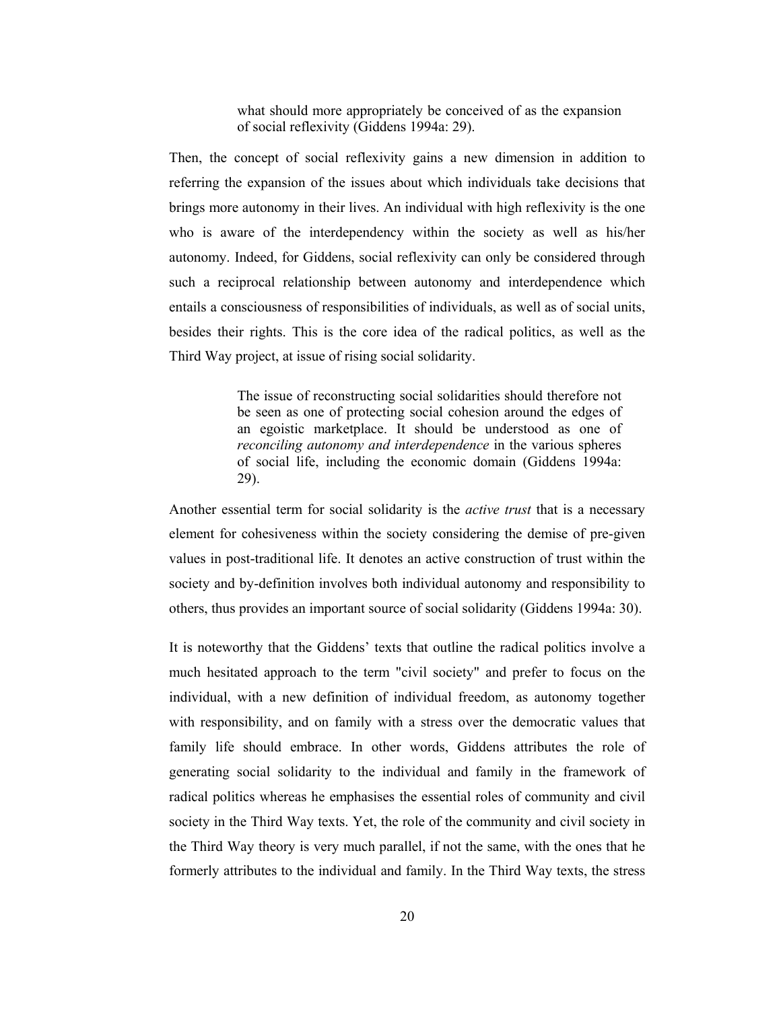what should more appropriately be conceived of as the expansion of social reflexivity (Giddens 1994a: 29).

Then, the concept of social reflexivity gains a new dimension in addition to referring the expansion of the issues about which individuals take decisions that brings more autonomy in their lives. An individual with high reflexivity is the one who is aware of the interdependency within the society as well as his/her autonomy. Indeed, for Giddens, social reflexivity can only be considered through such a reciprocal relationship between autonomy and interdependence which entails a consciousness of responsibilities of individuals, as well as of social units, besides their rights. This is the core idea of the radical politics, as well as the Third Way project, at issue of rising social solidarity.

> The issue of reconstructing social solidarities should therefore not be seen as one of protecting social cohesion around the edges of an egoistic marketplace. It should be understood as one of reconciling autonomy and interdependence in the various spheres of social life, including the economic domain (Giddens 1994a:  $29$ ).

Another essential term for social solidarity is the *active trust* that is a necessary element for cohesiveness within the society considering the demise of pre-given values in post-traditional life. It denotes an active construction of trust within the society and by-definition involves both individual autonomy and responsibility to others, thus provides an important source of social solidarity (Giddens 1994a: 30).

It is noteworthy that the Giddens' texts that outline the radical politics involve a much hesitated approach to the term "civil society" and prefer to focus on the individual, with a new definition of individual freedom, as autonomy together with responsibility, and on family with a stress over the democratic values that family life should embrace. In other words, Giddens attributes the role of generating social solidarity to the individual and family in the framework of radical politics whereas he emphasises the essential roles of community and civil society in the Third Way texts. Yet, the role of the community and civil society in the Third Way theory is very much parallel, if not the same, with the ones that he formerly attributes to the individual and family. In the Third Way texts, the stress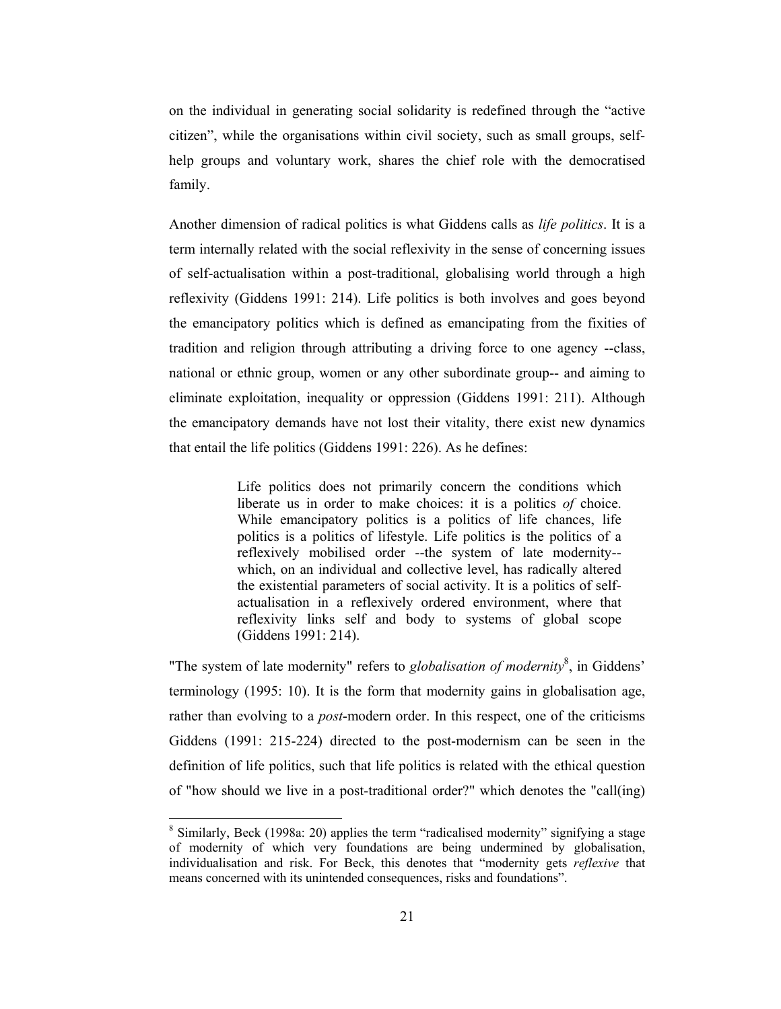on the individual in generating social solidarity is redefined through the "active" citizen", while the organisations within civil society, such as small groups, selfhelp groups and voluntary work, shares the chief role with the democratised family.

Another dimension of radical politics is what Giddens calls as life politics. It is a term internally related with the social reflexivity in the sense of concerning issues of self-actualisation within a post-traditional, globalising world through a high reflexivity (Giddens 1991: 214). Life politics is both involves and goes beyond the emancipatory politics which is defined as emancipating from the fixities of tradition and religion through attributing a driving force to one agency --class, national or ethnic group, women or any other subordinate group-- and aiming to eliminate exploitation, inequality or oppression (Giddens 1991: 211). Although the emancipatory demands have not lost their vitality, there exist new dynamics that entail the life politics (Giddens 1991: 226). As he defines:

> Life politics does not primarily concern the conditions which liberate us in order to make choices: it is a politics of choice. While emancipatory politics is a politics of life chances, life politics is a politics of lifestyle. Life politics is the politics of a reflexively mobilised order -- the system of late modernity-which, on an individual and collective level, has radically altered the existential parameters of social activity. It is a politics of selfactualisation in a reflexively ordered environment, where that reflexivity links self and body to systems of global scope (Giddens 1991: 214).

"The system of late modernity" refers to *globalisation of modernity*<sup>8</sup>, in Giddens' terminology (1995: 10). It is the form that modernity gains in globalisation age, rather than evolving to a *post*-modern order. In this respect, one of the criticisms Giddens (1991: 215-224) directed to the post-modernism can be seen in the definition of life politics, such that life politics is related with the ethical question of "how should we live in a post-traditional order?" which denotes the "call(ing)

<sup>&</sup>lt;sup>8</sup> Similarly, Beck (1998a: 20) applies the term "radicalised modernity" signifying a stage of modernity of which very foundations are being undermined by globalisation, individualisation and risk. For Beck, this denotes that "modernity gets *reflexive* that means concerned with its unintended consequences, risks and foundations".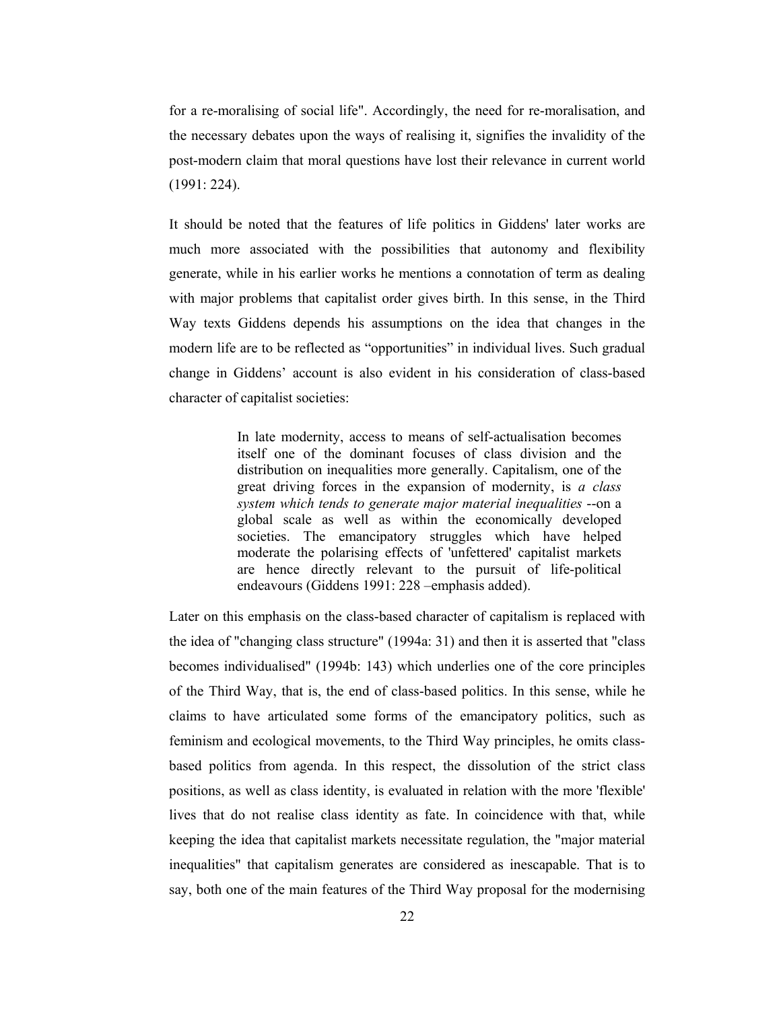for a re-moralising of social life". Accordingly, the need for re-moralisation, and the necessary debates upon the ways of realising it, signifies the invalidity of the post-modern claim that moral questions have lost their relevance in current world  $(1991:224).$ 

It should be noted that the features of life politics in Giddens' later works are much more associated with the possibilities that autonomy and flexibility generate, while in his earlier works he mentions a connotation of term as dealing with major problems that capitalist order gives birth. In this sense, in the Third Way texts Giddens depends his assumptions on the idea that changes in the modern life are to be reflected as "opportunities" in individual lives. Such gradual change in Giddens' account is also evident in his consideration of class-based character of capitalist societies:

> In late modernity, access to means of self-actualisation becomes itself one of the dominant focuses of class division and the distribution on inequalities more generally. Capitalism, one of the great driving forces in the expansion of modernity, is a class system which tends to generate major material inequalities --on a global scale as well as within the economically developed societies. The emancipatory struggles which have helped moderate the polarising effects of 'unfettered' capitalist markets are hence directly relevant to the pursuit of life-political endeavours (Giddens 1991: 228 - emphasis added).

Later on this emphasis on the class-based character of capitalism is replaced with the idea of "changing class structure" (1994a: 31) and then it is asserted that "class" becomes individualised" (1994b: 143) which underlies one of the core principles of the Third Way, that is, the end of class-based politics. In this sense, while he claims to have articulated some forms of the emancipatory politics, such as feminism and ecological movements, to the Third Way principles, he omits classbased politics from agenda. In this respect, the dissolution of the strict class positions, as well as class identity, is evaluated in relation with the more 'flexible' lives that do not realise class identity as fate. In coincidence with that, while keeping the idea that capitalist markets necessitate regulation, the "major material inequalities" that capitalism generates are considered as inescapable. That is to say, both one of the main features of the Third Way proposal for the modernising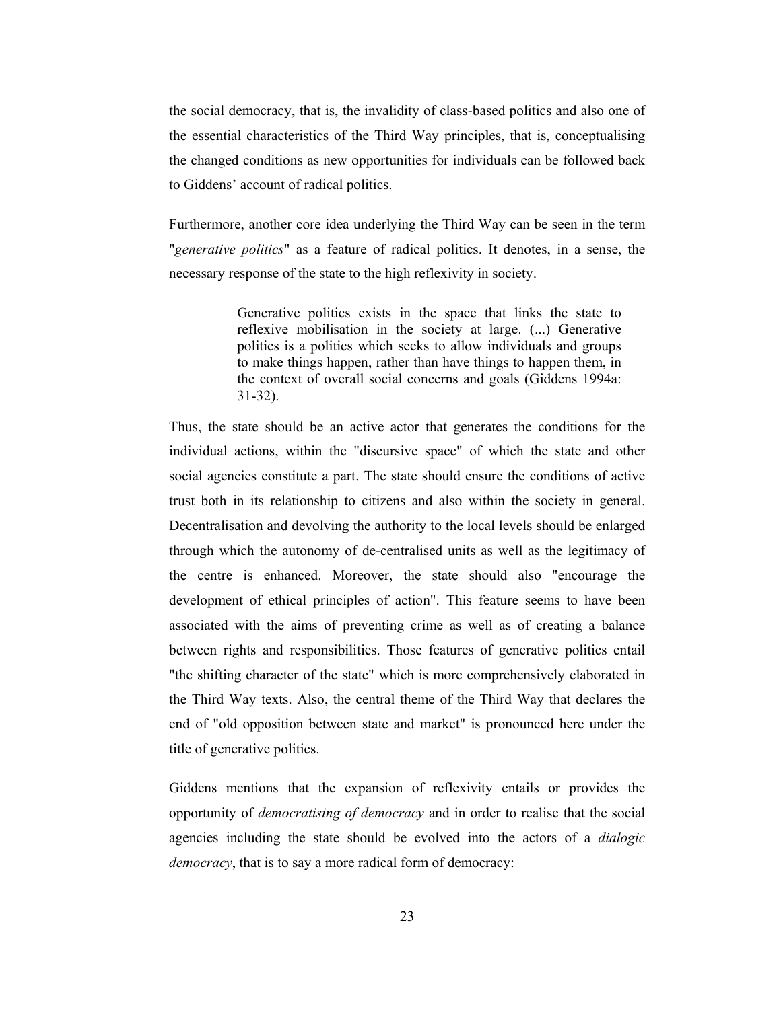the social democracy, that is, the invalidity of class-based politics and also one of the essential characteristics of the Third Way principles, that is, conceptualising the changed conditions as new opportunities for individuals can be followed back to Giddens' account of radical politics.

Furthermore, another core idea underlying the Third Way can be seen in the term "generative politics" as a feature of radical politics. It denotes, in a sense, the necessary response of the state to the high reflexivity in society.

> Generative politics exists in the space that links the state to reflexive mobilisation in the society at large. (...) Generative politics is a politics which seeks to allow individuals and groups to make things happen, rather than have things to happen them, in the context of overall social concerns and goals (Giddens 1994a:  $31-32$ ).

Thus, the state should be an active actor that generates the conditions for the individual actions, within the "discursive space" of which the state and other social agencies constitute a part. The state should ensure the conditions of active trust both in its relationship to citizens and also within the society in general. Decentralisation and devolving the authority to the local levels should be enlarged through which the autonomy of de-centralised units as well as the legitimacy of the centre is enhanced. Moreover, the state should also "encourage the development of ethical principles of action". This feature seems to have been associated with the aims of preventing crime as well as of creating a balance between rights and responsibilities. Those features of generative politics entail "the shifting character of the state" which is more comprehensively elaborated in the Third Way texts. Also, the central theme of the Third Way that declares the end of "old opposition between state and market" is pronounced here under the title of generative politics.

Giddens mentions that the expansion of reflexivity entails or provides the opportunity of *democratising of democracy* and in order to realise that the social agencies including the state should be evolved into the actors of a *dialogic democracy*, that is to say a more radical form of democracy: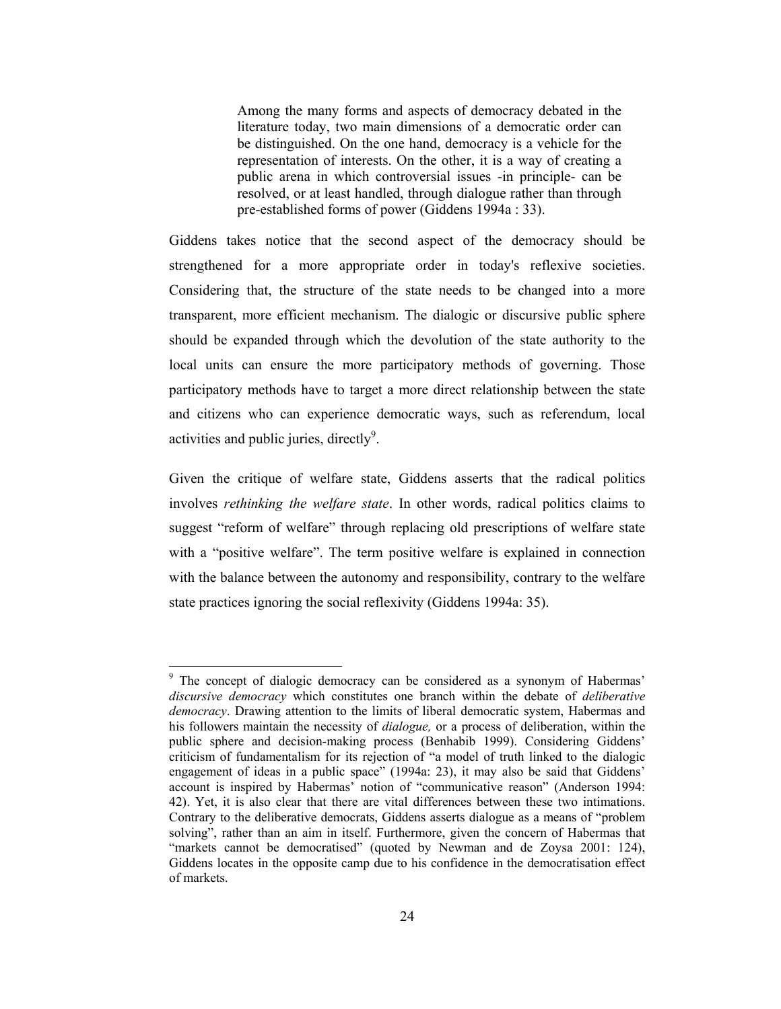Among the many forms and aspects of democracy debated in the literature today, two main dimensions of a democratic order can be distinguished. On the one hand, democracy is a vehicle for the representation of interests. On the other, it is a way of creating a public arena in which controversial issues -in principle- can be resolved, or at least handled, through dialogue rather than through pre-established forms of power (Giddens 1994a : 33).

Giddens takes notice that the second aspect of the democracy should be strengthened for a more appropriate order in today's reflexive societies. Considering that, the structure of the state needs to be changed into a more transparent, more efficient mechanism. The dialogic or discursive public sphere should be expanded through which the devolution of the state authority to the local units can ensure the more participatory methods of governing. Those participatory methods have to target a more direct relationship between the state and citizens who can experience democratic ways, such as referendum, local activities and public juries, directly<sup>9</sup>.

Given the critique of welfare state, Giddens asserts that the radical politics involves rethinking the welfare state. In other words, radical politics claims to suggest "reform of welfare" through replacing old prescriptions of welfare state with a "positive welfare". The term positive welfare is explained in connection with the balance between the autonomy and responsibility, contrary to the welfare state practices ignoring the social reflexivity (Giddens 1994a: 35).

<sup>&</sup>lt;sup>9</sup> The concept of dialogic democracy can be considered as a synonym of Habermas' *discursive democracy* which constitutes one branch within the debate of *deliberative democracy*. Drawing attention to the limits of liberal democratic system, Habermas and his followers maintain the necessity of *dialogue*, or a process of deliberation, within the public sphere and decision-making process (Benhabib 1999). Considering Giddens' criticism of fundamentalism for its rejection of "a model of truth linked to the dialogic engagement of ideas in a public space" (1994a: 23), it may also be said that Giddens' account is inspired by Habermas' notion of "communicative reason" (Anderson 1994: 42). Yet, it is also clear that there are vital differences between these two intimations. Contrary to the deliberative democrats, Giddens asserts dialogue as a means of "problem" solving", rather than an aim in itself. Furthermore, given the concern of Habermas that "markets cannot be democratised" (quoted by Newman and de Zoysa 2001: 124), Giddens locates in the opposite camp due to his confidence in the democratisation effect of markets.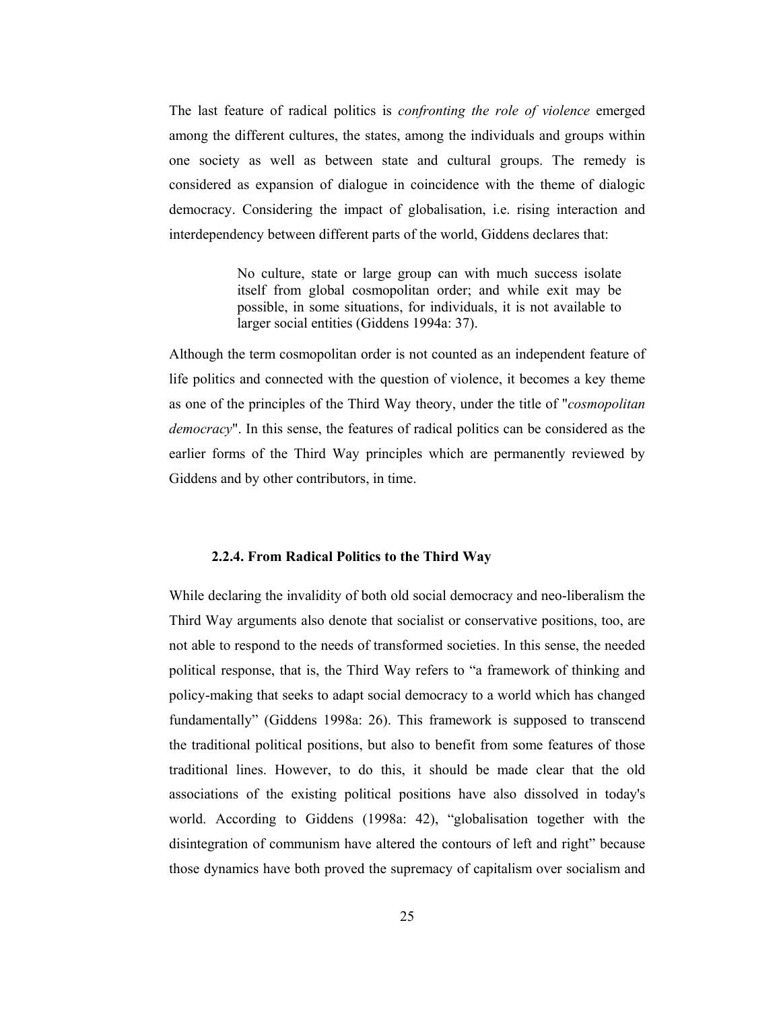The last feature of radical politics is *confronting the role of violence* emerged among the different cultures, the states, among the individuals and groups within one society as well as between state and cultural groups. The remedy is considered as expansion of dialogue in coincidence with the theme of dialogic democracy. Considering the impact of globalisation, i.e. rising interaction and interdependency between different parts of the world, Giddens declares that:

> No culture, state or large group can with much success isolate itself from global cosmopolitan order; and while exit may be possible, in some situations, for individuals, it is not available to larger social entities (Giddens 1994a: 37).

Although the term cosmopolitan order is not counted as an independent feature of life politics and connected with the question of violence, it becomes a key theme as one of the principles of the Third Way theory, under the title of "*cosmopolitan democracy*". In this sense, the features of radical politics can be considered as the earlier forms of the Third Way principles which are permanently reviewed by Giddens and by other contributors, in time.

#### 2.2.4. From Radical Politics to the Third Way

While declaring the invalidity of both old social democracy and neo-liberalism the Third Way arguments also denote that socialist or conservative positions, too, are not able to respond to the needs of transformed societies. In this sense, the needed political response, that is, the Third Way refers to "a framework of thinking and policy-making that seeks to adapt social democracy to a world which has changed fundamentally" (Giddens 1998a: 26). This framework is supposed to transcend the traditional political positions, but also to benefit from some features of those traditional lines. However, to do this, it should be made clear that the old associations of the existing political positions have also dissolved in today's world. According to Giddens (1998a: 42), "globalisation together with the disintegration of communism have altered the contours of left and right" because those dynamics have both proved the supremacy of capitalism over socialism and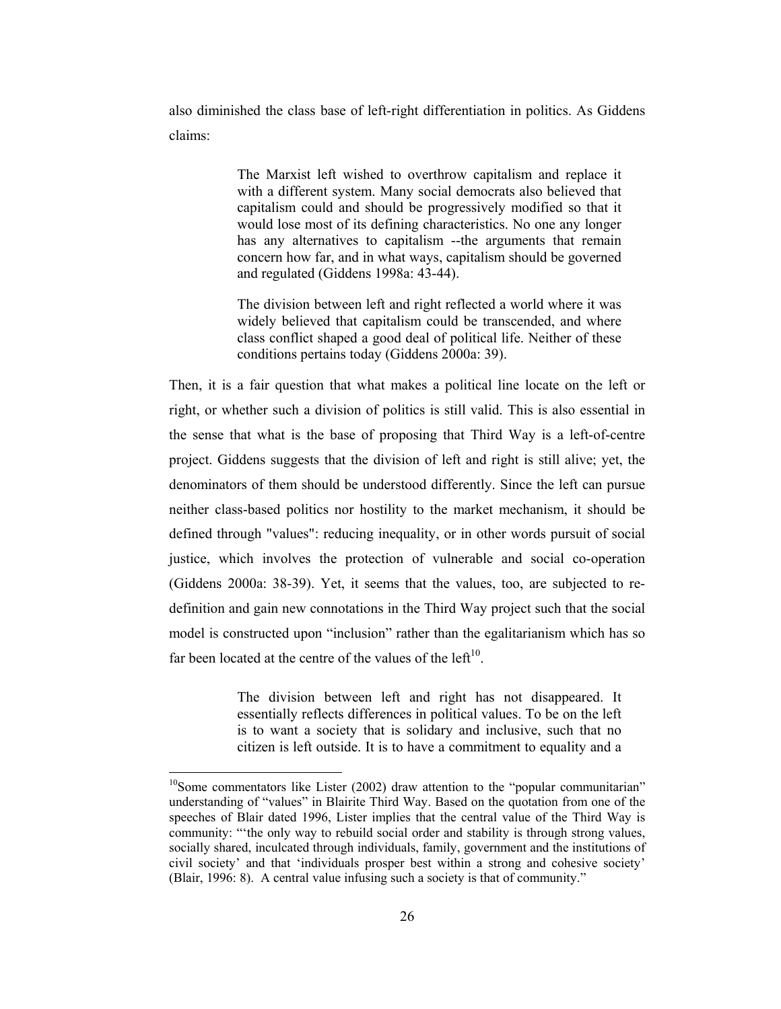also diminished the class base of left-right differentiation in politics. As Giddens claims:

> The Marxist left wished to overthrow capitalism and replace it with a different system. Many social democrats also believed that capitalism could and should be progressively modified so that it would lose most of its defining characteristics. No one any longer has any alternatives to capitalism -- the arguments that remain concern how far, and in what ways, capitalism should be governed and regulated (Giddens 1998a: 43-44).

> The division between left and right reflected a world where it was widely believed that capitalism could be transcended, and where class conflict shaped a good deal of political life. Neither of these conditions pertains today (Giddens 2000a: 39).

Then, it is a fair question that what makes a political line locate on the left or right, or whether such a division of politics is still valid. This is also essential in the sense that what is the base of proposing that Third Way is a left-of-centre project. Giddens suggests that the division of left and right is still alive; yet, the denominators of them should be understood differently. Since the left can pursue neither class-based politics nor hostility to the market mechanism, it should be defined through "values": reducing inequality, or in other words pursuit of social justice, which involves the protection of vulnerable and social co-operation (Giddens 2000a: 38-39). Yet, it seems that the values, too, are subjected to redefinition and gain new connotations in the Third Way project such that the social model is constructed upon "inclusion" rather than the egalitarianism which has so far been located at the centre of the values of the  $left<sup>10</sup>$ .

> The division between left and right has not disappeared. It essentially reflects differences in political values. To be on the left is to want a society that is solidary and inclusive, such that no citizen is left outside. It is to have a commitment to equality and a

 $^{10}$ Some commentators like Lister (2002) draw attention to the "popular communitarian" understanding of "values" in Blairite Third Way. Based on the quotation from one of the speeches of Blair dated 1996, Lister implies that the central value of the Third Way is community: "the only way to rebuild social order and stability is through strong values, socially shared, inculcated through individuals, family, government and the institutions of civil society' and that 'individuals prosper best within a strong and cohesive society' (Blair, 1996: 8). A central value infusing such a society is that of community."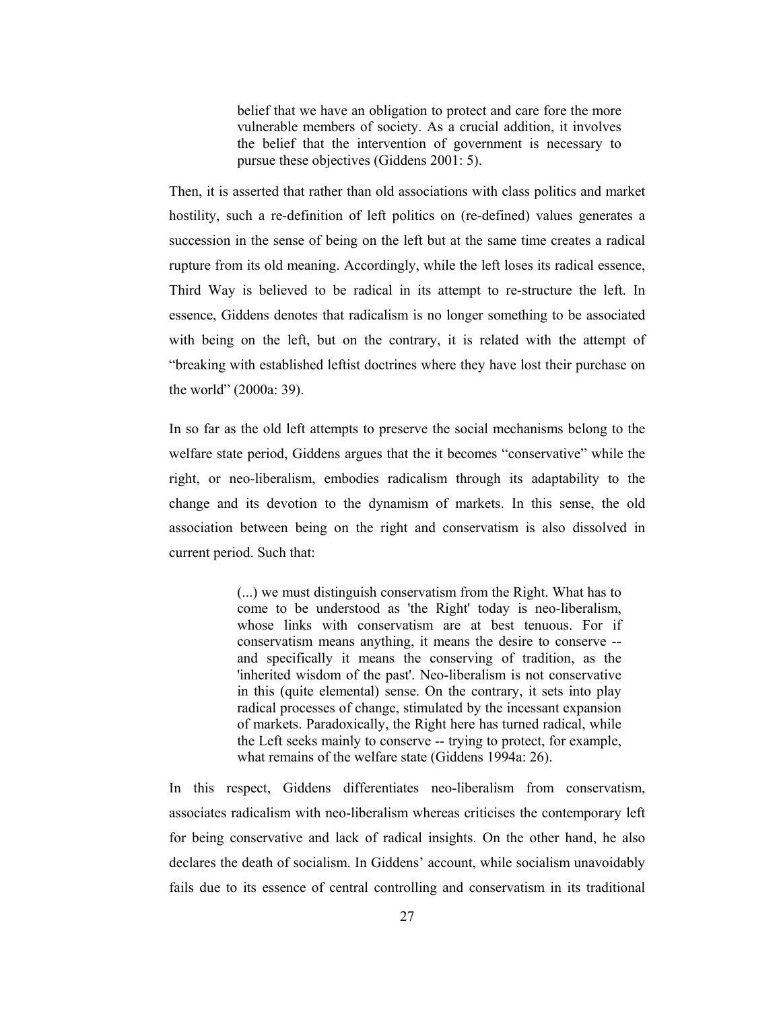belief that we have an obligation to protect and care fore the more vulnerable members of society. As a crucial addition, it involves the belief that the intervention of government is necessary to pursue these objectives (Giddens 2001: 5).

Then, it is asserted that rather than old associations with class politics and market hostility, such a re-definition of left politics on (re-defined) values generates a succession in the sense of being on the left but at the same time creates a radical rupture from its old meaning. Accordingly, while the left loses its radical essence, Third Way is believed to be radical in its attempt to re-structure the left. In essence, Giddens denotes that radicalism is no longer something to be associated with being on the left, but on the contrary, it is related with the attempt of "breaking with established leftist doctrines where they have lost their purchase on the world" (2000a: 39).

In so far as the old left attempts to preserve the social mechanisms belong to the welfare state period, Giddens argues that the it becomes "conservative" while the right, or neo-liberalism, embodies radicalism through its adaptability to the change and its devotion to the dynamism of markets. In this sense, the old association between being on the right and conservatism is also dissolved in current period. Such that:

> (...) we must distinguish conservatism from the Right. What has to come to be understood as 'the Right' today is neo-liberalism, whose links with conservatism are at best tenuous. For if conservatism means anything, it means the desire to conserve -and specifically it means the conserving of tradition, as the 'inherited wisdom of the past'. Neo-liberalism is not conservative in this (quite elemental) sense. On the contrary, it sets into play radical processes of change, stimulated by the incessant expansion of markets. Paradoxically, the Right here has turned radical, while the Left seeks mainly to conserve -- trying to protect, for example, what remains of the welfare state (Giddens 1994a: 26).

In this respect, Giddens differentiates neo-liberalism from conservatism, associates radicalism with neo-liberalism whereas criticises the contemporary left for being conservative and lack of radical insights. On the other hand, he also declares the death of socialism. In Giddens' account, while socialism unavoidably fails due to its essence of central controlling and conservatism in its traditional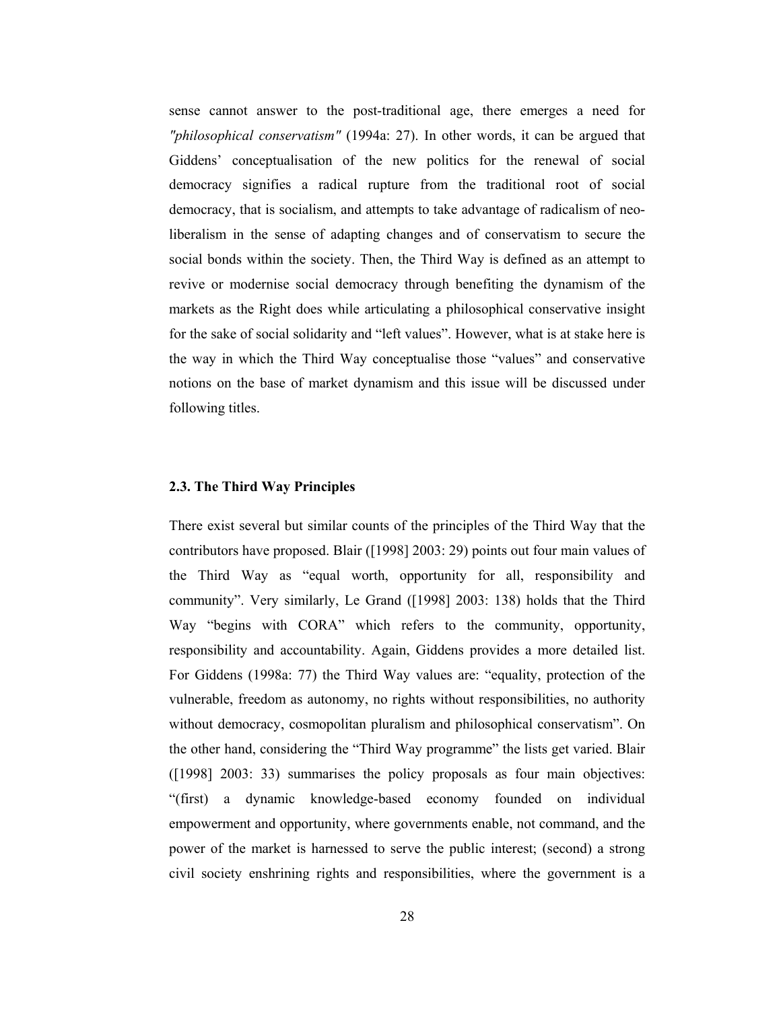sense cannot answer to the post-traditional age, there emerges a need for "philosophical conservatism" (1994a: 27). In other words, it can be argued that Giddens' conceptualisation of the new politics for the renewal of social democracy signifies a radical rupture from the traditional root of social democracy, that is socialism, and attempts to take advantage of radicalism of neoliberalism in the sense of adapting changes and of conservatism to secure the social bonds within the society. Then, the Third Way is defined as an attempt to revive or modernise social democracy through benefiting the dynamism of the markets as the Right does while articulating a philosophical conservative insight for the sake of social solidarity and "left values". However, what is at stake here is the way in which the Third Way conceptualise those "values" and conservative notions on the base of market dynamism and this issue will be discussed under following titles.

#### 2.3. The Third Way Principles

There exist several but similar counts of the principles of the Third Way that the contributors have proposed. Blair ([1998] 2003: 29) points out four main values of the Third Way as "equal worth, opportunity for all, responsibility and community". Very similarly, Le Grand ([1998] 2003: 138) holds that the Third Way "begins with CORA" which refers to the community, opportunity, responsibility and accountability. Again, Giddens provides a more detailed list. For Giddens (1998a: 77) the Third Way values are: "equality, protection of the vulnerable, freedom as autonomy, no rights without responsibilities, no authority without democracy, cosmopolitan pluralism and philosophical conservatism". On the other hand, considering the "Third Way programme" the lists get varied. Blair ([1998] 2003: 33) summarises the policy proposals as four main objectives: "(first) a dynamic knowledge-based economy founded on individual empowerment and opportunity, where governments enable, not command, and the power of the market is harnessed to serve the public interest; (second) a strong civil society enshrining rights and responsibilities, where the government is a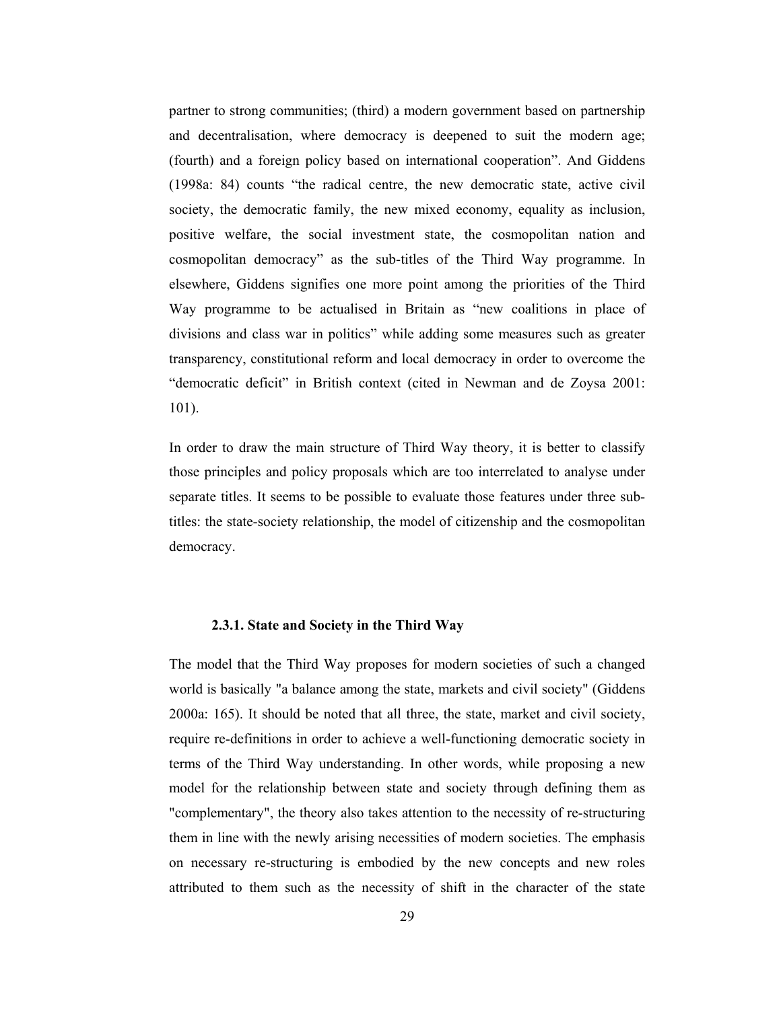partner to strong communities; (third) a modern government based on partnership and decentralisation, where democracy is deepened to suit the modern age; (fourth) and a foreign policy based on international cooperation". And Giddens (1998a: 84) counts "the radical centre, the new democratic state, active civil society, the democratic family, the new mixed economy, equality as inclusion, positive welfare, the social investment state, the cosmopolitan nation and cosmopolitan democracy" as the sub-titles of the Third Way programme. In elsewhere, Giddens signifies one more point among the priorities of the Third Way programme to be actualised in Britain as "new coalitions in place of divisions and class war in politics" while adding some measures such as greater transparency, constitutional reform and local democracy in order to overcome the "democratic deficit" in British context (cited in Newman and de Zoysa 2001:  $101$ ).

In order to draw the main structure of Third Way theory, it is better to classify those principles and policy proposals which are too interrelated to analyse under separate titles. It seems to be possible to evaluate those features under three subtitles: the state-society relationship, the model of citizenship and the cosmopolitan democracy.

### 2.3.1. State and Society in the Third Way

The model that the Third Way proposes for modern societies of such a changed world is basically "a balance among the state, markets and civil society" (Giddens 2000a: 165). It should be noted that all three, the state, market and civil society, require re-definitions in order to achieve a well-functioning democratic society in terms of the Third Way understanding. In other words, while proposing a new model for the relationship between state and society through defining them as "complementary", the theory also takes attention to the necessity of re-structuring them in line with the newly arising necessities of modern societies. The emphasis on necessary re-structuring is embodied by the new concepts and new roles attributed to them such as the necessity of shift in the character of the state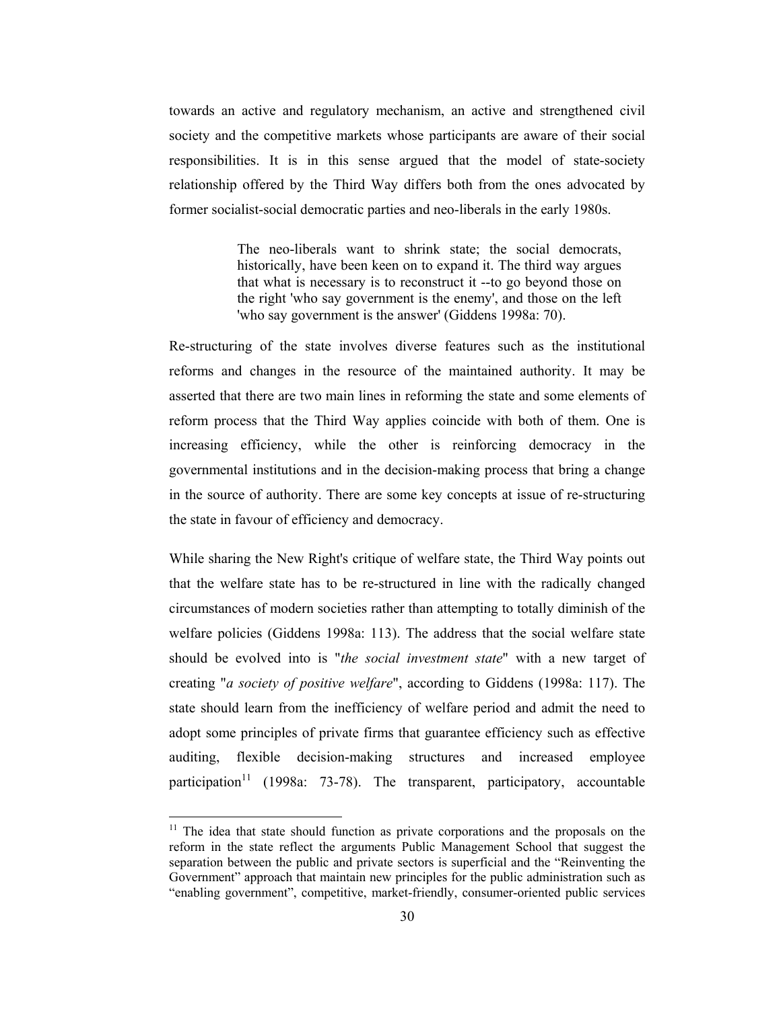towards an active and regulatory mechanism, an active and strengthened civil society and the competitive markets whose participants are aware of their social responsibilities. It is in this sense argued that the model of state-society relationship offered by the Third Way differs both from the ones advocated by former socialist-social democratic parties and neo-liberals in the early 1980s.

> The neo-liberals want to shrink state; the social democrats, historically, have been keen on to expand it. The third way argues that what is necessary is to reconstruct it -- to go beyond those on the right 'who say government is the enemy', and those on the left 'who say government is the answer' (Giddens 1998a: 70).

Re-structuring of the state involves diverse features such as the institutional reforms and changes in the resource of the maintained authority. It may be asserted that there are two main lines in reforming the state and some elements of reform process that the Third Way applies coincide with both of them. One is increasing efficiency, while the other is reinforcing democracy in the governmental institutions and in the decision-making process that bring a change in the source of authority. There are some key concepts at issue of re-structuring the state in favour of efficiency and democracy.

While sharing the New Right's critique of welfare state, the Third Way points out that the welfare state has to be re-structured in line with the radically changed circumstances of modern societies rather than attempting to totally diminish of the welfare policies (Giddens 1998a: 113). The address that the social welfare state should be evolved into is "the social investment state" with a new target of creating "a society of positive welfare", according to Giddens (1998a: 117). The state should learn from the inefficiency of welfare period and admit the need to adopt some principles of private firms that guarantee efficiency such as effective auditing, flexible decision-making structures and increased employee participation<sup>11</sup> (1998a: 73-78). The transparent, participatory, accountable

 $11$  The idea that state should function as private corporations and the proposals on the reform in the state reflect the arguments Public Management School that suggest the separation between the public and private sectors is superficial and the "Reinventing the Government" approach that maintain new principles for the public administration such as "enabling government", competitive, market-friendly, consumer-oriented public services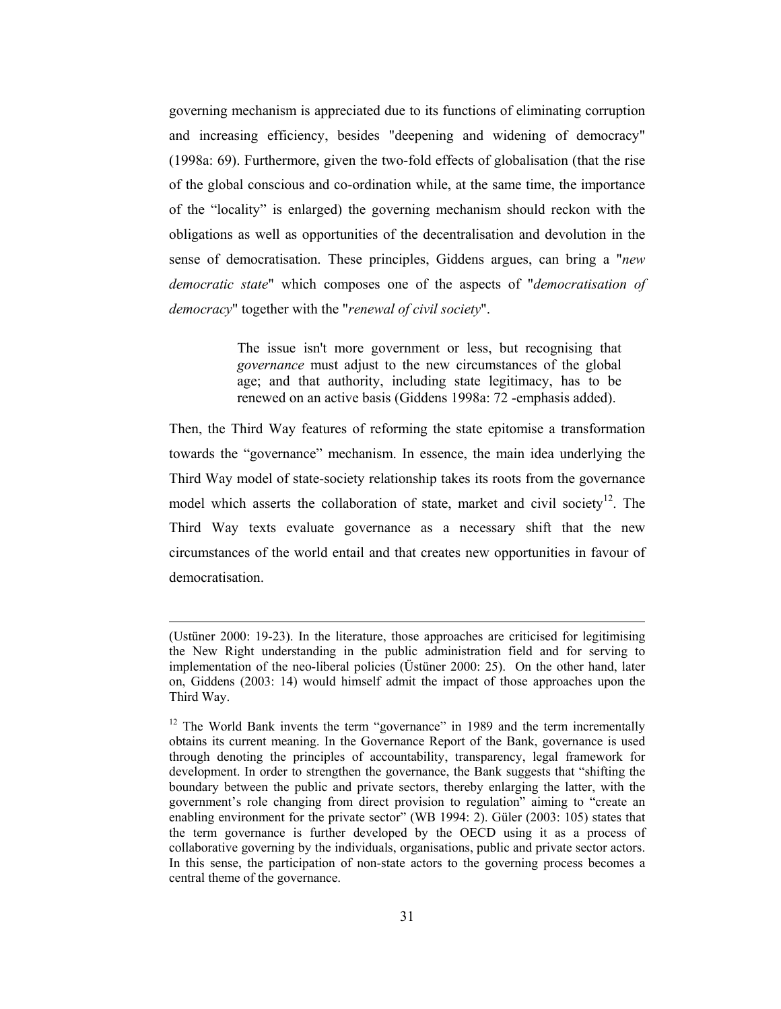governing mechanism is appreciated due to its functions of eliminating corruption and increasing efficiency, besides "deepening and widening of democracy" (1998a: 69). Furthermore, given the two-fold effects of globalisation (that the rise of the global conscious and co-ordination while, at the same time, the importance of the "locality" is enlarged) the governing mechanism should reckon with the obligations as well as opportunities of the decentralisation and devolution in the sense of democratisation. These principles, Giddens argues, can bring a "new democratic state" which composes one of the aspects of "democratisation of *democracy*" together with the "renewal of civil society".

> The issue isn't more government or less, but recognising that governance must adjust to the new circumstances of the global age; and that authority, including state legitimacy, has to be renewed on an active basis (Giddens 1998a: 72 -emphasis added).

Then, the Third Way features of reforming the state epitomise a transformation towards the "governance" mechanism. In essence, the main idea underlying the Third Way model of state-society relationship takes its roots from the governance model which asserts the collaboration of state, market and civil society<sup>12</sup>. The Third Way texts evaluate governance as a necessary shift that the new circumstances of the world entail and that creates new opportunities in favour of democratisation

<sup>(</sup>Ustüner 2000: 19-23). In the literature, those approaches are criticised for legitimising the New Right understanding in the public administration field and for serving to implementation of the neo-liberal policies (Üstüner 2000: 25). On the other hand, later on, Giddens (2003: 14) would himself admit the impact of those approaches upon the Third Way.

<sup>&</sup>lt;sup>12</sup> The World Bank invents the term "governance" in 1989 and the term incrementally obtains its current meaning. In the Governance Report of the Bank, governance is used through denoting the principles of accountability, transparency, legal framework for development. In order to strengthen the governance, the Bank suggests that "shifting the boundary between the public and private sectors, thereby enlarging the latter, with the government's role changing from direct provision to regulation" aiming to "create an enabling environment for the private sector" (WB 1994: 2). Güler (2003: 105) states that the term governance is further developed by the OECD using it as a process of collaborative governing by the individuals, organisations, public and private sector actors. In this sense, the participation of non-state actors to the governing process becomes a central theme of the governance.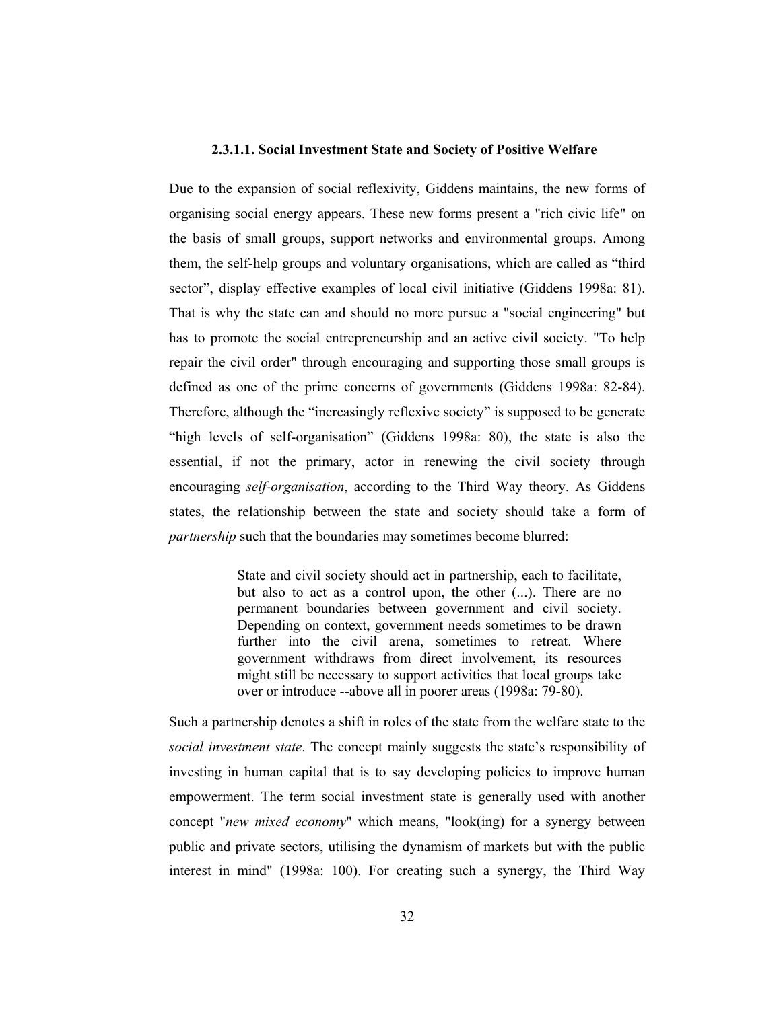### 2.3.1.1. Social Investment State and Society of Positive Welfare

Due to the expansion of social reflexivity, Giddens maintains, the new forms of organising social energy appears. These new forms present a "rich civic life" on the basis of small groups, support networks and environmental groups. Among them, the self-help groups and voluntary organisations, which are called as "third" sector", display effective examples of local civil initiative (Giddens 1998a: 81). That is why the state can and should no more pursue a "social engineering" but has to promote the social entrepreneurship and an active civil society. "To help repair the civil order" through encouraging and supporting those small groups is defined as one of the prime concerns of governments (Giddens 1998a: 82-84). Therefore, although the "increasingly reflexive society" is supposed to be generate "high levels of self-organisation" (Giddens 1998a: 80), the state is also the essential, if not the primary, actor in renewing the civil society through encouraging *self-organisation*, according to the Third Way theory. As Giddens states, the relationship between the state and society should take a form of *partnership* such that the boundaries may sometimes become blurred:

> State and civil society should act in partnership, each to facilitate, but also to act as a control upon, the other  $(...)$ . There are no permanent boundaries between government and civil society. Depending on context, government needs sometimes to be drawn further into the civil arena, sometimes to retreat. Where government withdraws from direct involvement, its resources might still be necessary to support activities that local groups take over or introduce --above all in poorer areas (1998a: 79-80).

Such a partnership denotes a shift in roles of the state from the welfare state to the social investment state. The concept mainly suggests the state's responsibility of investing in human capital that is to say developing policies to improve human empowerment. The term social investment state is generally used with another concept "new mixed economy" which means, "look(ing) for a synergy between public and private sectors, utilising the dynamism of markets but with the public interest in mind" (1998a: 100). For creating such a synergy, the Third Way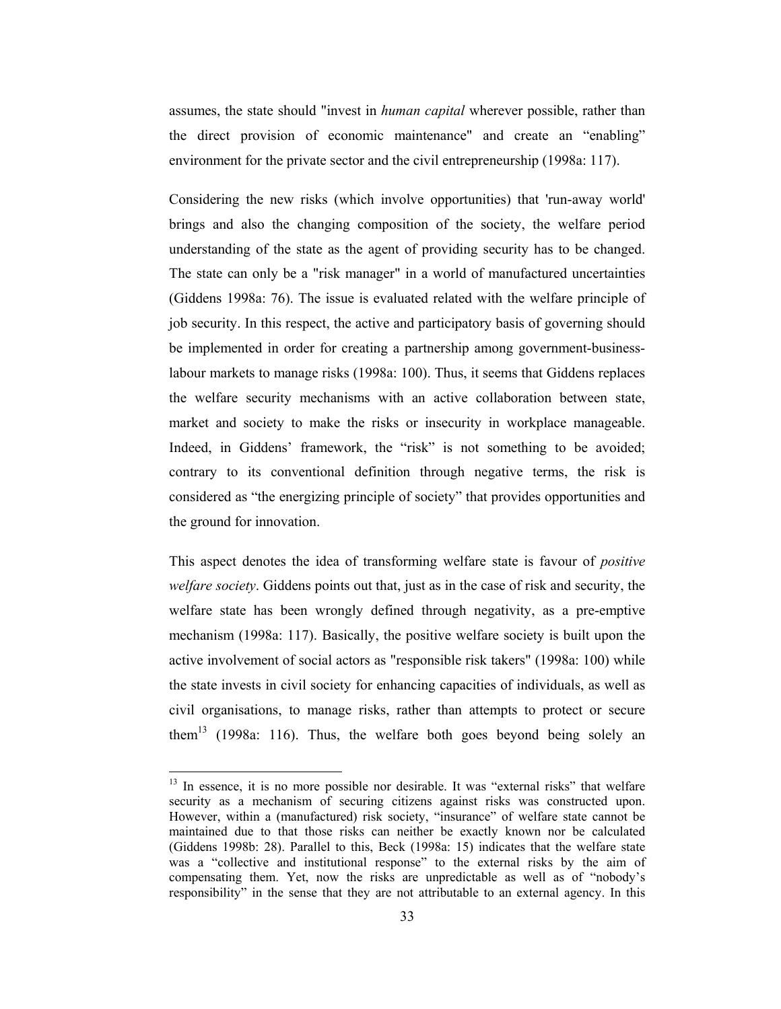assumes, the state should "invest in *human capital* wherever possible, rather than the direct provision of economic maintenance" and create an "enabling" environment for the private sector and the civil entrepreneurship (1998a: 117).

Considering the new risks (which involve opportunities) that 'run-away world' brings and also the changing composition of the society, the welfare period understanding of the state as the agent of providing security has to be changed. The state can only be a "risk manager" in a world of manufactured uncertainties (Giddens 1998a: 76). The issue is evaluated related with the welfare principle of job security. In this respect, the active and participatory basis of governing should be implemented in order for creating a partnership among government-businesslabour markets to manage risks (1998a: 100). Thus, it seems that Giddens replaces the welfare security mechanisms with an active collaboration between state, market and society to make the risks or insecurity in workplace manageable. Indeed, in Giddens' framework, the "risk" is not something to be avoided; contrary to its conventional definition through negative terms, the risk is considered as "the energizing principle of society" that provides opportunities and the ground for innovation.

This aspect denotes the idea of transforming welfare state is favour of *positive* welfare society. Giddens points out that, just as in the case of risk and security, the welfare state has been wrongly defined through negativity, as a pre-emptive mechanism (1998a: 117). Basically, the positive welfare society is built upon the active involvement of social actors as "responsible risk takers" (1998a: 100) while the state invests in civil society for enhancing capacities of individuals, as well as civil organisations, to manage risks, rather than attempts to protect or secure them<sup>13</sup> (1998a: 116). Thus, the welfare both goes beyond being solely an

<sup>&</sup>lt;sup>13</sup> In essence, it is no more possible nor desirable. It was "external risks" that welfare security as a mechanism of securing citizens against risks was constructed upon. However, within a (manufactured) risk society, "insurance" of welfare state cannot be maintained due to that those risks can neither be exactly known nor be calculated (Giddens 1998b: 28). Parallel to this, Beck (1998a: 15) indicates that the welfare state was a "collective and institutional response" to the external risks by the aim of compensating them. Yet, now the risks are unpredictable as well as of "nobody's responsibility" in the sense that they are not attributable to an external agency. In this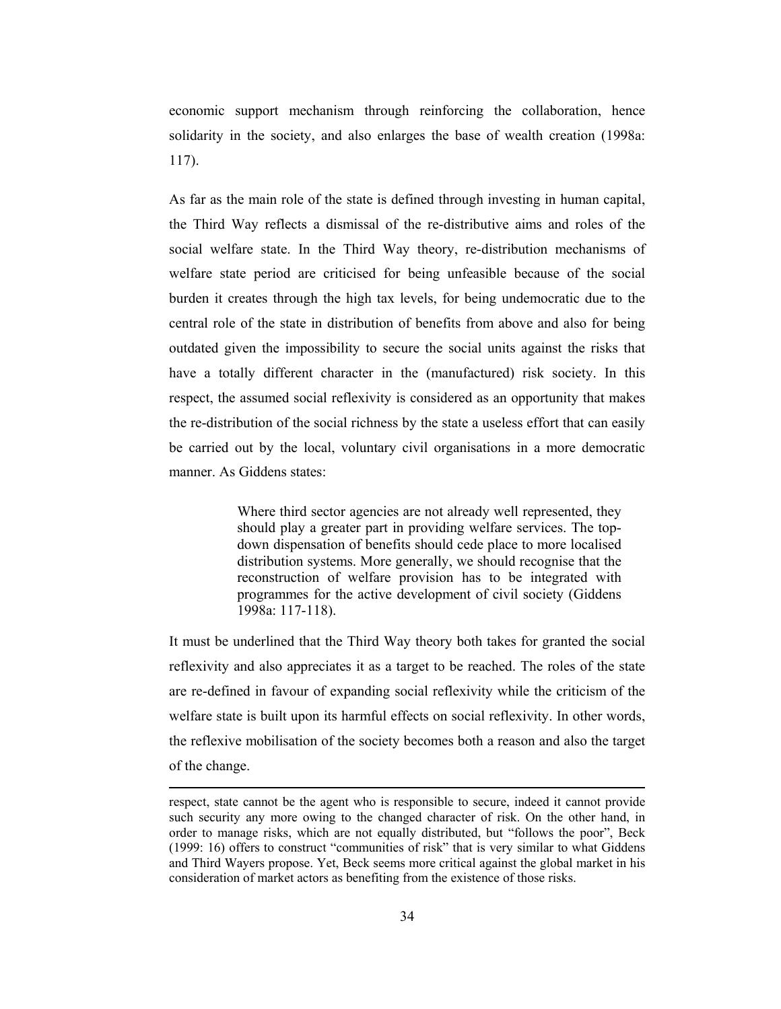economic support mechanism through reinforcing the collaboration, hence solidarity in the society, and also enlarges the base of wealth creation (1998a:  $117$ ).

As far as the main role of the state is defined through investing in human capital, the Third Way reflects a dismissal of the re-distributive aims and roles of the social welfare state. In the Third Way theory, re-distribution mechanisms of welfare state period are criticised for being unfeasible because of the social burden it creates through the high tax levels, for being undemocratic due to the central role of the state in distribution of benefits from above and also for being outdated given the impossibility to secure the social units against the risks that have a totally different character in the (manufactured) risk society. In this respect, the assumed social reflexivity is considered as an opportunity that makes the re-distribution of the social richness by the state a useless effort that can easily be carried out by the local, voluntary civil organisations in a more democratic manner As Giddens states:

> Where third sector agencies are not already well represented, they should play a greater part in providing welfare services. The topdown dispensation of benefits should cede place to more localised distribution systems. More generally, we should recognise that the reconstruction of welfare provision has to be integrated with programmes for the active development of civil society (Giddens 1998a: 117-118).

It must be underlined that the Third Way theory both takes for granted the social reflexivity and also appreciates it as a target to be reached. The roles of the state are re-defined in favour of expanding social reflexivity while the criticism of the welfare state is built upon its harmful effects on social reflexivity. In other words, the reflexive mobilisation of the society becomes both a reason and also the target of the change.

respect, state cannot be the agent who is responsible to secure, indeed it cannot provide such security any more owing to the changed character of risk. On the other hand, in order to manage risks, which are not equally distributed, but "follows the poor", Beck (1999: 16) offers to construct "communities of risk" that is very similar to what Giddens and Third Wayers propose. Yet, Beck seems more critical against the global market in his consideration of market actors as benefiting from the existence of those risks.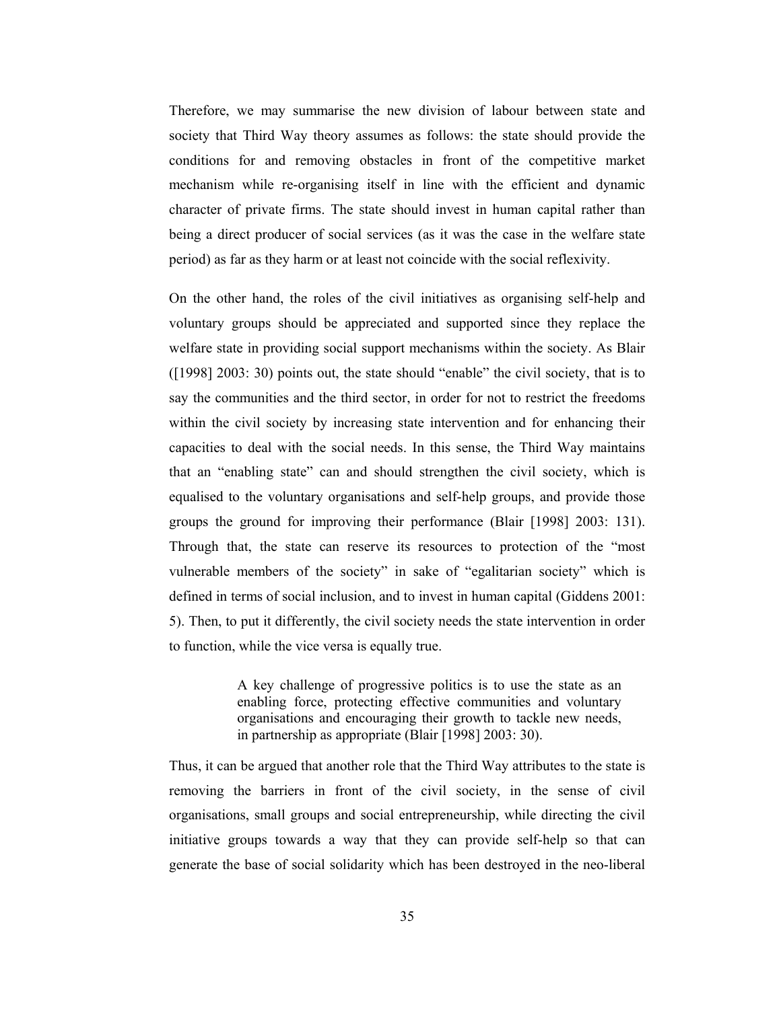Therefore, we may summarise the new division of labour between state and society that Third Way theory assumes as follows: the state should provide the conditions for and removing obstacles in front of the competitive market mechanism while re-organising itself in line with the efficient and dynamic character of private firms. The state should invest in human capital rather than being a direct producer of social services (as it was the case in the welfare state period) as far as they harm or at least not coincide with the social reflexivity.

On the other hand, the roles of the civil initiatives as organising self-help and voluntary groups should be appreciated and supported since they replace the welfare state in providing social support mechanisms within the society. As Blair ([1998] 2003: 30) points out, the state should "enable" the civil society, that is to say the communities and the third sector, in order for not to restrict the freedoms within the civil society by increasing state intervention and for enhancing their capacities to deal with the social needs. In this sense, the Third Way maintains that an "enabling state" can and should strengthen the civil society, which is equalised to the voluntary organisations and self-help groups, and provide those groups the ground for improving their performance (Blair [1998] 2003: 131). Through that, the state can reserve its resources to protection of the "most vulnerable members of the society" in sake of "egalitarian society" which is defined in terms of social inclusion, and to invest in human capital (Giddens 2001: 5). Then, to put it differently, the civil society needs the state intervention in order to function, while the vice versa is equally true.

> A key challenge of progressive politics is to use the state as an enabling force, protecting effective communities and voluntary organisations and encouraging their growth to tackle new needs, in partnership as appropriate (Blair [1998] 2003: 30).

Thus, it can be argued that another role that the Third Way attributes to the state is removing the barriers in front of the civil society, in the sense of civil organisations, small groups and social entrepreneurship, while directing the civil initiative groups towards a way that they can provide self-help so that can generate the base of social solidarity which has been destroyed in the neo-liberal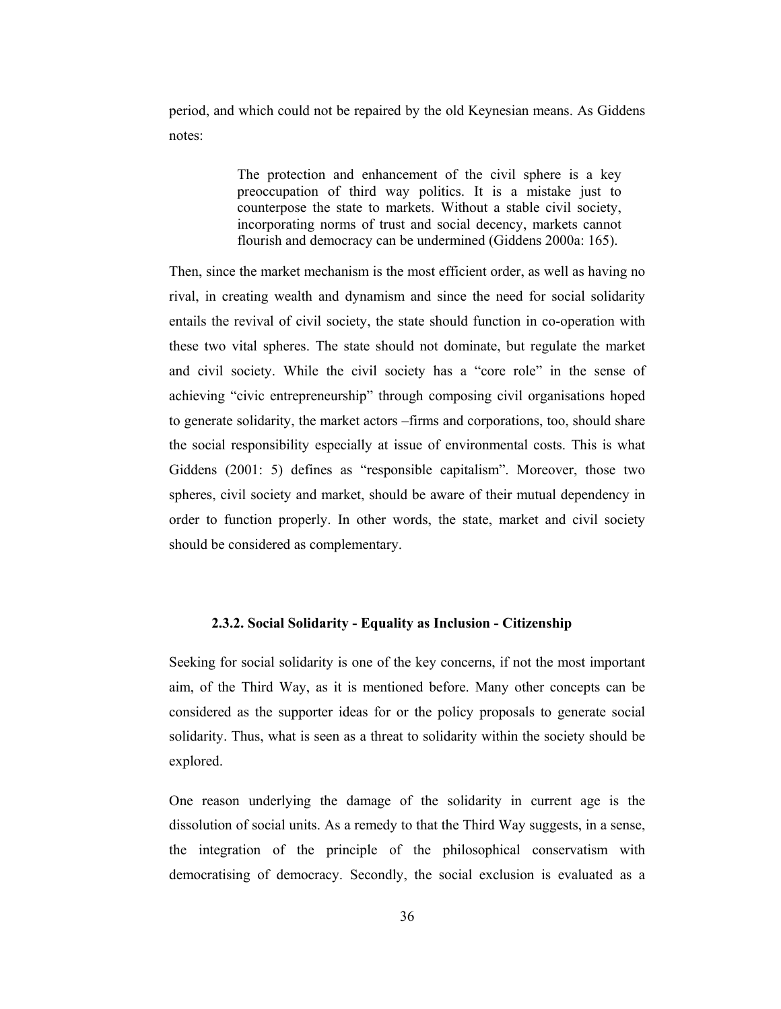period, and which could not be repaired by the old Keynesian means. As Giddens notes:

> The protection and enhancement of the civil sphere is a key preoccupation of third way politics. It is a mistake just to counterpose the state to markets. Without a stable civil society, incorporating norms of trust and social decency, markets cannot flourish and democracy can be undermined (Giddens 2000a: 165).

Then, since the market mechanism is the most efficient order, as well as having no rival, in creating wealth and dynamism and since the need for social solidarity entails the revival of civil society, the state should function in co-operation with these two vital spheres. The state should not dominate, but regulate the market and civil society. While the civil society has a "core role" in the sense of achieving "civic entrepreneurship" through composing civil organisations hoped to generate solidarity, the market actors –firms and corporations, too, should share the social responsibility especially at issue of environmental costs. This is what Giddens (2001: 5) defines as "responsible capitalism". Moreover, those two spheres, civil society and market, should be aware of their mutual dependency in order to function properly. In other words, the state, market and civil society should be considered as complementary.

# 2.3.2. Social Solidarity - Equality as Inclusion - Citizenship

Seeking for social solidarity is one of the key concerns, if not the most important aim, of the Third Way, as it is mentioned before. Many other concepts can be considered as the supporter ideas for or the policy proposals to generate social solidarity. Thus, what is seen as a threat to solidarity within the society should be explored.

One reason underlying the damage of the solidarity in current age is the dissolution of social units. As a remedy to that the Third Way suggests, in a sense, the integration of the principle of the philosophical conservatism with democratising of democracy. Secondly, the social exclusion is evaluated as a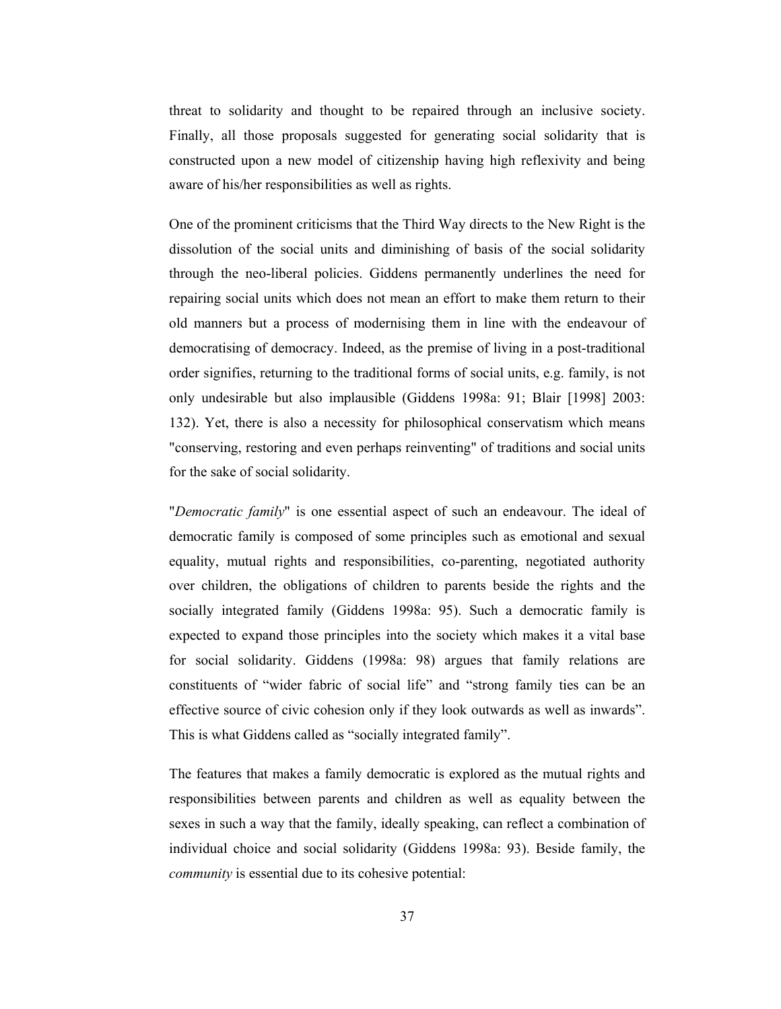threat to solidarity and thought to be repaired through an inclusive society. Finally, all those proposals suggested for generating social solidarity that is constructed upon a new model of citizenship having high reflexivity and being aware of his/her responsibilities as well as rights.

One of the prominent criticisms that the Third Way directs to the New Right is the dissolution of the social units and diminishing of basis of the social solidarity through the neo-liberal policies. Giddens permanently underlines the need for repairing social units which does not mean an effort to make them return to their old manners but a process of modernising them in line with the endeavour of democratising of democracy. Indeed, as the premise of living in a post-traditional order signifies, returning to the traditional forms of social units, e.g. family, is not only undesirable but also implausible (Giddens 1998a: 91; Blair [1998] 2003: 132). Yet, there is also a necessity for philosophical conservatism which means "conserving, restoring and even perhaps reinventing" of traditions and social units for the sake of social solidarity.

"Democratic family" is one essential aspect of such an endeavour. The ideal of democratic family is composed of some principles such as emotional and sexual equality, mutual rights and responsibilities, co-parenting, negotiated authority over children, the obligations of children to parents beside the rights and the socially integrated family (Giddens 1998a: 95). Such a democratic family is expected to expand those principles into the society which makes it a vital base for social solidarity. Giddens (1998a: 98) argues that family relations are constituents of "wider fabric of social life" and "strong family ties can be an effective source of civic cohesion only if they look outwards as well as inwards". This is what Giddens called as "socially integrated family".

The features that makes a family democratic is explored as the mutual rights and responsibilities between parents and children as well as equality between the sexes in such a way that the family, ideally speaking, can reflect a combination of individual choice and social solidarity (Giddens 1998a: 93). Beside family, the *community* is essential due to its cohesive potential.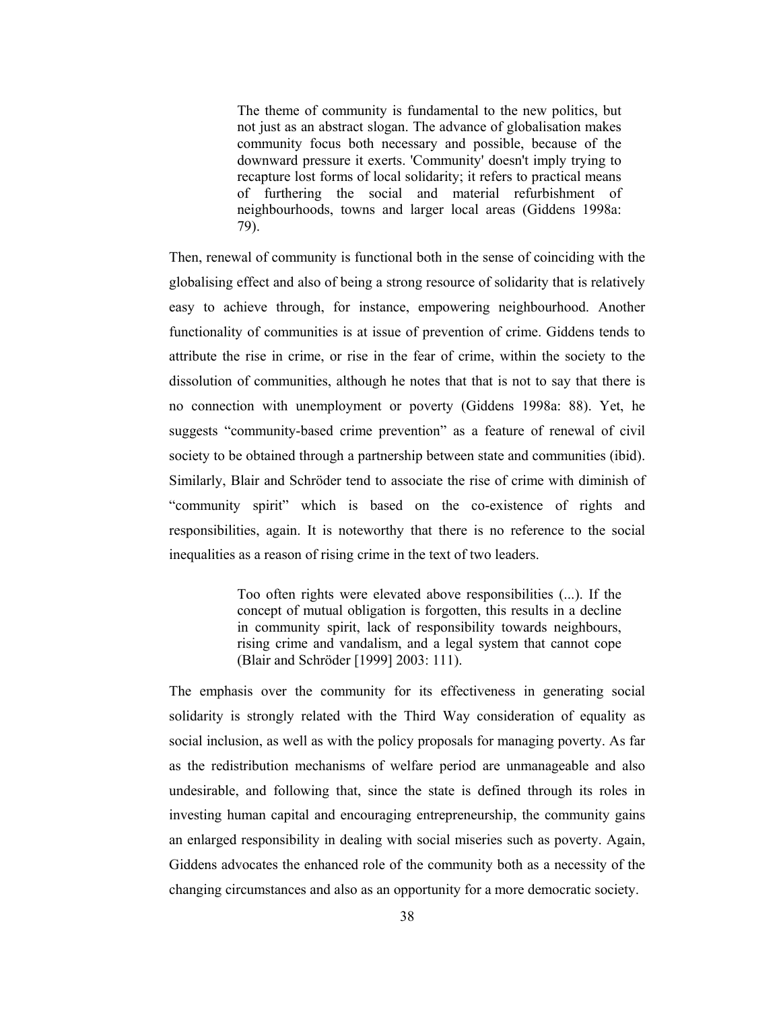The theme of community is fundamental to the new politics, but not just as an abstract slogan. The advance of globalisation makes community focus both necessary and possible, because of the downward pressure it exerts. 'Community' doesn't imply trying to recapture lost forms of local solidarity; it refers to practical means of furthering the social and material refurbishment of neighbourhoods, towns and larger local areas (Giddens 1998a: 79).

Then, renewal of community is functional both in the sense of coinciding with the globalising effect and also of being a strong resource of solidarity that is relatively easy to achieve through, for instance, empowering neighbourhood. Another functionality of communities is at issue of prevention of crime. Giddens tends to attribute the rise in crime, or rise in the fear of crime, within the society to the dissolution of communities, although he notes that that is not to say that there is no connection with unemployment or poverty (Giddens 1998a: 88). Yet, he suggests "community-based crime prevention" as a feature of renewal of civil society to be obtained through a partnership between state and communities (ibid). Similarly, Blair and Schröder tend to associate the rise of crime with diminish of "community spirit" which is based on the co-existence of rights and responsibilities, again. It is noteworthy that there is no reference to the social inequalities as a reason of rising crime in the text of two leaders.

> Too often rights were elevated above responsibilities (...). If the concept of mutual obligation is forgotten, this results in a decline in community spirit, lack of responsibility towards neighbours, rising crime and vandalism, and a legal system that cannot cope (Blair and Schröder [1999] 2003: 111).

The emphasis over the community for its effectiveness in generating social solidarity is strongly related with the Third Way consideration of equality as social inclusion, as well as with the policy proposals for managing poverty. As far as the redistribution mechanisms of welfare period are unmanageable and also undesirable, and following that, since the state is defined through its roles in investing human capital and encouraging entrepreneurship, the community gains an enlarged responsibility in dealing with social miseries such as poverty. Again, Giddens advocates the enhanced role of the community both as a necessity of the changing circumstances and also as an opportunity for a more democratic society.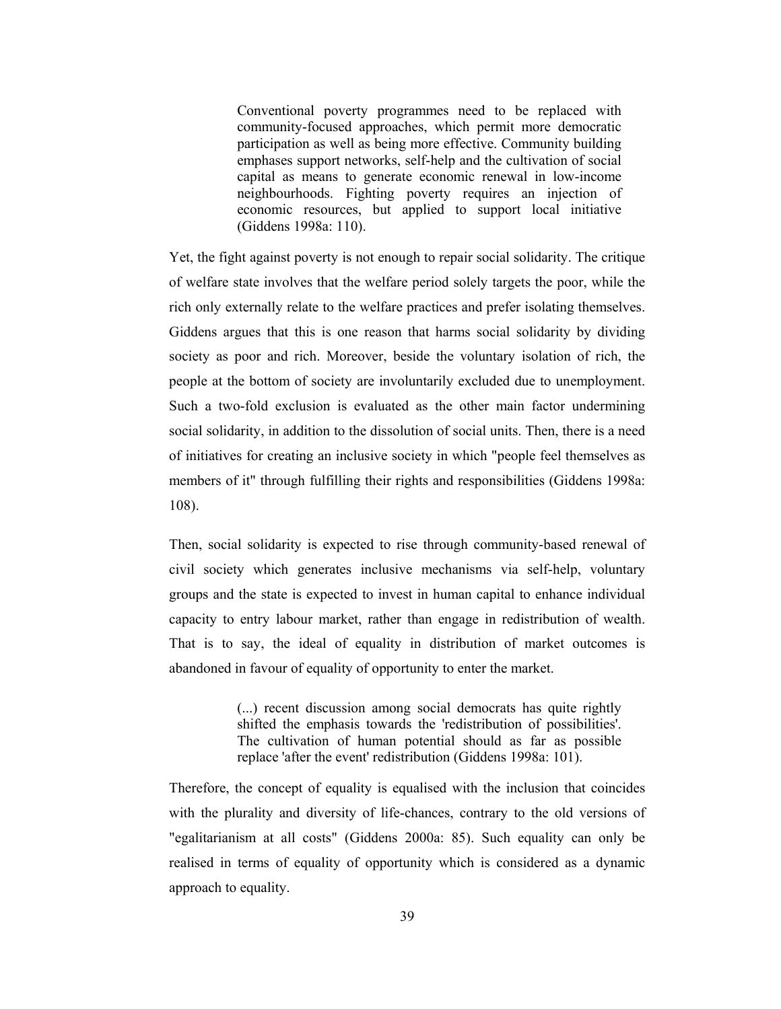Conventional poverty programmes need to be replaced with community-focused approaches, which permit more democratic participation as well as being more effective. Community building emphases support networks, self-help and the cultivation of social capital as means to generate economic renewal in low-income neighbourhoods. Fighting poverty requires an injection of economic resources, but applied to support local initiative (Giddens 1998a: 110).

Yet, the fight against poverty is not enough to repair social solidarity. The critique of welfare state involves that the welfare period solely targets the poor, while the rich only externally relate to the welfare practices and prefer isolating themselves. Giddens argues that this is one reason that harms social solidarity by dividing society as poor and rich. Moreover, beside the voluntary isolation of rich, the people at the bottom of society are involuntarily excluded due to unemployment. Such a two-fold exclusion is evaluated as the other main factor undermining social solidarity, in addition to the dissolution of social units. Then, there is a need of initiatives for creating an inclusive society in which "people feel themselves as members of it" through fulfilling their rights and responsibilities (Giddens 1998a:  $108$ ).

Then, social solidarity is expected to rise through community-based renewal of civil society which generates inclusive mechanisms via self-help, voluntary groups and the state is expected to invest in human capital to enhance individual capacity to entry labour market, rather than engage in redistribution of wealth. That is to say, the ideal of equality in distribution of market outcomes is abandoned in favour of equality of opportunity to enter the market.

> (...) recent discussion among social democrats has quite rightly shifted the emphasis towards the 'redistribution of possibilities'. The cultivation of human potential should as far as possible replace 'after the event' redistribution (Giddens 1998a: 101).

Therefore, the concept of equality is equalised with the inclusion that coincides with the plurality and diversity of life-chances, contrary to the old versions of "egalitarianism at all costs" (Giddens 2000a: 85). Such equality can only be realised in terms of equality of opportunity which is considered as a dynamic approach to equality.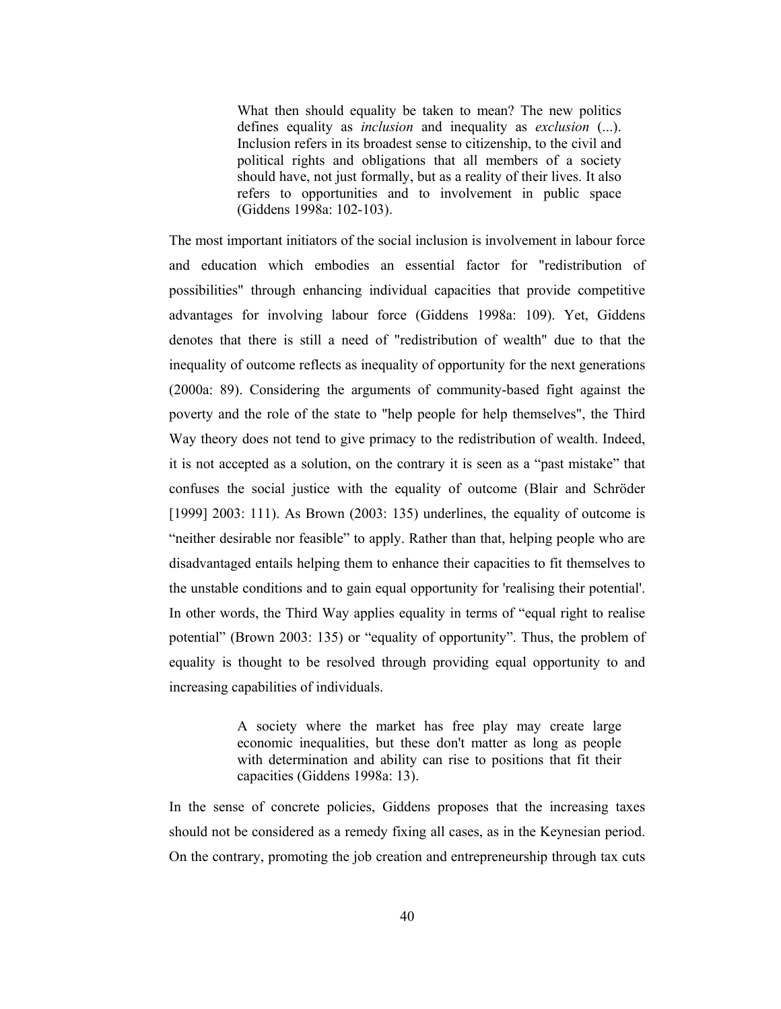What then should equality be taken to mean? The new politics defines equality as *inclusion* and inequality as exclusion (...). Inclusion refers in its broadest sense to citizenship, to the civil and political rights and obligations that all members of a society should have, not just formally, but as a reality of their lives. It also refers to opportunities and to involvement in public space (Giddens 1998a: 102-103).

The most important initiators of the social inclusion is involvement in labour force and education which embodies an essential factor for "redistribution of possibilities" through enhancing individual capacities that provide competitive advantages for involving labour force (Giddens 1998a: 109). Yet, Giddens denotes that there is still a need of "redistribution of wealth" due to that the inequality of outcome reflects as inequality of opportunity for the next generations (2000a: 89). Considering the arguments of community-based fight against the poverty and the role of the state to "help people for help themselves", the Third Way theory does not tend to give primacy to the redistribution of wealth. Indeed, it is not accepted as a solution, on the contrary it is seen as a "past mistake" that confuses the social justice with the equality of outcome (Blair and Schröder  $[1999]$  2003: 111). As Brown (2003: 135) underlines, the equality of outcome is "neither desirable nor feasible" to apply. Rather than that, helping people who are disadvantaged entails helping them to enhance their capacities to fit themselves to the unstable conditions and to gain equal opportunity for 'realising their potential'. In other words, the Third Way applies equality in terms of "equal right to realise" potential" (Brown 2003: 135) or "equality of opportunity". Thus, the problem of equality is thought to be resolved through providing equal opportunity to and increasing capabilities of individuals.

> A society where the market has free play may create large economic inequalities, but these don't matter as long as people with determination and ability can rise to positions that fit their capacities (Giddens 1998a: 13).

In the sense of concrete policies, Giddens proposes that the increasing taxes should not be considered as a remedy fixing all cases, as in the Keynesian period. On the contrary, promoting the job creation and entrepreneurship through tax cuts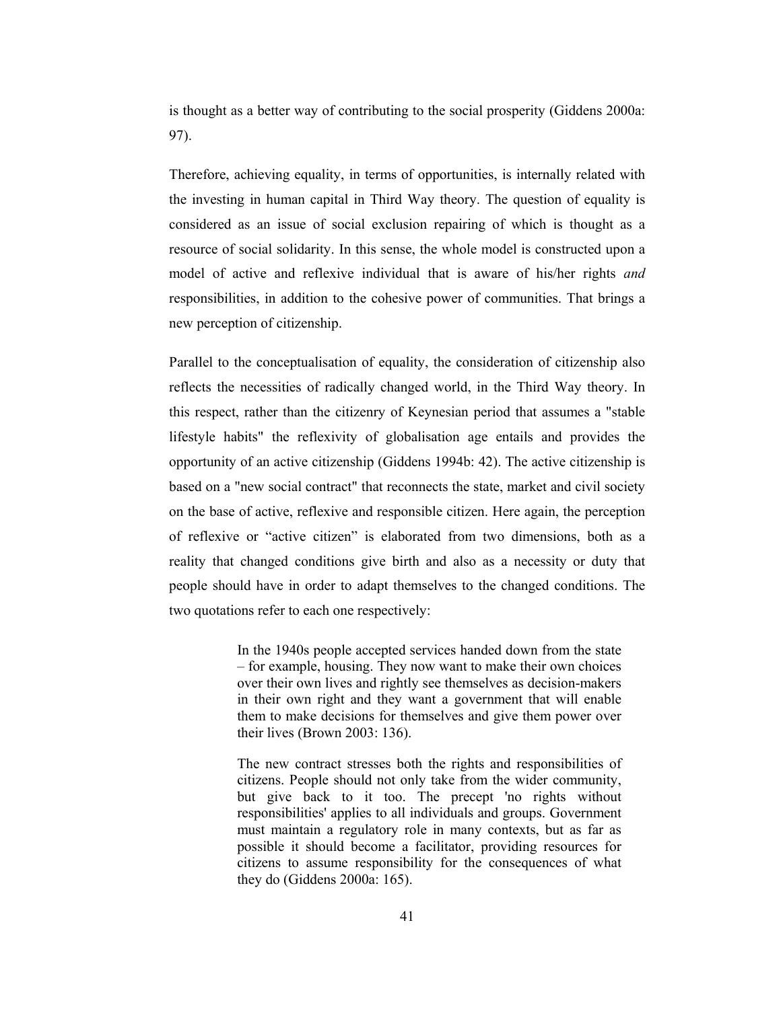is thought as a better way of contributing to the social prosperity (Giddens 2000a: 97).

Therefore, achieving equality, in terms of opportunities, is internally related with the investing in human capital in Third Way theory. The question of equality is considered as an issue of social exclusion repairing of which is thought as a resource of social solidarity. In this sense, the whole model is constructed upon a model of active and reflexive individual that is aware of his/her rights and responsibilities, in addition to the cohesive power of communities. That brings a new perception of citizenship.

Parallel to the conceptualisation of equality, the consideration of citizenship also reflects the necessities of radically changed world, in the Third Way theory. In this respect, rather than the citizenry of Keynesian period that assumes a "stable" lifestyle habits" the reflexivity of globalisation age entails and provides the opportunity of an active citizenship (Giddens 1994b: 42). The active citizenship is based on a "new social contract" that reconnects the state, market and civil society on the base of active, reflexive and responsible citizen. Here again, the perception of reflexive or "active citizen" is elaborated from two dimensions, both as a reality that changed conditions give birth and also as a necessity or duty that people should have in order to adapt themselves to the changed conditions. The two quotations refer to each one respectively:

> In the 1940s people accepted services handed down from the state - for example, housing. They now want to make their own choices over their own lives and rightly see themselves as decision-makers in their own right and they want a government that will enable them to make decisions for themselves and give them power over their lives (Brown 2003: 136).

> The new contract stresses both the rights and responsibilities of citizens. People should not only take from the wider community, but give back to it too. The precept 'no rights without responsibilities' applies to all individuals and groups. Government must maintain a regulatory role in many contexts, but as far as possible it should become a facilitator, providing resources for citizens to assume responsibility for the consequences of what they do (Giddens 2000a: 165).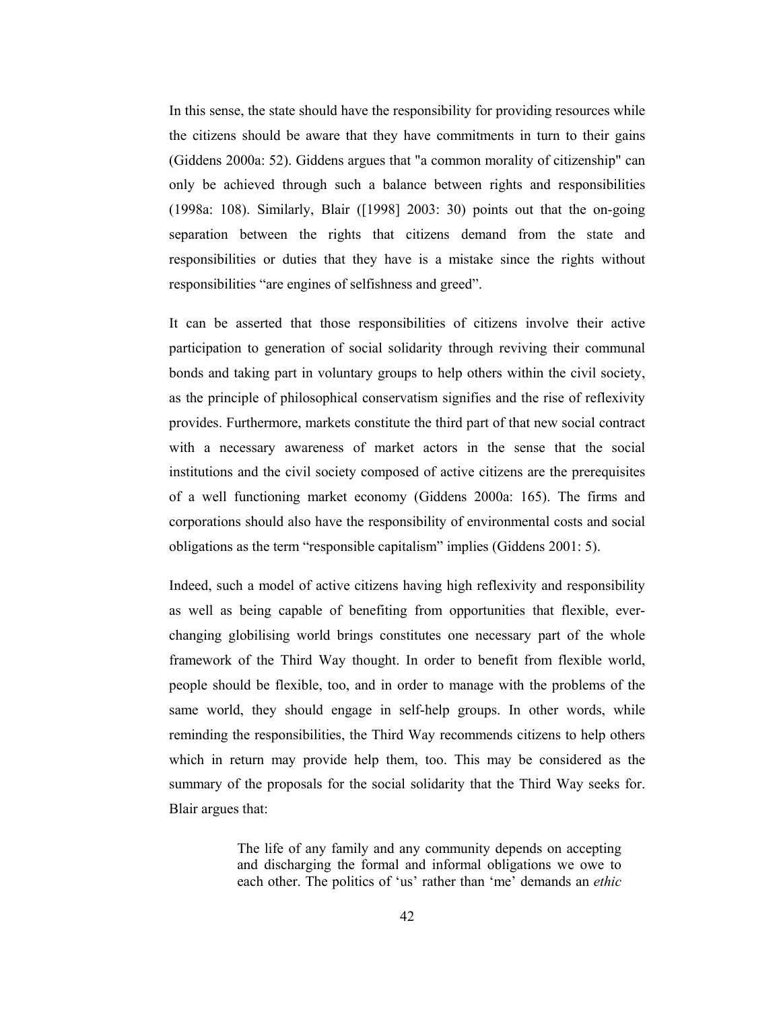In this sense, the state should have the responsibility for providing resources while the citizens should be aware that they have commitments in turn to their gains (Giddens 2000a: 52). Giddens argues that "a common morality of citizenship" can only be achieved through such a balance between rights and responsibilities (1998a: 108). Similarly, Blair ([1998] 2003: 30) points out that the on-going separation between the rights that citizens demand from the state and responsibilities or duties that they have is a mistake since the rights without responsibilities "are engines of selfishness and greed".

It can be asserted that those responsibilities of citizens involve their active participation to generation of social solidarity through reviving their communal bonds and taking part in voluntary groups to help others within the civil society, as the principle of philosophical conservatism signifies and the rise of reflexivity provides. Furthermore, markets constitute the third part of that new social contract with a necessary awareness of market actors in the sense that the social institutions and the civil society composed of active citizens are the prerequisites of a well functioning market economy (Giddens 2000a: 165). The firms and corporations should also have the responsibility of environmental costs and social obligations as the term "responsible capitalism" implies (Giddens 2001: 5).

Indeed, such a model of active citizens having high reflexivity and responsibility as well as being capable of benefiting from opportunities that flexible, everchanging globilising world brings constitutes one necessary part of the whole framework of the Third Way thought. In order to benefit from flexible world, people should be flexible, too, and in order to manage with the problems of the same world, they should engage in self-help groups. In other words, while reminding the responsibilities, the Third Way recommends citizens to help others which in return may provide help them, too. This may be considered as the summary of the proposals for the social solidarity that the Third Way seeks for. Blair argues that:

> The life of any family and any community depends on accepting and discharging the formal and informal obligations we owe to each other. The politics of 'us' rather than 'me' demands an *ethic*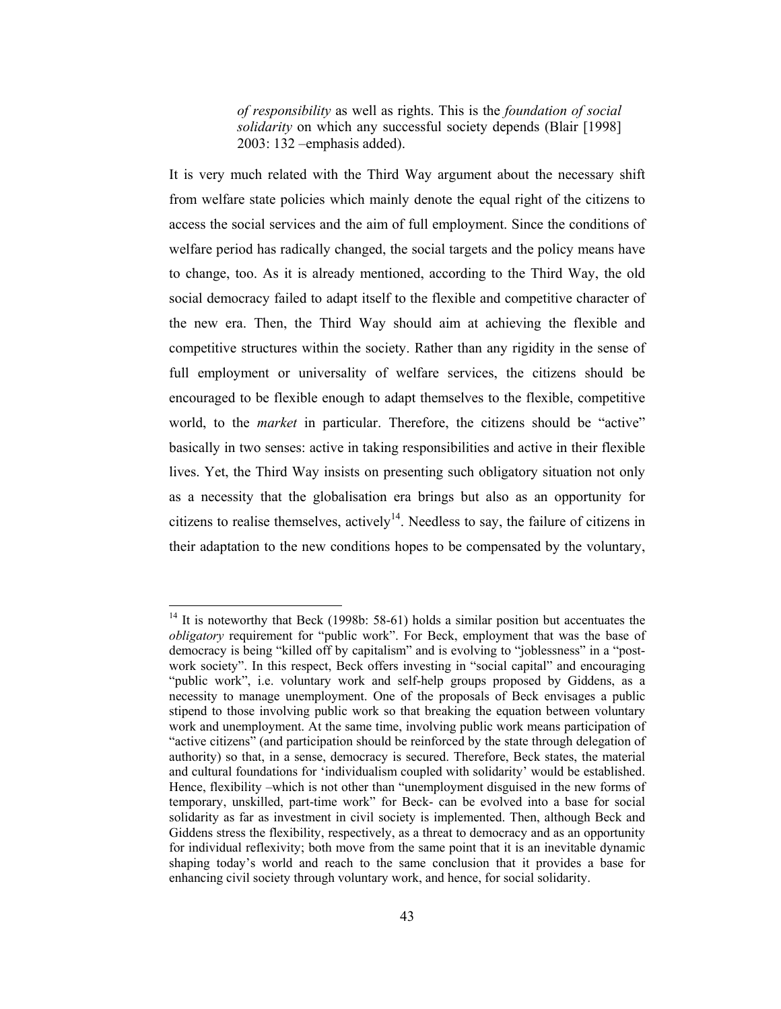of responsibility as well as rights. This is the foundation of social solidarity on which any successful society depends (Blair [1998]  $2003:132$  -emphasis added).

It is very much related with the Third Way argument about the necessary shift from welfare state policies which mainly denote the equal right of the citizens to access the social services and the aim of full employment. Since the conditions of welfare period has radically changed, the social targets and the policy means have to change, too. As it is already mentioned, according to the Third Way, the old social democracy failed to adapt itself to the flexible and competitive character of the new era. Then, the Third Way should aim at achieving the flexible and competitive structures within the society. Rather than any rigidity in the sense of full employment or universality of welfare services, the citizens should be encouraged to be flexible enough to adapt themselves to the flexible, competitive world, to the *market* in particular. Therefore, the citizens should be "active" basically in two senses: active in taking responsibilities and active in their flexible lives. Yet, the Third Way insists on presenting such obligatory situation not only as a necessity that the globalisation era brings but also as an opportunity for citizens to realise themselves, actively<sup>14</sup>. Needless to say, the failure of citizens in their adaptation to the new conditions hopes to be compensated by the voluntary,

 $14$  It is noteworthy that Beck (1998b: 58-61) holds a similar position but accentuates the *obligatory* requirement for "public work". For Beck, employment that was the base of democracy is being "killed off by capitalism" and is evolving to "joblessness" in a "postwork society". In this respect, Beck offers investing in "social capital" and encouraging "public work", i.e. voluntary work and self-help groups proposed by Giddens, as a necessity to manage unemployment. One of the proposals of Beck envisages a public stipend to those involving public work so that breaking the equation between voluntary work and unemployment. At the same time, involving public work means participation of "active citizens" (and participation should be reinforced by the state through delegation of authority) so that, in a sense, democracy is secured. Therefore, Beck states, the material and cultural foundations for 'individualism coupled with solidarity' would be established. Hence, flexibility –which is not other than "unemployment disguised in the new forms of temporary, unskilled, part-time work" for Beck- can be evolved into a base for social solidarity as far as investment in civil society is implemented. Then, although Beck and Giddens stress the flexibility, respectively, as a threat to democracy and as an opportunity for individual reflexivity; both move from the same point that it is an inevitable dynamic shaping today's world and reach to the same conclusion that it provides a base for enhancing civil society through voluntary work, and hence, for social solidarity.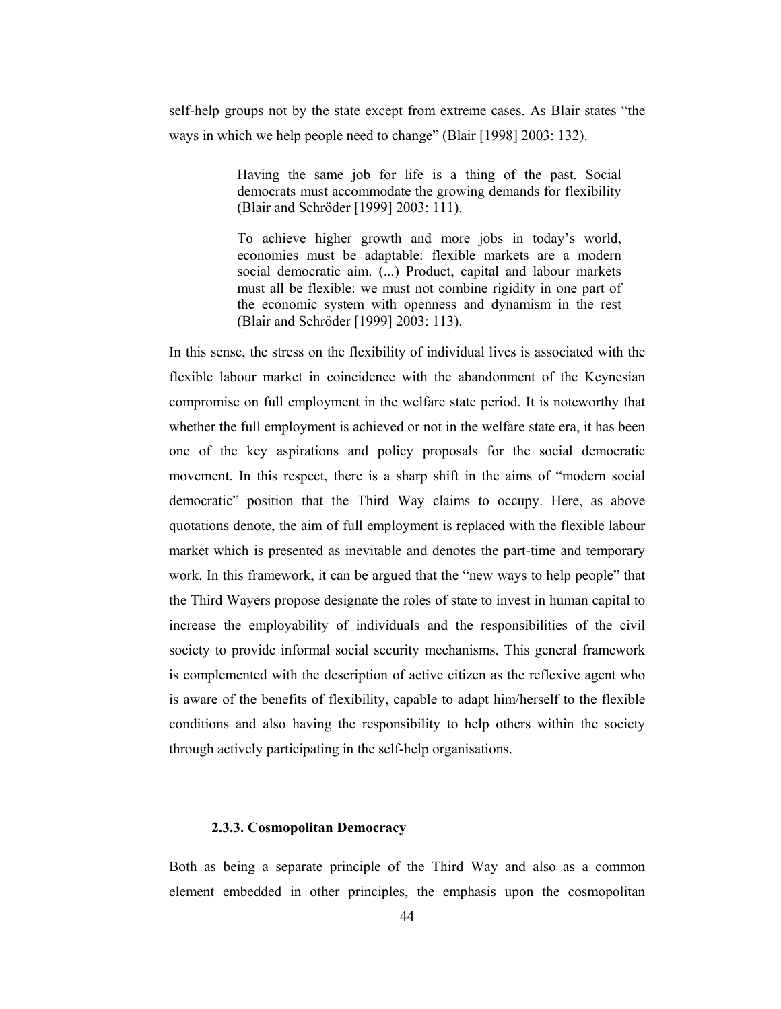self-help groups not by the state except from extreme cases. As Blair states "the ways in which we help people need to change" (Blair [1998] 2003: 132).

> Having the same job for life is a thing of the past. Social democrats must accommodate the growing demands for flexibility (Blair and Schröder [1999] 2003: 111).

> To achieve higher growth and more jobs in today's world, economies must be adaptable: flexible markets are a modern social democratic aim. (...) Product, capital and labour markets must all be flexible: we must not combine rigidity in one part of the economic system with openness and dynamism in the rest (Blair and Schröder [1999] 2003: 113).

In this sense, the stress on the flexibility of individual lives is associated with the flexible labour market in coincidence with the abandonment of the Keynesian compromise on full employment in the welfare state period. It is noteworthy that whether the full employment is achieved or not in the welfare state era, it has been one of the key aspirations and policy proposals for the social democratic movement. In this respect, there is a sharp shift in the aims of "modern social democratic" position that the Third Way claims to occupy. Here, as above quotations denote, the aim of full employment is replaced with the flexible labour market which is presented as inevitable and denotes the part-time and temporary work. In this framework, it can be argued that the "new ways to help people" that the Third Wayers propose designate the roles of state to invest in human capital to increase the employability of individuals and the responsibilities of the civil society to provide informal social security mechanisms. This general framework is complemented with the description of active citizen as the reflexive agent who is aware of the benefits of flexibility, capable to adapt him/herself to the flexible conditions and also having the responsibility to help others within the society through actively participating in the self-help organisations.

## 2.3.3. Cosmopolitan Democracy

Both as being a separate principle of the Third Way and also as a common element embedded in other principles, the emphasis upon the cosmopolitan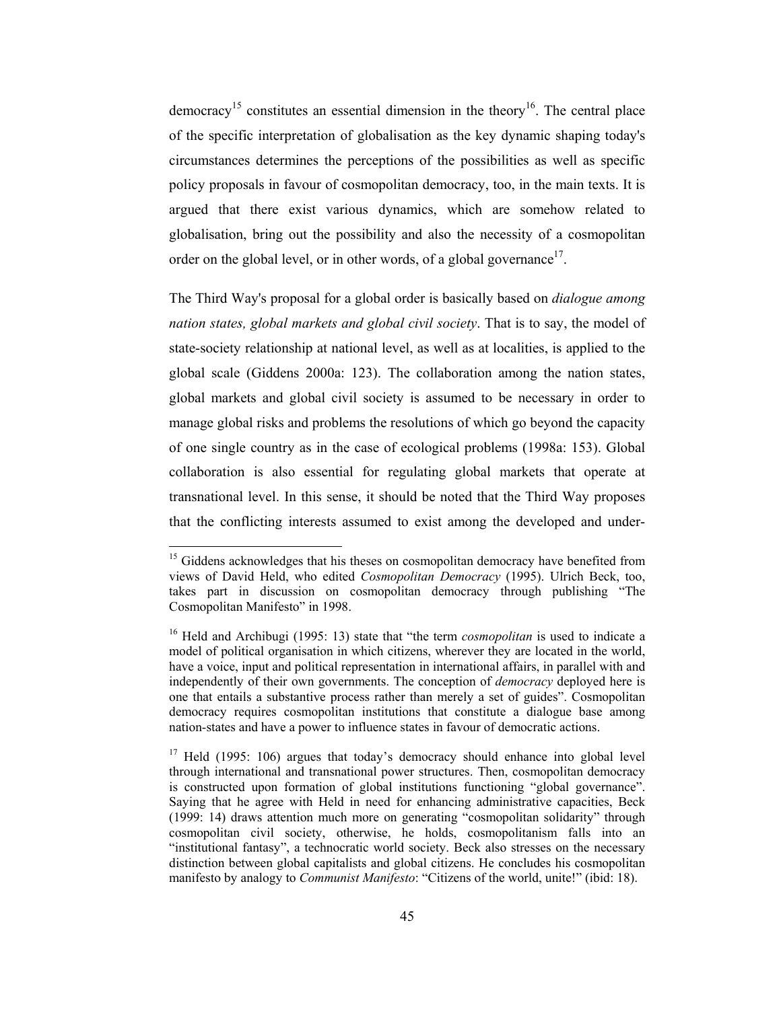democracy<sup>15</sup> constitutes an essential dimension in the theory<sup>16</sup>. The central place of the specific interpretation of globalisation as the key dynamic shaping today's circumstances determines the perceptions of the possibilities as well as specific policy proposals in favour of cosmopolitan democracy, too, in the main texts. It is argued that there exist various dynamics, which are somehow related to globalisation, bring out the possibility and also the necessity of a cosmopolitan order on the global level, or in other words, of a global governance  $17$ .

The Third Way's proposal for a global order is basically based on *dialogue among* nation states, global markets and global civil society. That is to say, the model of state-society relationship at national level, as well as at localities, is applied to the global scale (Giddens 2000a: 123). The collaboration among the nation states, global markets and global civil society is assumed to be necessary in order to manage global risks and problems the resolutions of which go beyond the capacity of one single country as in the case of ecological problems (1998a: 153). Global collaboration is also essential for regulating global markets that operate at transnational level. In this sense, it should be noted that the Third Way proposes that the conflicting interests assumed to exist among the developed and under-

<sup>&</sup>lt;sup>15</sup> Giddens acknowledges that his theses on cosmopolitan democracy have benefited from views of David Held, who edited Cosmopolitan Democracy (1995). Ulrich Beck, too, takes part in discussion on cosmopolitan democracy through publishing "The Cosmopolitan Manifesto" in 1998.

<sup>&</sup>lt;sup>16</sup> Held and Archibugi (1995: 13) state that "the term *cosmopolitan* is used to indicate a model of political organisation in which citizens, wherever they are located in the world, have a voice, input and political representation in international affairs, in parallel with and independently of their own governments. The conception of *democracy* deployed here is one that entails a substantive process rather than merely a set of guides". Cosmopolitan democracy requires cosmopolitan institutions that constitute a dialogue base among nation-states and have a power to influence states in favour of democratic actions.

<sup>&</sup>lt;sup>17</sup> Held (1995: 106) argues that today's democracy should enhance into global level through international and transnational power structures. Then, cosmopolitan democracy is constructed upon formation of global institutions functioning "global governance". Saying that he agree with Held in need for enhancing administrative capacities, Beck (1999: 14) draws attention much more on generating "cosmopolitan solidarity" through cosmopolitan civil society, otherwise, he holds, cosmopolitanism falls into an "institutional fantasy", a technocratic world society. Beck also stresses on the necessary distinction between global capitalists and global citizens. He concludes his cosmopolitan manifesto by analogy to *Communist Manifesto*: "Citizens of the world, unite!" (ibid: 18).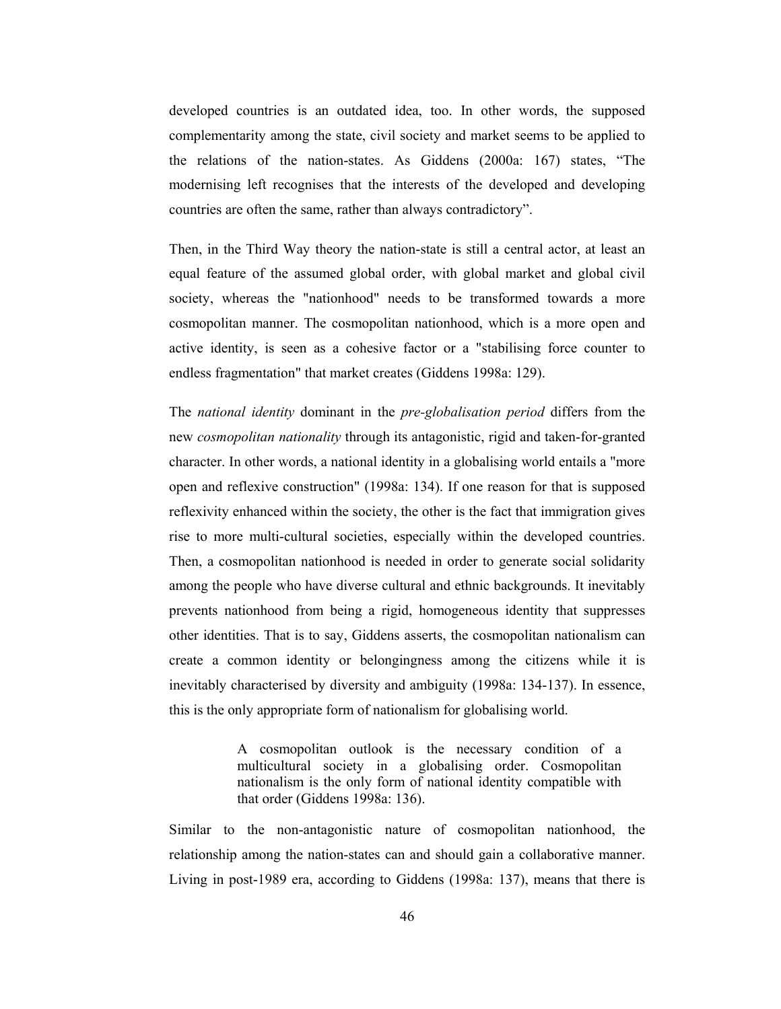developed countries is an outdated idea, too. In other words, the supposed complementarity among the state, civil society and market seems to be applied to the relations of the nation-states. As Giddens (2000a: 167) states, "The modernising left recognises that the interests of the developed and developing countries are often the same, rather than always contradictory".

Then, in the Third Way theory the nation-state is still a central actor, at least an equal feature of the assumed global order, with global market and global civil society, whereas the "nationhood" needs to be transformed towards a more cosmopolitan manner. The cosmopolitan nation hood, which is a more open and active identity, is seen as a cohesive factor or a "stabilising force counter to endless fragmentation" that market creates (Giddens 1998a: 129).

The national identity dominant in the pre-globalisation period differs from the new *cosmopolitan nationality* through its antagonistic, rigid and taken-for-granted character. In other words, a national identity in a globalising world entails a "more open and reflexive construction" (1998a: 134). If one reason for that is supposed reflexivity enhanced within the society, the other is the fact that immigration gives rise to more multi-cultural societies, especially within the developed countries. Then, a cosmopolitan nationhood is needed in order to generate social solidarity among the people who have diverse cultural and ethnic backgrounds. It inevitably prevents nationhood from being a rigid, homogeneous identity that suppresses other identities. That is to say, Giddens asserts, the cosmopolitan nationalism can create a common identity or belongingness among the citizens while it is inevitably characterised by diversity and ambiguity (1998a: 134-137). In essence, this is the only appropriate form of nationalism for globalising world.

> A cosmopolitan outlook is the necessary condition of a multicultural society in a globalising order. Cosmopolitan nationalism is the only form of national identity compatible with that order (Giddens 1998a: 136).

Similar to the non-antagonistic nature of cosmopolitan nationhood, the relationship among the nation-states can and should gain a collaborative manner. Living in post-1989 era, according to Giddens (1998a: 137), means that there is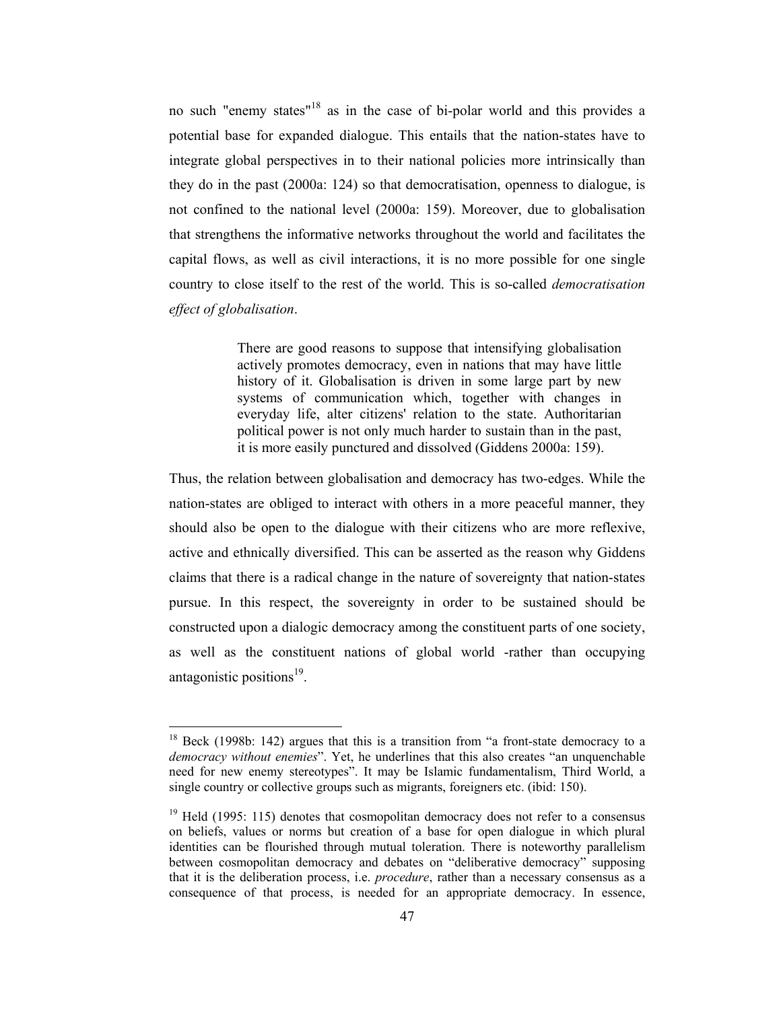no such "enemy states"<sup>18</sup> as in the case of bi-polar world and this provides a potential base for expanded dialogue. This entails that the nation-states have to integrate global perspectives in to their national policies more intrinsically than they do in the past  $(2000a: 124)$  so that democratisation, openness to dialogue, is not confined to the national level (2000a: 159). Moreover, due to globalisation that strengthens the informative networks throughout the world and facilitates the capital flows, as well as civil interactions, it is no more possible for one single country to close itself to the rest of the world. This is so-called *democratisation* effect of globalisation.

> There are good reasons to suppose that intensifying globalisation actively promotes democracy, even in nations that may have little history of it. Globalisation is driven in some large part by new systems of communication which, together with changes in everyday life, alter citizens' relation to the state. Authoritarian political power is not only much harder to sustain than in the past, it is more easily punctured and dissolved (Giddens 2000a: 159).

Thus, the relation between globalisation and democracy has two-edges. While the nation-states are obliged to interact with others in a more peaceful manner, they should also be open to the dialogue with their citizens who are more reflexive. active and ethnically diversified. This can be asserted as the reason why Giddens claims that there is a radical change in the nature of sovereignty that nation-states pursue. In this respect, the sovereignty in order to be sustained should be constructed upon a dialogic democracy among the constituent parts of one society. as well as the constituent nations of global world -rather than occupying antagonistic positions<sup>19</sup>.

<sup>&</sup>lt;sup>18</sup> Beck (1998b: 142) argues that this is a transition from "a front-state democracy to a democracy without enemies". Yet, he underlines that this also creates "an unquenchable need for new enemy stereotypes". It may be Islamic fundamentalism, Third World, a single country or collective groups such as migrants, foreigners etc. (ibid: 150).

 $19$  Held (1995: 115) denotes that cosmopolitan democracy does not refer to a consensus on beliefs, values or norms but creation of a base for open dialogue in which plural identities can be flourished through mutual toleration. There is noteworthy parallelism between cosmopolitan democracy and debates on "deliberative democracy" supposing that it is the deliberation process, i.e. *procedure*, rather than a necessary consensus as a consequence of that process, is needed for an appropriate democracy. In essence,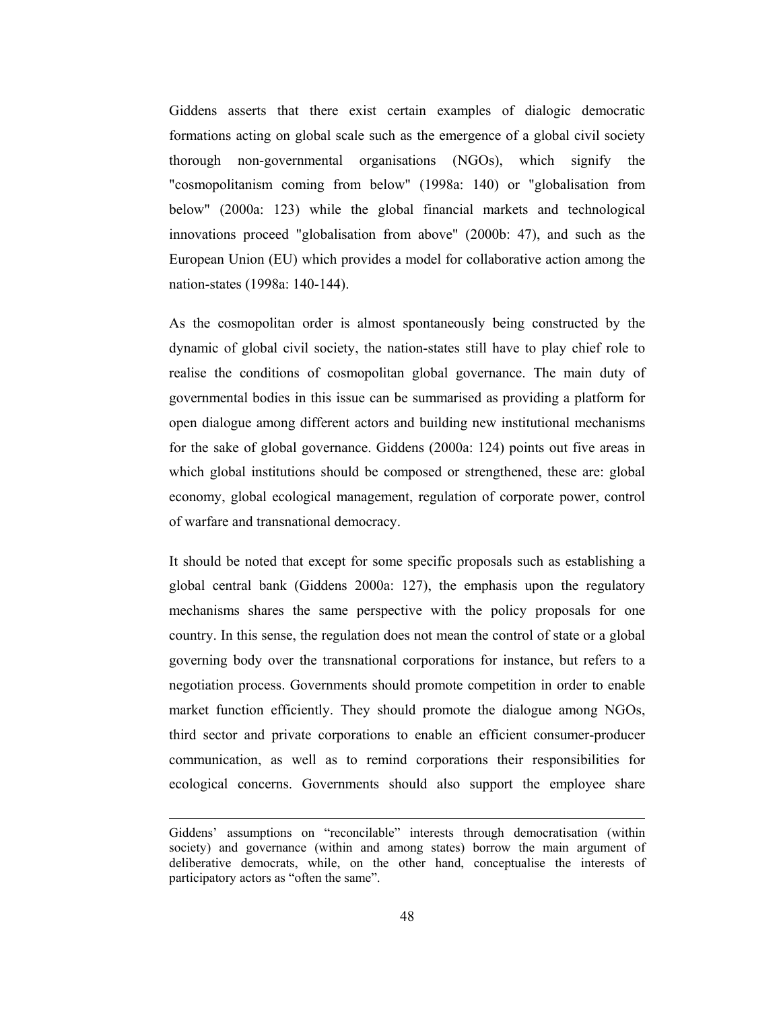Giddens asserts that there exist certain examples of dialogic democratic formations acting on global scale such as the emergence of a global civil society thorough non-governmental organisations (NGOs), which signify the "cosmopolitanism coming from below" (1998a: 140) or "globalisation from below" (2000a: 123) while the global financial markets and technological innovations proceed "globalisation from above" (2000b: 47), and such as the European Union (EU) which provides a model for collaborative action among the nation-states (1998a: 140-144).

As the cosmopolitan order is almost spontaneously being constructed by the dynamic of global civil society, the nation-states still have to play chief role to realise the conditions of cosmopolitan global governance. The main duty of governmental bodies in this issue can be summarised as providing a platform for open dialogue among different actors and building new institutional mechanisms for the sake of global governance. Giddens (2000a: 124) points out five areas in which global institutions should be composed or strengthened, these are: global economy, global ecological management, regulation of corporate power, control of warfare and transnational democracy.

It should be noted that except for some specific proposals such as establishing a global central bank (Giddens 2000a: 127), the emphasis upon the regulatory mechanisms shares the same perspective with the policy proposals for one country. In this sense, the regulation does not mean the control of state or a global governing body over the transnational corporations for instance, but refers to a negotiation process. Governments should promote competition in order to enable market function efficiently. They should promote the dialogue among NGOs, third sector and private corporations to enable an efficient consumer-producer communication, as well as to remind corporations their responsibilities for ecological concerns. Governments should also support the employee share

Giddens' assumptions on "reconcilable" interests through democratisation (within society) and governance (within and among states) borrow the main argument of deliberative democrats, while, on the other hand, conceptualise the interests of participatory actors as "often the same".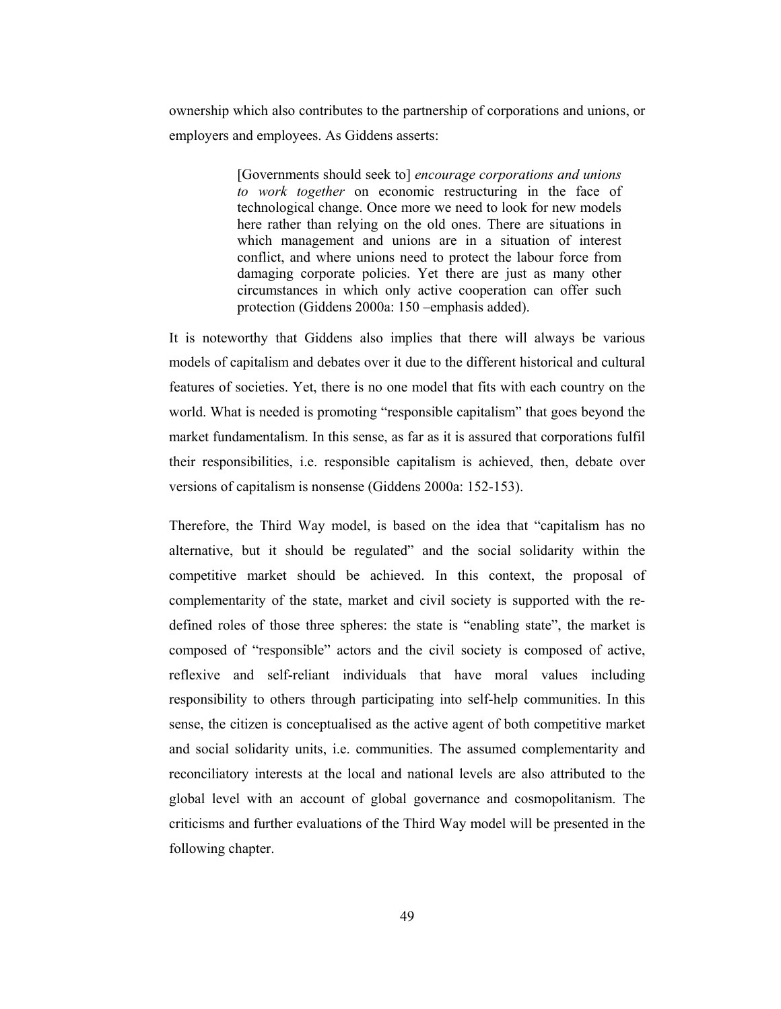ownership which also contributes to the partnership of corporations and unions, or employers and employees. As Giddens asserts:

> [Governments should seek to] encourage corporations and unions to work together on economic restructuring in the face of technological change. Once more we need to look for new models here rather than relying on the old ones. There are situations in which management and unions are in a situation of interest conflict, and where unions need to protect the labour force from damaging corporate policies. Yet there are just as many other circumstances in which only active cooperation can offer such protection (Giddens 2000a: 150 - emphasis added).

It is noteworthy that Giddens also implies that there will always be various models of capitalism and debates over it due to the different historical and cultural features of societies. Yet, there is no one model that fits with each country on the world. What is needed is promoting "responsible capitalism" that goes beyond the market fundamentalism. In this sense, as far as it is assured that corporations fulfil their responsibilities, i.e. responsible capitalism is achieved, then, debate over versions of capitalism is nonsense (Giddens 2000a: 152-153).

Therefore, the Third Way model, is based on the idea that "capitalism has no alternative, but it should be regulated" and the social solidarity within the competitive market should be achieved. In this context, the proposal of complementarity of the state, market and civil society is supported with the redefined roles of those three spheres: the state is "enabling state", the market is composed of "responsible" actors and the civil society is composed of active, reflexive and self-reliant individuals that have moral values including responsibility to others through participating into self-help communities. In this sense, the citizen is conceptualised as the active agent of both competitive market and social solidarity units, i.e. communities. The assumed complementarity and reconciliatory interests at the local and national levels are also attributed to the global level with an account of global governance and cosmopolitanism. The criticisms and further evaluations of the Third Way model will be presented in the following chapter.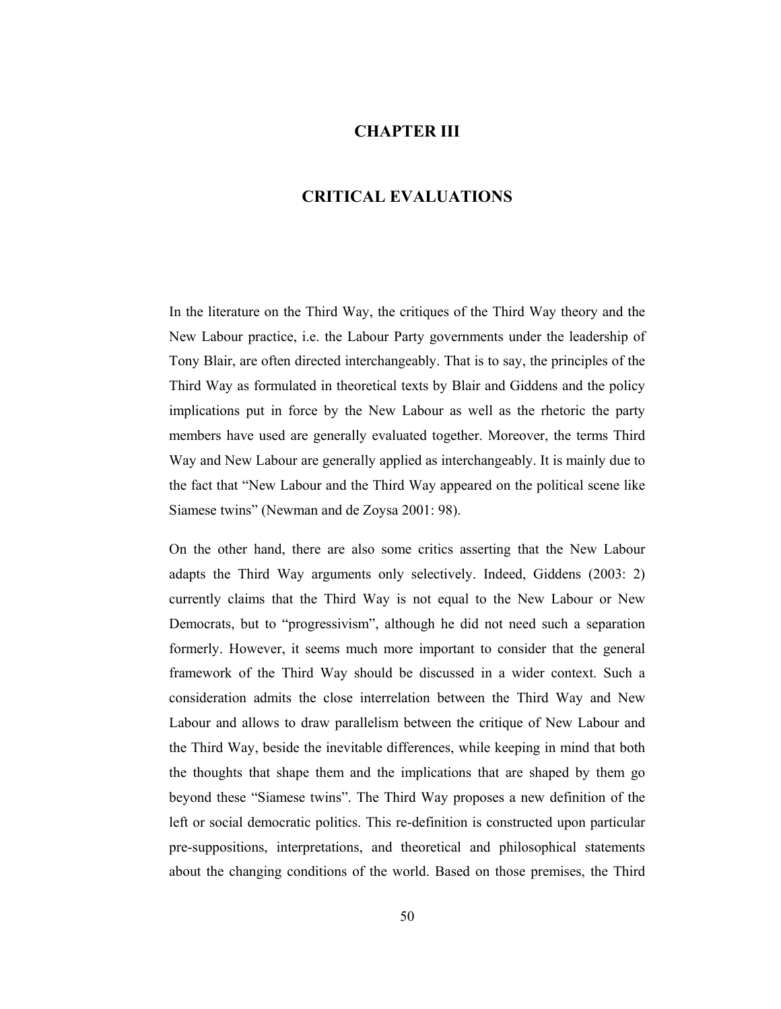# **CHAPTER III**

# **CRITICAL EVALUATIONS**

In the literature on the Third Way, the critiques of the Third Way theory and the New Labour practice, i.e. the Labour Party governments under the leadership of Tony Blair, are often directed interchangeably. That is to say, the principles of the Third Way as formulated in theoretical texts by Blair and Giddens and the policy implications put in force by the New Labour as well as the rhetoric the party members have used are generally evaluated together. Moreover, the terms Third Way and New Labour are generally applied as interchangeably. It is mainly due to the fact that "New Labour and the Third Way appeared on the political scene like Siamese twins" (Newman and de Zoysa 2001: 98).

On the other hand, there are also some critics asserting that the New Labour adapts the Third Way arguments only selectively. Indeed, Giddens (2003: 2) currently claims that the Third Way is not equal to the New Labour or New Democrats, but to "progressivism", although he did not need such a separation formerly. However, it seems much more important to consider that the general framework of the Third Way should be discussed in a wider context. Such a consideration admits the close interrelation between the Third Way and New Labour and allows to draw parallelism between the critique of New Labour and the Third Way, beside the inevitable differences, while keeping in mind that both the thoughts that shape them and the implications that are shaped by them go beyond these "Siamese twins". The Third Way proposes a new definition of the left or social democratic politics. This re-definition is constructed upon particular pre-suppositions, interpretations, and theoretical and philosophical statements about the changing conditions of the world. Based on those premises, the Third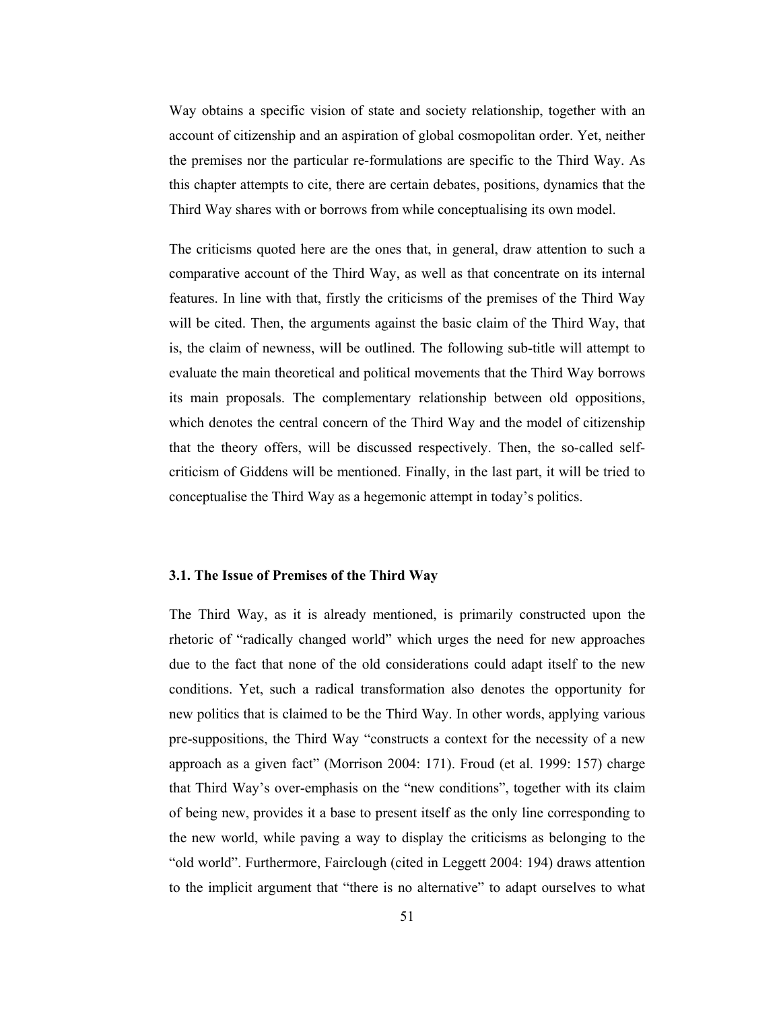Way obtains a specific vision of state and society relationship, together with an account of citizenship and an aspiration of global cosmopolitan order. Yet, neither the premises nor the particular re-formulations are specific to the Third Way. As this chapter attempts to cite, there are certain debates, positions, dynamics that the Third Way shares with or borrows from while conceptualising its own model.

The criticisms quoted here are the ones that, in general, draw attention to such a comparative account of the Third Way, as well as that concentrate on its internal features. In line with that, firstly the criticisms of the premises of the Third Way will be cited. Then, the arguments against the basic claim of the Third Way, that is, the claim of newness, will be outlined. The following sub-title will attempt to evaluate the main theoretical and political movements that the Third Way borrows its main proposals. The complementary relationship between old oppositions, which denotes the central concern of the Third Way and the model of citizenship that the theory offers, will be discussed respectively. Then, the so-called selfcriticism of Giddens will be mentioned. Finally, in the last part, it will be tried to conceptualise the Third Way as a hegemonic attempt in today's politics.

## 3.1. The Issue of Premises of the Third Way

The Third Way, as it is already mentioned, is primarily constructed upon the rhetoric of "radically changed world" which urges the need for new approaches due to the fact that none of the old considerations could adapt itself to the new conditions. Yet, such a radical transformation also denotes the opportunity for new politics that is claimed to be the Third Way. In other words, applying various pre-suppositions, the Third Way "constructs a context for the necessity of a new approach as a given fact" (Morrison 2004: 171). Froud (et al. 1999: 157) charge that Third Way's over-emphasis on the "new conditions", together with its claim of being new, provides it a base to present itself as the only line corresponding to the new world, while paving a way to display the criticisms as belonging to the "old world". Furthermore, Fairclough (cited in Leggett 2004: 194) draws attention to the implicit argument that "there is no alternative" to adapt ourselves to what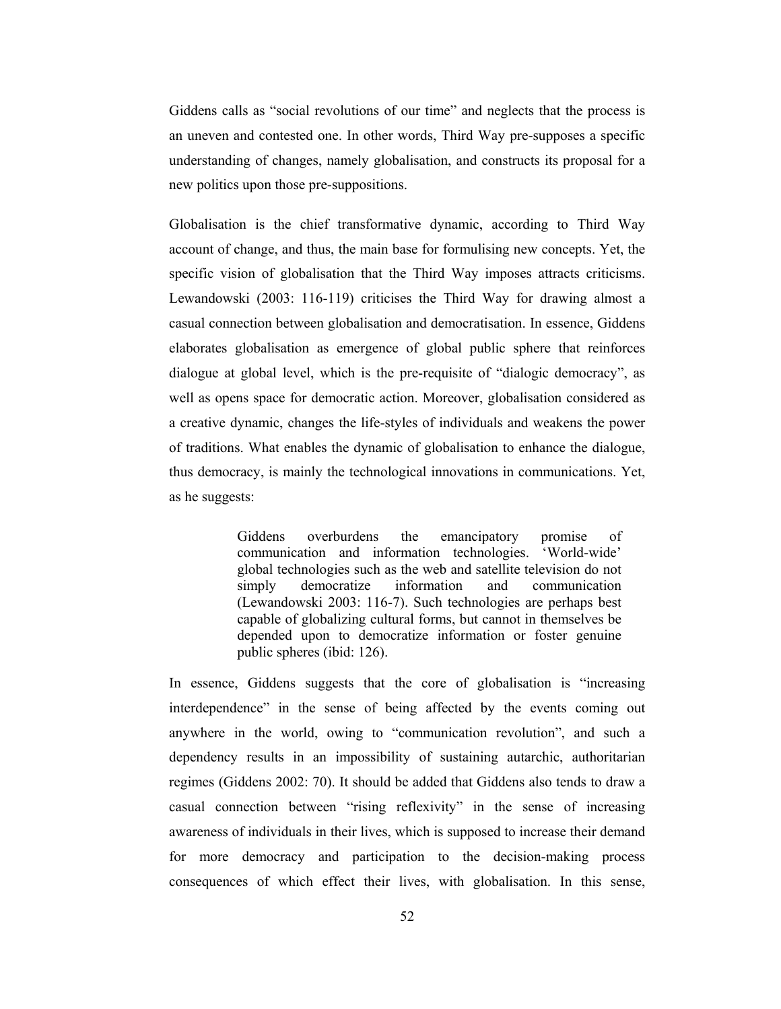Giddens calls as "social revolutions of our time" and neglects that the process is an uneven and contested one. In other words, Third Way pre-supposes a specific understanding of changes, namely globalisation, and constructs its proposal for a new politics upon those pre-suppositions.

Globalisation is the chief transformative dynamic, according to Third Way account of change, and thus, the main base for formulising new concepts. Yet, the specific vision of globalisation that the Third Way imposes attracts criticisms. Lewandowski (2003: 116-119) criticises the Third Way for drawing almost a casual connection between globalisation and democratisation. In essence, Giddens elaborates globalisation as emergence of global public sphere that reinforces dialogue at global level, which is the pre-requisite of "dialogic democracy", as well as opens space for democratic action. Moreover, globalisation considered as a creative dynamic, changes the life-styles of individuals and weakens the power of traditions. What enables the dynamic of globalisation to enhance the dialogue, thus democracy, is mainly the technological innovations in communications. Yet, as he suggests:

> **Giddens** overburdens emancipatory promise the of 'World-wide' communication and information technologies. global technologies such as the web and satellite television do not information simply democratize and communication (Lewandowski 2003: 116-7). Such technologies are perhaps best capable of globalizing cultural forms, but cannot in themselves be depended upon to democratize information or foster genuine public spheres (ibid: 126).

In essence, Giddens suggests that the core of globalisation is "increasing interdependence" in the sense of being affected by the events coming out anywhere in the world, owing to "communication revolution", and such a dependency results in an impossibility of sustaining autarchic, authoritarian regimes (Giddens 2002: 70). It should be added that Giddens also tends to draw a casual connection between "rising reflexivity" in the sense of increasing awareness of individuals in their lives, which is supposed to increase their demand for more democracy and participation to the decision-making process consequences of which effect their lives, with globalisation. In this sense,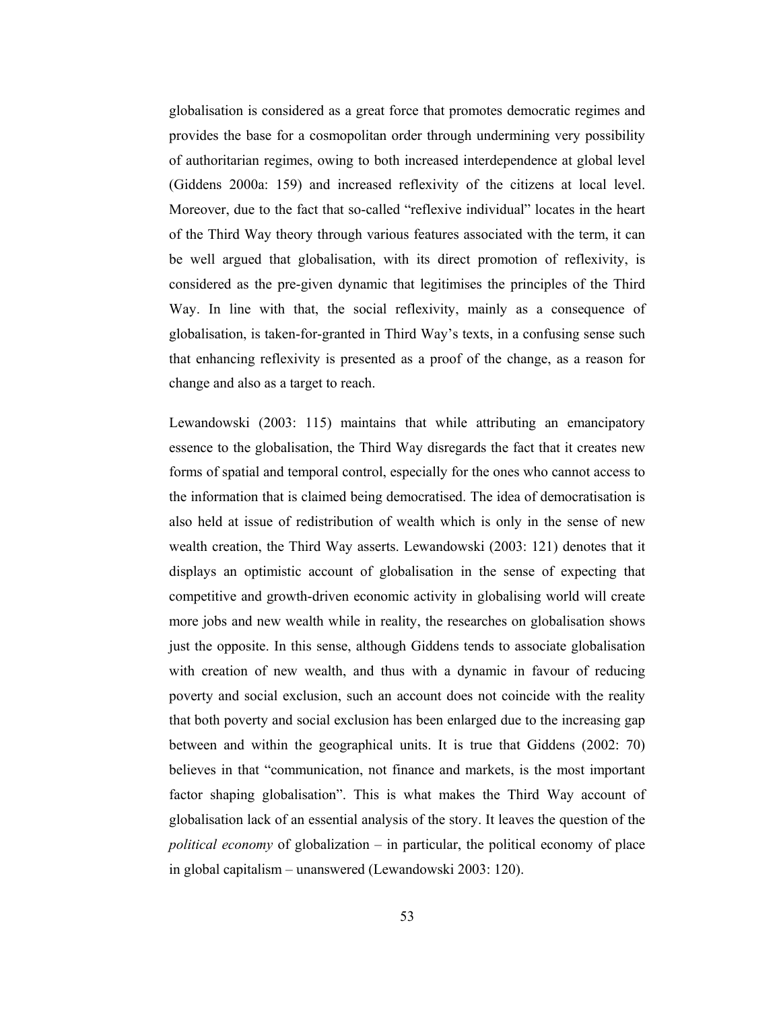globalisation is considered as a great force that promotes democratic regimes and provides the base for a cosmopolitan order through undermining very possibility of authoritarian regimes, owing to both increased interdependence at global level (Giddens 2000a: 159) and increased reflexivity of the citizens at local level. Moreover, due to the fact that so-called "reflexive individual" locates in the heart of the Third Way theory through various features associated with the term, it can be well argued that globalisation, with its direct promotion of reflexivity, is considered as the pre-given dynamic that legitimises the principles of the Third Way. In line with that, the social reflexivity, mainly as a consequence of globalisation, is taken-for-granted in Third Way's texts, in a confusing sense such that enhancing reflexivity is presented as a proof of the change, as a reason for change and also as a target to reach.

Lewandowski (2003: 115) maintains that while attributing an emancipatory essence to the globalisation, the Third Way disregards the fact that it creates new forms of spatial and temporal control, especially for the ones who cannot access to the information that is claimed being democratised. The idea of democratisation is also held at issue of redistribution of wealth which is only in the sense of new wealth creation, the Third Way asserts. Lewandowski (2003: 121) denotes that it displays an optimistic account of globalisation in the sense of expecting that competitive and growth-driven economic activity in globalising world will create more jobs and new wealth while in reality, the researches on globalisation shows just the opposite. In this sense, although Giddens tends to associate globalisation with creation of new wealth, and thus with a dynamic in favour of reducing poverty and social exclusion, such an account does not coincide with the reality that both poverty and social exclusion has been enlarged due to the increasing gap between and within the geographical units. It is true that Giddens (2002: 70) believes in that "communication, not finance and markets, is the most important factor shaping globalisation". This is what makes the Third Way account of globalisation lack of an essential analysis of the story. It leaves the question of the *political economy* of globalization – in particular, the political economy of place in global capitalism – unanswered (Lewandowski 2003: 120).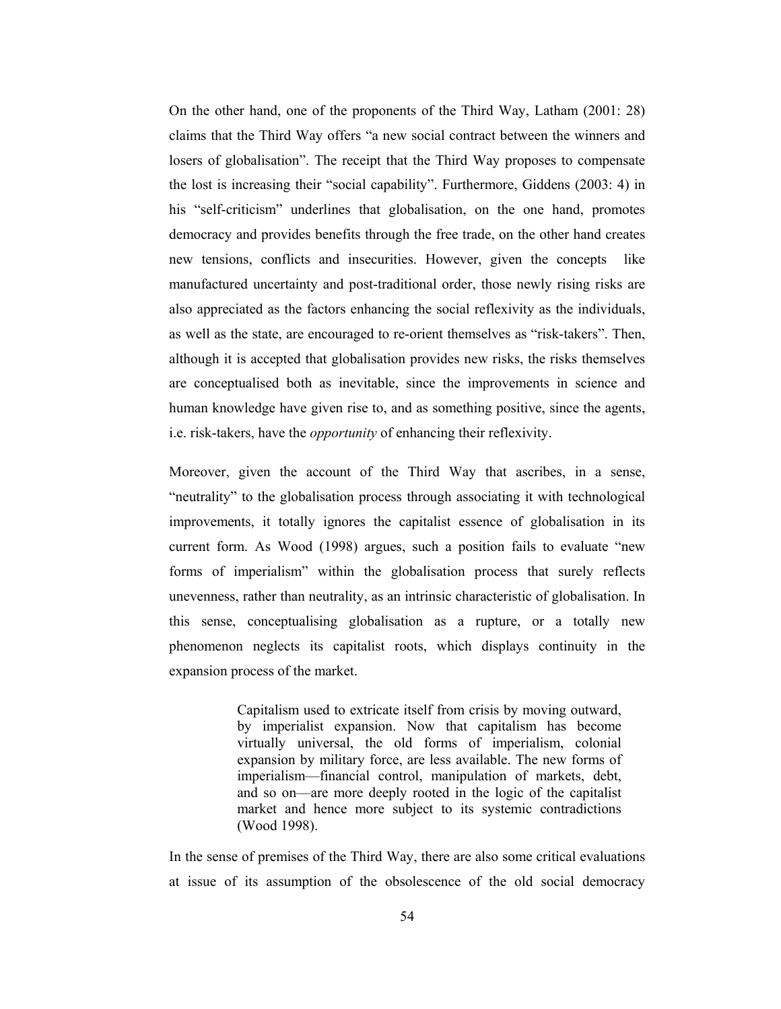On the other hand, one of the proponents of the Third Way, Latham (2001: 28) claims that the Third Way offers "a new social contract between the winners and losers of globalisation". The receipt that the Third Way proposes to compensate the lost is increasing their "social capability". Furthermore, Giddens (2003: 4) in his "self-criticism" underlines that globalisation, on the one hand, promotes democracy and provides benefits through the free trade, on the other hand creates new tensions, conflicts and insecurities. However, given the concepts like manufactured uncertainty and post-traditional order, those newly rising risks are also appreciated as the factors enhancing the social reflexivity as the individuals, as well as the state, are encouraged to re-orient themselves as "risk-takers". Then, although it is accepted that globalisation provides new risks, the risks themselves are conceptualised both as inevitable, since the improvements in science and human knowledge have given rise to, and as something positive, since the agents, i.e. risk-takers, have the *opportunity* of enhancing their reflexivity.

Moreover, given the account of the Third Way that ascribes, in a sense, "neutrality" to the globalisation process through associating it with technological improvements, it totally ignores the capitalist essence of globalisation in its current form. As Wood (1998) argues, such a position fails to evaluate "new forms of imperialism" within the globalisation process that surely reflects unevenness, rather than neutrality, as an intrinsic characteristic of globalisation. In this sense, conceptualising globalisation as a rupture, or a totally new phenomenon neglects its capitalist roots, which displays continuity in the expansion process of the market.

> Capitalism used to extricate itself from crisis by moving outward, by imperialist expansion. Now that capitalism has become virtually universal, the old forms of imperialism, colonial expansion by military force, are less available. The new forms of imperialism—financial control, manipulation of markets, debt, and so on—are more deeply rooted in the logic of the capitalist market and hence more subject to its systemic contradictions (Wood 1998).

In the sense of premises of the Third Way, there are also some critical evaluations at issue of its assumption of the obsolescence of the old social democracy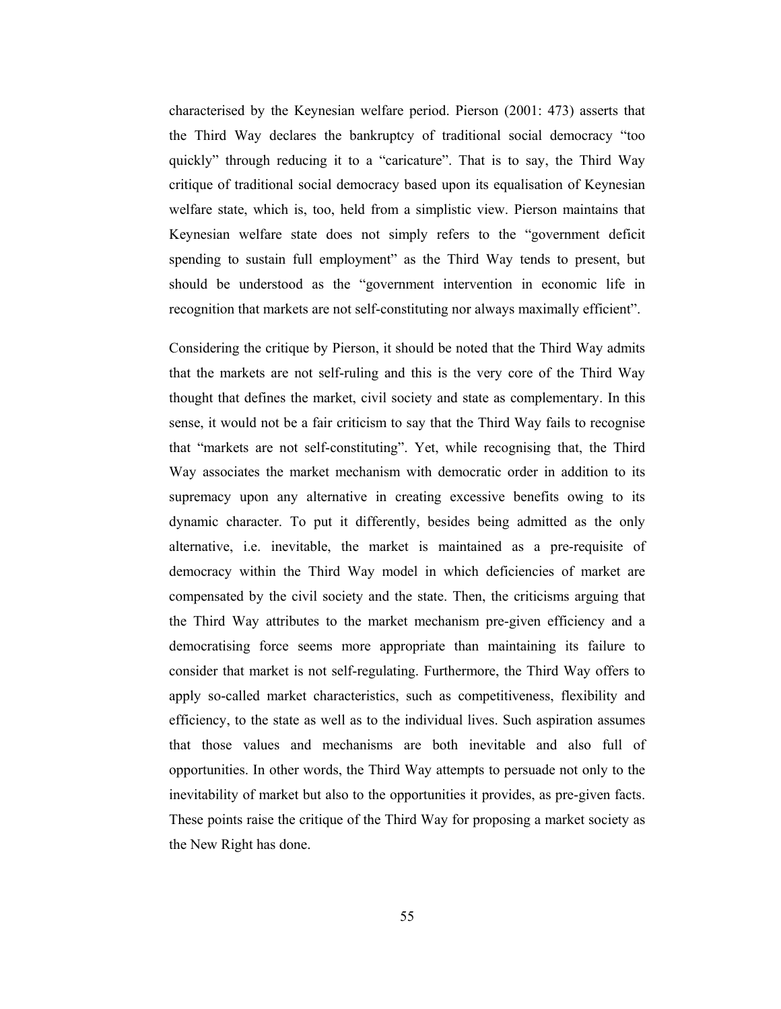characterised by the Keynesian welfare period. Pierson (2001: 473) asserts that the Third Way declares the bankruptcy of traditional social democracy "too" quickly" through reducing it to a "caricature". That is to say, the Third Way critique of traditional social democracy based upon its equalisation of Keynesian welfare state, which is, too, held from a simplistic view. Pierson maintains that Keynesian welfare state does not simply refers to the "government deficit spending to sustain full employment" as the Third Way tends to present, but should be understood as the "government intervention in economic life in recognition that markets are not self-constituting nor always maximally efficient".

Considering the critique by Pierson, it should be noted that the Third Way admits that the markets are not self-ruling and this is the very core of the Third Way thought that defines the market, civil society and state as complementary. In this sense, it would not be a fair criticism to say that the Third Way fails to recognise that "markets are not self-constituting". Yet, while recognising that, the Third Way associates the market mechanism with democratic order in addition to its supremacy upon any alternative in creating excessive benefits owing to its dynamic character. To put it differently, besides being admitted as the only alternative, i.e. inevitable, the market is maintained as a pre-requisite of democracy within the Third Way model in which deficiencies of market are compensated by the civil society and the state. Then, the criticisms arguing that the Third Way attributes to the market mechanism pre-given efficiency and a democratising force seems more appropriate than maintaining its failure to consider that market is not self-regulating. Furthermore, the Third Way offers to apply so-called market characteristics, such as competitiveness, flexibility and efficiency, to the state as well as to the individual lives. Such aspiration assumes that those values and mechanisms are both inevitable and also full of opportunities. In other words, the Third Way attempts to persuade not only to the inevitability of market but also to the opportunities it provides, as pre-given facts. These points raise the critique of the Third Way for proposing a market society as the New Right has done.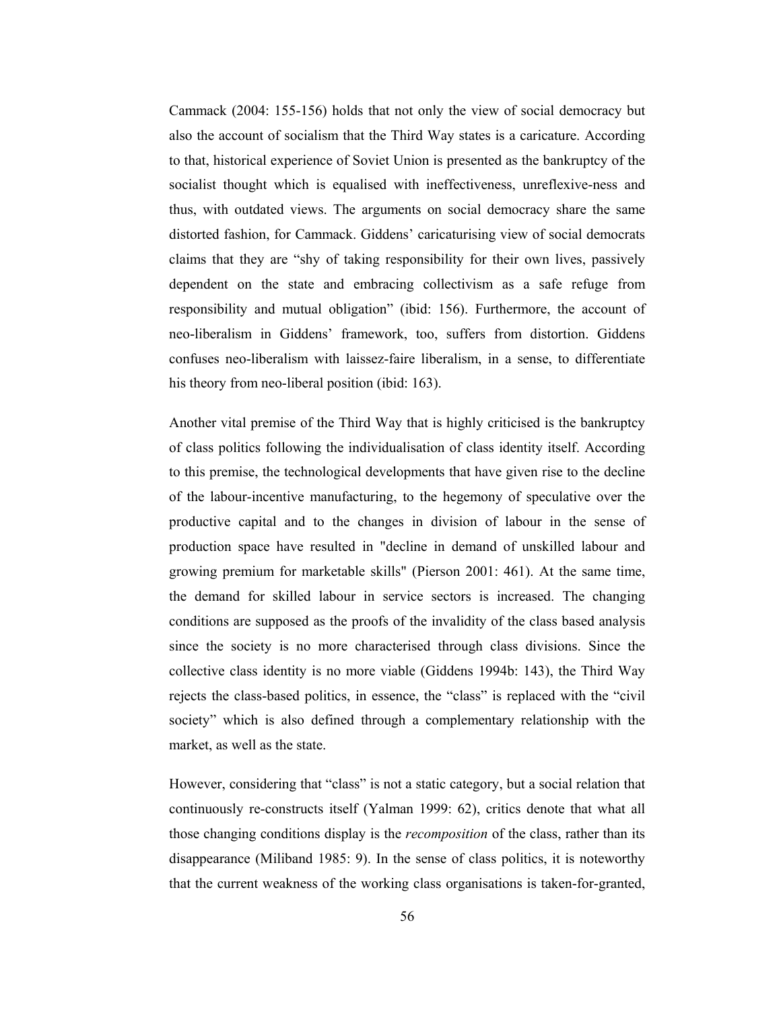Cammack (2004: 155-156) holds that not only the view of social democracy but also the account of socialism that the Third Way states is a caricature. According to that, historical experience of Soviet Union is presented as the bankruptcy of the socialist thought which is equalised with ineffectiveness, unreflexive-ness and thus, with outdated views. The arguments on social democracy share the same distorted fashion, for Cammack. Giddens' caricaturising view of social democrats claims that they are "shy of taking responsibility for their own lives, passively dependent on the state and embracing collectivism as a safe refuge from responsibility and mutual obligation" (ibid: 156). Furthermore, the account of neo-liberalism in Giddens' framework, too, suffers from distortion. Giddens confuses neo-liberalism with laissez-faire liberalism, in a sense, to differentiate his theory from neo-liberal position (ibid: 163).

Another vital premise of the Third Way that is highly criticised is the bankruptcy of class politics following the individualisation of class identity itself. According to this premise, the technological developments that have given rise to the decline of the labour-incentive manufacturing, to the hegemony of speculative over the productive capital and to the changes in division of labour in the sense of production space have resulted in "decline in demand of unskilled labour and growing premium for marketable skills" (Pierson 2001: 461). At the same time, the demand for skilled labour in service sectors is increased. The changing conditions are supposed as the proofs of the invalidity of the class based analysis since the society is no more characterised through class divisions. Since the collective class identity is no more viable (Giddens 1994b: 143), the Third Way rejects the class-based politics, in essence, the "class" is replaced with the "civil" society" which is also defined through a complementary relationship with the market, as well as the state.

However, considering that "class" is not a static category, but a social relation that continuously re-constructs itself (Yalman 1999: 62), critics denote that what all those changing conditions display is the *recomposition* of the class, rather than its disappearance (Miliband 1985: 9). In the sense of class politics, it is noteworthy that the current weakness of the working class organisations is taken-for-granted,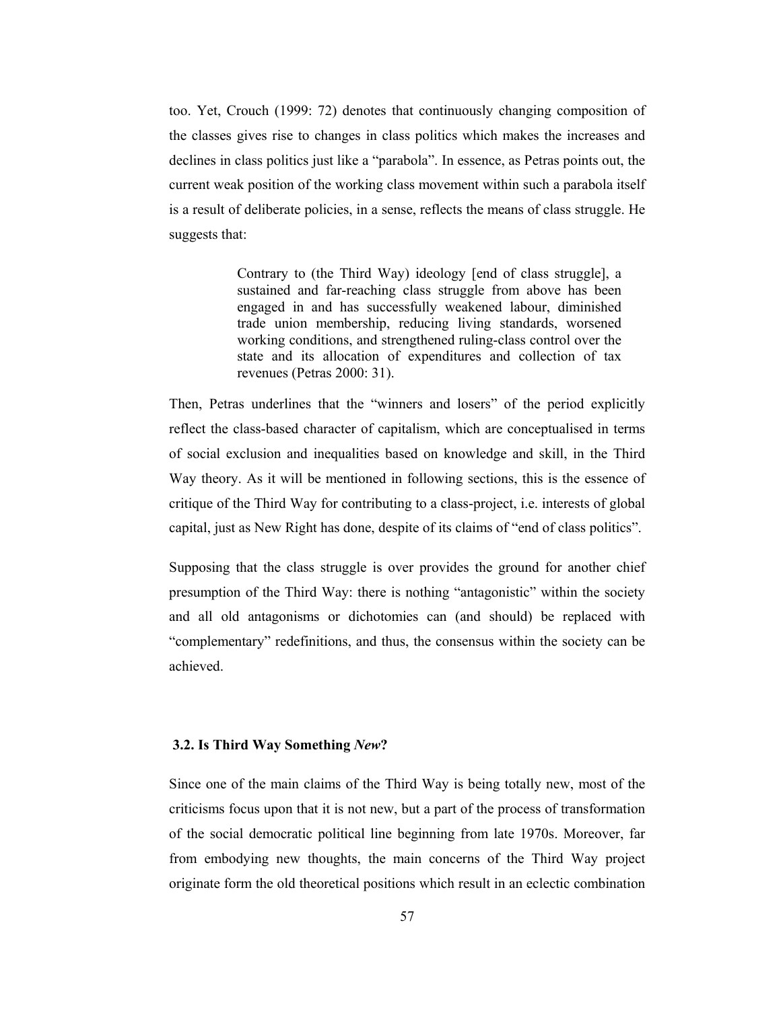too. Yet, Crouch (1999: 72) denotes that continuously changing composition of the classes gives rise to changes in class politics which makes the increases and declines in class politics just like a "parabola". In essence, as Petras points out, the current weak position of the working class movement within such a parabola itself is a result of deliberate policies, in a sense, reflects the means of class struggle. He suggests that:

> Contrary to (the Third Way) ideology [end of class struggle], a sustained and far-reaching class struggle from above has been engaged in and has successfully weakened labour, diminished trade union membership, reducing living standards, worsened working conditions, and strengthened ruling-class control over the state and its allocation of expenditures and collection of tax revenues (Petras 2000: 31).

Then, Petras underlines that the "winners and losers" of the period explicitly reflect the class-based character of capitalism, which are conceptualised in terms of social exclusion and inequalities based on knowledge and skill, in the Third Way theory. As it will be mentioned in following sections, this is the essence of critique of the Third Way for contributing to a class-project, i.e. interests of global capital, just as New Right has done, despite of its claims of "end of class politics".

Supposing that the class struggle is over provides the ground for another chief presumption of the Third Way: there is nothing "antagonistic" within the society and all old antagonisms or dichotomies can (and should) be replaced with "complementary" redefinitions, and thus, the consensus within the society can be achieved.

# 3.2. Is Third Way Something New?

Since one of the main claims of the Third Way is being totally new, most of the criticisms focus upon that it is not new, but a part of the process of transformation of the social democratic political line beginning from late 1970s. Moreover, far from embodying new thoughts, the main concerns of the Third Way project originate form the old theoretical positions which result in an eclectic combination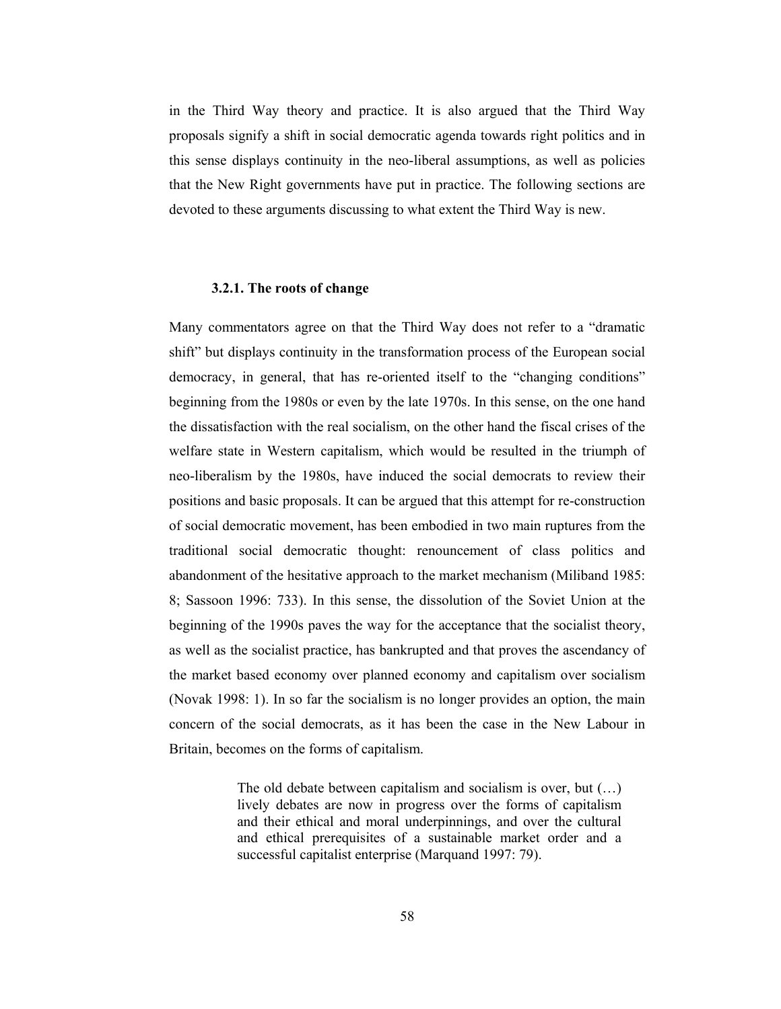in the Third Way theory and practice. It is also argued that the Third Way proposals signify a shift in social democratic agenda towards right politics and in this sense displays continuity in the neo-liberal assumptions, as well as policies that the New Right governments have put in practice. The following sections are devoted to these arguments discussing to what extent the Third Way is new.

#### 3.2.1. The roots of change

Many commentators agree on that the Third Way does not refer to a "dramatic shift" but displays continuity in the transformation process of the European social democracy, in general, that has re-oriented itself to the "changing conditions" beginning from the 1980s or even by the late 1970s. In this sense, on the one hand the dissatisfaction with the real socialism, on the other hand the fiscal crises of the welfare state in Western capitalism, which would be resulted in the triumph of neo-liberalism by the 1980s, have induced the social democrats to review their positions and basic proposals. It can be argued that this attempt for re-construction of social democratic movement, has been embodied in two main ruptures from the traditional social democratic thought: renouncement of class politics and abandonment of the hesitative approach to the market mechanism (Miliband 1985: 8; Sassoon 1996: 733). In this sense, the dissolution of the Soviet Union at the beginning of the 1990s payes the way for the acceptance that the socialist theory, as well as the socialist practice, has bankrupted and that proves the ascendancy of the market based economy over planned economy and capitalism over socialism (Novak 1998: 1). In so far the socialism is no longer provides an option, the main concern of the social democrats, as it has been the case in the New Labour in Britain, becomes on the forms of capitalism.

> The old debate between capitalism and socialism is over, but  $(\dots)$ lively debates are now in progress over the forms of capitalism and their ethical and moral underpinnings, and over the cultural and ethical prerequisites of a sustainable market order and a successful capitalist enterprise (Marquand 1997: 79).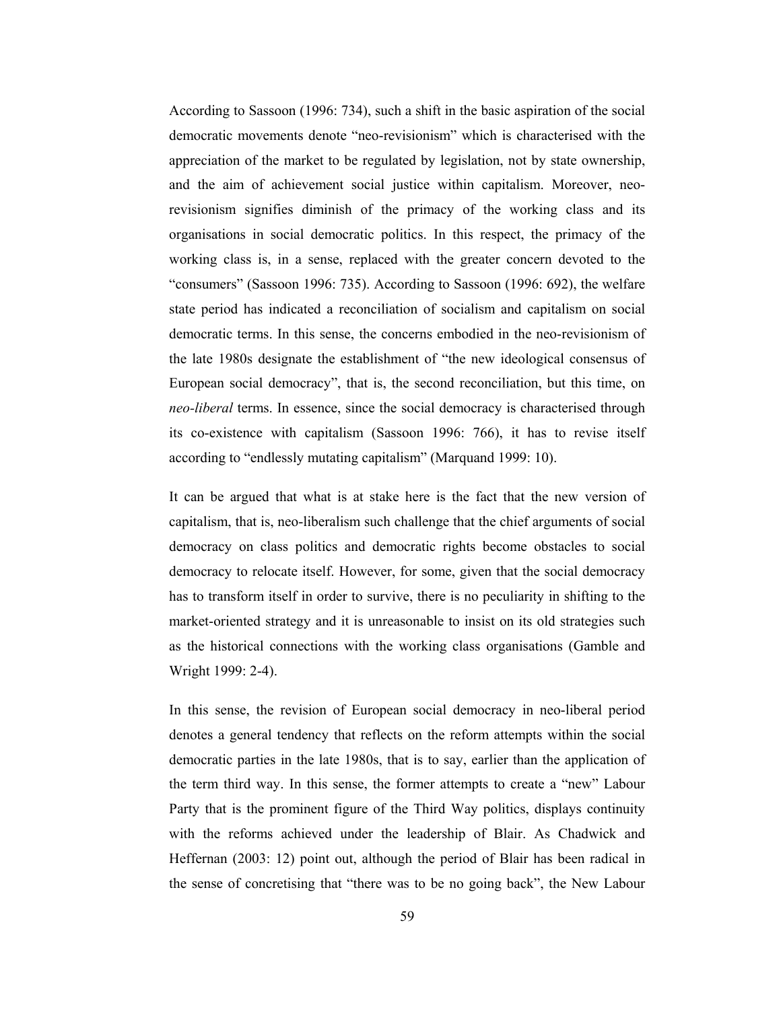According to Sassoon (1996: 734), such a shift in the basic aspiration of the social democratic movements denote "neo-revisionism" which is characterised with the appreciation of the market to be regulated by legislation, not by state ownership, and the aim of achievement social justice within capitalism. Moreover, neorevisionism signifies diminish of the primacy of the working class and its organisations in social democratic politics. In this respect, the primacy of the working class is, in a sense, replaced with the greater concern devoted to the "consumers" (Sassoon 1996: 735). According to Sassoon (1996: 692), the welfare state period has indicated a reconciliation of socialism and capitalism on social democratic terms. In this sense, the concerns embodied in the neo-revisionism of the late 1980s designate the establishment of "the new ideological consensus of European social democracy", that is, the second reconciliation, but this time, on neo-liberal terms. In essence, since the social democracy is characterised through its co-existence with capitalism (Sassoon 1996: 766), it has to revise itself according to "endlessly mutating capitalism" (Marquand 1999: 10).

It can be argued that what is at stake here is the fact that the new version of capitalism, that is, neo-liberalism such challenge that the chief arguments of social democracy on class politics and democratic rights become obstacles to social democracy to relocate itself. However, for some, given that the social democracy has to transform itself in order to survive, there is no peculiarity in shifting to the market-oriented strategy and it is unreasonable to insist on its old strategies such as the historical connections with the working class organisations (Gamble and Wright 1999: 2-4).

In this sense, the revision of European social democracy in neo-liberal period denotes a general tendency that reflects on the reform attempts within the social democratic parties in the late 1980s, that is to say, earlier than the application of the term third way. In this sense, the former attempts to create a "new" Labour Party that is the prominent figure of the Third Way politics, displays continuity with the reforms achieved under the leadership of Blair. As Chadwick and Heffernan (2003: 12) point out, although the period of Blair has been radical in the sense of concretising that "there was to be no going back", the New Labour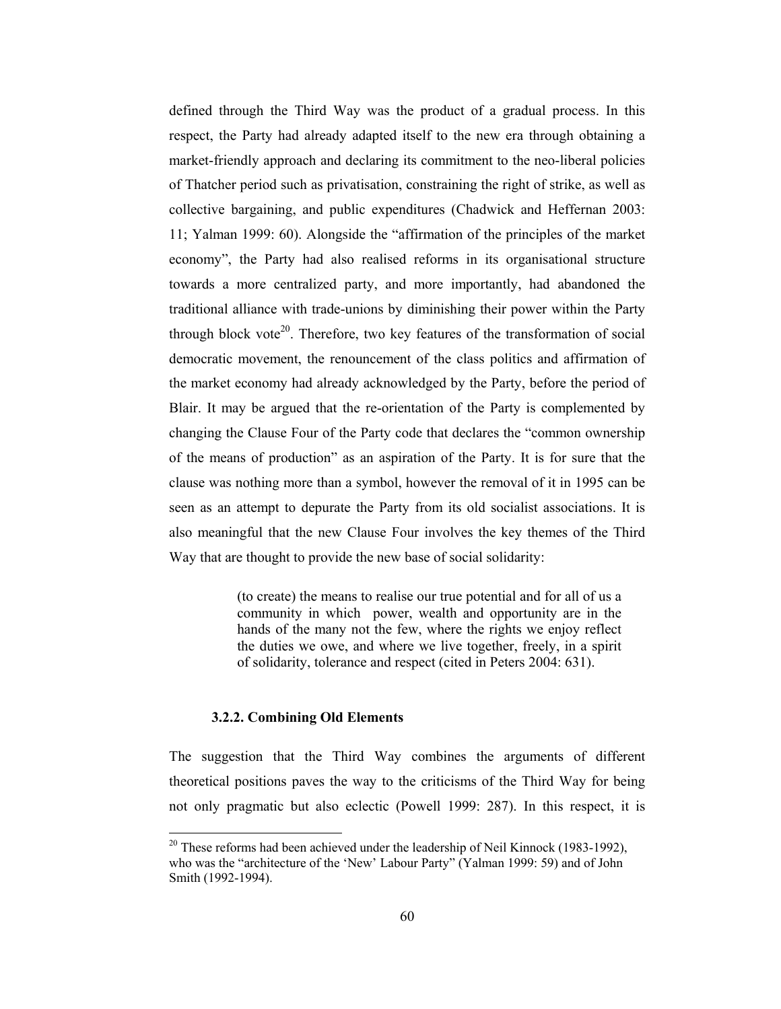defined through the Third Way was the product of a gradual process. In this respect, the Party had already adapted itself to the new era through obtaining a market-friendly approach and declaring its commitment to the neo-liberal policies of Thatcher period such as privatisation, constraining the right of strike, as well as collective bargaining, and public expenditures (Chadwick and Heffernan 2003: 11; Yalman 1999: 60). Alongside the "affirmation of the principles of the market economy", the Party had also realised reforms in its organisational structure towards a more centralized party, and more importantly, had abandoned the traditional alliance with trade-unions by diminishing their power within the Party through block vote<sup>20</sup>. Therefore, two key features of the transformation of social democratic movement, the renouncement of the class politics and affirmation of the market economy had already acknowledged by the Party, before the period of Blair. It may be argued that the re-orientation of the Party is complemented by changing the Clause Four of the Party code that declares the "common ownership" of the means of production" as an aspiration of the Party. It is for sure that the clause was nothing more than a symbol, however the removal of it in 1995 can be seen as an attempt to depurate the Party from its old socialist associations. It is also meaningful that the new Clause Four involves the key themes of the Third Way that are thought to provide the new base of social solidarity:

> (to create) the means to realise our true potential and for all of us a community in which power, wealth and opportunity are in the hands of the many not the few, where the rights we enjoy reflect the duties we owe, and where we live together, freely, in a spirit of solidarity, tolerance and respect (cited in Peters 2004: 631).

## 3.2.2. Combining Old Elements

The suggestion that the Third Way combines the arguments of different theoretical positions payes the way to the criticisms of the Third Way for being not only pragmatic but also eclectic (Powell 1999: 287). In this respect, it is

 $^{20}$  These reforms had been achieved under the leadership of Neil Kinnock (1983-1992), who was the "architecture of the 'New' Labour Party" (Yalman 1999: 59) and of John Smith (1992-1994).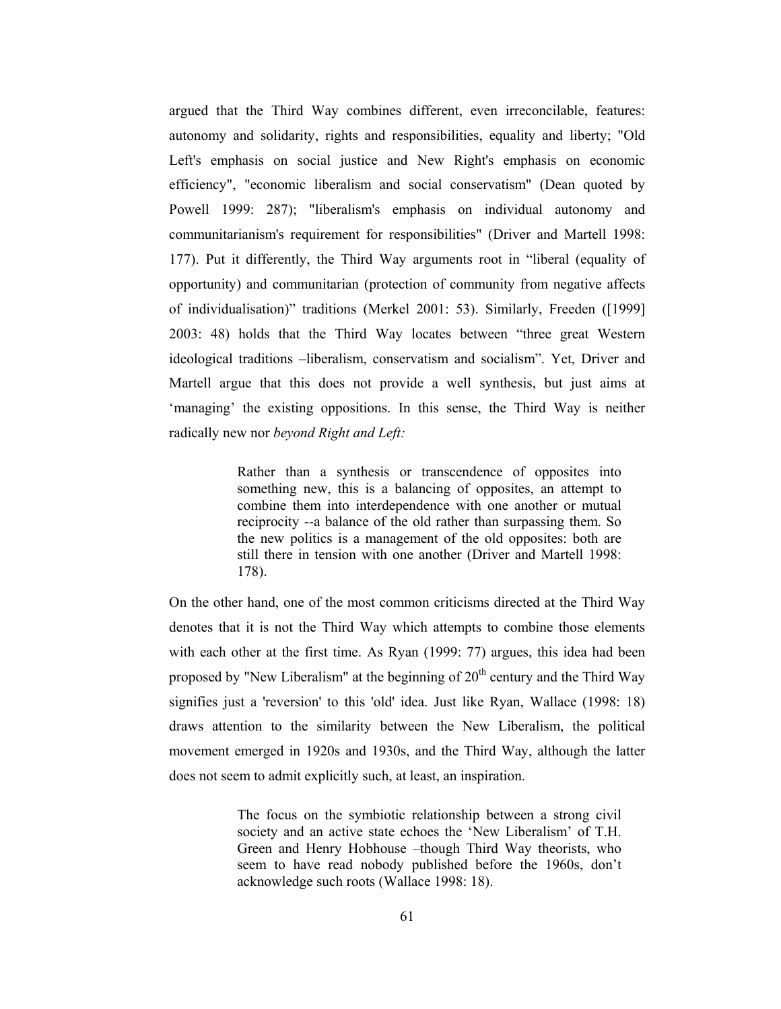argued that the Third Way combines different, even irreconcilable, features: autonomy and solidarity, rights and responsibilities, equality and liberty; "Old Left's emphasis on social justice and New Right's emphasis on economic efficiency", "economic liberalism and social conservatism" (Dean quoted by Powell 1999: 287); "liberalism's emphasis on individual autonomy and communitarianism's requirement for responsibilities" (Driver and Martell 1998: 177). Put it differently, the Third Way arguments root in "liberal (equality of opportunity) and communitarian (protection of community from negative affects of individualisation)" traditions (Merkel 2001: 53). Similarly, Freeden ([1999] 2003: 48) holds that the Third Way locates between "three great Western" ideological traditions –liberalism, conservatism and socialism". Yet, Driver and Martell argue that this does not provide a well synthesis, but just aims at 'managing' the existing oppositions. In this sense, the Third Way is neither radically new nor beyond Right and Left:

> Rather than a synthesis or transcendence of opposites into something new, this is a balancing of opposites, an attempt to combine them into interdependence with one another or mutual reciprocity --a balance of the old rather than surpassing them. So the new politics is a management of the old opposites: both are still there in tension with one another (Driver and Martell 1998:  $178$ ).

On the other hand, one of the most common criticisms directed at the Third Way denotes that it is not the Third Way which attempts to combine those elements with each other at the first time. As Ryan (1999: 77) argues, this idea had been proposed by "New Liberalism" at the beginning of  $20<sup>th</sup>$  century and the Third Way signifies just a 'reversion' to this 'old' idea. Just like Ryan, Wallace (1998: 18) draws attention to the similarity between the New Liberalism, the political movement emerged in 1920s and 1930s, and the Third Way, although the latter does not seem to admit explicitly such, at least, an inspiration.

> The focus on the symbiotic relationship between a strong civil society and an active state echoes the 'New Liberalism' of T.H. Green and Henry Hobhouse -though Third Way theorists, who seem to have read nobody published before the 1960s, don't acknowledge such roots (Wallace 1998: 18).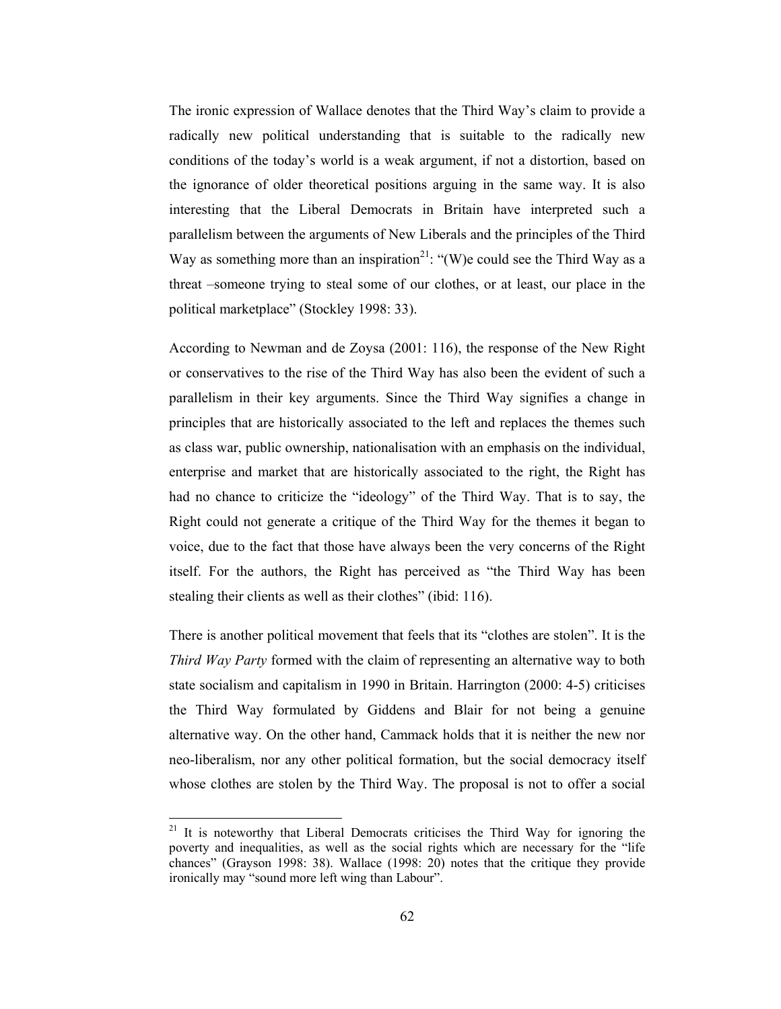The ironic expression of Wallace denotes that the Third Way's claim to provide a radically new political understanding that is suitable to the radically new conditions of the today's world is a weak argument, if not a distortion, based on the ignorance of older theoretical positions arguing in the same way. It is also interesting that the Liberal Democrats in Britain have interpreted such a parallelism between the arguments of New Liberals and the principles of the Third Way as something more than an inspiration<sup>21</sup>: "(W)e could see the Third Way as a threat –someone trying to steal some of our clothes, or at least, our place in the political marketplace" (Stockley 1998: 33).

According to Newman and de Zoysa (2001: 116), the response of the New Right or conservatives to the rise of the Third Way has also been the evident of such a parallelism in their key arguments. Since the Third Way signifies a change in principles that are historically associated to the left and replaces the themes such as class war, public ownership, nationalisation with an emphasis on the individual, enterprise and market that are historically associated to the right, the Right has had no chance to criticize the "ideology" of the Third Way. That is to say, the Right could not generate a critique of the Third Way for the themes it began to voice, due to the fact that those have always been the very concerns of the Right itself. For the authors, the Right has perceived as "the Third Way has been stealing their clients as well as their clothes" (ibid: 116).

There is another political movement that feels that its "clothes are stolen". It is the Third Way Party formed with the claim of representing an alternative way to both state socialism and capitalism in 1990 in Britain. Harrington (2000: 4-5) criticises the Third Way formulated by Giddens and Blair for not being a genuine alternative way. On the other hand, Cammack holds that it is neither the new nor neo-liberalism, nor any other political formation, but the social democracy itself whose clothes are stolen by the Third Way. The proposal is not to offer a social

<sup>&</sup>lt;sup>21</sup> It is noteworthy that Liberal Democrats criticises the Third Way for ignoring the poverty and inequalities, as well as the social rights which are necessary for the "life chances" (Grayson 1998: 38). Wallace (1998: 20) notes that the critique they provide ironically may "sound more left wing than Labour".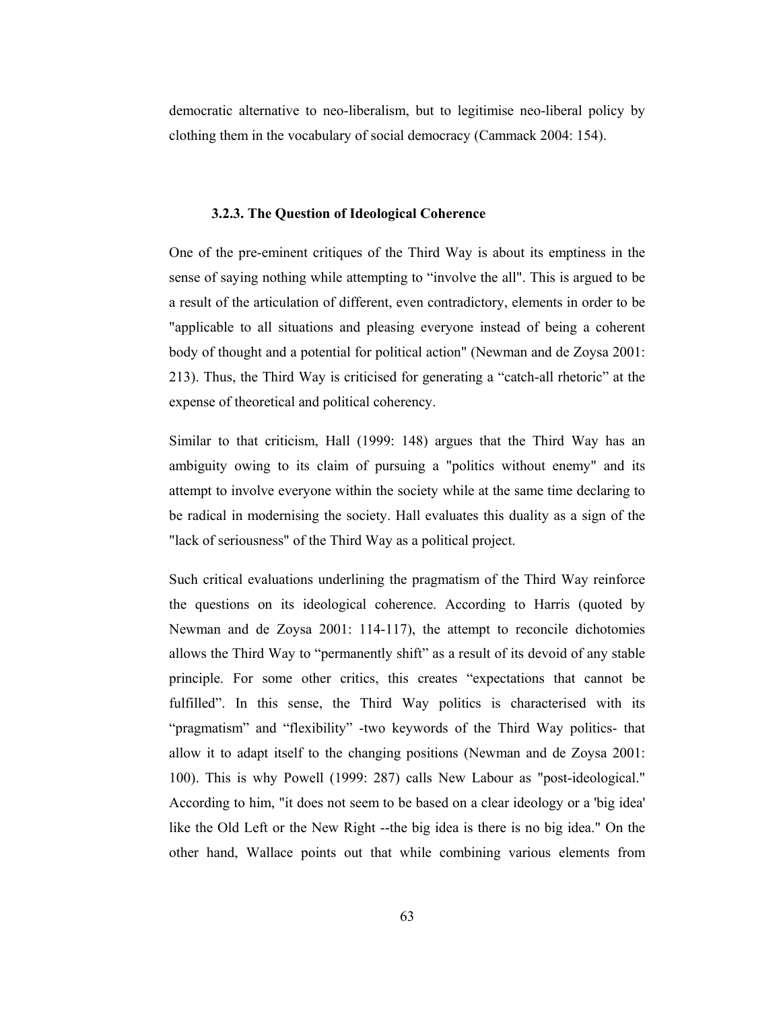democratic alternative to neo-liberalism, but to legitimise neo-liberal policy by clothing them in the vocabulary of social democracy (Cammack 2004: 154).

#### 3.2.3. The Question of Ideological Coherence

One of the pre-eminent critiques of the Third Way is about its emptiness in the sense of saying nothing while attempting to "involve the all". This is argued to be a result of the articulation of different, even contradictory, elements in order to be "applicable to all situations and pleasing everyone instead of being a coherent body of thought and a potential for political action" (Newman and de Zoysa 2001: 213). Thus, the Third Way is criticised for generating a "catch-all rhetoric" at the expense of theoretical and political coherency.

Similar to that criticism, Hall (1999: 148) argues that the Third Way has an ambiguity owing to its claim of pursuing a "politics without enemy" and its attempt to involve everyone within the society while at the same time declaring to be radical in modernising the society. Hall evaluates this duality as a sign of the "lack of seriousness" of the Third Way as a political project.

Such critical evaluations underlining the pragmatism of the Third Way reinforce the questions on its ideological coherence. According to Harris (quoted by Newman and de Zoysa 2001: 114-117), the attempt to reconcile dichotomies allows the Third Way to "permanently shift" as a result of its devoid of any stable principle. For some other critics, this creates "expectations that cannot be fulfilled". In this sense, the Third Way politics is characterised with its "pragmatism" and "flexibility" -two keywords of the Third Way politics- that allow it to adapt itself to the changing positions (Newman and de Zoysa 2001: 100). This is why Powell (1999: 287) calls New Labour as "post-ideological." According to him, "it does not seem to be based on a clear ideology or a 'big idea' like the Old Left or the New Right -- the big idea is there is no big idea." On the other hand, Wallace points out that while combining various elements from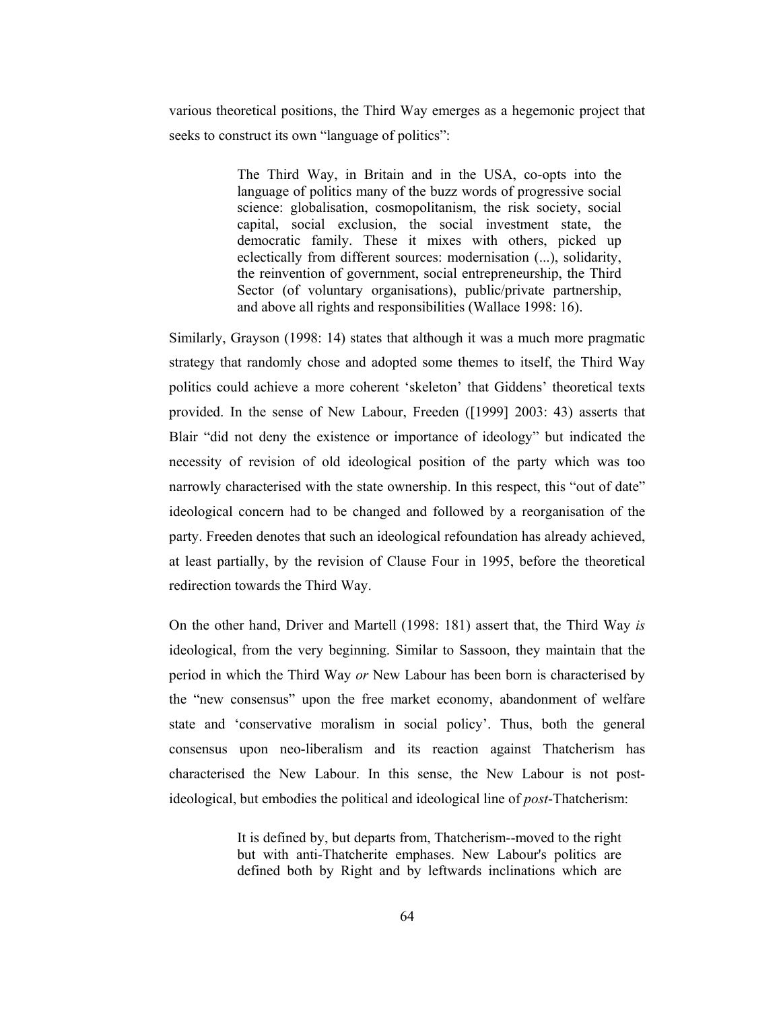various theoretical positions, the Third Way emerges as a hegemonic project that seeks to construct its own "language of politics":

> The Third Way, in Britain and in the USA, co-opts into the language of politics many of the buzz words of progressive social science: globalisation, cosmopolitanism, the risk society, social capital, social exclusion, the social investment state, the democratic family. These it mixes with others, picked up eclectically from different sources: modernisation (...), solidarity, the reinvention of government, social entrepreneurship, the Third Sector (of voluntary organisations), public/private partnership, and above all rights and responsibilities (Wallace 1998: 16).

Similarly, Grayson (1998: 14) states that although it was a much more pragmatic strategy that randomly chose and adopted some themes to itself, the Third Way politics could achieve a more coherent 'skeleton' that Giddens' theoretical texts provided. In the sense of New Labour, Freeden ([1999] 2003: 43) asserts that Blair "did not deny the existence or importance of ideology" but indicated the necessity of revision of old ideological position of the party which was too narrowly characterised with the state ownership. In this respect, this "out of date" ideological concern had to be changed and followed by a reorganisation of the party. Freeden denotes that such an ideological refoundation has already achieved, at least partially, by the revision of Clause Four in 1995, before the theoretical redirection towards the Third Way.

On the other hand, Driver and Martell (1998: 181) assert that, the Third Way is ideological, from the very beginning. Similar to Sassoon, they maintain that the period in which the Third Way or New Labour has been born is characterised by the "new consensus" upon the free market economy, abandonment of welfare state and 'conservative moralism in social policy'. Thus, both the general consensus upon neo-liberalism and its reaction against Thatcherism has characterised the New Labour. In this sense, the New Labour is not postideological, but embodies the political and ideological line of post-Thatcherism:

> It is defined by, but departs from, Thatcherism--moved to the right but with anti-Thatcherite emphases. New Labour's politics are defined both by Right and by leftwards inclinations which are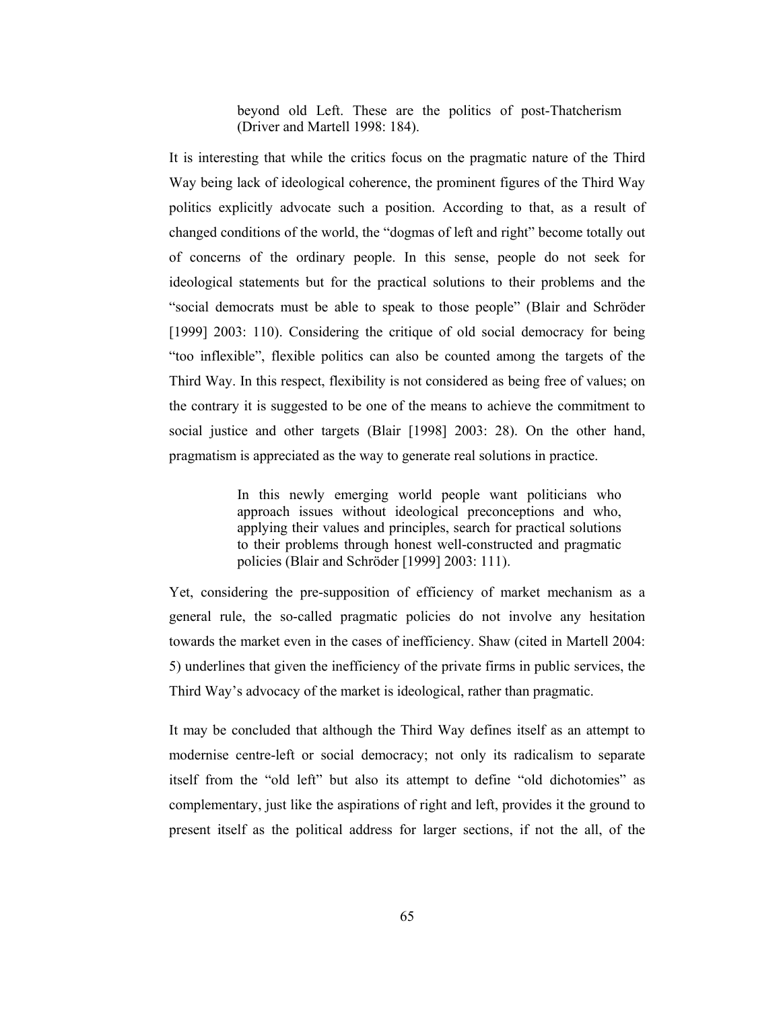beyond old Left. These are the politics of post-Thatcherism (Driver and Martell 1998: 184).

It is interesting that while the critics focus on the pragmatic nature of the Third Way being lack of ideological coherence, the prominent figures of the Third Way politics explicitly advocate such a position. According to that, as a result of changed conditions of the world, the "dogmas of left and right" become totally out of concerns of the ordinary people. In this sense, people do not seek for ideological statements but for the practical solutions to their problems and the "social democrats must be able to speak to those people" (Blair and Schröder [1999] 2003: 110). Considering the critique of old social democracy for being "too inflexible", flexible politics can also be counted among the targets of the Third Way. In this respect, flexibility is not considered as being free of values; on the contrary it is suggested to be one of the means to achieve the commitment to social justice and other targets (Blair [1998] 2003: 28). On the other hand, pragmatism is appreciated as the way to generate real solutions in practice.

> In this newly emerging world people want politicians who approach issues without ideological preconceptions and who, applying their values and principles, search for practical solutions to their problems through honest well-constructed and pragmatic policies (Blair and Schröder [1999] 2003: 111).

Yet, considering the pre-supposition of efficiency of market mechanism as a general rule, the so-called pragmatic policies do not involve any hesitation towards the market even in the cases of inefficiency. Shaw (cited in Martell 2004: 5) underlines that given the inefficiency of the private firms in public services, the Third Way's advocacy of the market is ideological, rather than pragmatic.

It may be concluded that although the Third Way defines itself as an attempt to modernise centre-left or social democracy; not only its radicalism to separate itself from the "old left" but also its attempt to define "old dichotomies" as complementary, just like the aspirations of right and left, provides it the ground to present itself as the political address for larger sections, if not the all, of the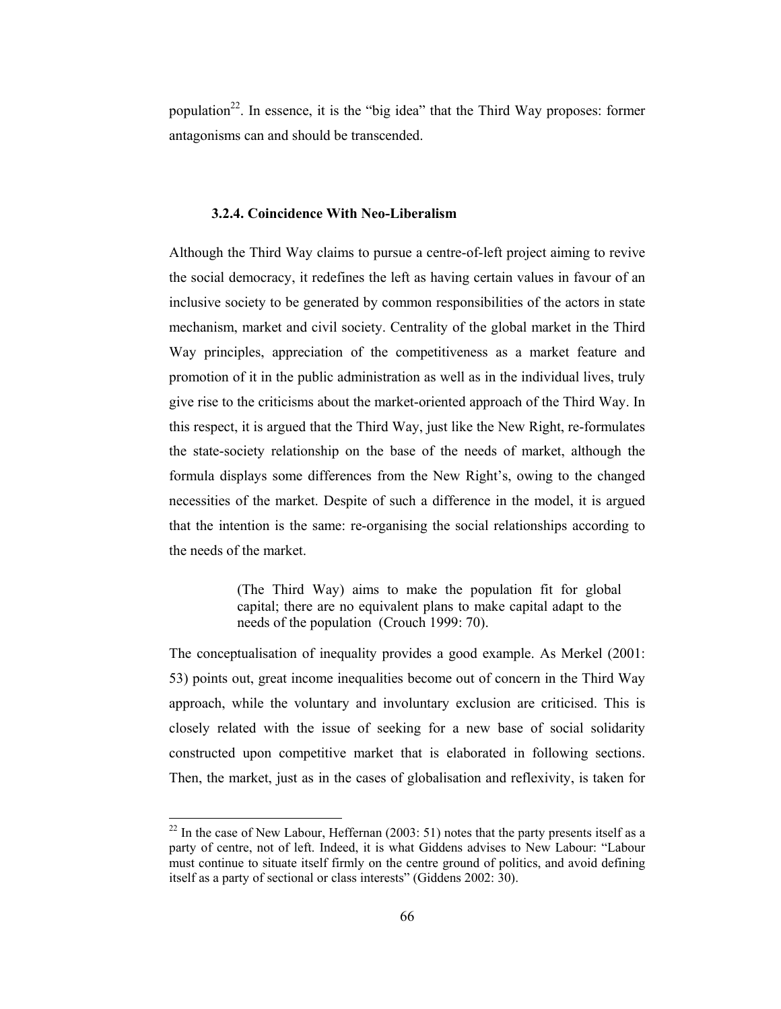population<sup>22</sup>. In essence, it is the "big idea" that the Third Way proposes: former antagonisms can and should be transcended.

## 3.2.4. Coincidence With Neo-Liberalism

Although the Third Way claims to pursue a centre-of-left project aiming to revive the social democracy, it redefines the left as having certain values in favour of an inclusive society to be generated by common responsibilities of the actors in state mechanism, market and civil society. Centrality of the global market in the Third Way principles, appreciation of the competitiveness as a market feature and promotion of it in the public administration as well as in the individual lives, truly give rise to the criticisms about the market-oriented approach of the Third Way. In this respect, it is argued that the Third Way, just like the New Right, re-formulates the state-society relationship on the base of the needs of market, although the formula displays some differences from the New Right's, owing to the changed necessities of the market. Despite of such a difference in the model, it is argued that the intention is the same: re-organising the social relationships according to the needs of the market.

> (The Third Way) aims to make the population fit for global capital; there are no equivalent plans to make capital adapt to the needs of the population (Crouch 1999: 70).

The conceptualisation of inequality provides a good example. As Merkel (2001: 53) points out, great income inequalities become out of concern in the Third Way approach, while the voluntary and involuntary exclusion are criticised. This is closely related with the issue of seeking for a new base of social solidarity constructed upon competitive market that is elaborated in following sections. Then, the market, just as in the cases of globalisation and reflexivity, is taken for

 $^{22}$  In the case of New Labour, Heffernan (2003: 51) notes that the party presents itself as a party of centre, not of left. Indeed, it is what Giddens advises to New Labour: "Labour must continue to situate itself firmly on the centre ground of politics, and avoid defining itself as a party of sectional or class interests" (Giddens 2002: 30).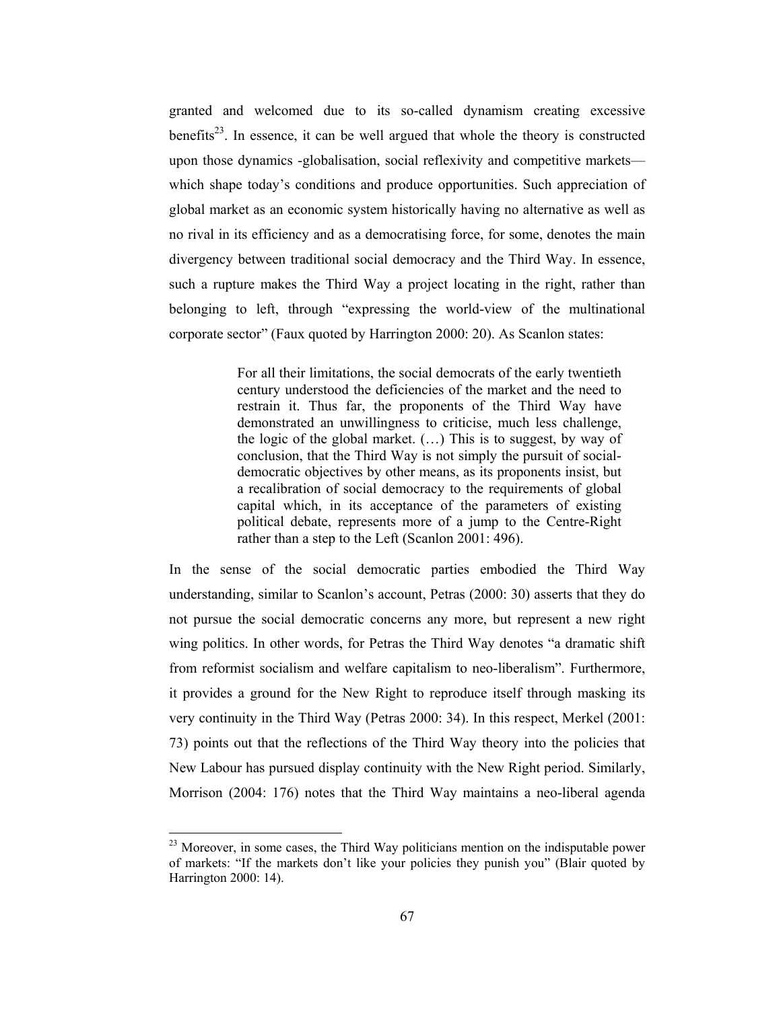granted and welcomed due to its so-called dynamism creating excessive benefits<sup>23</sup>. In essence, it can be well argued that whole the theory is constructed upon those dynamics -globalisation, social reflexivity and competitive marketswhich shape today's conditions and produce opportunities. Such appreciation of global market as an economic system historically having no alternative as well as no rival in its efficiency and as a democratising force, for some, denotes the main divergency between traditional social democracy and the Third Way. In essence, such a rupture makes the Third Way a project locating in the right, rather than belonging to left, through "expressing the world-view of the multinational corporate sector" (Faux quoted by Harrington 2000: 20). As Scanlon states:

> For all their limitations, the social democrats of the early twentieth century understood the deficiencies of the market and the need to restrain it. Thus far, the proponents of the Third Way have demonstrated an unwillingness to criticise, much less challenge, the logic of the global market.  $(...)$  This is to suggest, by way of conclusion, that the Third Way is not simply the pursuit of socialdemocratic objectives by other means, as its proponents insist, but a recalibration of social democracy to the requirements of global capital which, in its acceptance of the parameters of existing political debate, represents more of a jump to the Centre-Right rather than a step to the Left (Scanlon 2001: 496).

In the sense of the social democratic parties embodied the Third Way understanding, similar to Scanlon's account, Petras (2000: 30) asserts that they do not pursue the social democratic concerns any more, but represent a new right wing politics. In other words, for Petras the Third Way denotes "a dramatic shift from reformist socialism and welfare capitalism to neo-liberalism". Furthermore, it provides a ground for the New Right to reproduce itself through masking its very continuity in the Third Way (Petras 2000: 34). In this respect, Merkel (2001: 73) points out that the reflections of the Third Way theory into the policies that New Labour has pursued display continuity with the New Right period. Similarly, Morrison (2004: 176) notes that the Third Way maintains a neo-liberal agenda

<sup>&</sup>lt;sup>23</sup> Moreover, in some cases, the Third Way politicians mention on the indisputable power of markets: "If the markets don't like your policies they punish you" (Blair quoted by Harrington 2000: 14).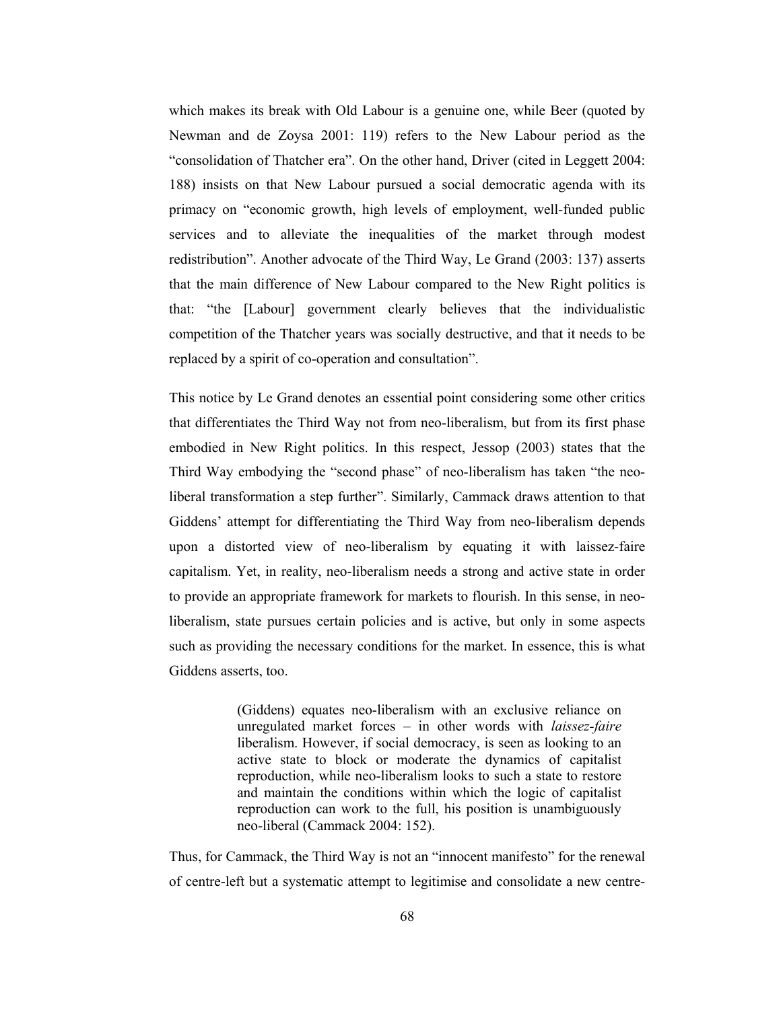which makes its break with Old Labour is a genuine one, while Beer (quoted by Newman and de Zoysa 2001: 119) refers to the New Labour period as the "consolidation of Thatcher era". On the other hand, Driver (cited in Leggett 2004: 188) insists on that New Labour pursued a social democratic agenda with its primacy on "economic growth, high levels of employment, well-funded public services and to alleviate the inequalities of the market through modest redistribution". Another advocate of the Third Way, Le Grand (2003: 137) asserts that the main difference of New Labour compared to the New Right politics is that: "the [Labour] government clearly believes that the individualistic competition of the Thatcher years was socially destructive, and that it needs to be replaced by a spirit of co-operation and consultation".

This notice by Le Grand denotes an essential point considering some other critics that differentiates the Third Way not from neo-liberalism, but from its first phase embodied in New Right politics. In this respect, Jessop (2003) states that the Third Way embodying the "second phase" of neo-liberalism has taken "the neoliberal transformation a step further". Similarly, Cammack draws attention to that Giddens' attempt for differentiating the Third Way from neo-liberalism depends upon a distorted view of neo-liberalism by equating it with laissez-faire capitalism. Yet, in reality, neo-liberalism needs a strong and active state in order to provide an appropriate framework for markets to flourish. In this sense, in neoliberalism, state pursues certain policies and is active, but only in some aspects such as providing the necessary conditions for the market. In essence, this is what Giddens asserts, too.

> (Giddens) equates neo-liberalism with an exclusive reliance on unregulated market forces - in other words with laissez-faire liberalism. However, if social democracy, is seen as looking to an active state to block or moderate the dynamics of capitalist reproduction, while neo-liberalism looks to such a state to restore and maintain the conditions within which the logic of capitalist reproduction can work to the full, his position is unambiguously neo-liberal (Cammack 2004: 152).

Thus, for Cammack, the Third Way is not an "innocent manifesto" for the renewal of centre-left but a systematic attempt to legitimise and consolidate a new centre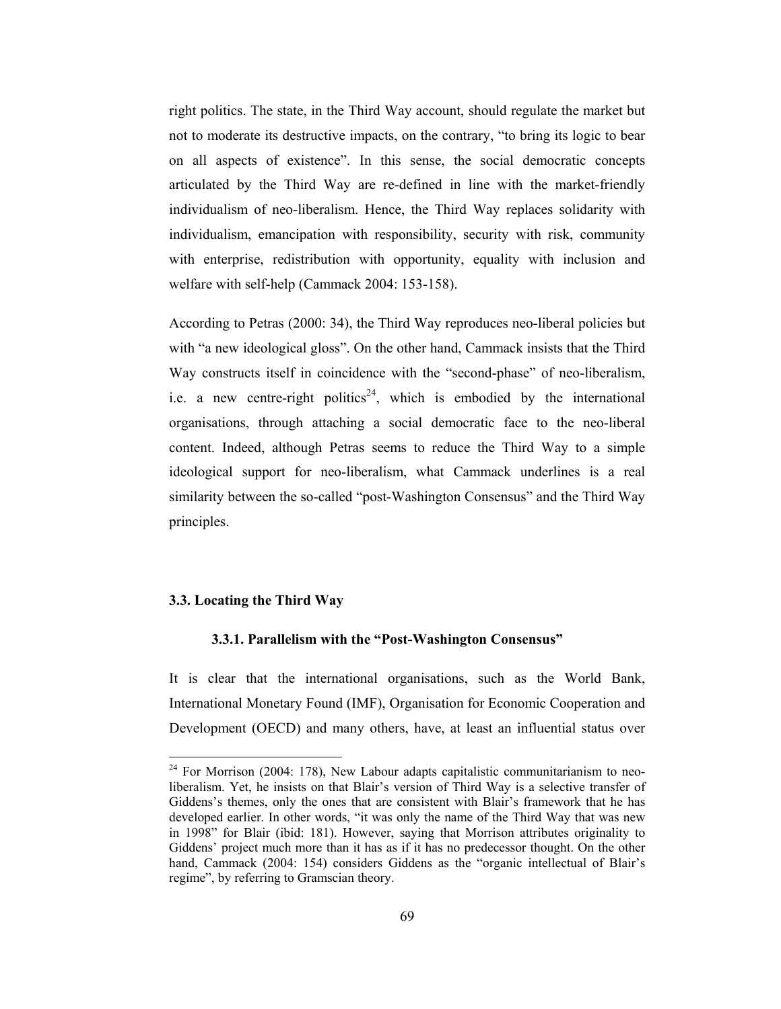right politics. The state, in the Third Way account, should regulate the market but not to moderate its destructive impacts, on the contrary, "to bring its logic to bear on all aspects of existence". In this sense, the social democratic concepts articulated by the Third Way are re-defined in line with the market-friendly individualism of neo-liberalism. Hence, the Third Way replaces solidarity with individualism, emancipation with responsibility, security with risk, community with enterprise, redistribution with opportunity, equality with inclusion and welfare with self-help (Cammack 2004: 153-158).

According to Petras (2000: 34), the Third Way reproduces neo-liberal policies but with "a new ideological gloss". On the other hand, Cammack insists that the Third Way constructs itself in coincidence with the "second-phase" of neo-liberalism, i.e. a new centre-right politics<sup>24</sup>, which is embodied by the international organisations, through attaching a social democratic face to the neo-liberal content. Indeed, although Petras seems to reduce the Third Way to a simple ideological support for neo-liberalism, what Cammack underlines is a real similarity between the so-called "post-Washington Consensus" and the Third Way principles.

## 3.3. Locating the Third Way

## 3.3.1. Parallelism with the "Post-Washington Consensus"

It is clear that the international organisations, such as the World Bank, International Monetary Found (IMF), Organisation for Economic Cooperation and Development (OECD) and many others, have, at least an influential status over

 $24$  For Morrison (2004: 178), New Labour adapts capitalistic communitarianism to neoliberalism. Yet, he insists on that Blair's version of Third Way is a selective transfer of Giddens's themes, only the ones that are consistent with Blair's framework that he has developed earlier. In other words, "it was only the name of the Third Way that was new in 1998" for Blair (ibid: 181). However, saying that Morrison attributes originality to Giddens' project much more than it has as if it has no predecessor thought. On the other hand, Cammack (2004: 154) considers Giddens as the "organic intellectual of Blair's regime", by referring to Gramscian theory.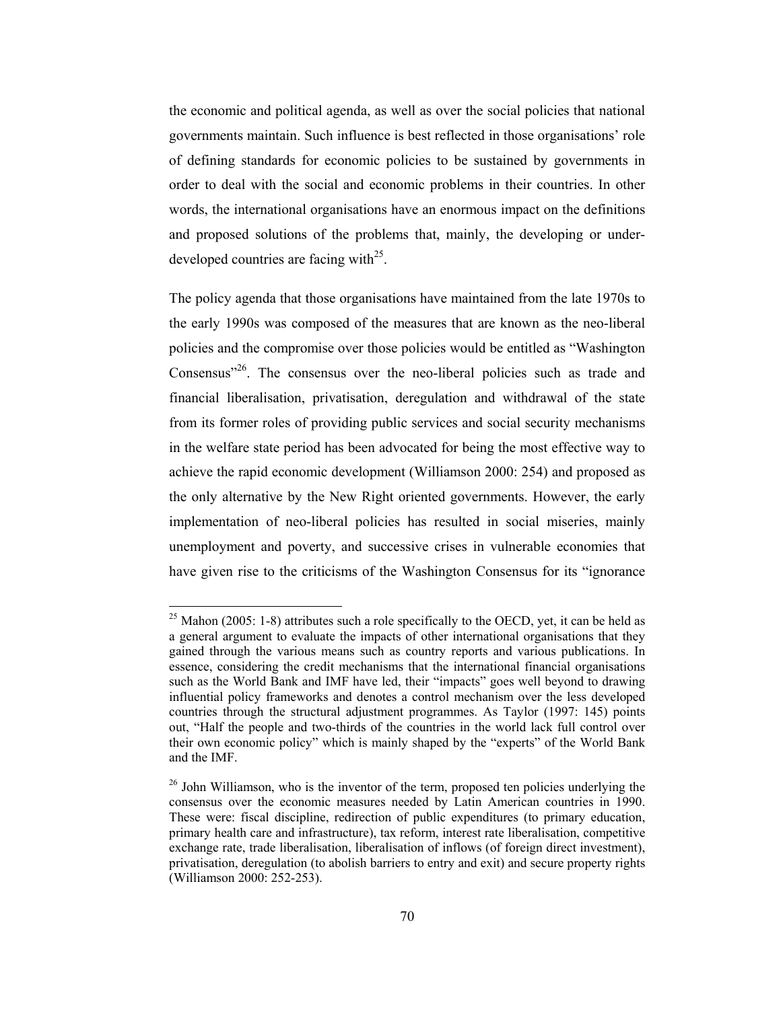the economic and political agenda, as well as over the social policies that national governments maintain. Such influence is best reflected in those organisations' role of defining standards for economic policies to be sustained by governments in order to deal with the social and economic problems in their countries. In other words, the international organisations have an enormous impact on the definitions and proposed solutions of the problems that, mainly, the developing or underdeveloped countries are facing with<sup>25</sup>.

The policy agenda that those organisations have maintained from the late 1970s to the early 1990s was composed of the measures that are known as the neo-liberal policies and the compromise over those policies would be entitled as "Washington" Consensus"<sup>26</sup>. The consensus over the neo-liberal policies such as trade and financial liberalisation, privatisation, deregulation and withdrawal of the state from its former roles of providing public services and social security mechanisms in the welfare state period has been advocated for being the most effective way to achieve the rapid economic development (Williamson 2000: 254) and proposed as the only alternative by the New Right oriented governments. However, the early implementation of neo-liberal policies has resulted in social miseries, mainly unemployment and poverty, and successive crises in vulnerable economies that have given rise to the criticisms of the Washington Consensus for its "ignorance"

<sup>&</sup>lt;sup>25</sup> Mahon (2005: 1-8) attributes such a role specifically to the OECD, yet, it can be held as a general argument to evaluate the impacts of other international organisations that they gained through the various means such as country reports and various publications. In essence, considering the credit mechanisms that the international financial organisations such as the World Bank and IMF have led, their "impacts" goes well beyond to drawing influential policy frameworks and denotes a control mechanism over the less developed countries through the structural adjustment programmes. As Taylor (1997: 145) points out, "Half the people and two-thirds of the countries in the world lack full control over their own economic policy" which is mainly shaped by the "experts" of the World Bank and the IMF.

<sup>&</sup>lt;sup>26</sup> John Williamson, who is the inventor of the term, proposed ten policies underlying the consensus over the economic measures needed by Latin American countries in 1990. These were: fiscal discipline, redirection of public expenditures (to primary education, primary health care and infrastructure), tax reform, interest rate liberalisation, competitive exchange rate, trade liberalisation, liberalisation of inflows (of foreign direct investment), privatisation, deregulation (to abolish barriers to entry and exit) and secure property rights (Williamson 2000: 252-253).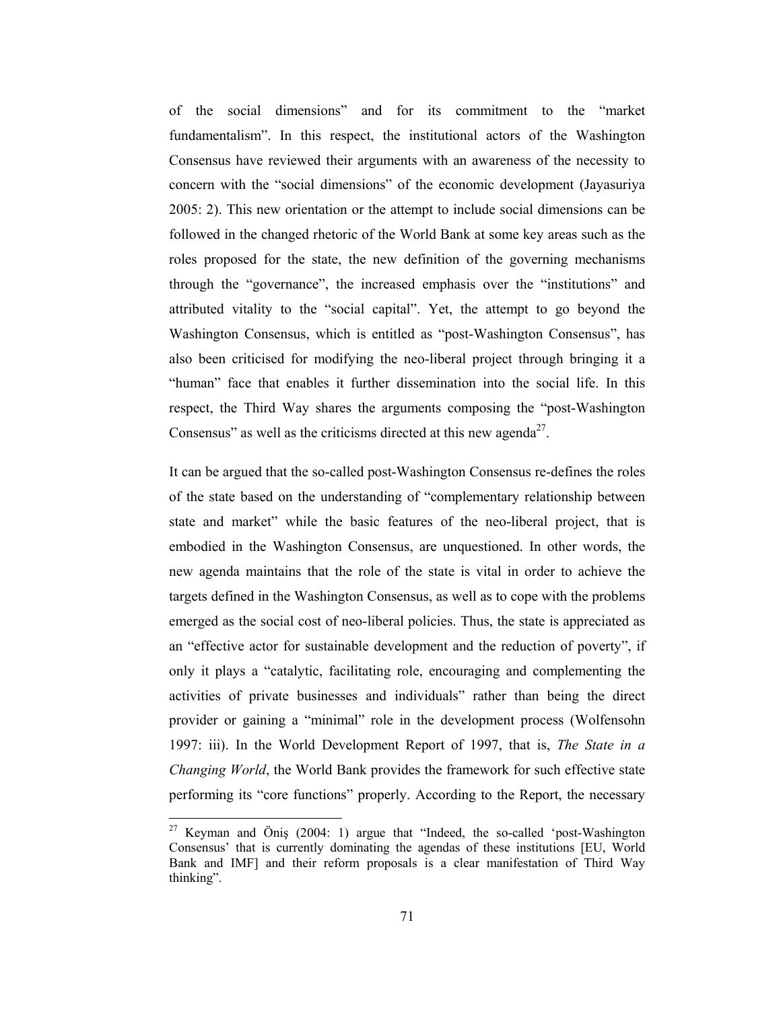of the social dimensions" and for its commitment to the "market" fundamentalism". In this respect, the institutional actors of the Washington Consensus have reviewed their arguments with an awareness of the necessity to concern with the "social dimensions" of the economic development (Javasuriya 2005: 2). This new orientation or the attempt to include social dimensions can be followed in the changed rhetoric of the World Bank at some key areas such as the roles proposed for the state, the new definition of the governing mechanisms through the "governance", the increased emphasis over the "institutions" and attributed vitality to the "social capital". Yet, the attempt to go beyond the Washington Consensus, which is entitled as "post-Washington Consensus", has also been criticised for modifying the neo-liberal project through bringing it a "human" face that enables it further dissemination into the social life. In this respect, the Third Way shares the arguments composing the "post-Washington" Consensus" as well as the criticisms directed at this new agenda<sup>27</sup>.

It can be argued that the so-called post-Washington Consensus re-defines the roles of the state based on the understanding of "complementary relationship between state and market" while the basic features of the neo-liberal project, that is embodied in the Washington Consensus, are unquestioned. In other words, the new agenda maintains that the role of the state is vital in order to achieve the targets defined in the Washington Consensus, as well as to cope with the problems emerged as the social cost of neo-liberal policies. Thus, the state is appreciated as an "effective actor for sustainable development and the reduction of poverty", if only it plays a "catalytic, facilitating role, encouraging and complementing the activities of private businesses and individuals" rather than being the direct provider or gaining a "minimal" role in the development process (Wolfensohn 1997: iii). In the World Development Report of 1997, that is, The State in a Changing World, the World Bank provides the framework for such effective state performing its "core functions" properly. According to the Report, the necessary

<sup>&</sup>lt;sup>27</sup> Keyman and Öniş (2004: 1) argue that "Indeed, the so-called 'post-Washington Consensus' that is currently dominating the agendas of these institutions [EU, World Bank and IMF] and their reform proposals is a clear manifestation of Third Way thinking".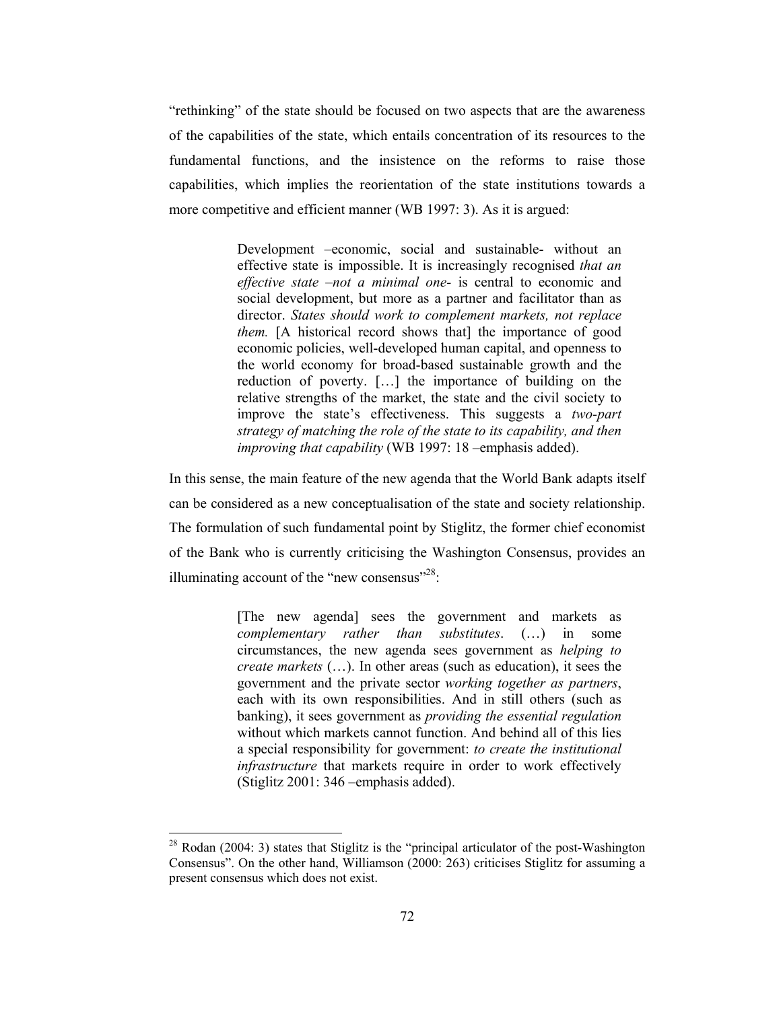"rethinking" of the state should be focused on two aspects that are the awareness of the capabilities of the state, which entails concentration of its resources to the fundamental functions, and the insistence on the reforms to raise those capabilities, which implies the reorientation of the state institutions towards a more competitive and efficient manner (WB 1997: 3). As it is argued:

> Development -economic, social and sustainable- without an effective state is impossible. It is increasingly recognised that an effective state  $-not$  a minimal one- is central to economic and social development, but more as a partner and facilitator than as director. States should work to complement markets, not replace *them.* [A historical record shows that] the importance of good economic policies, well-developed human capital, and openness to the world economy for broad-based sustainable growth and the reduction of poverty. [...] the importance of building on the relative strengths of the market, the state and the civil society to improve the state's effectiveness. This suggests a two-part strategy of matching the role of the state to its capability, and then improving that capability (WB 1997: 18 -emphasis added).

In this sense, the main feature of the new agenda that the World Bank adapts itself can be considered as a new conceptualisation of the state and society relationship. The formulation of such fundamental point by Stiglitz, the former chief economist of the Bank who is currently criticising the Washington Consensus, provides an illuminating account of the "new consensus"<sup>28</sup>.

> [The new agenda] sees the government and markets as complementary rather than substitutes.  $(...)$  in some circumstances, the new agenda sees government as *helping to create markets* (...). In other areas (such as education), it sees the government and the private sector *working together as partners*, each with its own responsibilities. And in still others (such as banking), it sees government as *providing the essential regulation* without which markets cannot function. And behind all of this lies a special responsibility for government: to create the institutional *infrastructure* that markets require in order to work effectively (Stiglitz 2001: 346 – emphasis added).

 $^{28}$  Rodan (2004: 3) states that Stiglitz is the "principal articulator of the post-Washington Consensus". On the other hand, Williamson (2000: 263) criticises Stiglitz for assuming a present consensus which does not exist.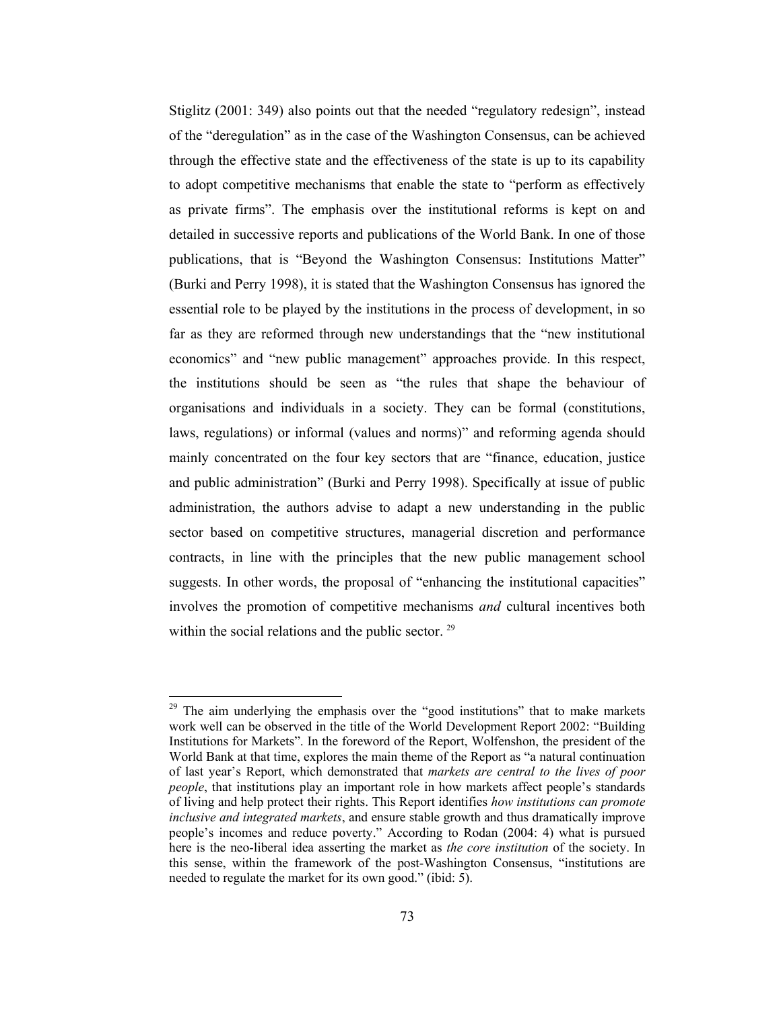Stiglitz (2001: 349) also points out that the needed "regulatory redesign", instead of the "deregulation" as in the case of the Washington Consensus, can be achieved through the effective state and the effectiveness of the state is up to its capability to adopt competitive mechanisms that enable the state to "perform as effectively as private firms". The emphasis over the institutional reforms is kept on and detailed in successive reports and publications of the World Bank. In one of those publications, that is "Beyond the Washington Consensus: Institutions Matter" (Burki and Perry 1998), it is stated that the Washington Consensus has ignored the essential role to be played by the institutions in the process of development, in so far as they are reformed through new understandings that the "new institutional economics" and "new public management" approaches provide. In this respect, the institutions should be seen as "the rules that shape the behaviour of organisations and individuals in a society. They can be formal (constitutions, laws, regulations) or informal (values and norms)" and reforming agenda should mainly concentrated on the four key sectors that are "finance, education, justice and public administration" (Burki and Perry 1998). Specifically at issue of public administration, the authors advise to adapt a new understanding in the public sector based on competitive structures, managerial discretion and performance contracts, in line with the principles that the new public management school suggests. In other words, the proposal of "enhancing the institutional capacities" involves the promotion of competitive mechanisms and cultural incentives both within the social relations and the public sector.<sup>29</sup>

<sup>&</sup>lt;sup>29</sup> The aim underlying the emphasis over the "good institutions" that to make markets work well can be observed in the title of the World Development Report 2002: "Building Institutions for Markets". In the foreword of the Report, Wolfenshon, the president of the World Bank at that time, explores the main theme of the Report as "a natural continuation of last year's Report, which demonstrated that markets are central to the lives of poor *people*, that institutions play an important role in how markets affect people's standards of living and help protect their rights. This Report identifies how institutions can promote inclusive and integrated markets, and ensure stable growth and thus dramatically improve people's incomes and reduce poverty." According to Rodan (2004: 4) what is pursued here is the neo-liberal idea asserting the market as the core institution of the society. In this sense, within the framework of the post-Washington Consensus, "institutions are needed to regulate the market for its own good." (ibid: 5).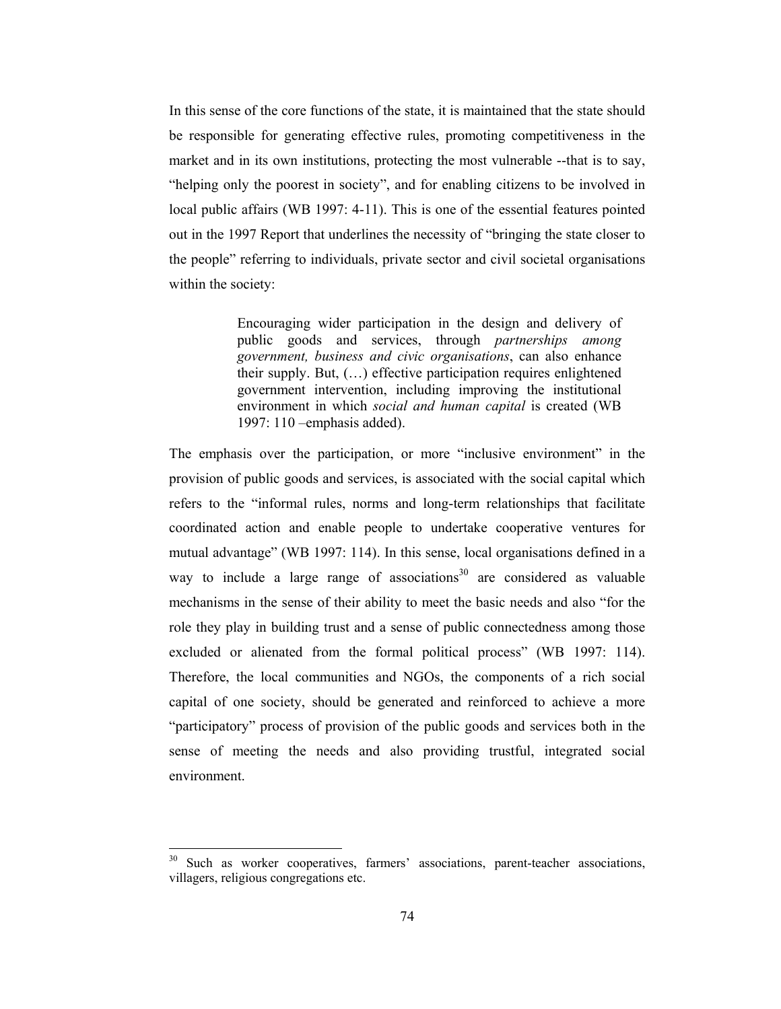In this sense of the core functions of the state, it is maintained that the state should be responsible for generating effective rules, promoting competitiveness in the market and in its own institutions, protecting the most vulnerable -- that is to say, "helping only the poorest in society", and for enabling citizens to be involved in local public affairs (WB 1997: 4-11). This is one of the essential features pointed out in the 1997 Report that underlines the necessity of "bringing the state closer to the people" referring to individuals, private sector and civil societal organisations within the society:

> Encouraging wider participation in the design and delivery of public goods and services, through *partnerships among* government, business and civic organisations, can also enhance their supply. But, (...) effective participation requires enlightened government intervention, including improving the institutional environment in which social and human capital is created (WB 1997:  $110$  -emphasis added).

The emphasis over the participation, or more "inclusive environment" in the provision of public goods and services, is associated with the social capital which refers to the "informal rules, norms and long-term relationships that facilitate coordinated action and enable people to undertake cooperative ventures for mutual advantage" (WB 1997: 114). In this sense, local organisations defined in a way to include a large range of associations<sup>30</sup> are considered as valuable mechanisms in the sense of their ability to meet the basic needs and also "for the role they play in building trust and a sense of public connectedness among those excluded or alienated from the formal political process" (WB 1997: 114). Therefore, the local communities and NGOs, the components of a rich social capital of one society, should be generated and reinforced to achieve a more "participatory" process of provision of the public goods and services both in the sense of meeting the needs and also providing trustful, integrated social environment.

Such as worker cooperatives, farmers' associations, parent-teacher associations, villagers, religious congregations etc.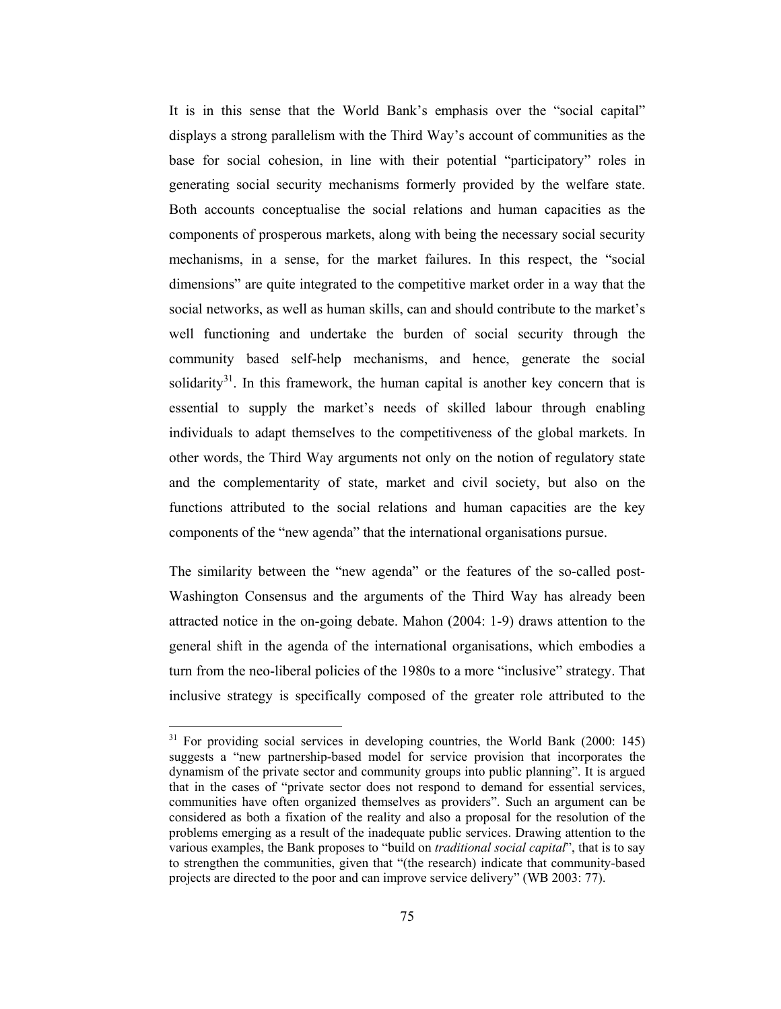It is in this sense that the World Bank's emphasis over the "social capital" displays a strong parallelism with the Third Way's account of communities as the base for social cohesion, in line with their potential "participatory" roles in generating social security mechanisms formerly provided by the welfare state. Both accounts conceptualise the social relations and human capacities as the components of prosperous markets, along with being the necessary social security mechanisms, in a sense, for the market failures. In this respect, the "social dimensions" are quite integrated to the competitive market order in a way that the social networks, as well as human skills, can and should contribute to the market's well functioning and undertake the burden of social security through the community based self-help mechanisms, and hence, generate the social solidarity<sup>31</sup>. In this framework, the human capital is another key concern that is essential to supply the market's needs of skilled labour through enabling individuals to adapt themselves to the competitiveness of the global markets. In other words, the Third Way arguments not only on the notion of regulatory state and the complementarity of state, market and civil society, but also on the functions attributed to the social relations and human capacities are the key components of the "new agenda" that the international organisations pursue.

The similarity between the "new agenda" or the features of the so-called post-Washington Consensus and the arguments of the Third Way has already been attracted notice in the on-going debate. Mahon (2004: 1-9) draws attention to the general shift in the agenda of the international organisations, which embodies a turn from the neo-liberal policies of the 1980s to a more "inclusive" strategy. That inclusive strategy is specifically composed of the greater role attributed to the

<sup>&</sup>lt;sup>31</sup> For providing social services in developing countries, the World Bank (2000: 145) suggests a "new partnership-based model for service provision that incorporates the dynamism of the private sector and community groups into public planning". It is argued that in the cases of "private sector does not respond to demand for essential services, communities have often organized themselves as providers". Such an argument can be considered as both a fixation of the reality and also a proposal for the resolution of the problems emerging as a result of the inadequate public services. Drawing attention to the various examples, the Bank proposes to "build on *traditional social capital*", that is to say to strengthen the communities, given that "(the research) indicate that community-based projects are directed to the poor and can improve service delivery" (WB 2003: 77).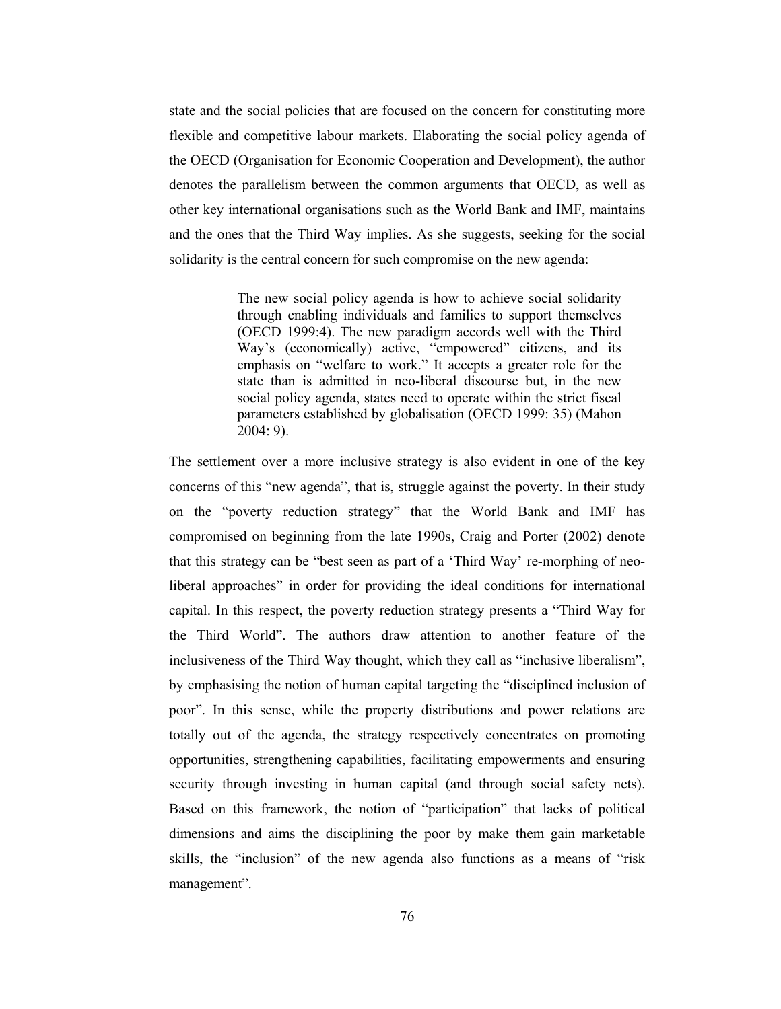state and the social policies that are focused on the concern for constituting more flexible and competitive labour markets. Elaborating the social policy agenda of the OECD (Organisation for Economic Cooperation and Development), the author denotes the parallelism between the common arguments that OECD, as well as other key international organisations such as the World Bank and IMF, maintains and the ones that the Third Way implies. As she suggests, seeking for the social solidarity is the central concern for such compromise on the new agenda:

> The new social policy agenda is how to achieve social solidarity through enabling individuals and families to support themselves (OECD 1999:4). The new paradigm accords well with the Third Way's (economically) active, "empowered" citizens, and its emphasis on "welfare to work." It accepts a greater role for the state than is admitted in neo-liberal discourse but, in the new social policy agenda, states need to operate within the strict fiscal parameters established by globalisation (OECD 1999: 35) (Mahon  $2004:9$ ).

The settlement over a more inclusive strategy is also evident in one of the key concerns of this "new agenda", that is, struggle against the poverty. In their study on the "poverty reduction strategy" that the World Bank and IMF has compromised on beginning from the late 1990s, Craig and Porter (2002) denote that this strategy can be "best seen as part of a 'Third Way' re-morphing of neoliberal approaches" in order for providing the ideal conditions for international capital. In this respect, the poverty reduction strategy presents a "Third Way for the Third World". The authors draw attention to another feature of the inclusiveness of the Third Way thought, which they call as "inclusive liberalism", by emphasising the notion of human capital targeting the "disciplined inclusion of poor". In this sense, while the property distributions and power relations are totally out of the agenda, the strategy respectively concentrates on promoting opportunities, strengthening capabilities, facilitating empowerments and ensuring security through investing in human capital (and through social safety nets). Based on this framework, the notion of "participation" that lacks of political dimensions and aims the disciplining the poor by make them gain marketable skills, the "inclusion" of the new agenda also functions as a means of "risk management".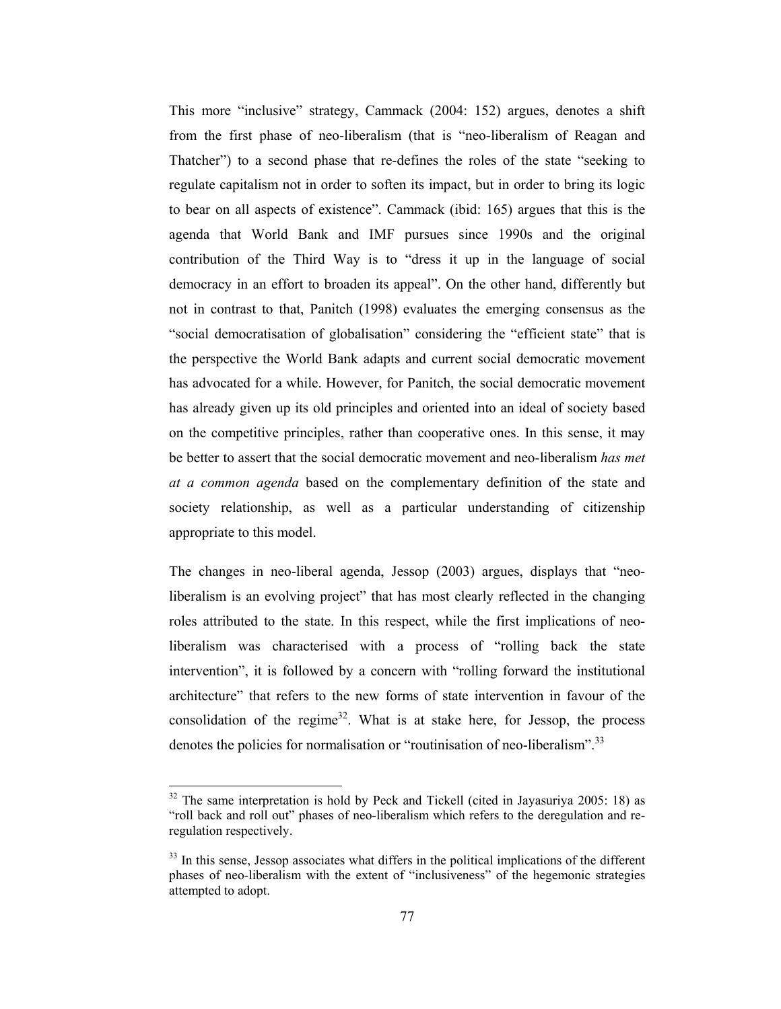This more "inclusive" strategy, Cammack (2004: 152) argues, denotes a shift from the first phase of neo-liberalism (that is "neo-liberalism of Reagan and Thatcher") to a second phase that re-defines the roles of the state "seeking to regulate capitalism not in order to soften its impact, but in order to bring its logic to bear on all aspects of existence". Cammack (ibid: 165) argues that this is the agenda that World Bank and IMF pursues since 1990s and the original contribution of the Third Way is to "dress it up in the language of social democracy in an effort to broaden its appeal". On the other hand, differently but not in contrast to that, Panitch (1998) evaluates the emerging consensus as the "social democratisation of globalisation" considering the "efficient state" that is the perspective the World Bank adapts and current social democratic movement has advocated for a while. However, for Panitch, the social democratic movement has already given up its old principles and oriented into an ideal of society based on the competitive principles, rather than cooperative ones. In this sense, it may be better to assert that the social democratic movement and neo-liberalism has met at a common agenda based on the complementary definition of the state and society relationship, as well as a particular understanding of citizenship appropriate to this model.

The changes in neo-liberal agenda, Jessop (2003) argues, displays that "neoliberalism is an evolving project" that has most clearly reflected in the changing roles attributed to the state. In this respect, while the first implications of neoliberalism was characterised with a process of "rolling back the state intervention", it is followed by a concern with "rolling forward the institutional architecture" that refers to the new forms of state intervention in favour of the consolidation of the regime<sup>32</sup>. What is at stake here, for Jessop, the process denotes the policies for normalisation or "routinisation of neo-liberalism".<sup>33</sup>

<sup>&</sup>lt;sup>32</sup> The same interpretation is hold by Peck and Tickell (cited in Jayasuriya 2005: 18) as "roll back and roll out" phases of neo-liberalism which refers to the deregulation and reregulation respectively.

<sup>&</sup>lt;sup>33</sup> In this sense, Jessop associates what differs in the political implications of the different phases of neo-liberalism with the extent of "inclusiveness" of the hegemonic strategies attempted to adopt.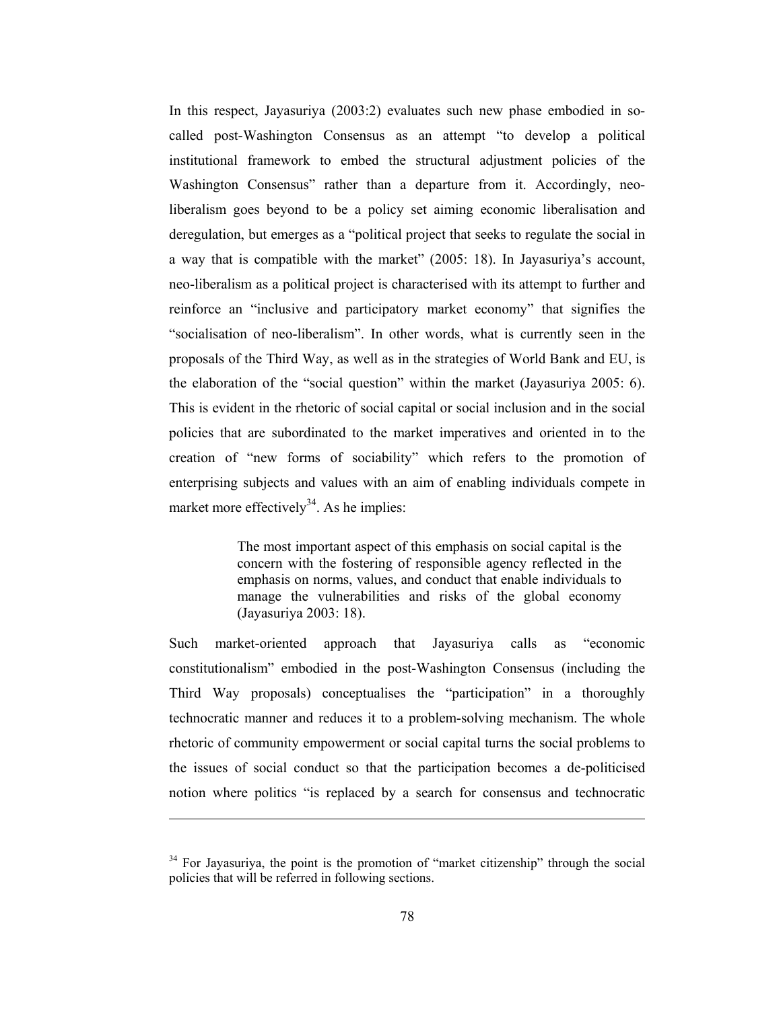In this respect, Jayasuriya (2003:2) evaluates such new phase embodied in socalled post-Washington Consensus as an attempt "to develop a political institutional framework to embed the structural adjustment policies of the Washington Consensus" rather than a departure from it. Accordingly, neoliberalism goes beyond to be a policy set aiming economic liberalisation and deregulation, but emerges as a "political project that seeks to regulate the social in a way that is compatible with the market" (2005: 18). In Jayasuriya's account, neo-liberalism as a political project is characterised with its attempt to further and reinforce an "inclusive and participatory market economy" that signifies the "socialisation of neo-liberalism". In other words, what is currently seen in the proposals of the Third Way, as well as in the strategies of World Bank and EU, is the elaboration of the "social question" within the market (Jayasuriya 2005: 6). This is evident in the rhetoric of social capital or social inclusion and in the social policies that are subordinated to the market imperatives and oriented in to the creation of "new forms of sociability" which refers to the promotion of enterprising subjects and values with an aim of enabling individuals compete in market more effectively<sup>34</sup>. As he implies:

> The most important aspect of this emphasis on social capital is the concern with the fostering of responsible agency reflected in the emphasis on norms, values, and conduct that enable individuals to manage the vulnerabilities and risks of the global economy (Jayasuriya 2003: 18).

market-oriented approach that Jayasuriya calls as Such "economic constitutionalism" embodied in the post-Washington Consensus (including the Third Way proposals) conceptualises the "participation" in a thoroughly technocratic manner and reduces it to a problem-solving mechanism. The whole rhetoric of community empowerment or social capital turns the social problems to the issues of social conduct so that the participation becomes a de-politicised notion where politics "is replaced by a search for consensus and technocratic

<sup>&</sup>lt;sup>34</sup> For Jayasuriya, the point is the promotion of "market citizenship" through the social policies that will be referred in following sections.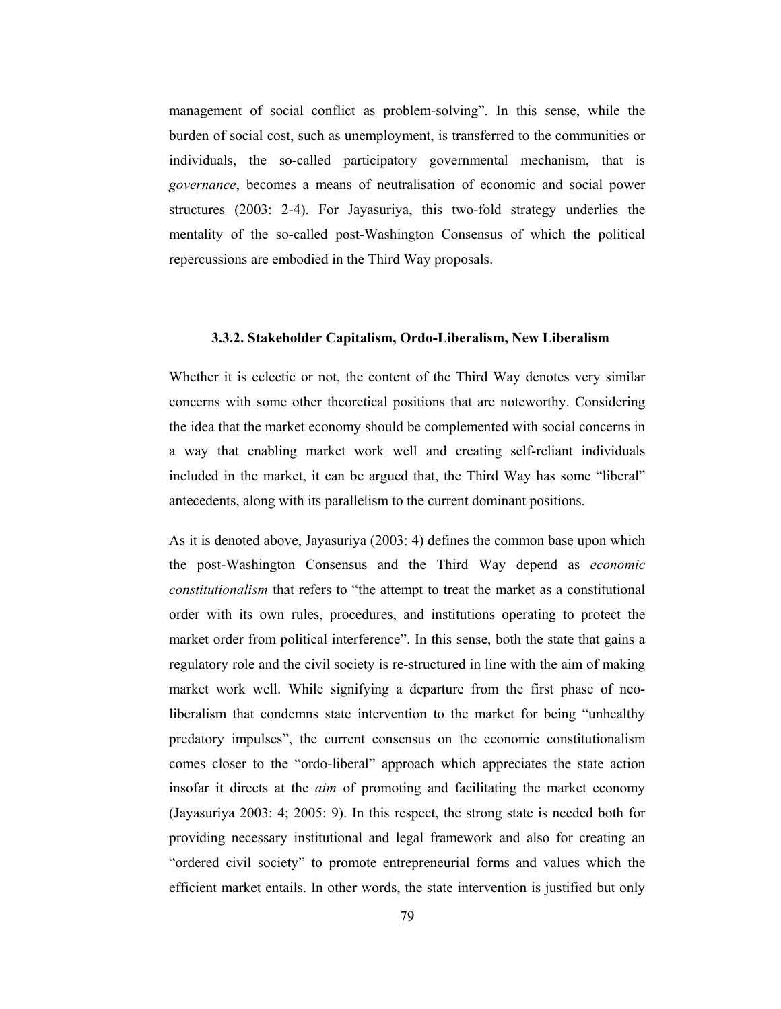management of social conflict as problem-solving". In this sense, while the burden of social cost, such as unemployment, is transferred to the communities or individuals, the so-called participatory governmental mechanism, that is *governance*, becomes a means of neutralisation of economic and social power structures (2003: 2-4). For Jayasuriya, this two-fold strategy underlies the mentality of the so-called post-Washington Consensus of which the political repercussions are embodied in the Third Way proposals.

## 3.3.2. Stakeholder Capitalism, Ordo-Liberalism, New Liberalism

Whether it is eclectic or not, the content of the Third Way denotes very similar concerns with some other theoretical positions that are noteworthy. Considering the idea that the market economy should be complemented with social concerns in a way that enabling market work well and creating self-reliant individuals included in the market, it can be argued that, the Third Way has some "liberal" antecedents, along with its parallelism to the current dominant positions.

As it is denoted above, Jayasuriya (2003: 4) defines the common base upon which the post-Washington Consensus and the Third Way depend as *economic* constitutionalism that refers to "the attempt to treat the market as a constitutional order with its own rules, procedures, and institutions operating to protect the market order from political interference". In this sense, both the state that gains a regulatory role and the civil society is re-structured in line with the aim of making market work well. While signifying a departure from the first phase of neoliberalism that condemns state intervention to the market for being "unhealthy predatory impulses", the current consensus on the economic constitutionalism comes closer to the "ordo-liberal" approach which appreciates the state action insofar it directs at the *aim* of promoting and facilitating the market economy (Jayasuriya 2003: 4; 2005: 9). In this respect, the strong state is needed both for providing necessary institutional and legal framework and also for creating an "ordered civil society" to promote entrepreneurial forms and values which the efficient market entails. In other words, the state intervention is justified but only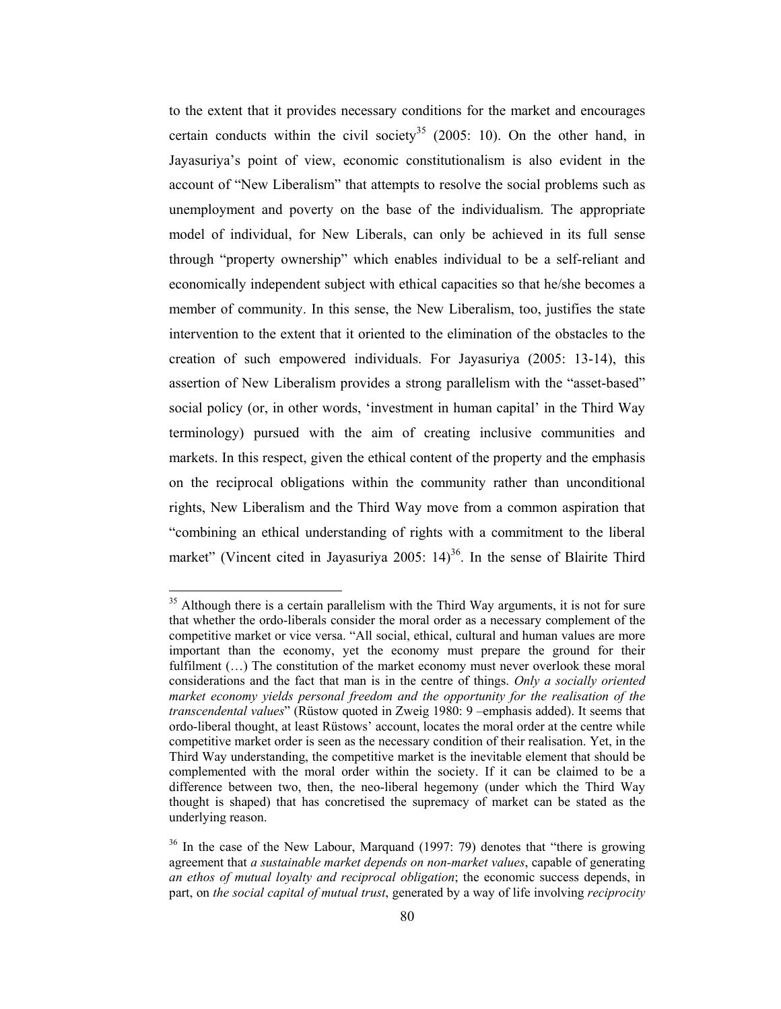to the extent that it provides necessary conditions for the market and encourages certain conducts within the civil society<sup>35</sup> (2005: 10). On the other hand, in Jayasuriya's point of view, economic constitutionalism is also evident in the account of "New Liberalism" that attempts to resolve the social problems such as unemployment and poverty on the base of the individualism. The appropriate model of individual, for New Liberals, can only be achieved in its full sense through "property ownership" which enables individual to be a self-reliant and economically independent subject with ethical capacities so that he/she becomes a member of community. In this sense, the New Liberalism, too, justifies the state intervention to the extent that it oriented to the elimination of the obstacles to the creation of such empowered individuals. For Jayasuriya (2005: 13-14), this assertion of New Liberalism provides a strong parallelism with the "asset-based" social policy (or, in other words, 'investment in human capital' in the Third Way terminology) pursued with the aim of creating inclusive communities and markets. In this respect, given the ethical content of the property and the emphasis on the reciprocal obligations within the community rather than unconditional rights, New Liberalism and the Third Way move from a common aspiration that "combining an ethical understanding of rights with a commitment to the liberal market" (Vincent cited in Jayasuriya 2005: 14)<sup>36</sup>. In the sense of Blairite Third

<sup>&</sup>lt;sup>35</sup> Although there is a certain parallelism with the Third Way arguments, it is not for sure that whether the ordo-liberals consider the moral order as a necessary complement of the competitive market or vice versa. "All social, ethical, cultural and human values are more important than the economy, yet the economy must prepare the ground for their fulfilment (...) The constitution of the market economy must never overlook these moral considerations and the fact that man is in the centre of things. Only a socially oriented market economy yields personal freedom and the opportunity for the realisation of the transcendental values" (Rüstow quoted in Zweig 1980: 9 -emphasis added). It seems that ordo-liberal thought, at least Rüstows' account, locates the moral order at the centre while competitive market order is seen as the necessary condition of their realisation. Yet, in the Third Way understanding, the competitive market is the inevitable element that should be complemented with the moral order within the society. If it can be claimed to be a difference between two, then, the neo-liberal hegemony (under which the Third Way thought is shaped) that has concretised the supremacy of market can be stated as the underlying reason.

 $36$  In the case of the New Labour, Marquand (1997: 79) denotes that "there is growing agreement that a sustainable market depends on non-market values, capable of generating an ethos of mutual loyalty and reciprocal obligation; the economic success depends, in part, on the social capital of mutual trust, generated by a way of life involving reciprocity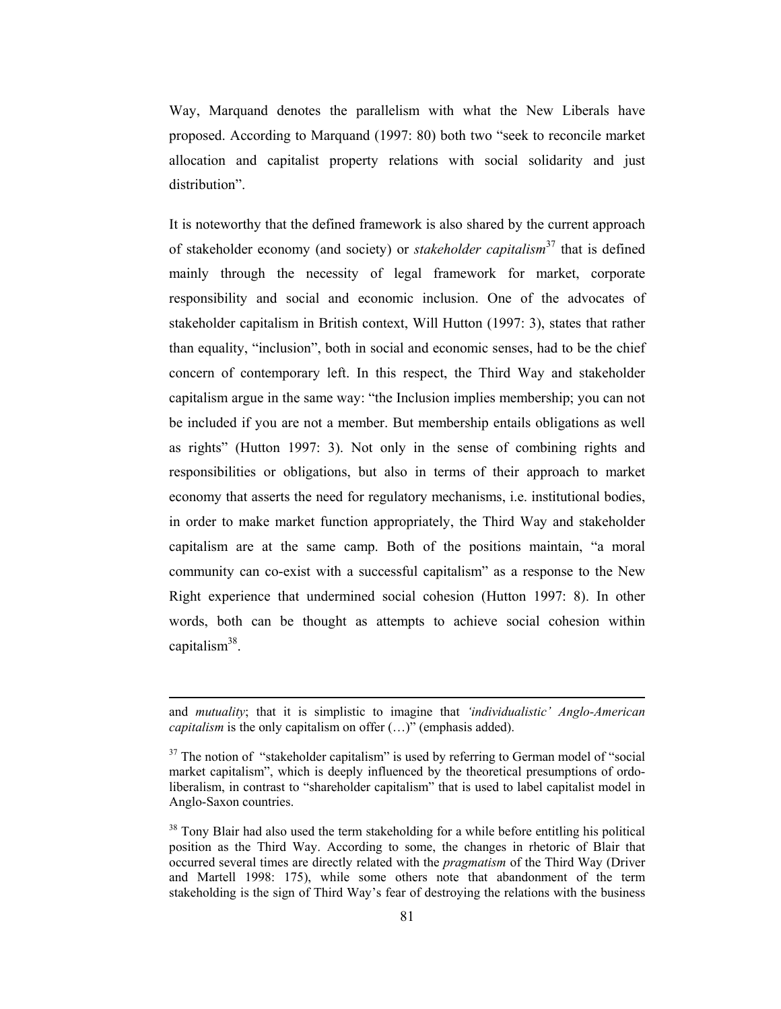Way, Marquand denotes the parallelism with what the New Liberals have proposed. According to Marquand (1997: 80) both two "seek to reconcile market allocation and capitalist property relations with social solidarity and just distribution".

It is noteworthy that the defined framework is also shared by the current approach of stakeholder economy (and society) or *stakeholder capitalism*<sup>37</sup> that is defined mainly through the necessity of legal framework for market, corporate responsibility and social and economic inclusion. One of the advocates of stakeholder capitalism in British context, Will Hutton (1997: 3), states that rather than equality, "inclusion", both in social and economic senses, had to be the chief concern of contemporary left. In this respect, the Third Way and stakeholder capitalism argue in the same way: "the Inclusion implies membership; you can not be included if you are not a member. But membership entails obligations as well as rights" (Hutton 1997: 3). Not only in the sense of combining rights and responsibilities or obligations, but also in terms of their approach to market economy that asserts the need for regulatory mechanisms, i.e. institutional bodies, in order to make market function appropriately, the Third Way and stakeholder capitalism are at the same camp. Both of the positions maintain, "a moral community can co-exist with a successful capitalism" as a response to the New Right experience that undermined social cohesion (Hutton 1997: 8). In other words, both can be thought as attempts to achieve social cohesion within capitalism $38$ .

and *mutuality*; that it is simplistic to imagine that *'individualistic' Anglo-American capitalism* is the only capitalism on offer  $(...)$  (emphasis added).

<sup>&</sup>lt;sup>37</sup> The notion of "stakeholder capitalism" is used by referring to German model of "social market capitalism", which is deeply influenced by the theoretical presumptions of ordoliberalism, in contrast to "shareholder capitalism" that is used to label capitalist model in Anglo-Saxon countries.

<sup>&</sup>lt;sup>38</sup> Tony Blair had also used the term stakeholding for a while before entitling his political position as the Third Way. According to some, the changes in rhetoric of Blair that occurred several times are directly related with the *pragmatism* of the Third Way (Driver and Martell 1998: 175), while some others note that abandonment of the term stakeholding is the sign of Third Way's fear of destroving the relations with the business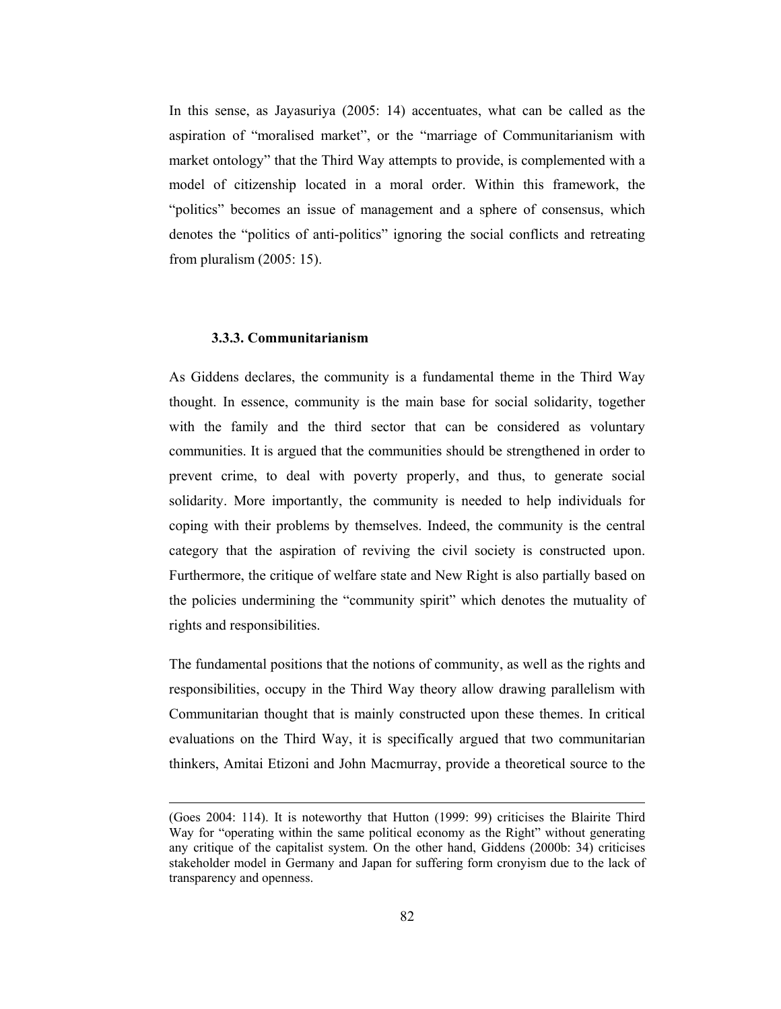In this sense, as Jayasuriya (2005: 14) accentuates, what can be called as the aspiration of "moralised market", or the "marriage of Communitarianism with market ontology" that the Third Way attempts to provide, is complemented with a model of citizenship located in a moral order. Within this framework, the "politics" becomes an issue of management and a sphere of consensus, which denotes the "politics of anti-politics" ignoring the social conflicts and retreating from pluralism  $(2005: 15)$ .

#### 3.3.3. Communitarianism

As Giddens declares, the community is a fundamental theme in the Third Way thought. In essence, community is the main base for social solidarity, together with the family and the third sector that can be considered as voluntary communities. It is argued that the communities should be strengthened in order to prevent crime, to deal with poverty properly, and thus, to generate social solidarity. More importantly, the community is needed to help individuals for coping with their problems by themselves. Indeed, the community is the central category that the aspiration of reviving the civil society is constructed upon. Furthermore, the critique of welfare state and New Right is also partially based on the policies undermining the "community spirit" which denotes the mutuality of rights and responsibilities.

The fundamental positions that the notions of community, as well as the rights and responsibilities, occupy in the Third Way theory allow drawing parallelism with Communitarian thought that is mainly constructed upon these themes. In critical evaluations on the Third Way, it is specifically argued that two communitarian thinkers, Amitai Etizoni and John Macmurray, provide a theoretical source to the

<sup>(</sup>Goes 2004: 114). It is noteworthy that Hutton (1999: 99) criticises the Blairite Third Way for "operating within the same political economy as the Right" without generating any critique of the capitalist system. On the other hand, Giddens (2000b: 34) criticises stakeholder model in Germany and Japan for suffering form cronyism due to the lack of transparency and openness.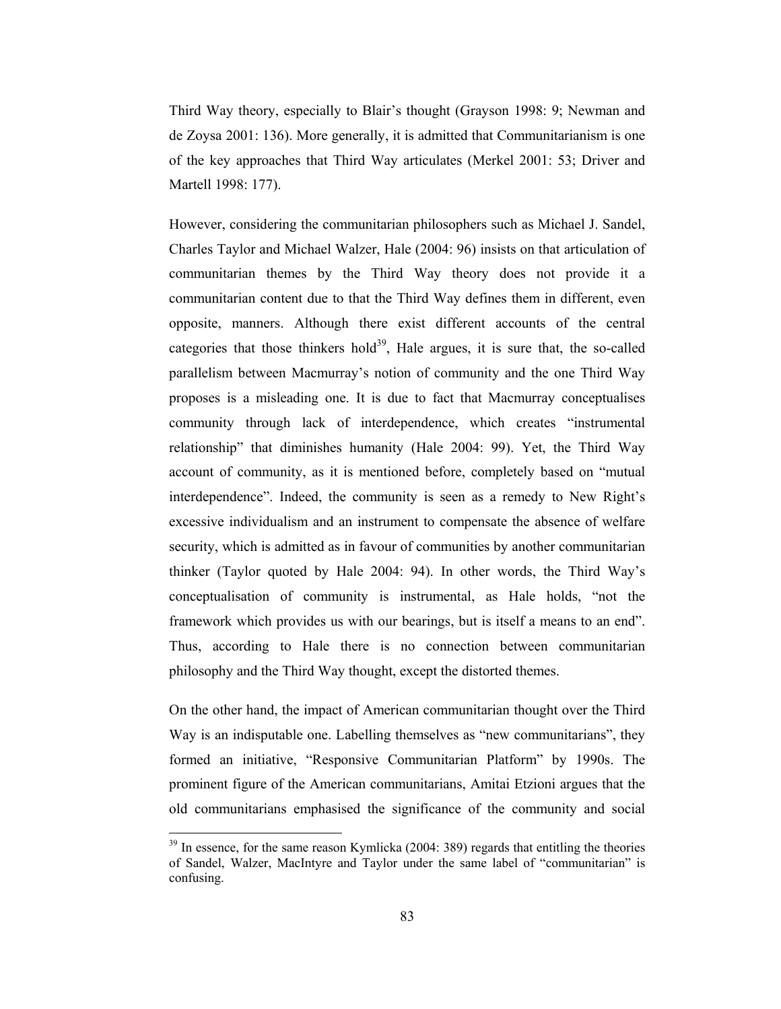Third Way theory, especially to Blair's thought (Grayson 1998: 9; Newman and de Zoysa 2001: 136). More generally, it is admitted that Communitarianism is one of the key approaches that Third Way articulates (Merkel 2001: 53; Driver and Martell 1998: 177).

However, considering the communitarian philosophers such as Michael J. Sandel, Charles Taylor and Michael Walzer, Hale (2004: 96) insists on that articulation of communitarian themes by the Third Way theory does not provide it a communitarian content due to that the Third Way defines them in different, even opposite, manners. Although there exist different accounts of the central categories that those thinkers hold<sup>39</sup>. Hale argues, it is sure that, the so-called parallelism between Macmurray's notion of community and the one Third Way proposes is a misleading one. It is due to fact that Macmurray conceptualises community through lack of interdependence, which creates "instrumental" relationship" that diminishes humanity (Hale 2004: 99). Yet, the Third Way account of community, as it is mentioned before, completely based on "mutual interdependence". Indeed, the community is seen as a remedy to New Right's excessive individualism and an instrument to compensate the absence of welfare security, which is admitted as in favour of communities by another communitarian thinker (Taylor quoted by Hale 2004: 94). In other words, the Third Way's conceptualisation of community is instrumental, as Hale holds, "not the framework which provides us with our bearings, but is itself a means to an end". Thus, according to Hale there is no connection between communitarian philosophy and the Third Way thought, except the distorted themes.

On the other hand, the impact of American communitarian thought over the Third Way is an indisputable one. Labelling themselves as "new communitarians", they formed an initiative, "Responsive Communitarian Platform" by 1990s. The prominent figure of the American communitarians, Amitai Etzioni argues that the old communitarians emphasised the significance of the community and social

 $39$  In essence, for the same reason Kymlicka (2004: 389) regards that entitling the theories of Sandel, Walzer, MacIntyre and Taylor under the same label of "communitarian" is confusing.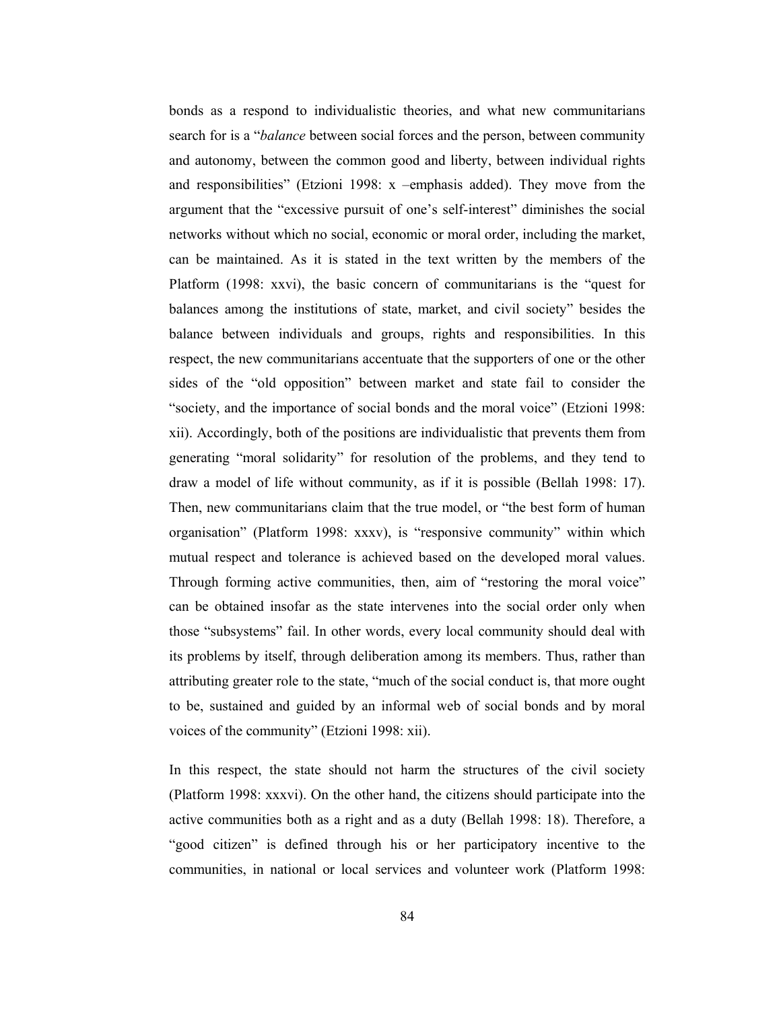bonds as a respond to individualistic theories, and what new communitarians search for is a "*balance* between social forces and the person, between community and autonomy, between the common good and liberty, between individual rights and responsibilities" (Etzioni 1998: x -emphasis added). They move from the argument that the "excessive pursuit of one's self-interest" diminishes the social networks without which no social, economic or moral order, including the market, can be maintained. As it is stated in the text written by the members of the Platform (1998: xxvi), the basic concern of communitarians is the "quest for balances among the institutions of state, market, and civil society" besides the balance between individuals and groups, rights and responsibilities. In this respect, the new communitarians accentuate that the supporters of one or the other sides of the "old opposition" between market and state fail to consider the "society, and the importance of social bonds and the moral voice" (Etzioni 1998: xii). Accordingly, both of the positions are individualistic that prevents them from generating "moral solidarity" for resolution of the problems, and they tend to draw a model of life without community, as if it is possible (Bellah 1998: 17). Then, new communitarians claim that the true model, or "the best form of human" organisation" (Platform 1998: xxxv), is "responsive community" within which mutual respect and tolerance is achieved based on the developed moral values. Through forming active communities, then, aim of "restoring the moral voice" can be obtained insofar as the state intervenes into the social order only when those "subsystems" fail. In other words, every local community should deal with its problems by itself, through deliberation among its members. Thus, rather than attributing greater role to the state, "much of the social conduct is, that more ought to be, sustained and guided by an informal web of social bonds and by moral voices of the community" (Etzioni 1998: xii).

In this respect, the state should not harm the structures of the civil society (Platform 1998: xxxvi). On the other hand, the citizens should participate into the active communities both as a right and as a duty (Bellah 1998: 18). Therefore, a "good citizen" is defined through his or her participatory incentive to the communities, in national or local services and volunteer work (Platform 1998: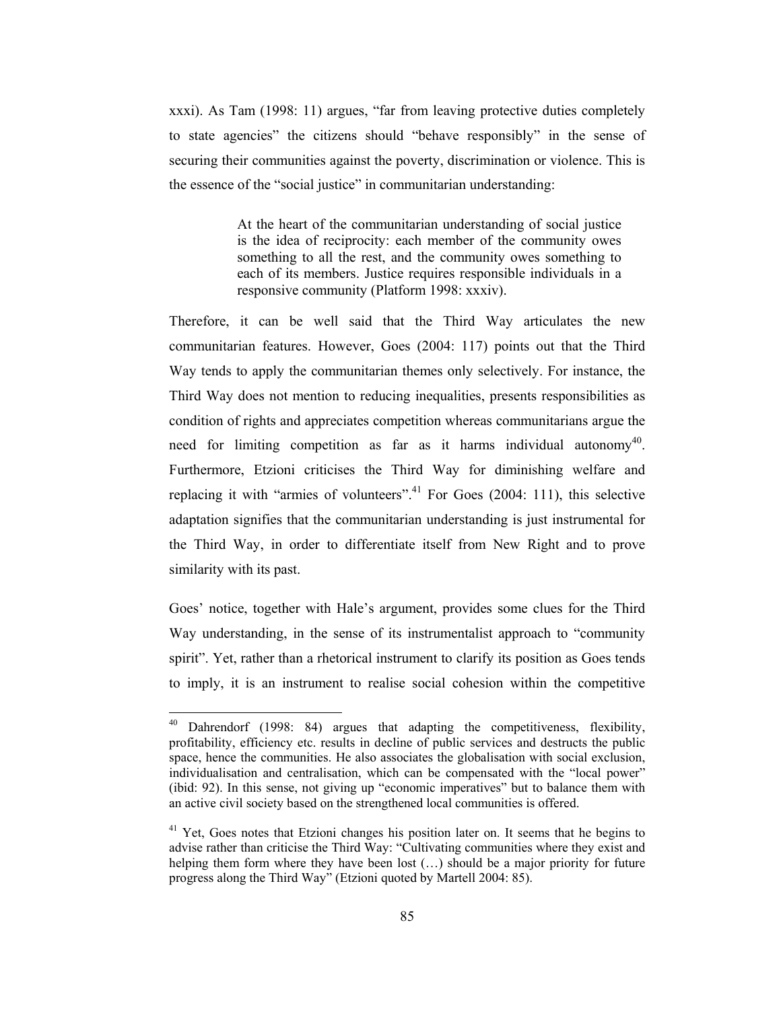xxxi). As Tam (1998: 11) argues, "far from leaving protective duties completely to state agencies" the citizens should "behave responsibly" in the sense of securing their communities against the poverty, discrimination or violence. This is the essence of the "social justice" in communitarian understanding:

> At the heart of the communitarian understanding of social justice is the idea of reciprocity: each member of the community owes something to all the rest, and the community owes something to each of its members. Justice requires responsible individuals in a responsive community (Platform 1998: xxxiv).

Therefore, it can be well said that the Third Way articulates the new communitarian features. However, Goes (2004: 117) points out that the Third Way tends to apply the communitarian themes only selectively. For instance, the Third Way does not mention to reducing inequalities, presents responsibilities as condition of rights and appreciates competition whereas communitarians argue the need for limiting competition as far as it harms individual autonomy<sup>40</sup>. Furthermore, Etzioni criticises the Third Way for diminishing welfare and replacing it with "armies of volunteers".<sup>41</sup> For Goes (2004: 111), this selective adaptation signifies that the communitarian understanding is just instrumental for the Third Way, in order to differentiate itself from New Right and to prove similarity with its past.

Goes' notice, together with Hale's argument, provides some clues for the Third Way understanding, in the sense of its instrumentalist approach to "community" spirit". Yet, rather than a rhetorical instrument to clarify its position as Goes tends to imply, it is an instrument to realise social cohesion within the competitive

Dahrendorf (1998: 84) argues that adapting the competitiveness, flexibility, profitability, efficiency etc. results in decline of public services and destructs the public space, hence the communities. He also associates the globalisation with social exclusion, individualisation and centralisation, which can be compensated with the "local power" (ibid: 92). In this sense, not giving up "economic imperatives" but to balance them with an active civil society based on the strengthened local communities is offered.

<sup>&</sup>lt;sup>41</sup> Yet, Goes notes that Etzioni changes his position later on. It seems that he begins to advise rather than criticise the Third Way: "Cultivating communities where they exist and helping them form where they have been lost (...) should be a major priority for future progress along the Third Way" (Etzioni quoted by Martell 2004: 85).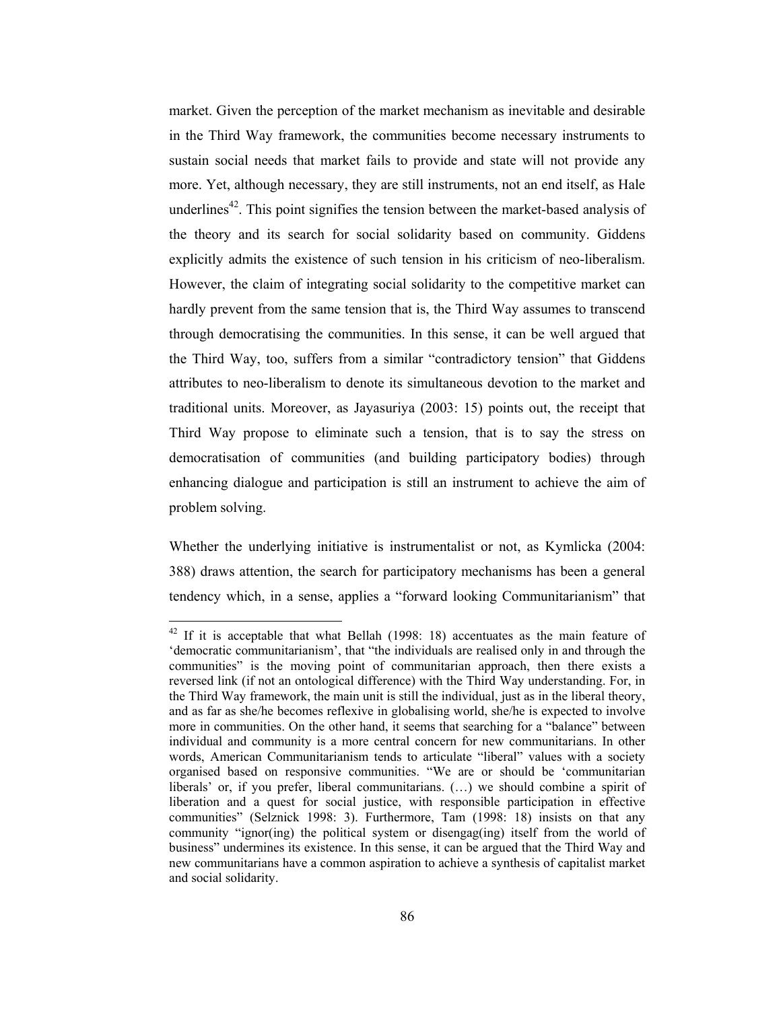market. Given the perception of the market mechanism as inevitable and desirable in the Third Way framework, the communities become necessary instruments to sustain social needs that market fails to provide and state will not provide any more. Yet, although necessary, they are still instruments, not an end itself, as Hale underlines<sup>42</sup>. This point signifies the tension between the market-based analysis of the theory and its search for social solidarity based on community. Giddens explicitly admits the existence of such tension in his criticism of neo-liberalism. However, the claim of integrating social solidarity to the competitive market can hardly prevent from the same tension that is, the Third Way assumes to transcend through democratising the communities. In this sense, it can be well argued that the Third Way, too, suffers from a similar "contradictory tension" that Giddens attributes to neo-liberalism to denote its simultaneous devotion to the market and traditional units. Moreover, as Jayasuriya (2003: 15) points out, the receipt that Third Way propose to eliminate such a tension, that is to say the stress on democratisation of communities (and building participatory bodies) through enhancing dialogue and participation is still an instrument to achieve the aim of problem solving.

Whether the underlying initiative is instrumentalist or not, as Kymlicka (2004: 388) draws attention, the search for participatory mechanisms has been a general tendency which, in a sense, applies a "forward looking Communitarianism" that

 $42$  If it is acceptable that what Bellah (1998: 18) accentuates as the main feature of 'democratic communitarianism', that "the individuals are realised only in and through the communities" is the moving point of communitarian approach, then there exists a reversed link (if not an ontological difference) with the Third Way understanding. For, in the Third Way framework, the main unit is still the individual, just as in the liberal theory, and as far as she/he becomes reflexive in globalising world, she/he is expected to involve more in communities. On the other hand, it seems that searching for a "balance" between individual and community is a more central concern for new communitarians. In other words, American Communitarianism tends to articulate "liberal" values with a society organised based on responsive communities. "We are or should be 'communitarian liberals' or, if you prefer, liberal communitarians. (...) we should combine a spirit of liberation and a quest for social justice, with responsible participation in effective communities" (Selznick 1998: 3). Furthermore, Tam (1998: 18) insists on that any community "ignor(ing) the political system or disengag(ing) itself from the world of business" undermines its existence. In this sense, it can be argued that the Third Way and new communitarians have a common aspiration to achieve a synthesis of capitalist market and social solidarity.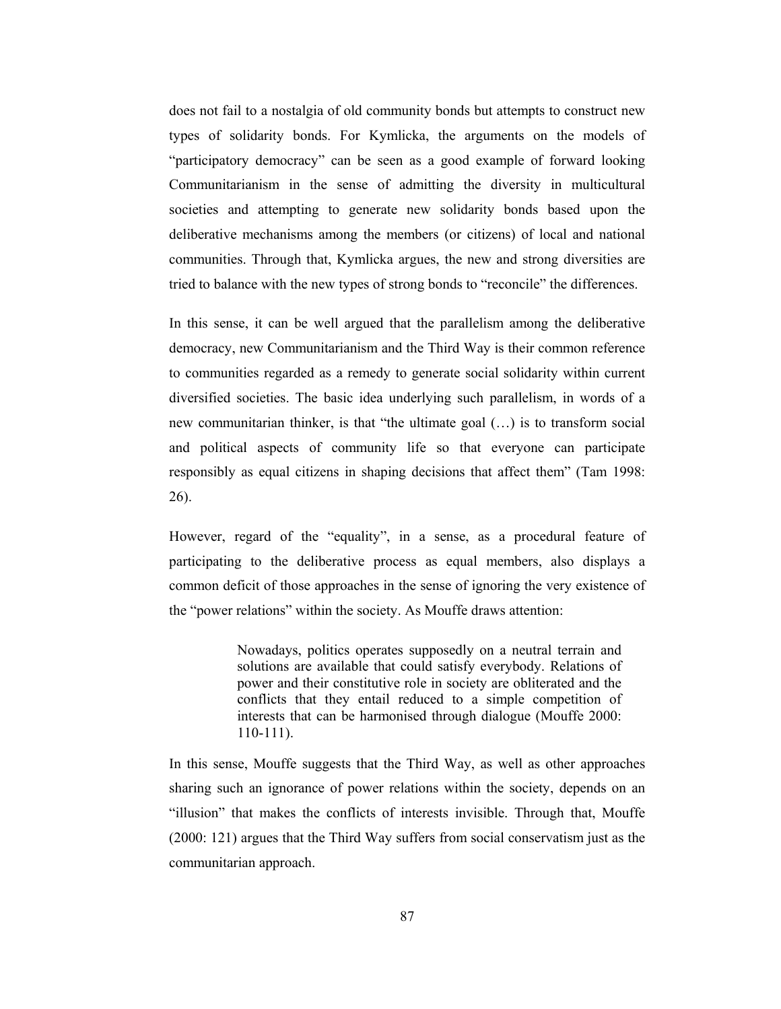does not fail to a nostalgia of old community bonds but attempts to construct new types of solidarity bonds. For Kymlicka, the arguments on the models of "participatory democracy" can be seen as a good example of forward looking Communitarianism in the sense of admitting the diversity in multicultural societies and attempting to generate new solidarity bonds based upon the deliberative mechanisms among the members (or citizens) of local and national communities. Through that, Kymlicka argues, the new and strong diversities are tried to balance with the new types of strong bonds to "reconcile" the differences.

In this sense, it can be well argued that the parallelism among the deliberative democracy, new Communitarianism and the Third Way is their common reference to communities regarded as a remedy to generate social solidarity within current diversified societies. The basic idea underlying such parallelism, in words of a new communitarian thinker, is that "the ultimate goal (...) is to transform social and political aspects of community life so that everyone can participate responsibly as equal citizens in shaping decisions that affect them" (Tam 1998: 26).

However, regard of the "equality", in a sense, as a procedural feature of participating to the deliberative process as equal members, also displays a common deficit of those approaches in the sense of ignoring the very existence of the "power relations" within the society. As Mouffe draws attention:

> Nowadays, politics operates supposedly on a neutral terrain and solutions are available that could satisfy everybody. Relations of power and their constitutive role in society are obliterated and the conflicts that they entail reduced to a simple competition of interests that can be harmonised through dialogue (Mouffe 2000:  $110-111$ ).

In this sense, Mouffe suggests that the Third Way, as well as other approaches sharing such an ignorance of power relations within the society, depends on an "illusion" that makes the conflicts of interests invisible. Through that, Mouffe (2000: 121) argues that the Third Way suffers from social conservatism just as the communitarian approach.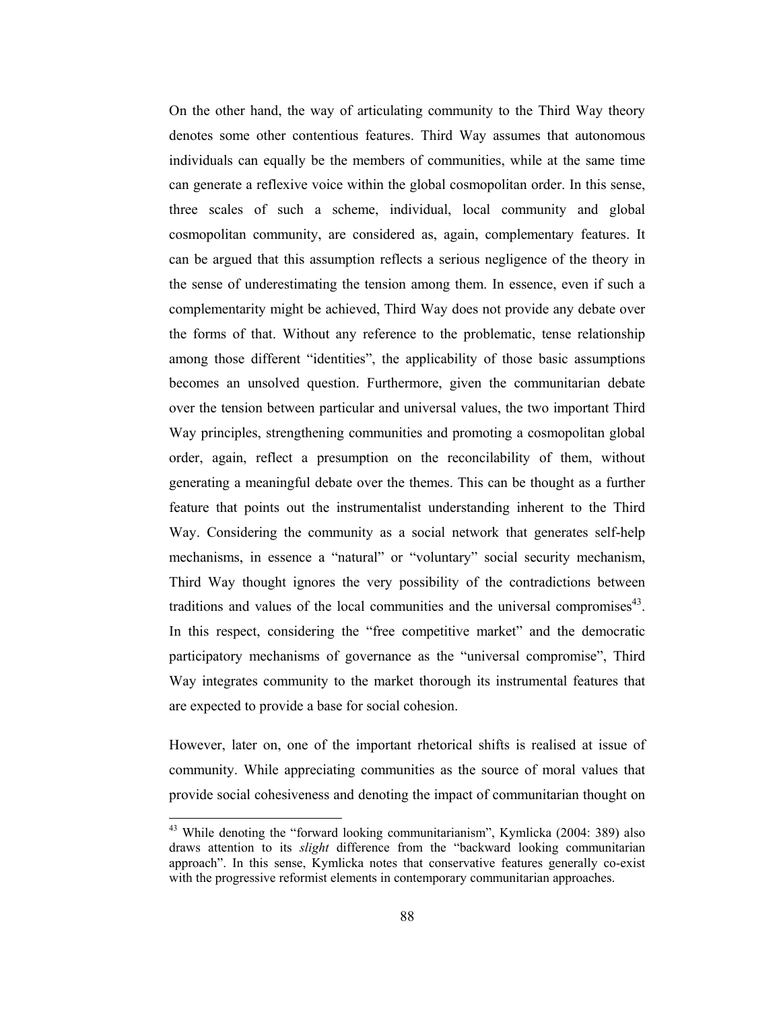On the other hand, the way of articulating community to the Third Way theory denotes some other contentious features. Third Way assumes that autonomous individuals can equally be the members of communities, while at the same time can generate a reflexive voice within the global cosmopolitan order. In this sense, three scales of such a scheme, individual, local community and global cosmopolitan community, are considered as, again, complementary features. It can be argued that this assumption reflects a serious negligence of the theory in the sense of underestimating the tension among them. In essence, even if such a complementarity might be achieved. Third Way does not provide any debate over the forms of that. Without any reference to the problematic, tense relationship among those different "identities", the applicability of those basic assumptions becomes an unsolved question. Furthermore, given the communitarian debate over the tension between particular and universal values, the two important Third Way principles, strengthening communities and promoting a cosmopolitan global order, again, reflect a presumption on the reconcilability of them, without generating a meaningful debate over the themes. This can be thought as a further feature that points out the instrumentalist understanding inherent to the Third Way. Considering the community as a social network that generates self-help mechanisms, in essence a "natural" or "voluntary" social security mechanism, Third Way thought ignores the very possibility of the contradictions between traditions and values of the local communities and the universal compromises<sup>43</sup>. In this respect, considering the "free competitive market" and the democratic participatory mechanisms of governance as the "universal compromise", Third Way integrates community to the market thorough its instrumental features that are expected to provide a base for social cohesion.

However, later on, one of the important rhetorical shifts is realised at issue of community. While appreciating communities as the source of moral values that provide social cohesiveness and denoting the impact of communitarian thought on

<sup>&</sup>lt;sup>43</sup> While denoting the "forward looking communitarianism", Kymlicka (2004: 389) also draws attention to its *slight* difference from the "backward looking communitarian approach". In this sense, Kymlicka notes that conservative features generally co-exist with the progressive reformist elements in contemporary communitarian approaches.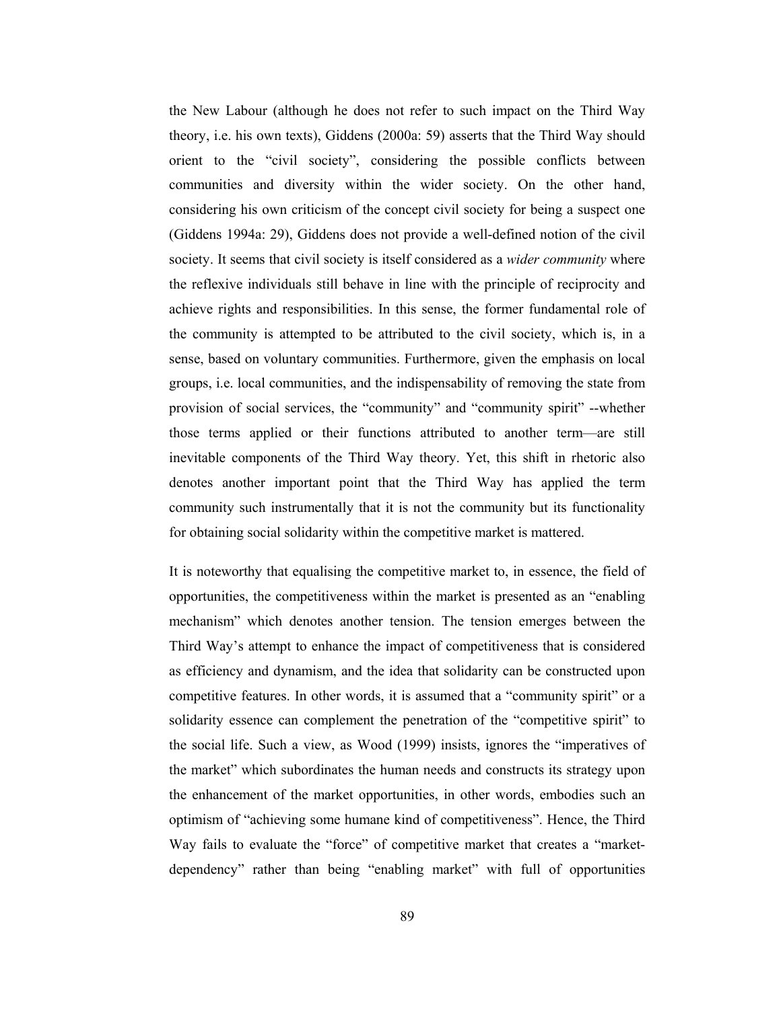the New Labour (although he does not refer to such impact on the Third Way theory, i.e. his own texts), Giddens (2000a: 59) asserts that the Third Way should orient to the "civil society", considering the possible conflicts between communities and diversity within the wider society. On the other hand, considering his own criticism of the concept civil society for being a suspect one (Giddens 1994a: 29), Giddens does not provide a well-defined notion of the civil society. It seems that civil society is itself considered as a wider community where the reflexive individuals still behave in line with the principle of reciprocity and achieve rights and responsibilities. In this sense, the former fundamental role of the community is attempted to be attributed to the civil society, which is, in a sense, based on voluntary communities. Furthermore, given the emphasis on local groups, i.e. local communities, and the indispensability of removing the state from provision of social services, the "community" and "community spirit" --whether those terms applied or their functions attributed to another term—are still inevitable components of the Third Way theory. Yet, this shift in rhetoric also denotes another important point that the Third Way has applied the term community such instrumentally that it is not the community but its functionality for obtaining social solidarity within the competitive market is mattered.

It is noteworthy that equalising the competitive market to, in essence, the field of opportunities, the competitiveness within the market is presented as an "enabling" mechanism" which denotes another tension. The tension emerges between the Third Way's attempt to enhance the impact of competitiveness that is considered as efficiency and dynamism, and the idea that solidarity can be constructed upon competitive features. In other words, it is assumed that a "community spirit" or a solidarity essence can complement the penetration of the "competitive spirit" to the social life. Such a view, as Wood (1999) insists, ignores the "imperatives of the market" which subordinates the human needs and constructs its strategy upon the enhancement of the market opportunities, in other words, embodies such an optimism of "achieving some humane kind of competitiveness". Hence, the Third Way fails to evaluate the "force" of competitive market that creates a "marketdependency" rather than being "enabling market" with full of opportunities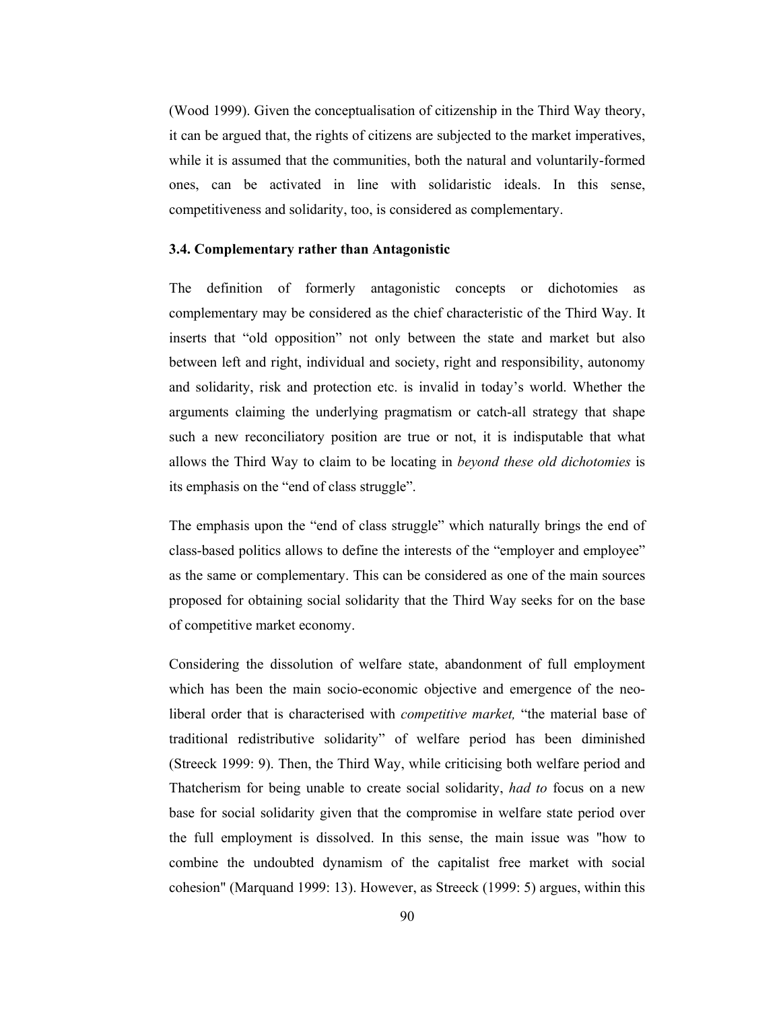(Wood 1999). Given the conceptualisation of citizenship in the Third Way theory, it can be argued that, the rights of citizens are subjected to the market imperatives, while it is assumed that the communities, both the natural and voluntarily-formed ones, can be activated in line with solidaristic ideals. In this sense, competitiveness and solidarity, too, is considered as complementary.

#### 3.4. Complementary rather than Antagonistic

The definition of formerly antagonistic concepts or dichotomies as complementary may be considered as the chief characteristic of the Third Way. It inserts that "old opposition" not only between the state and market but also between left and right, individual and society, right and responsibility, autonomy and solidarity, risk and protection etc. is invalid in today's world. Whether the arguments claiming the underlying pragmatism or catch-all strategy that shape such a new reconciliatory position are true or not, it is indisputable that what allows the Third Way to claim to be locating in beyond these old dichotomies is its emphasis on the "end of class struggle".

The emphasis upon the "end of class struggle" which naturally brings the end of class-based politics allows to define the interests of the "employer and employee" as the same or complementary. This can be considered as one of the main sources proposed for obtaining social solidarity that the Third Way seeks for on the base of competitive market economy.

Considering the dissolution of welfare state, abandonment of full employment which has been the main socio-economic objective and emergence of the neoliberal order that is characterised with *competitive market*, "the material base of traditional redistributive solidarity" of welfare period has been diminished (Streeck 1999: 9). Then, the Third Way, while criticising both welfare period and Thatcherism for being unable to create social solidarity, had to focus on a new base for social solidarity given that the compromise in welfare state period over the full employment is dissolved. In this sense, the main issue was "how to combine the undoubted dynamism of the capitalist free market with social cohesion" (Marquand 1999: 13). However, as Streeck (1999: 5) argues, within this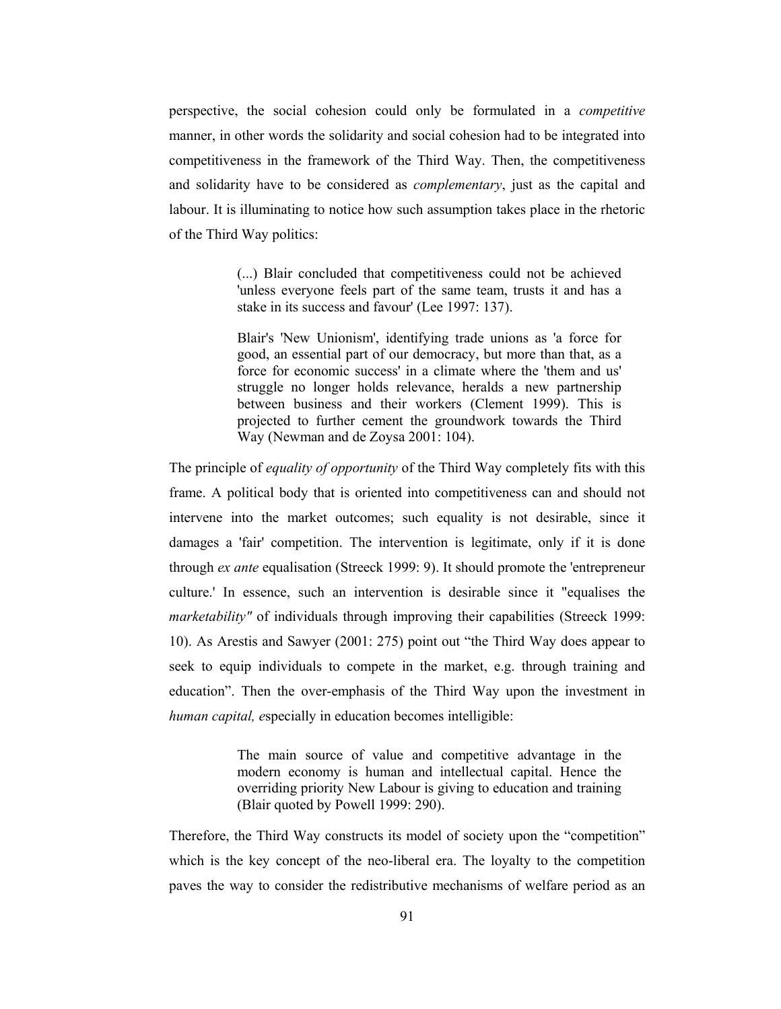perspective, the social cohesion could only be formulated in a *competitive* manner, in other words the solidarity and social cohesion had to be integrated into competitiveness in the framework of the Third Way. Then, the competitiveness and solidarity have to be considered as *complementary*, just as the capital and labour. It is illuminating to notice how such assumption takes place in the rhetoric of the Third Way politics:

> (...) Blair concluded that competitiveness could not be achieved 'unless everyone feels part of the same team, trusts it and has a stake in its success and favour' (Lee 1997: 137).

> Blair's 'New Unionism', identifying trade unions as 'a force for good, an essential part of our democracy, but more than that, as a force for economic success' in a climate where the 'them and us' struggle no longer holds relevance, heralds a new partnership between business and their workers (Clement 1999). This is projected to further cement the groundwork towards the Third Way (Newman and de Zoysa 2001: 104).

The principle of *equality of opportunity* of the Third Way completely fits with this frame. A political body that is oriented into competitiveness can and should not intervene into the market outcomes; such equality is not desirable, since it damages a 'fair' competition. The intervention is legitimate, only if it is done through ex ante equalisation (Streeck 1999: 9). It should promote the 'entrepreneur culture.' In essence, such an intervention is desirable since it "equalises the *marketability*" of individuals through improving their capabilities (Streeck 1999: 10). As Arestis and Sawyer (2001: 275) point out "the Third Way does appear to seek to equip individuals to compete in the market, e.g. through training and education". Then the over-emphasis of the Third Way upon the investment in *human capital, especially in education becomes intelligible:* 

> The main source of value and competitive advantage in the modern economy is human and intellectual capital. Hence the overriding priority New Labour is giving to education and training (Blair quoted by Powell 1999: 290).

Therefore, the Third Way constructs its model of society upon the "competition" which is the key concept of the neo-liberal era. The loyalty to the competition paves the way to consider the redistributive mechanisms of welfare period as an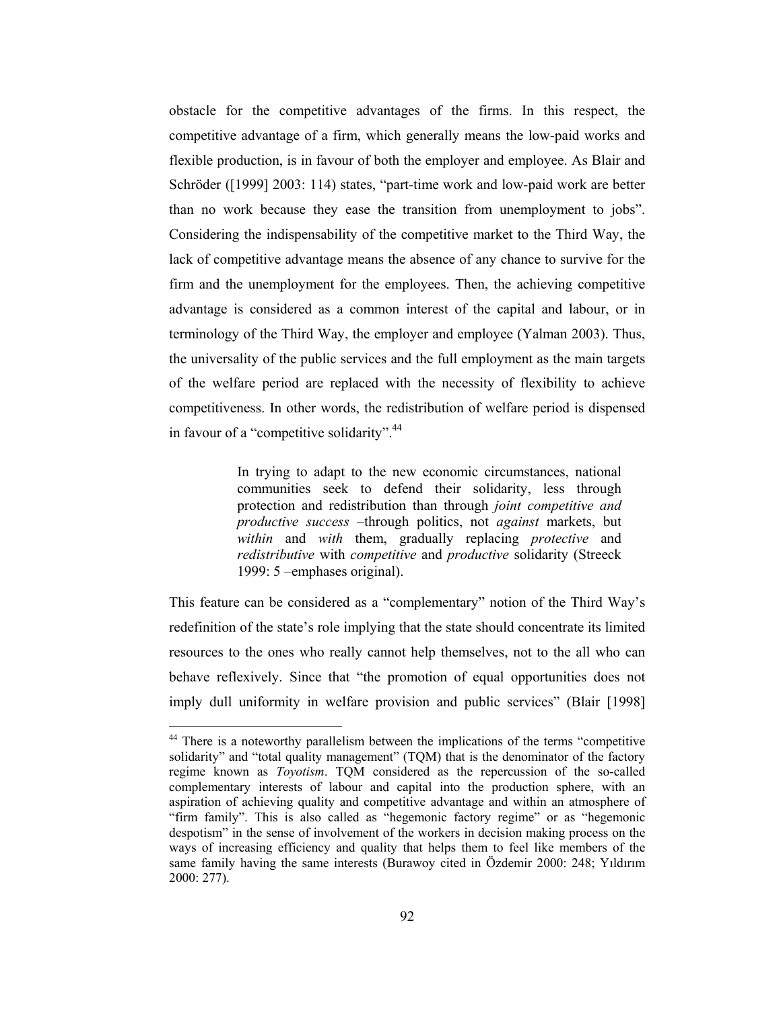obstacle for the competitive advantages of the firms. In this respect, the competitive advantage of a firm, which generally means the low-paid works and flexible production, is in favour of both the employer and employee. As Blair and Schröder ([1999] 2003: 114) states, "part-time work and low-paid work are better than no work because they ease the transition from unemployment to jobs". Considering the indispensability of the competitive market to the Third Way, the lack of competitive advantage means the absence of any chance to survive for the firm and the unemployment for the employees. Then, the achieving competitive advantage is considered as a common interest of the capital and labour, or in terminology of the Third Way, the employer and employee (Yalman 2003). Thus, the universality of the public services and the full employment as the main targets of the welfare period are replaced with the necessity of flexibility to achieve competitiveness. In other words, the redistribution of welfare period is dispensed in favour of a "competitive solidarity".<sup>44</sup>

> In trying to adapt to the new economic circumstances, national communities seek to defend their solidarity, less through protection and redistribution than through *joint competitive and productive success* -through politics, not *against* markets, but within and with them, gradually replacing *protective* and redistributive with competitive and productive solidarity (Streeck 1999: 5 -emphases original).

This feature can be considered as a "complementary" notion of the Third Way's redefinition of the state's role implying that the state should concentrate its limited resources to the ones who really cannot help themselves, not to the all who can behave reflexively. Since that "the promotion of equal opportunities does not imply dull uniformity in welfare provision and public services" (Blair [1998]

<sup>&</sup>lt;sup>44</sup> There is a noteworthy parallelism between the implications of the terms "competitive solidarity" and "total quality management" (TQM) that is the denominator of the factory regime known as *Toyotism*. TQM considered as the repercussion of the so-called complementary interests of labour and capital into the production sphere, with an aspiration of achieving quality and competitive advantage and within an atmosphere of "firm family". This is also called as "hegemonic factory regime" or as "hegemonic despotism" in the sense of involvement of the workers in decision making process on the ways of increasing efficiency and quality that helps them to feel like members of the same family having the same interests (Burawoy cited in Özdemir 2000: 248; Yıldırım  $2000: 277$ ).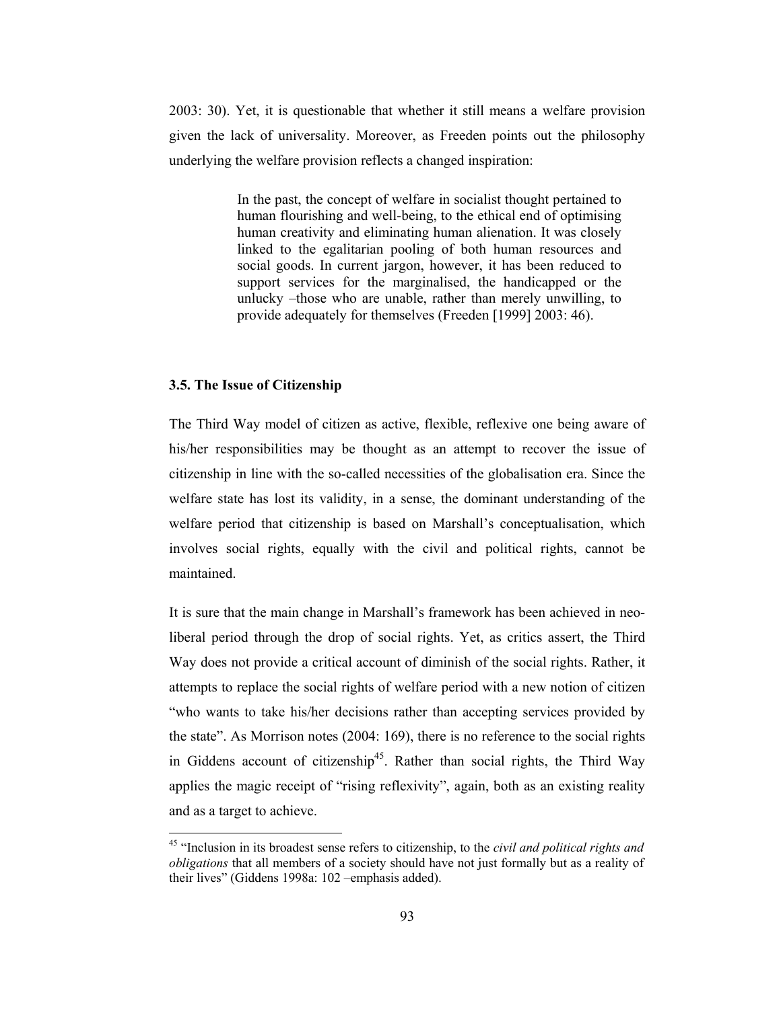2003: 30). Yet, it is questionable that whether it still means a welfare provision given the lack of universality. Moreover, as Freeden points out the philosophy underlying the welfare provision reflects a changed inspiration:

> In the past, the concept of welfare in socialist thought pertained to human flourishing and well-being, to the ethical end of optimising human creativity and eliminating human alienation. It was closely linked to the egalitarian pooling of both human resources and social goods. In current jargon, however, it has been reduced to support services for the marginalised, the handicapped or the unlucky -those who are unable, rather than merely unwilling, to provide adequately for themselves (Freeden [1999] 2003: 46).

# 3.5. The Issue of Citizenship

The Third Way model of citizen as active, flexible, reflexive one being aware of his/her responsibilities may be thought as an attempt to recover the issue of citizenship in line with the so-called necessities of the globalisation era. Since the welfare state has lost its validity, in a sense, the dominant understanding of the welfare period that citizenship is based on Marshall's conceptualisation, which involves social rights, equally with the civil and political rights, cannot be maintained

It is sure that the main change in Marshall's framework has been achieved in neoliberal period through the drop of social rights. Yet, as critics assert, the Third Way does not provide a critical account of diminish of the social rights. Rather, it attempts to replace the social rights of welfare period with a new notion of citizen "who wants to take his/her decisions rather than accepting services provided by the state". As Morrison notes (2004: 169), there is no reference to the social rights in Giddens account of citizenship<sup>45</sup>. Rather than social rights, the Third Way applies the magic receipt of "rising reflexivity", again, both as an existing reality and as a target to achieve.

<sup>&</sup>lt;sup>45</sup> "Inclusion in its broadest sense refers to citizenship, to the *civil and political rights and obligations* that all members of a society should have not just formally but as a reality of their lives" (Giddens 1998a: 102 - emphasis added).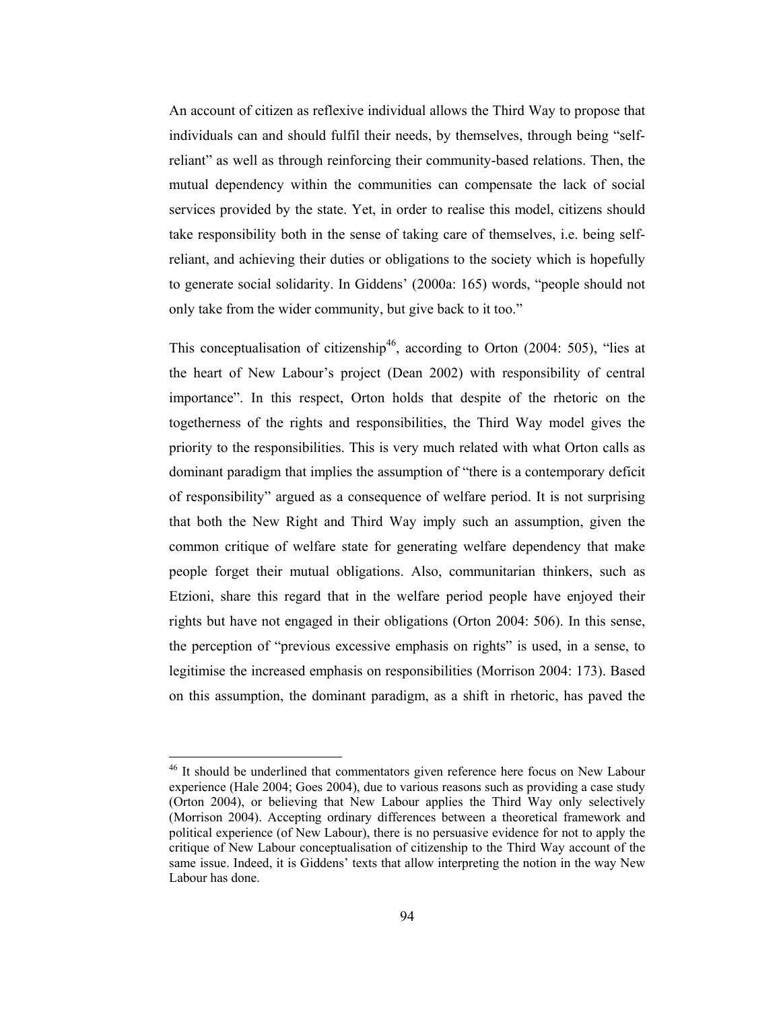An account of citizen as reflexive individual allows the Third Way to propose that individuals can and should fulfil their needs, by themselves, through being "selfreliant" as well as through reinforcing their community-based relations. Then, the mutual dependency within the communities can compensate the lack of social services provided by the state. Yet, in order to realise this model, citizens should take responsibility both in the sense of taking care of themselves, *i.e.* being selfreliant, and achieving their duties or obligations to the society which is hopefully to generate social solidarity. In Giddens' (2000a: 165) words, "people should not only take from the wider community, but give back to it too."

This conceptualisation of citizenship<sup>46</sup>, according to Orton (2004: 505), "lies at the heart of New Labour's project (Dean 2002) with responsibility of central importance". In this respect, Orton holds that despite of the rhetoric on the togetherness of the rights and responsibilities, the Third Way model gives the priority to the responsibilities. This is very much related with what Orton calls as dominant paradigm that implies the assumption of "there is a contemporary deficit of responsibility" argued as a consequence of welfare period. It is not surprising that both the New Right and Third Way imply such an assumption, given the common critique of welfare state for generating welfare dependency that make people forget their mutual obligations. Also, communitarian thinkers, such as Etzioni, share this regard that in the welfare period people have enjoyed their rights but have not engaged in their obligations (Orton 2004: 506). In this sense, the perception of "previous excessive emphasis on rights" is used, in a sense, to legitimise the increased emphasis on responsibilities (Morrison 2004: 173). Based on this assumption, the dominant paradigm, as a shift in rhetoric, has paved the

 $46$  It should be underlined that commentators given reference here focus on New Labour experience (Hale 2004; Goes 2004), due to various reasons such as providing a case study (Orton 2004), or believing that New Labour applies the Third Way only selectively (Morrison 2004). Accepting ordinary differences between a theoretical framework and political experience (of New Labour), there is no persuasive evidence for not to apply the critique of New Labour conceptualisation of citizenship to the Third Way account of the same issue. Indeed, it is Giddens' texts that allow interpreting the notion in the way New Labour has done.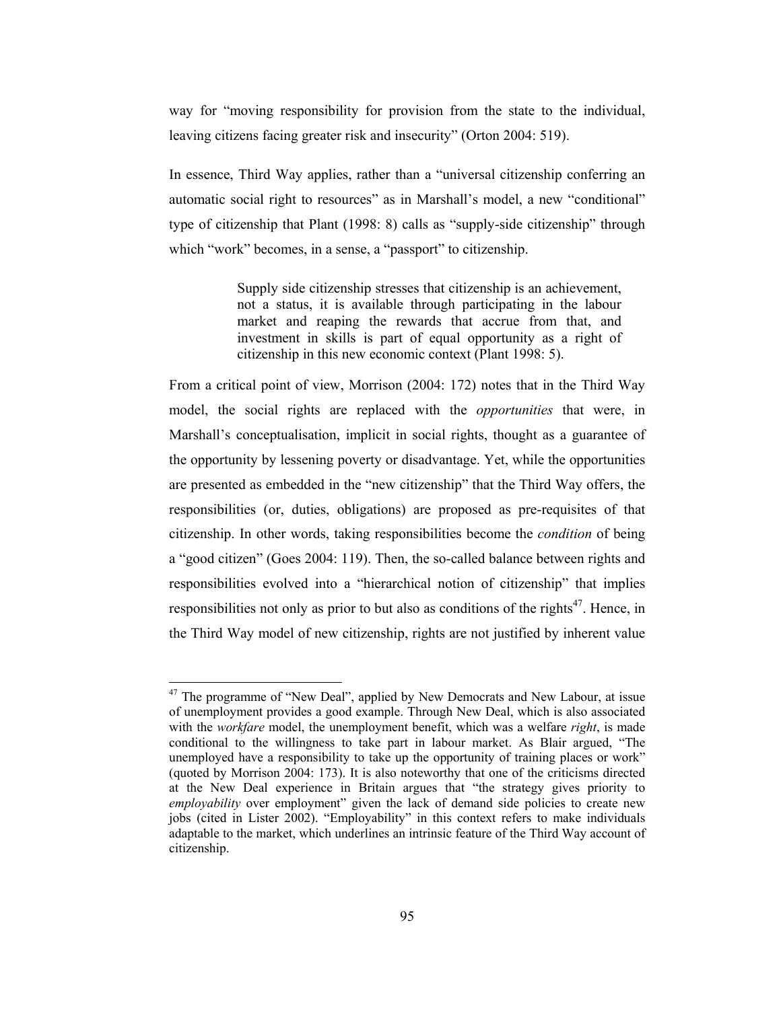way for "moving responsibility for provision from the state to the individual, leaving citizens facing greater risk and insecurity" (Orton 2004: 519).

In essence, Third Way applies, rather than a "universal citizenship conferring an automatic social right to resources" as in Marshall's model, a new "conditional" type of citizenship that Plant (1998: 8) calls as "supply-side citizenship" through which "work" becomes, in a sense, a "passport" to citizenship.

> Supply side citizenship stresses that citizenship is an achievement, not a status, it is available through participating in the labour market and reaping the rewards that accrue from that, and investment in skills is part of equal opportunity as a right of citizenship in this new economic context (Plant 1998: 5).

From a critical point of view, Morrison (2004: 172) notes that in the Third Way model, the social rights are replaced with the *opportunities* that were, in Marshall's conceptualisation, implicit in social rights, thought as a guarantee of the opportunity by lessening poverty or disadvantage. Yet, while the opportunities are presented as embedded in the "new citizenship" that the Third Way offers, the responsibilities (or, duties, obligations) are proposed as pre-requisites of that citizenship. In other words, taking responsibilities become the *condition* of being a "good citizen" (Goes 2004: 119). Then, the so-called balance between rights and responsibilities evolved into a "hierarchical notion of citizenship" that implies responsibilities not only as prior to but also as conditions of the rights<sup>47</sup>. Hence, in the Third Way model of new citizenship, rights are not justified by inherent value

<sup>&</sup>lt;sup>47</sup> The programme of "New Deal", applied by New Democrats and New Labour, at issue of unemployment provides a good example. Through New Deal, which is also associated with the *workfare* model, the unemployment benefit, which was a welfare *right*, is made conditional to the willingness to take part in labour market. As Blair argued, "The unemployed have a responsibility to take up the opportunity of training places or work" (quoted by Morrison 2004: 173). It is also noteworthy that one of the criticisms directed at the New Deal experience in Britain argues that "the strategy gives priority to *employability* over employment" given the lack of demand side policies to create new jobs (cited in Lister 2002). "Employability" in this context refers to make individuals adaptable to the market, which underlines an intrinsic feature of the Third Way account of citizenship.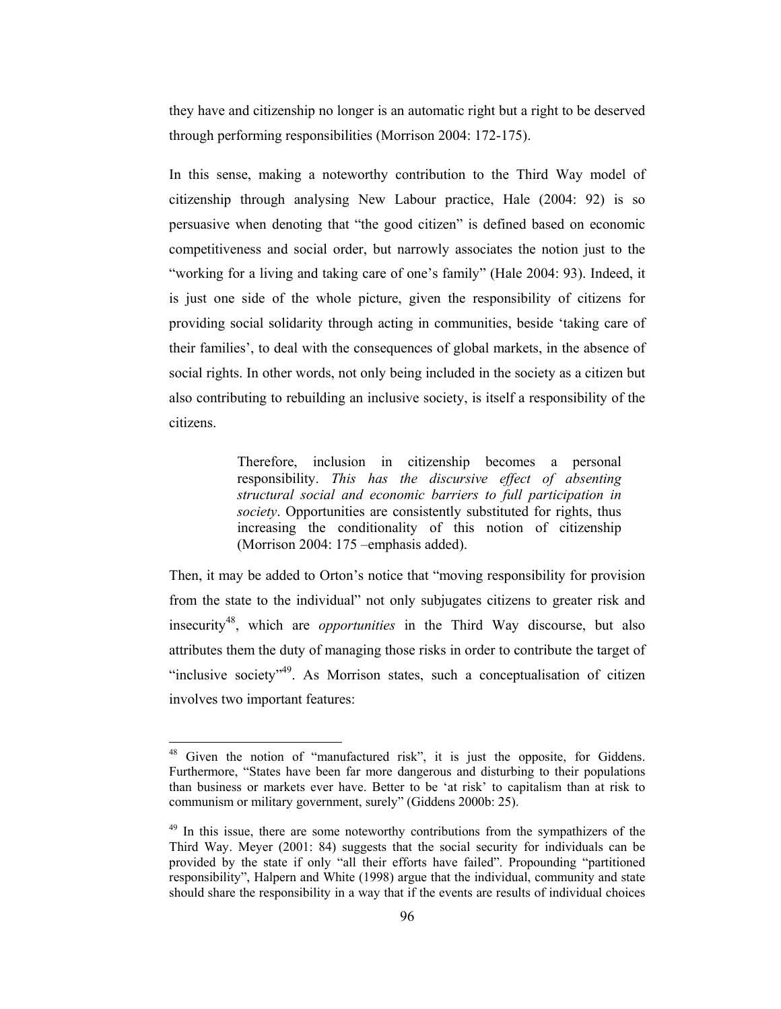they have and citizenship no longer is an automatic right but a right to be deserved through performing responsibilities (Morrison 2004: 172-175).

In this sense, making a noteworthy contribution to the Third Way model of citizenship through analysing New Labour practice, Hale (2004: 92) is so persuasive when denoting that "the good citizen" is defined based on economic competitiveness and social order, but narrowly associates the notion just to the "working for a living and taking care of one's family" (Hale 2004: 93). Indeed, it is just one side of the whole picture, given the responsibility of citizens for providing social solidarity through acting in communities, beside 'taking care of their families', to deal with the consequences of global markets, in the absence of social rights. In other words, not only being included in the society as a citizen but also contributing to rebuilding an inclusive society, is itself a responsibility of the citizens.

> Therefore, inclusion in citizenship becomes a personal responsibility. This has the discursive effect of absenting structural social and economic barriers to full participation in society. Opportunities are consistently substituted for rights, thus increasing the conditionality of this notion of citizenship (Morrison 2004: 175 – emphasis added).

Then, it may be added to Orton's notice that "moving responsibility for provision" from the state to the individual" not only subjugates citizens to greater risk and insecurity<sup>48</sup>, which are *opportunities* in the Third Way discourse, but also attributes them the duty of managing those risks in order to contribute the target of "inclusive society"<sup>49</sup>. As Morrison states, such a conceptualisation of citizen involves two important features:

<sup>&</sup>lt;sup>48</sup> Given the notion of "manufactured risk", it is just the opposite, for Giddens. Furthermore, "States have been far more dangerous and disturbing to their populations than business or markets ever have. Better to be 'at risk' to capitalism than at risk to communism or military government, surely" (Giddens 2000b: 25).

<sup>&</sup>lt;sup>49</sup> In this issue, there are some noteworthy contributions from the sympathizers of the Third Way. Meyer (2001: 84) suggests that the social security for individuals can be provided by the state if only "all their efforts have failed". Propounding "partitioned responsibility", Halpern and White (1998) argue that the individual, community and state should share the responsibility in a way that if the events are results of individual choices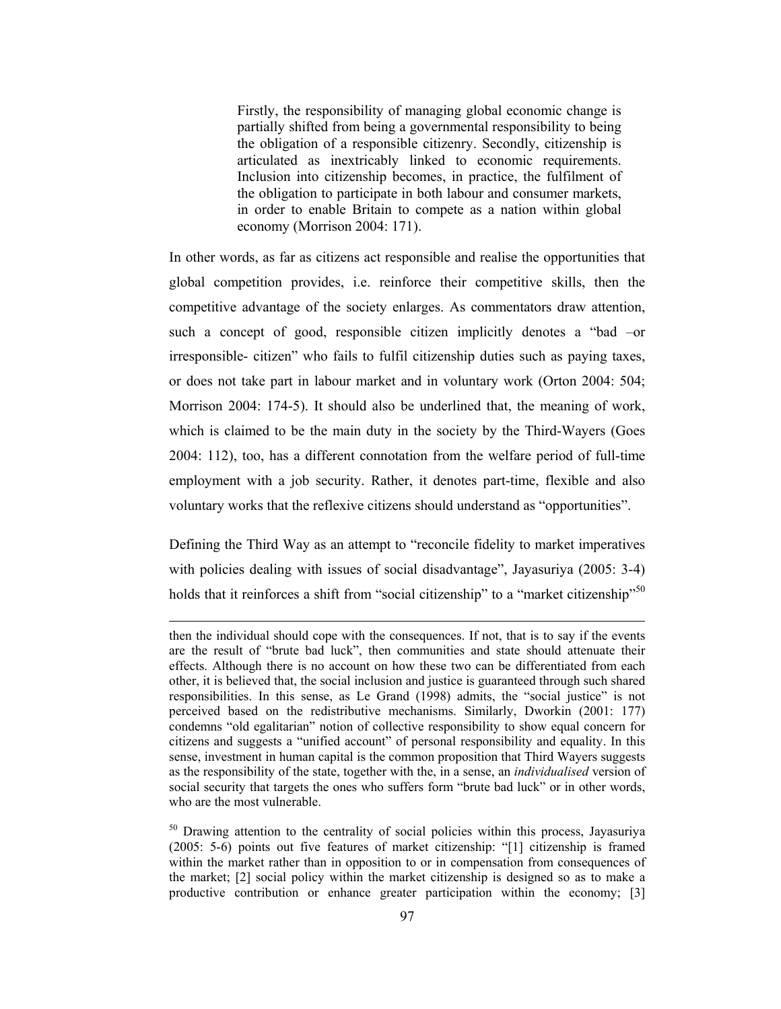Firstly, the responsibility of managing global economic change is partially shifted from being a governmental responsibility to being the obligation of a responsible citizenry. Secondly, citizenship is articulated as inextricably linked to economic requirements. Inclusion into citizenship becomes, in practice, the fulfilment of the obligation to participate in both labour and consumer markets, in order to enable Britain to compete as a nation within global economy (Morrison 2004: 171).

In other words, as far as citizens act responsible and realise the opportunities that global competition provides, i.e. reinforce their competitive skills, then the competitive advantage of the society enlarges. As commentators draw attention, such a concept of good, responsible citizen implicitly denotes a "bad -or irresponsible-citizen" who fails to fulfil citizenship duties such as paying taxes, or does not take part in labour market and in voluntary work (Orton 2004: 504; Morrison 2004: 174-5). It should also be underlined that, the meaning of work, which is claimed to be the main duty in the society by the Third-Wayers (Goes 2004: 112), too, has a different connotation from the welfare period of full-time employment with a job security. Rather, it denotes part-time, flexible and also voluntary works that the reflexive citizens should understand as "opportunities".

Defining the Third Way as an attempt to "reconcile fidelity to market imperatives" with policies dealing with issues of social disadvantage", Jayasuriya (2005: 3-4) holds that it reinforces a shift from "social citizenship" to a "market citizenship"<sup>50</sup>

then the individual should cope with the consequences. If not, that is to say if the events are the result of "brute bad luck", then communities and state should attenuate their effects. Although there is no account on how these two can be differentiated from each other, it is believed that, the social inclusion and justice is guaranteed through such shared responsibilities. In this sense, as Le Grand (1998) admits, the "social justice" is not perceived based on the redistributive mechanisms. Similarly, Dworkin (2001: 177) condemns "old egalitarian" notion of collective responsibility to show equal concern for citizens and suggests a "unified account" of personal responsibility and equality. In this sense, investment in human capital is the common proposition that Third Wayers suggests as the responsibility of the state, together with the, in a sense, an *individualised* version of social security that targets the ones who suffers form "brute bad luck" or in other words, who are the most vulnerable.

<sup>&</sup>lt;sup>50</sup> Drawing attention to the centrality of social policies within this process, Jayasuriya (2005: 5-6) points out five features of market citizenship: "[1] citizenship is framed within the market rather than in opposition to or in compensation from consequences of the market; [2] social policy within the market citizenship is designed so as to make a productive contribution or enhance greater participation within the economy; [3]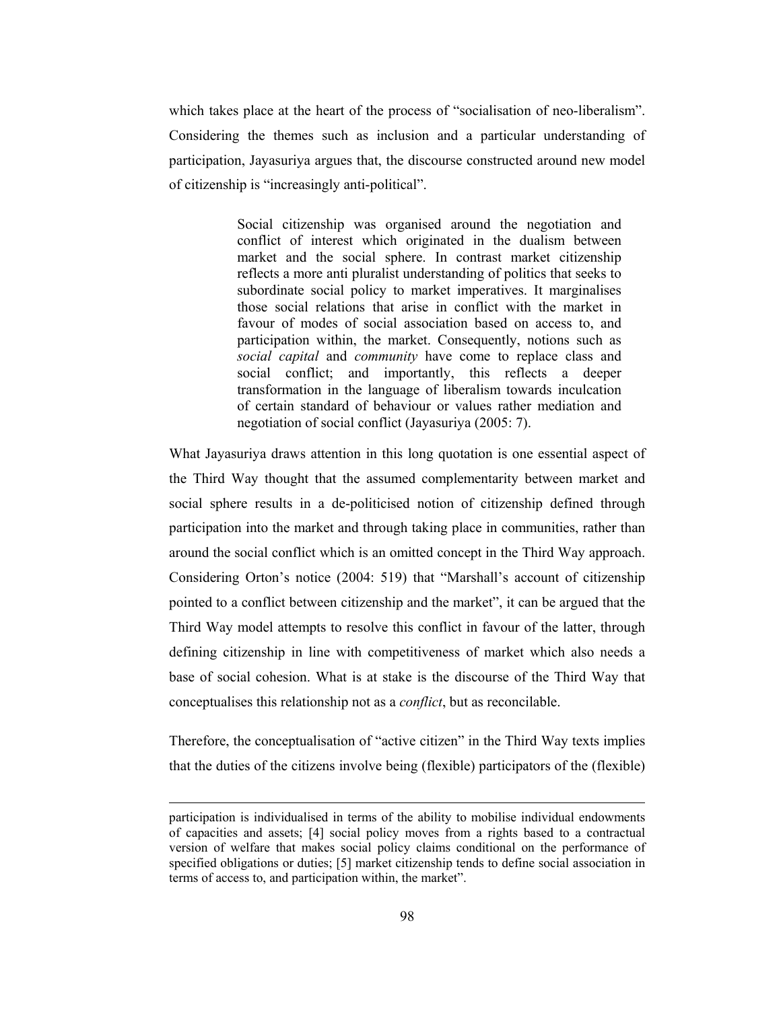which takes place at the heart of the process of "socialisation of neo-liberalism". Considering the themes such as inclusion and a particular understanding of participation, Jayasuriya argues that, the discourse constructed around new model of citizenship is "increasingly anti-political".

> Social citizenship was organised around the negotiation and conflict of interest which originated in the dualism between market and the social sphere. In contrast market citizenship reflects a more anti pluralist understanding of politics that seeks to subordinate social policy to market imperatives. It marginalises those social relations that arise in conflict with the market in favour of modes of social association based on access to, and participation within, the market. Consequently, notions such as social capital and community have come to replace class and social conflict; and importantly, this reflects a deeper transformation in the language of liberalism towards inculcation of certain standard of behaviour or values rather mediation and negotiation of social conflict (Jayasuriya (2005: 7).

What Jayasuriya draws attention in this long quotation is one essential aspect of the Third Way thought that the assumed complementarity between market and social sphere results in a de-politicised notion of citizenship defined through participation into the market and through taking place in communities, rather than around the social conflict which is an omitted concept in the Third Way approach. Considering Orton's notice (2004: 519) that "Marshall's account of citizenship pointed to a conflict between citizenship and the market", it can be argued that the Third Way model attempts to resolve this conflict in favour of the latter, through defining citizenship in line with competitiveness of market which also needs a base of social cohesion. What is at stake is the discourse of the Third Way that conceptualises this relationship not as a *conflict*, but as reconcilable.

Therefore, the conceptualisation of "active citizen" in the Third Way texts implies that the duties of the citizens involve being (flexible) participators of the (flexible)

participation is individualised in terms of the ability to mobilise individual endowments of capacities and assets; [4] social policy moves from a rights based to a contractual version of welfare that makes social policy claims conditional on the performance of specified obligations or duties; [5] market citizenship tends to define social association in terms of access to, and participation within, the market".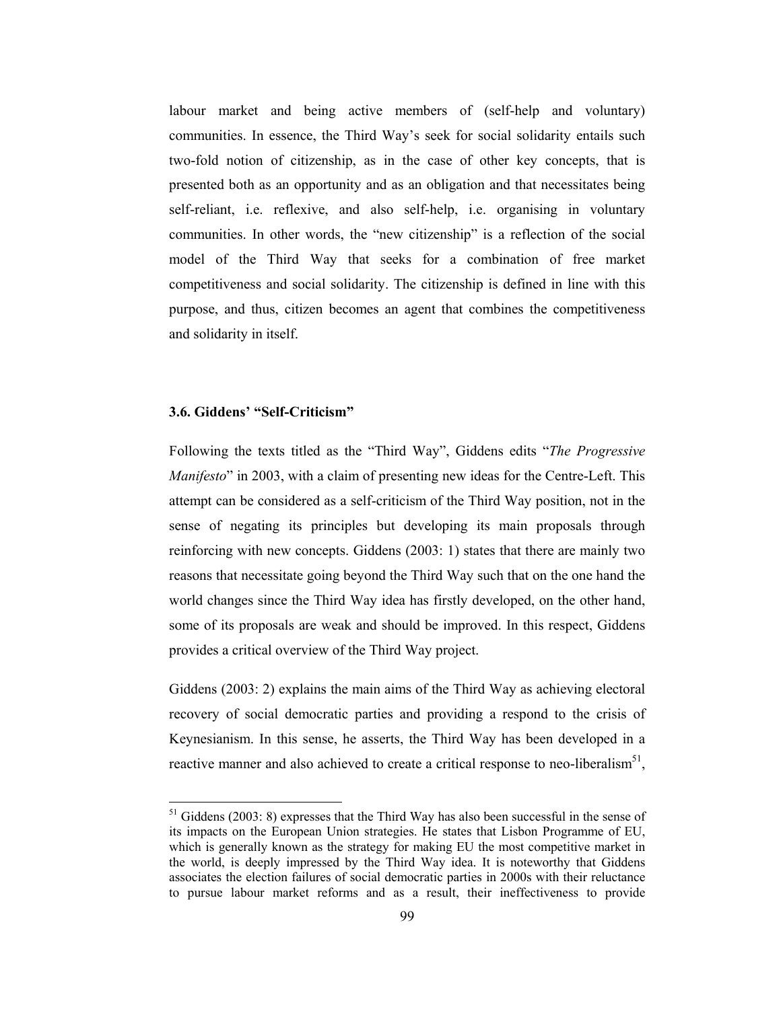labour market and being active members of (self-help and voluntary) communities. In essence, the Third Way's seek for social solidarity entails such two-fold notion of citizenship, as in the case of other key concepts, that is presented both as an opportunity and as an obligation and that necessitates being self-reliant, i.e. reflexive, and also self-help, i.e. organising in voluntary communities. In other words, the "new citizenship" is a reflection of the social model of the Third Way that seeks for a combination of free market competitiveness and social solidarity. The citizenship is defined in line with this purpose, and thus, citizen becomes an agent that combines the competitiveness and solidarity in itself.

## 3.6. Giddens' "Self-Criticism"

Following the texts titled as the "Third Way", Giddens edits "The Progressive *Manifesto*" in 2003, with a claim of presenting new ideas for the Centre-Left. This attempt can be considered as a self-criticism of the Third Way position, not in the sense of negating its principles but developing its main proposals through reinforcing with new concepts. Giddens (2003: 1) states that there are mainly two reasons that necessitate going beyond the Third Way such that on the one hand the world changes since the Third Way idea has firstly developed, on the other hand, some of its proposals are weak and should be improved. In this respect, Giddens provides a critical overview of the Third Way project.

Giddens  $(2003: 2)$  explains the main aims of the Third Way as achieving electoral recovery of social democratic parties and providing a respond to the crisis of Keynesianism. In this sense, he asserts, the Third Way has been developed in a reactive manner and also achieved to create a critical response to neo-liberalism<sup>51</sup>,

 $51$  Giddens (2003: 8) expresses that the Third Way has also been successful in the sense of its impacts on the European Union strategies. He states that Lisbon Programme of EU, which is generally known as the strategy for making EU the most competitive market in the world, is deeply impressed by the Third Way idea. It is noteworthy that Giddens associates the election failures of social democratic parties in 2000s with their reluctance to pursue labour market reforms and as a result, their ineffectiveness to provide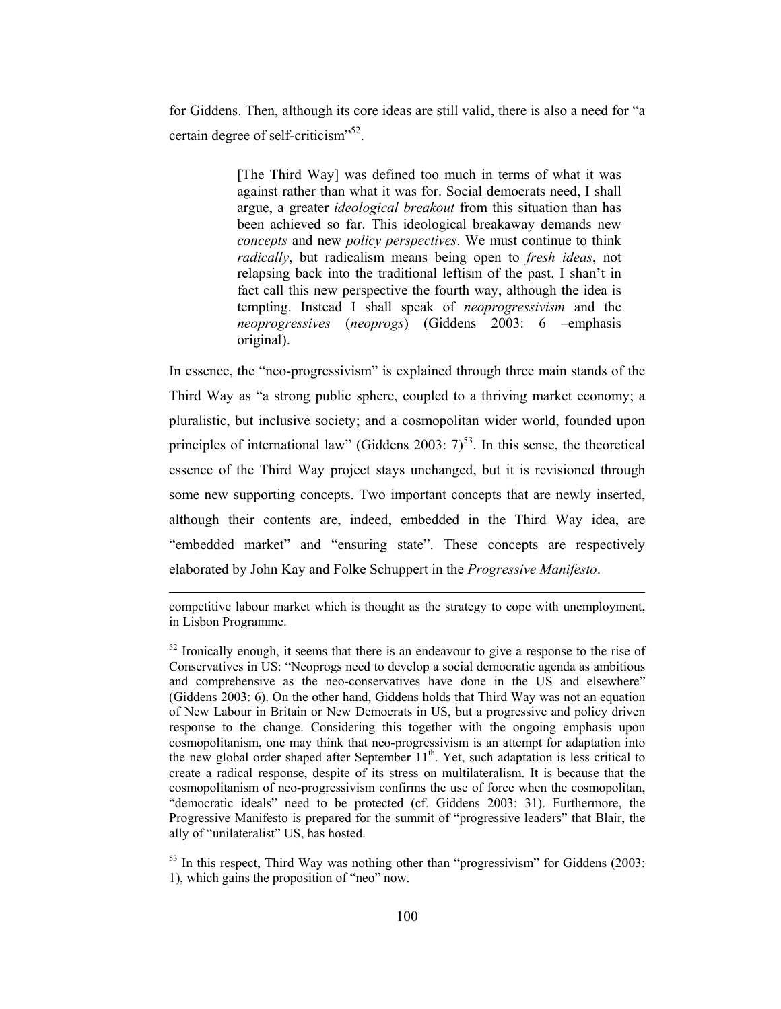for Giddens. Then, although its core ideas are still valid, there is also a need for "a certain degree of self-criticism<sup>352</sup>.

> [The Third Way] was defined too much in terms of what it was against rather than what it was for. Social democrats need, I shall argue, a greater *ideological breakout* from this situation than has been achieved so far. This ideological breakaway demands new concepts and new *policy perspectives*. We must continue to think radically, but radicalism means being open to fresh ideas, not relapsing back into the traditional leftism of the past. I shan't in fact call this new perspective the fourth way, although the idea is tempting. Instead I shall speak of *neoprogressivism* and the neoprogressives (neoprogs) (Giddens 2003: 6 -emphasis original).

In essence, the "neo-progressivism" is explained through three main stands of the Third Way as "a strong public sphere, coupled to a thriving market economy; a pluralistic, but inclusive society; and a cosmopolitan wider world, founded upon principles of international law" (Giddens 2003:  $7)^{53}$ . In this sense, the theoretical essence of the Third Way project stays unchanged, but it is revisioned through some new supporting concepts. Two important concepts that are newly inserted, although their contents are, indeed, embedded in the Third Way idea, are "embedded market" and "ensuring state". These concepts are respectively elaborated by John Kay and Folke Schuppert in the Progressive Manifesto.

competitive labour market which is thought as the strategy to cope with unemployment, in Lisbon Programme.

 $53$  In this respect, Third Way was nothing other than "progressivism" for Giddens (2003: 1), which gains the proposition of "neo" now.

 $52$  Ironically enough, it seems that there is an endeavour to give a response to the rise of Conservatives in US: "Neoprogs need to develop a social democratic agenda as ambitious and comprehensive as the neo-conservatives have done in the US and elsewhere" (Giddens 2003: 6). On the other hand, Giddens holds that Third Way was not an equation of New Labour in Britain or New Democrats in US, but a progressive and policy driven response to the change. Considering this together with the ongoing emphasis upon cosmopolitanism, one may think that neo-progressivism is an attempt for adaptation into the new global order shaped after September 11<sup>th</sup>. Yet, such adaptation is less critical to create a radical response, despite of its stress on multilateralism. It is because that the cosmopolitanism of neo-progressivism confirms the use of force when the cosmopolitan, "democratic ideals" need to be protected (cf. Giddens 2003: 31). Furthermore, the Progressive Manifesto is prepared for the summit of "progressive leaders" that Blair, the ally of "unilateralist" US, has hosted.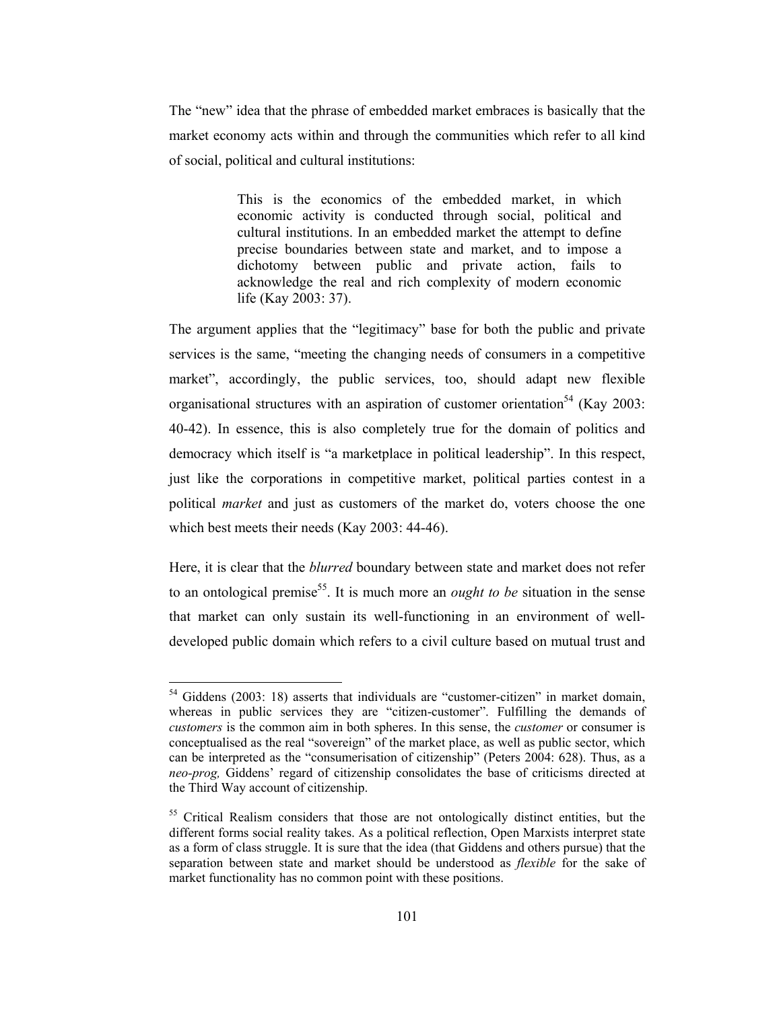The "new" idea that the phrase of embedded market embraces is basically that the market economy acts within and through the communities which refer to all kind of social, political and cultural institutions:

> This is the economics of the embedded market, in which economic activity is conducted through social, political and cultural institutions. In an embedded market the attempt to define precise boundaries between state and market, and to impose a dichotomy between public and private action, fails to acknowledge the real and rich complexity of modern economic life (Kay 2003: 37).

The argument applies that the "legitimacy" base for both the public and private services is the same, "meeting the changing needs of consumers in a competitive market", accordingly, the public services, too, should adapt new flexible organisational structures with an aspiration of customer orientation<sup>54</sup> (Kay 2003: 40-42). In essence, this is also completely true for the domain of politics and democracy which itself is "a marketplace in political leadership". In this respect, just like the corporations in competitive market, political parties contest in a political *market* and just as customers of the market do, voters choose the one which best meets their needs (Kay 2003: 44-46).

Here, it is clear that the *blurred* boundary between state and market does not refer to an ontological premise<sup>55</sup>. It is much more an *ought to be* situation in the sense that market can only sustain its well-functioning in an environment of welldeveloped public domain which refers to a civil culture based on mutual trust and

 $54$  Giddens (2003: 18) asserts that individuals are "customer-citizen" in market domain, whereas in public services they are "citizen-customer". Fulfilling the demands of customers is the common aim in both spheres. In this sense, the *customer* or consumer is conceptualised as the real "sovereign" of the market place, as well as public sector, which can be interpreted as the "consumerisation of citizenship" (Peters 2004: 628). Thus, as a neo-prog, Giddens' regard of citizenship consolidates the base of criticisms directed at the Third Way account of citizenship.

<sup>&</sup>lt;sup>55</sup> Critical Realism considers that those are not ontologically distinct entities, but the different forms social reality takes. As a political reflection, Open Marxists interpret state as a form of class struggle. It is sure that the idea (that Giddens and others pursue) that the separation between state and market should be understood as *flexible* for the sake of market functionality has no common point with these positions.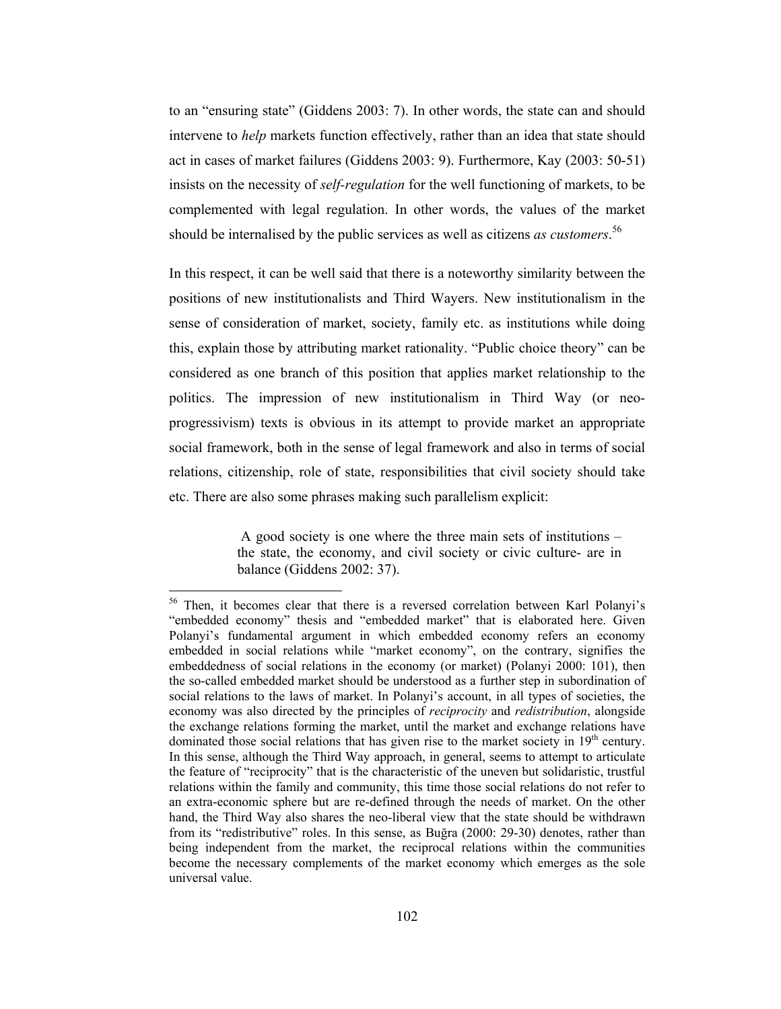to an "ensuring state" (Giddens 2003: 7). In other words, the state can and should intervene to *help* markets function effectively, rather than an idea that state should act in cases of market failures (Giddens 2003: 9). Furthermore, Kay (2003: 50-51) insists on the necessity of *self-regulation* for the well functioning of markets, to be complemented with legal regulation. In other words, the values of the market should be internalised by the public services as well as citizens *as customers*.<sup>56</sup>

In this respect, it can be well said that there is a noteworthy similarity between the positions of new institutionalists and Third Wayers. New institutionalism in the sense of consideration of market, society, family etc. as institutions while doing this, explain those by attributing market rationality. "Public choice theory" can be considered as one branch of this position that applies market relationship to the politics. The impression of new institutionalism in Third Way (or neoprogressivism) texts is obvious in its attempt to provide market an appropriate social framework, both in the sense of legal framework and also in terms of social relations, citizenship, role of state, responsibilities that civil society should take etc. There are also some phrases making such parallelism explicit:

> A good society is one where the three main sets of institutions – the state, the economy, and civil society or civic culture- are in balance (Giddens 2002: 37).

<sup>&</sup>lt;sup>56</sup> Then, it becomes clear that there is a reversed correlation between Karl Polanyi's "embedded economy" thesis and "embedded market" that is elaborated here. Given Polanyi's fundamental argument in which embedded economy refers an economy embedded in social relations while "market economy", on the contrary, signifies the embeddedness of social relations in the economy (or market) (Polanyi 2000: 101), then the so-called embedded market should be understood as a further step in subordination of social relations to the laws of market. In Polanyi's account, in all types of societies, the economy was also directed by the principles of *reciprocity* and *redistribution*, alongside the exchange relations forming the market, until the market and exchange relations have dominated those social relations that has given rise to the market society in 19<sup>th</sup> century. In this sense, although the Third Way approach, in general, seems to attempt to articulate the feature of "reciprocity" that is the characteristic of the uneven but solidaristic, trustful relations within the family and community, this time those social relations do not refer to an extra-economic sphere but are re-defined through the needs of market. On the other hand, the Third Way also shares the neo-liberal view that the state should be withdrawn from its "redistributive" roles. In this sense, as Buğra (2000: 29-30) denotes, rather than being independent from the market, the reciprocal relations within the communities become the necessary complements of the market economy which emerges as the sole universal value.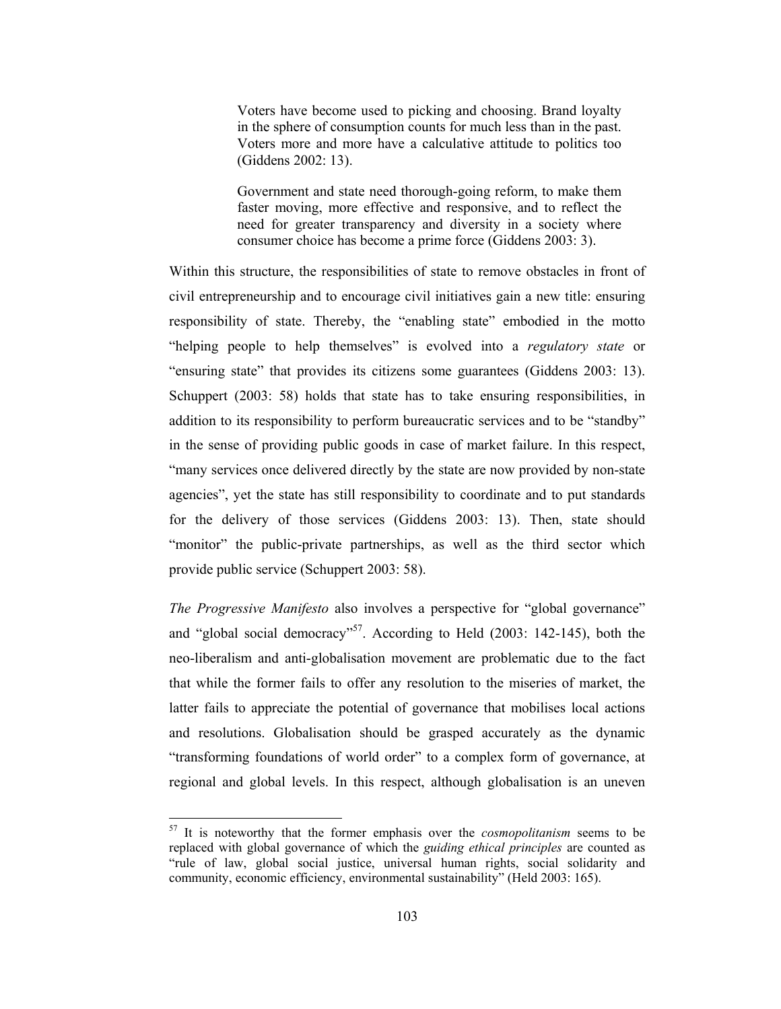Voters have become used to picking and choosing. Brand loyalty in the sphere of consumption counts for much less than in the past. Voters more and more have a calculative attitude to politics too (Giddens 2002: 13).

Government and state need thorough-going reform, to make them faster moving, more effective and responsive, and to reflect the need for greater transparency and diversity in a society where consumer choice has become a prime force (Giddens 2003: 3).

Within this structure, the responsibilities of state to remove obstacles in front of civil entrepreneurship and to encourage civil initiatives gain a new title: ensuring responsibility of state. Thereby, the "enabling state" embodied in the motto "helping people to help themselves" is evolved into a regulatory state or "ensuring state" that provides its citizens some guarantees (Giddens 2003: 13). Schuppert (2003: 58) holds that state has to take ensuring responsibilities, in addition to its responsibility to perform bureaucratic services and to be "standby" in the sense of providing public goods in case of market failure. In this respect, "many services once delivered directly by the state are now provided by non-state agencies", yet the state has still responsibility to coordinate and to put standards for the delivery of those services (Giddens 2003: 13). Then, state should "monitor" the public-private partnerships, as well as the third sector which provide public service (Schuppert 2003: 58).

The Progressive Manifesto also involves a perspective for "global governance" and "global social democracy"<sup>57</sup>. According to Held (2003: 142-145), both the neo-liberalism and anti-globalisation movement are problematic due to the fact that while the former fails to offer any resolution to the miseries of market, the latter fails to appreciate the potential of governance that mobilises local actions and resolutions. Globalisation should be grasped accurately as the dynamic "transforming foundations of world order" to a complex form of governance, at regional and global levels. In this respect, although globalisation is an uneven

 $57$  It is noteworthy that the former emphasis over the *cosmopolitanism* seems to be replaced with global governance of which the *guiding ethical principles* are counted as "rule of law, global social justice, universal human rights, social solidarity and community, economic efficiency, environmental sustainability" (Held 2003: 165).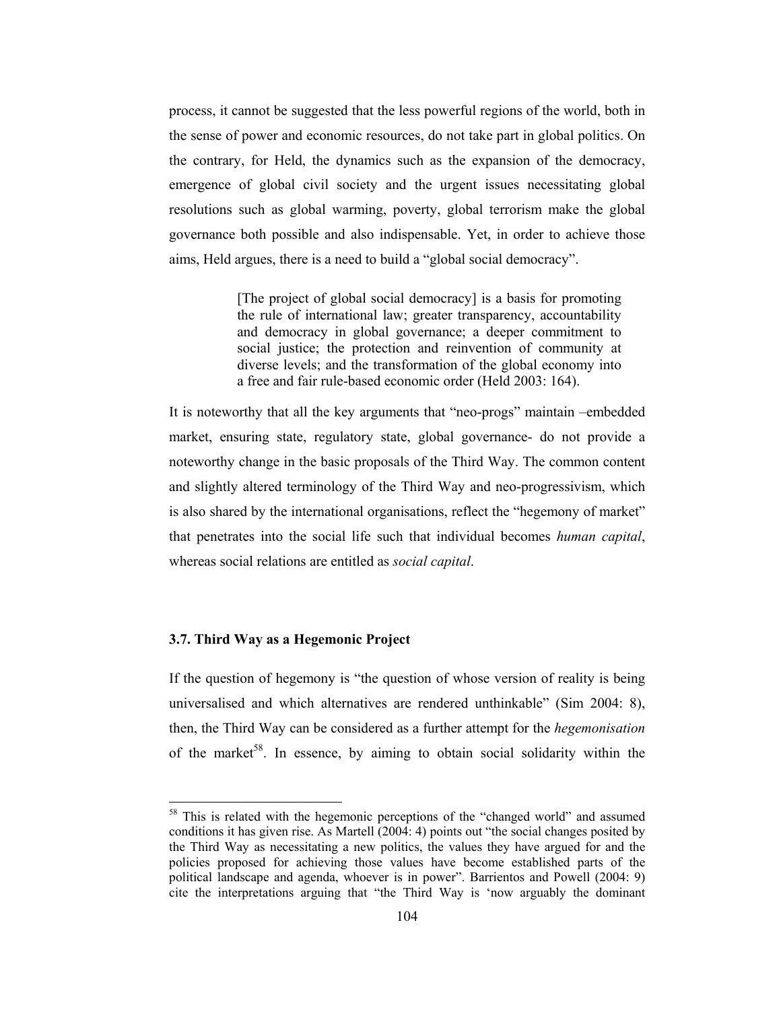process, it cannot be suggested that the less powerful regions of the world, both in the sense of power and economic resources, do not take part in global politics. On the contrary, for Held, the dynamics such as the expansion of the democracy, emergence of global civil society and the urgent issues necessitating global resolutions such as global warming, poverty, global terrorism make the global governance both possible and also indispensable. Yet, in order to achieve those aims, Held argues, there is a need to build a "global social democracy".

> [The project of global social democracy] is a basis for promoting the rule of international law; greater transparency, accountability and democracy in global governance; a deeper commitment to social justice; the protection and reinvention of community at diverse levels; and the transformation of the global economy into a free and fair rule-based economic order (Held 2003: 164).

It is noteworthy that all the key arguments that "neo-progs" maintain -embedded market, ensuring state, regulatory state, global governance- do not provide a noteworthy change in the basic proposals of the Third Way. The common content and slightly altered terminology of the Third Way and neo-progressivism, which is also shared by the international organisations, reflect the "hegemony of market" that penetrates into the social life such that individual becomes human capital, whereas social relations are entitled as *social capital*.

#### 3.7. Third Way as a Hegemonic Project

If the question of hegemony is "the question of whose version of reality is being universalised and which alternatives are rendered unthinkable" (Sim 2004: 8), then, the Third Way can be considered as a further attempt for the *hegemonisation* of the market<sup>58</sup>. In essence, by aiming to obtain social solidarity within the

<sup>&</sup>lt;sup>58</sup> This is related with the hegemonic perceptions of the "changed world" and assumed conditions it has given rise. As Martell (2004: 4) points out "the social changes posited by the Third Way as necessitating a new politics, the values they have argued for and the policies proposed for achieving those values have become established parts of the political landscape and agenda, whoever is in power". Barrientos and Powell (2004: 9) cite the interpretations arguing that "the Third Way is 'now arguably the dominant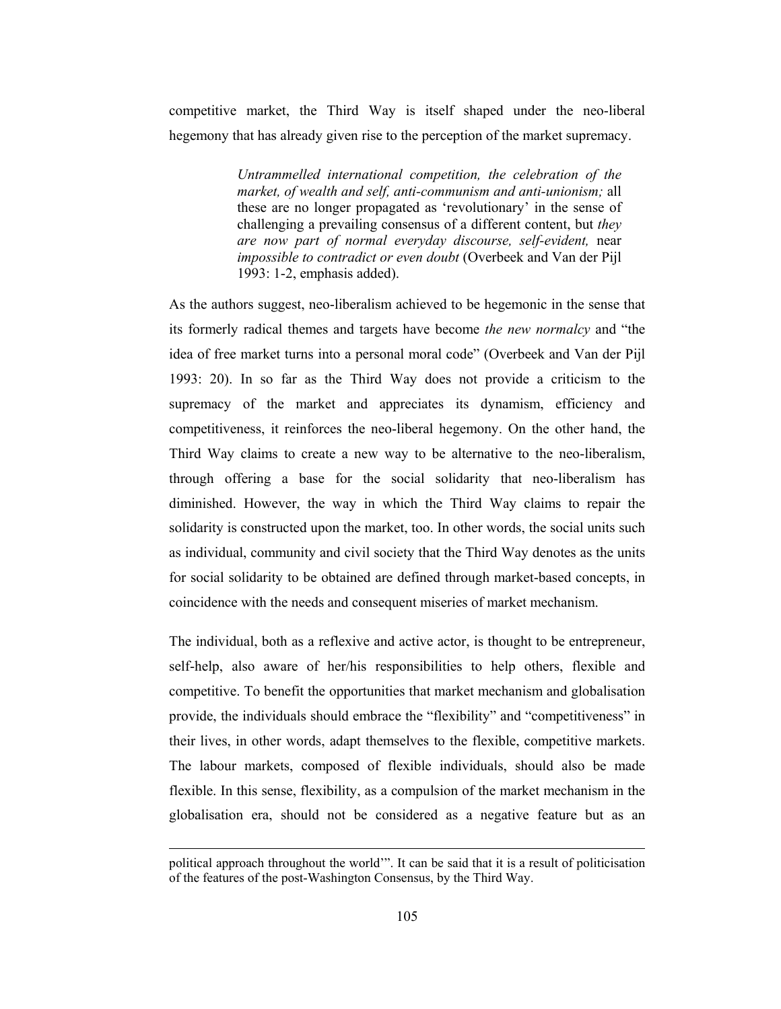competitive market, the Third Way is itself shaped under the neo-liberal hegemony that has already given rise to the perception of the market supremacy.

> Untrammelled international competition, the celebration of the market, of wealth and self, anti-communism and anti-unionism; all these are no longer propagated as 'revolutionary' in the sense of challenging a prevailing consensus of a different content, but they are now part of normal everyday discourse, self-evident, near impossible to contradict or even doubt (Overbeek and Van der Pijl 1993: 1-2, emphasis added).

As the authors suggest, neo-liberalism achieved to be hegemonic in the sense that its formerly radical themes and targets have become the new normalcy and "the idea of free market turns into a personal moral code" (Overbeek and Van der Pijl 1993: 20). In so far as the Third Way does not provide a criticism to the supremacy of the market and appreciates its dynamism, efficiency and competitiveness, it reinforces the neo-liberal hegemony. On the other hand, the Third Way claims to create a new way to be alternative to the neo-liberalism, through offering a base for the social solidarity that neo-liberalism has diminished. However, the way in which the Third Way claims to repair the solidarity is constructed upon the market, too. In other words, the social units such as individual, community and civil society that the Third Way denotes as the units for social solidarity to be obtained are defined through market-based concepts, in coincidence with the needs and consequent miseries of market mechanism.

The individual, both as a reflexive and active actor, is thought to be entrepreneur, self-help, also aware of her/his responsibilities to help others, flexible and competitive. To benefit the opportunities that market mechanism and globalisation provide, the individuals should embrace the "flexibility" and "competitiveness" in their lives, in other words, adapt themselves to the flexible, competitive markets. The labour markets, composed of flexible individuals, should also be made flexible. In this sense, flexibility, as a compulsion of the market mechanism in the globalisation era, should not be considered as a negative feature but as an

political approach throughout the world". It can be said that it is a result of politicisation of the features of the post-Washington Consensus, by the Third Way.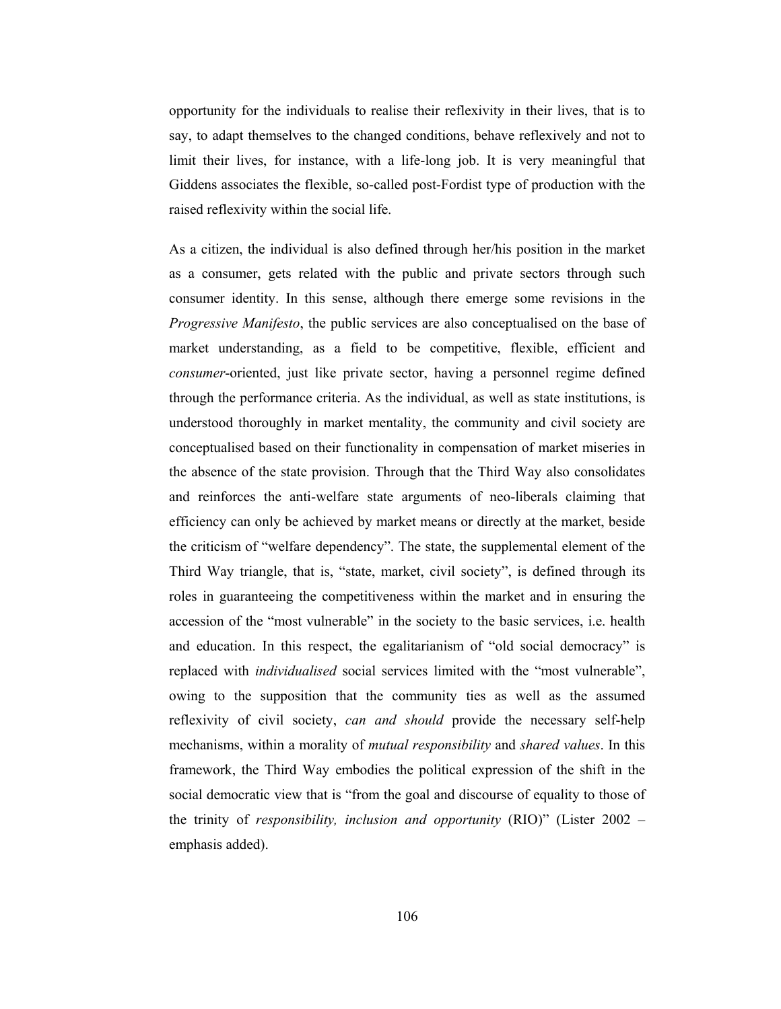opportunity for the individuals to realise their reflexivity in their lives, that is to say, to adapt themselves to the changed conditions, behave reflexively and not to limit their lives, for instance, with a life-long job. It is very meaningful that Giddens associates the flexible, so-called post-Fordist type of production with the raised reflexivity within the social life.

As a citizen, the individual is also defined through her/his position in the market as a consumer, gets related with the public and private sectors through such consumer identity. In this sense, although there emerge some revisions in the *Progressive Manifesto*, the public services are also conceptualised on the base of market understanding, as a field to be competitive, flexible, efficient and *consumer*-oriented, just like private sector, having a personnel regime defined through the performance criteria. As the individual, as well as state institutions, is understood thoroughly in market mentality, the community and civil society are conceptualised based on their functionality in compensation of market miseries in the absence of the state provision. Through that the Third Way also consolidates and reinforces the anti-welfare state arguments of neo-liberals claiming that efficiency can only be achieved by market means or directly at the market, beside the criticism of "welfare dependency". The state, the supplemental element of the Third Way triangle, that is, "state, market, civil society", is defined through its roles in guaranteeing the competitiveness within the market and in ensuring the accession of the "most vulnerable" in the society to the basic services, *i.e.* health and education. In this respect, the egalitarianism of "old social democracy" is replaced with *individualised* social services limited with the "most vulnerable", owing to the supposition that the community ties as well as the assumed reflexivity of civil society, can and should provide the necessary self-help mechanisms, within a morality of mutual responsibility and shared values. In this framework, the Third Way embodies the political expression of the shift in the social democratic view that is "from the goal and discourse of equality to those of the trinity of responsibility, inclusion and opportunity (RIO)" (Lister  $2002$ emphasis added).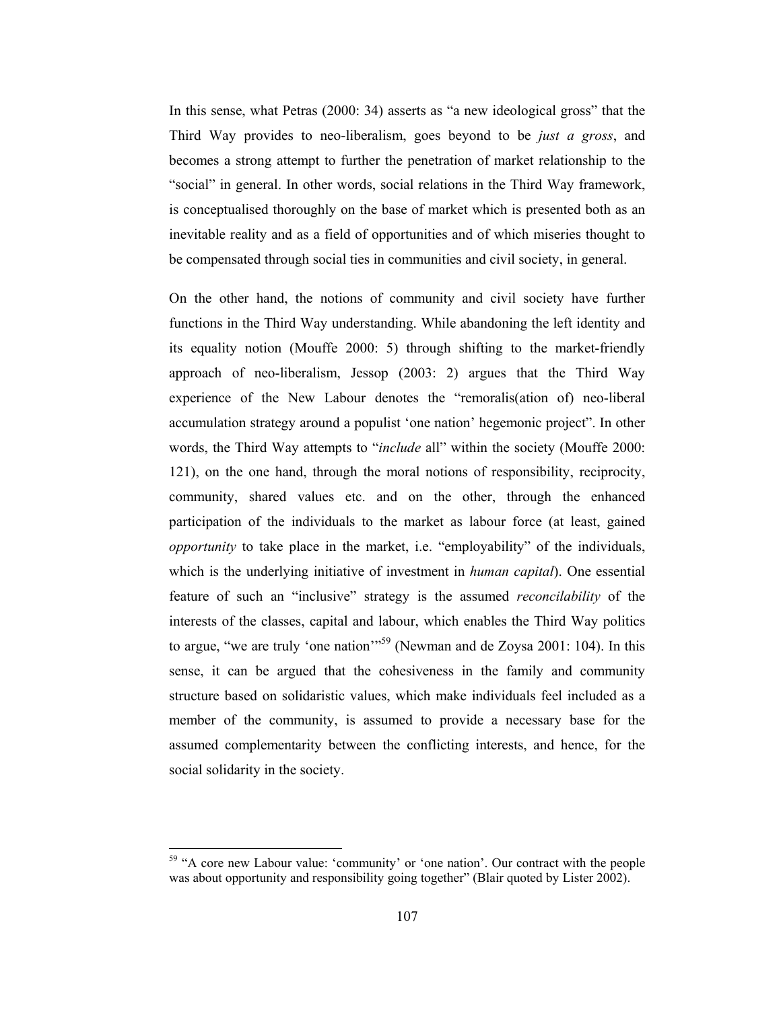In this sense, what Petras (2000: 34) asserts as "a new ideological gross" that the Third Way provides to neo-liberalism, goes beyond to be just a gross, and becomes a strong attempt to further the penetration of market relationship to the "social" in general. In other words, social relations in the Third Way framework, is conceptualised thoroughly on the base of market which is presented both as an inevitable reality and as a field of opportunities and of which miseries thought to be compensated through social ties in communities and civil society, in general.

On the other hand, the notions of community and civil society have further functions in the Third Way understanding. While abandoning the left identity and its equality notion (Mouffe 2000: 5) through shifting to the market-friendly approach of neo-liberalism, Jessop  $(2003; 2)$  argues that the Third Way experience of the New Labour denotes the "remoralis(ation of) neo-liberal accumulation strategy around a populist 'one nation' hegemonic project". In other words, the Third Way attempts to "*include* all" within the society (Mouffe 2000: 121), on the one hand, through the moral notions of responsibility, reciprocity, community, shared values etc. and on the other, through the enhanced participation of the individuals to the market as labour force (at least, gained *opportunity* to take place in the market, i.e. "employability" of the individuals, which is the underlying initiative of investment in *human capital*). One essential feature of such an "inclusive" strategy is the assumed *reconcilability* of the interests of the classes, capital and labour, which enables the Third Way politics to argue, "we are truly 'one nation"<sup>59</sup> (Newman and de Zoysa 2001: 104). In this sense, it can be argued that the cohesiveness in the family and community structure based on solidaristic values, which make individuals feel included as a member of the community, is assumed to provide a necessary base for the assumed complementarity between the conflicting interests, and hence, for the social solidarity in the society.

<sup>&</sup>lt;sup>59</sup> "A core new Labour value: 'community' or 'one nation'. Our contract with the people was about opportunity and responsibility going together" (Blair quoted by Lister 2002).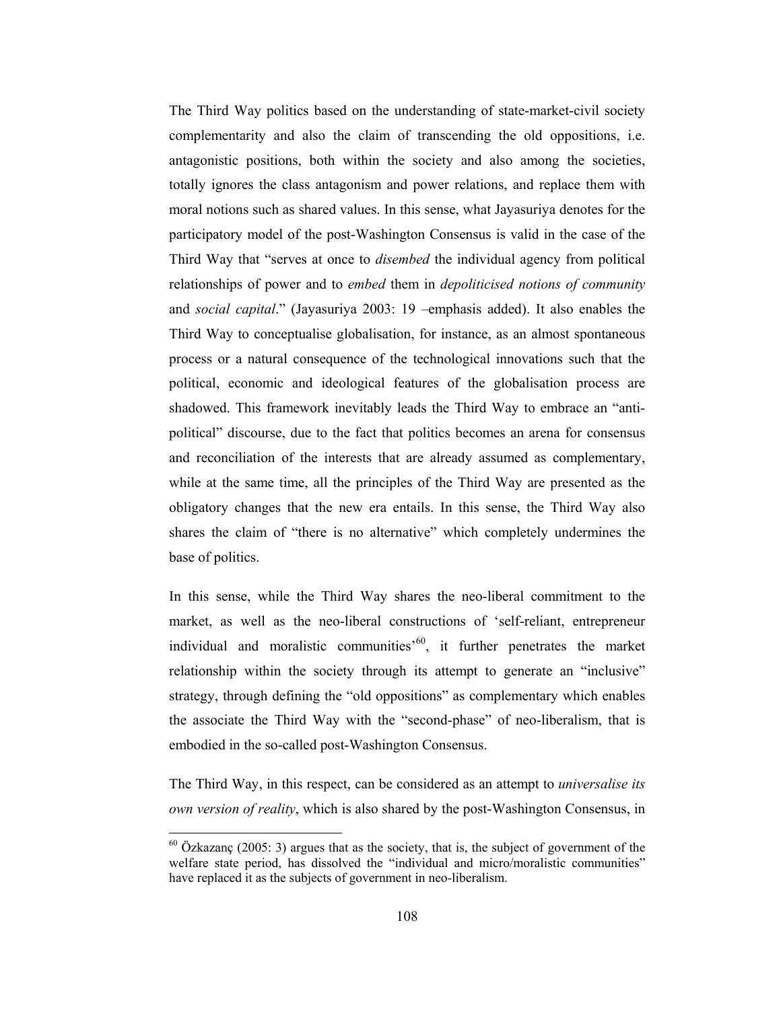The Third Way politics based on the understanding of state-market-civil society complementarity and also the claim of transcending the old oppositions, i.e. antagonistic positions, both within the society and also among the societies, totally ignores the class antagonism and power relations, and replace them with moral notions such as shared values. In this sense, what Jayasuriya denotes for the participatory model of the post-Washington Consensus is valid in the case of the Third Way that "serves at once to *disembed* the individual agency from political relationships of power and to *embed* them in *depoliticised notions of community* and social capital." (Jayasuriya 2003: 19 -emphasis added). It also enables the Third Way to conceptualise globalisation, for instance, as an almost spontaneous process or a natural consequence of the technological innovations such that the political, economic and ideological features of the globalisation process are shadowed. This framework inevitably leads the Third Way to embrace an "antipolitical" discourse, due to the fact that politics becomes an arena for consensus and reconciliation of the interests that are already assumed as complementary, while at the same time, all the principles of the Third Way are presented as the obligatory changes that the new era entails. In this sense, the Third Way also shares the claim of "there is no alternative" which completely undermines the base of politics.

In this sense, while the Third Way shares the neo-liberal commitment to the market, as well as the neo-liberal constructions of 'self-reliant, entrepreneur individual and moralistic communities<sup>560</sup>, it further penetrates the market relationship within the society through its attempt to generate an "inclusive" strategy, through defining the "old oppositions" as complementary which enables the associate the Third Way with the "second-phase" of neo-liberalism, that is embodied in the so-called post-Washington Consensus.

The Third Way, in this respect, can be considered as an attempt to *universalise its own version of reality*, which is also shared by the post-Washington Consensus, in

 $60$  Özkazanç (2005: 3) argues that as the society, that is, the subject of government of the welfare state period, has dissolved the "individual and micro/moralistic communities" have replaced it as the subjects of government in neo-liberalism.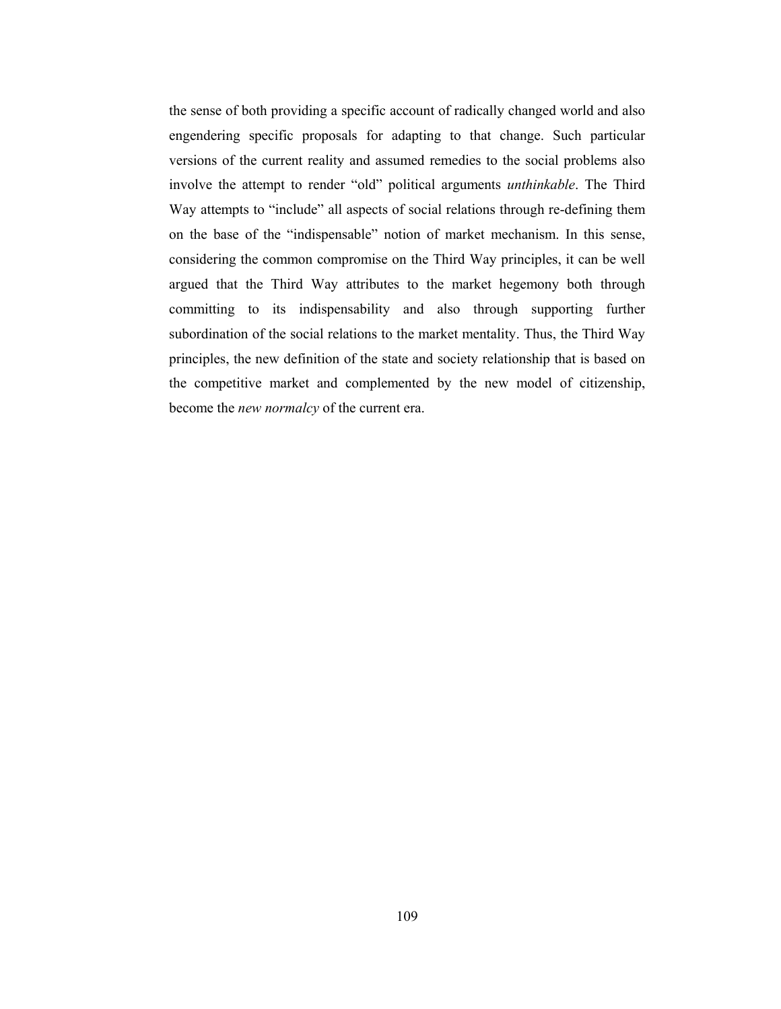the sense of both providing a specific account of radically changed world and also engendering specific proposals for adapting to that change. Such particular versions of the current reality and assumed remedies to the social problems also involve the attempt to render "old" political arguments *unthinkable*. The Third Way attempts to "include" all aspects of social relations through re-defining them on the base of the "indispensable" notion of market mechanism. In this sense, considering the common compromise on the Third Way principles, it can be well argued that the Third Way attributes to the market hegemony both through committing to its indispensability and also through supporting further subordination of the social relations to the market mentality. Thus, the Third Way principles, the new definition of the state and society relationship that is based on the competitive market and complemented by the new model of citizenship, become the *new normalcy* of the current era.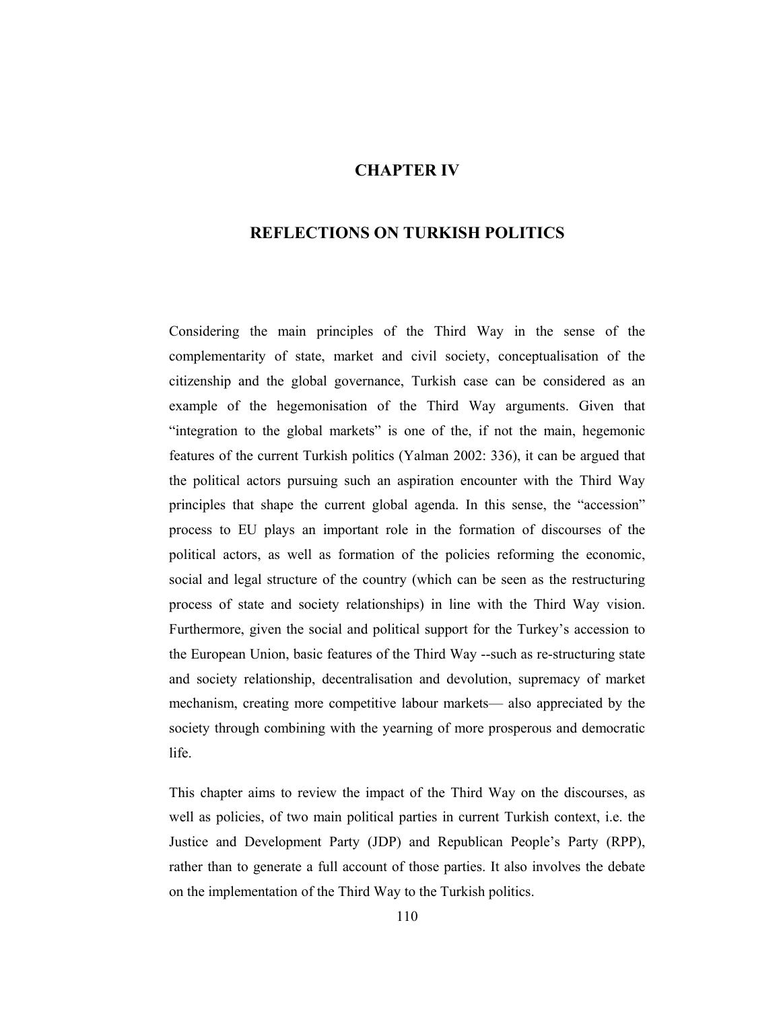# **CHAPTER IV**

# **REFLECTIONS ON TURKISH POLITICS**

Considering the main principles of the Third Way in the sense of the complementarity of state, market and civil society, conceptualisation of the citizenship and the global governance. Turkish case can be considered as an example of the hegemonisation of the Third Way arguments. Given that "integration to the global markets" is one of the, if not the main, hegemonic features of the current Turkish politics (Yalman 2002: 336), it can be argued that the political actors pursuing such an aspiration encounter with the Third Way principles that shape the current global agenda. In this sense, the "accession" process to EU plays an important role in the formation of discourses of the political actors, as well as formation of the policies reforming the economic, social and legal structure of the country (which can be seen as the restructuring process of state and society relationships) in line with the Third Way vision. Furthermore, given the social and political support for the Turkey's accession to the European Union, basic features of the Third Way --such as re-structuring state and society relationship, decentralisation and devolution, supremacy of market mechanism, creating more competitive labour markets— also appreciated by the society through combining with the yearning of more prosperous and democratic life.

This chapter aims to review the impact of the Third Way on the discourses, as well as policies, of two main political parties in current Turkish context, i.e. the Justice and Development Party (JDP) and Republican People's Party (RPP), rather than to generate a full account of those parties. It also involves the debate on the implementation of the Third Way to the Turkish politics.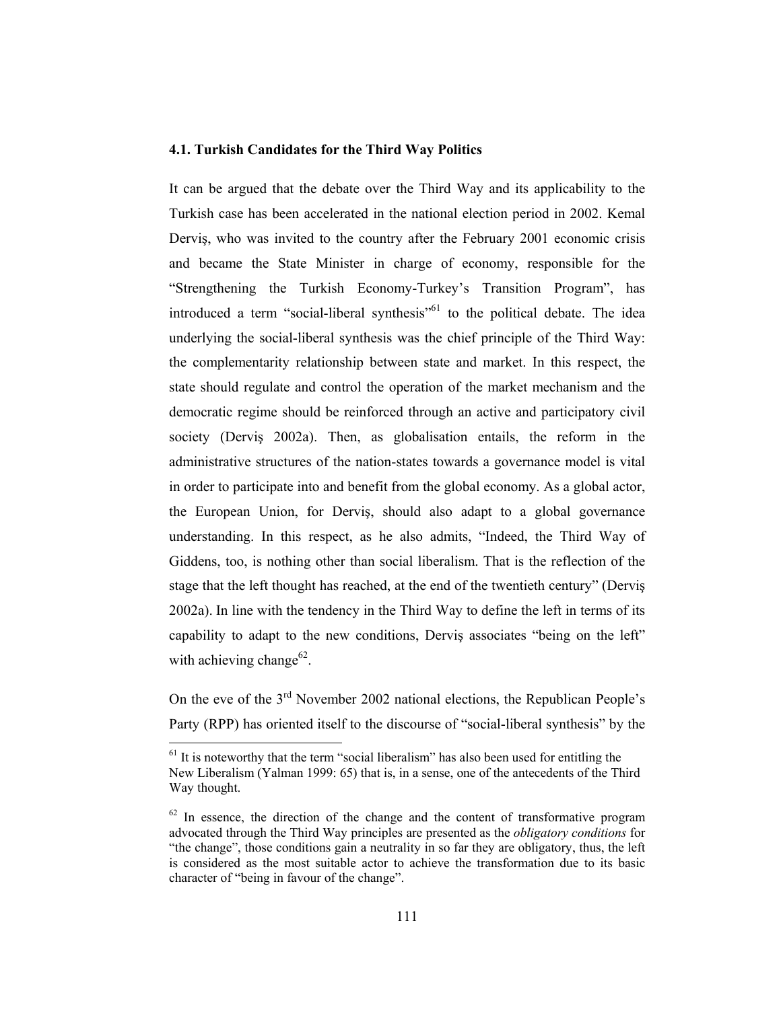## 4.1. Turkish Candidates for the Third Way Politics

It can be argued that the debate over the Third Way and its applicability to the Turkish case has been accelerated in the national election period in 2002. Kemal Dervis, who was invited to the country after the February 2001 economic crisis and became the State Minister in charge of economy, responsible for the "Strengthening the Turkish Economy-Turkey's Transition Program", has introduced a term "social-liberal synthesis"<sup>61</sup> to the political debate. The idea underlying the social-liberal synthesis was the chief principle of the Third Way: the complementarity relationship between state and market. In this respect, the state should regulate and control the operation of the market mechanism and the democratic regime should be reinforced through an active and participatory civil society (Dervis 2002a). Then, as globalisation entails, the reform in the administrative structures of the nation-states towards a governance model is vital in order to participate into and benefit from the global economy. As a global actor, the European Union, for Dervis, should also adapt to a global governance understanding. In this respect, as he also admits, "Indeed, the Third Way of Giddens, too, is nothing other than social liberalism. That is the reflection of the stage that the left thought has reached, at the end of the twentieth century" (Dervis 2002a). In line with the tendency in the Third Way to define the left in terms of its capability to adapt to the new conditions, Dervis associates "being on the left" with achieving change<sup>62</sup>.

On the eve of the  $3<sup>rd</sup>$  November 2002 national elections, the Republican People's Party (RPP) has oriented itself to the discourse of "social-liberal synthesis" by the

 $<sup>61</sup>$  It is noteworthy that the term "social liberalism" has also been used for entitling the</sup> New Liberalism (Yalman 1999: 65) that is, in a sense, one of the antecedents of the Third Way thought.

 $62$  In essence, the direction of the change and the content of transformative program advocated through the Third Way principles are presented as the *obligatory conditions* for "the change", those conditions gain a neutrality in so far they are obligatory, thus, the left is considered as the most suitable actor to achieve the transformation due to its basic character of "being in favour of the change".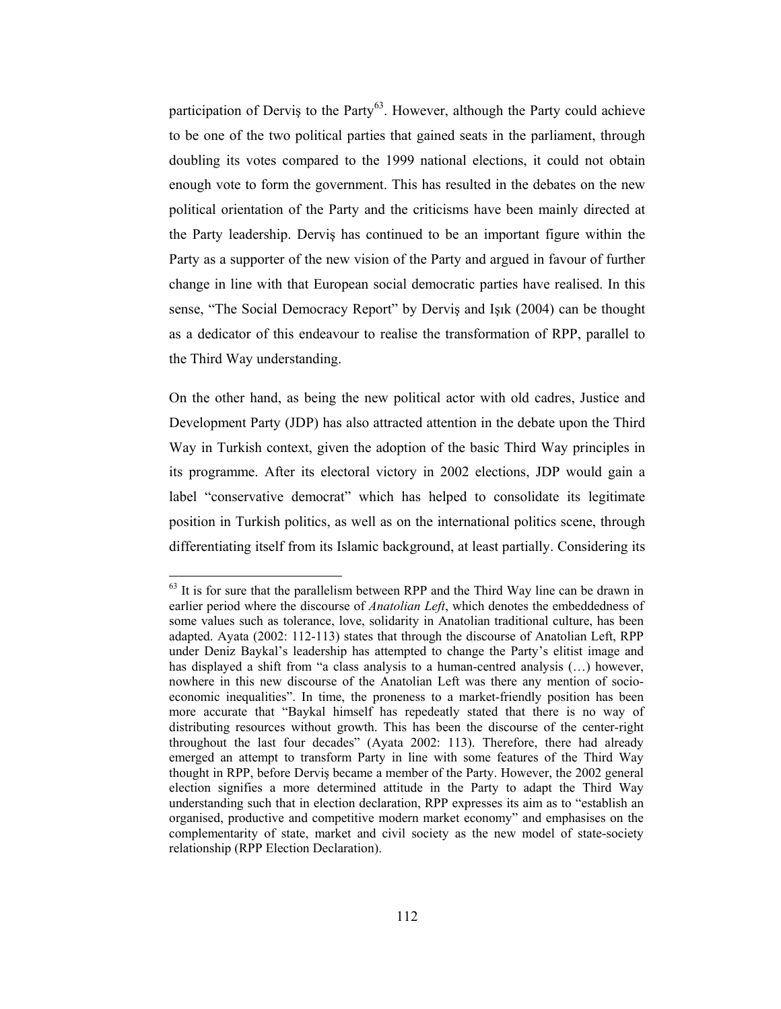participation of Dervis to the Party<sup>63</sup>. However, although the Party could achieve to be one of the two political parties that gained seats in the parliament, through doubling its votes compared to the 1999 national elections, it could not obtain enough vote to form the government. This has resulted in the debates on the new political orientation of the Party and the criticisms have been mainly directed at the Party leadership. Dervis has continued to be an important figure within the Party as a supporter of the new vision of the Party and argued in favour of further change in line with that European social democratic parties have realised. In this sense, "The Social Democracy Report" by Dervis and Isik (2004) can be thought as a dedicator of this endeavour to realise the transformation of RPP, parallel to the Third Way understanding.

On the other hand, as being the new political actor with old cadres, Justice and Development Party (JDP) has also attracted attention in the debate upon the Third Way in Turkish context, given the adoption of the basic Third Way principles in its programme. After its electoral victory in 2002 elections, JDP would gain a label "conservative democrat" which has helped to consolidate its legitimate position in Turkish politics, as well as on the international politics scene, through differentiating itself from its Islamic background, at least partially. Considering its

 $63$  It is for sure that the parallelism between RPP and the Third Way line can be drawn in earlier period where the discourse of Anatolian Left, which denotes the embeddedness of some values such as tolerance, love, solidarity in Anatolian traditional culture, has been adapted. Ayata (2002: 112-113) states that through the discourse of Anatolian Left, RPP under Deniz Baykal's leadership has attempted to change the Party's elitist image and has displayed a shift from "a class analysis to a human-centred analysis (...) however, nowhere in this new discourse of the Anatolian Left was there any mention of socioeconomic inequalities". In time, the proneness to a market-friendly position has been more accurate that "Baykal himself has repedeatly stated that there is no way of distributing resources without growth. This has been the discourse of the center-right throughout the last four decades" (Ayata 2002: 113). Therefore, there had already emerged an attempt to transform Party in line with some features of the Third Way thought in RPP, before Dervis became a member of the Party. However, the 2002 general election signifies a more determined attitude in the Party to adapt the Third Way understanding such that in election declaration, RPP expresses its aim as to "establish an organised, productive and competitive modern market economy" and emphasises on the complementarity of state, market and civil society as the new model of state-society relationship (RPP Election Declaration).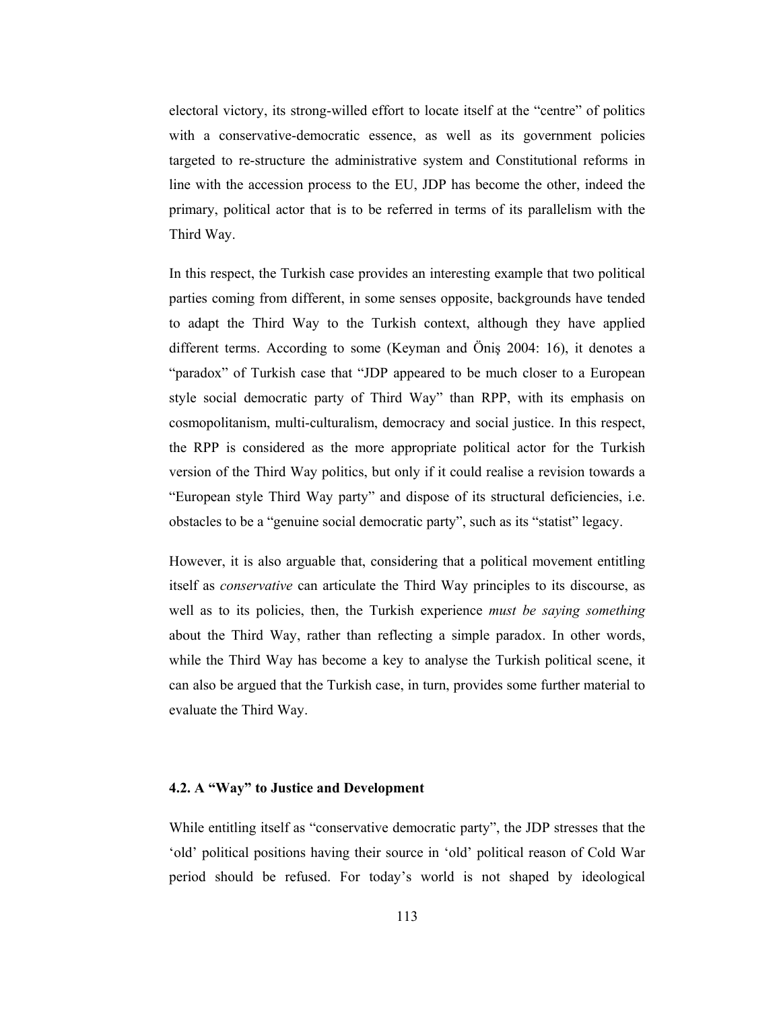electoral victory, its strong-willed effort to locate itself at the "centre" of politics with a conservative-democratic essence, as well as its government policies targeted to re-structure the administrative system and Constitutional reforms in line with the accession process to the EU, JDP has become the other, indeed the primary, political actor that is to be referred in terms of its parallelism with the Third Way.

In this respect, the Turkish case provides an interesting example that two political parties coming from different, in some senses opposite, backgrounds have tended to adapt the Third Way to the Turkish context, although they have applied different terms. According to some (Keyman and Önis 2004: 16), it denotes a "paradox" of Turkish case that "JDP appeared to be much closer to a European style social democratic party of Third Way" than RPP, with its emphasis on cosmopolitanism, multi-culturalism, democracy and social justice. In this respect, the RPP is considered as the more appropriate political actor for the Turkish version of the Third Way politics, but only if it could realise a revision towards a "European style Third Way party" and dispose of its structural deficiencies, i.e. obstacles to be a "genuine social democratic party", such as its "statist" legacy.

However, it is also arguable that, considering that a political movement entitling itself as *conservative* can articulate the Third Way principles to its discourse, as well as to its policies, then, the Turkish experience *must be saying something* about the Third Way, rather than reflecting a simple paradox. In other words, while the Third Way has become a key to analyse the Turkish political scene, it can also be argued that the Turkish case, in turn, provides some further material to evaluate the Third Way.

## 4.2. A "Way" to Justice and Development

While entitling itself as "conservative democratic party", the JDP stresses that the 'old' political positions having their source in 'old' political reason of Cold War period should be refused. For today's world is not shaped by ideological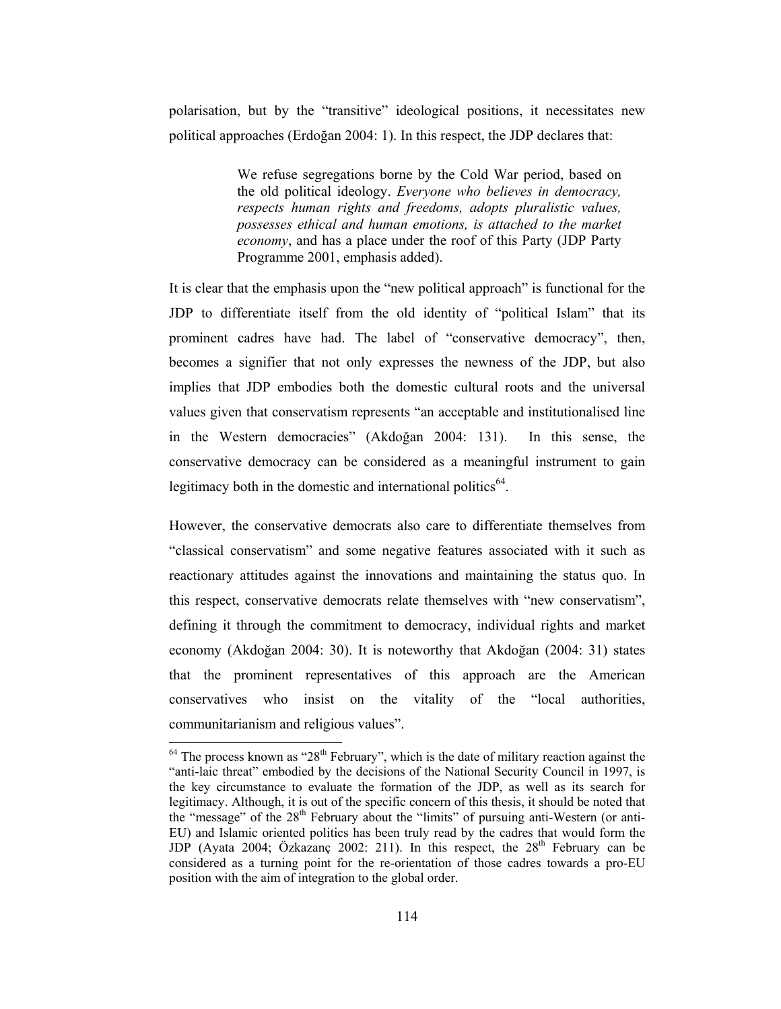polarisation, but by the "transitive" ideological positions, it necessitates new political approaches (Erdoğan 2004: 1). In this respect, the JDP declares that:

> We refuse segregations borne by the Cold War period, based on the old political ideology. Everyone who believes in democracy, respects human rights and freedoms, adopts pluralistic values, possesses ethical and human emotions, is attached to the market *economy*, and has a place under the roof of this Party (JDP Party Programme 2001, emphasis added).

It is clear that the emphasis upon the "new political approach" is functional for the JDP to differentiate itself from the old identity of "political Islam" that its prominent cadres have had. The label of "conservative democracy", then, becomes a signifier that not only expresses the newness of the JDP, but also implies that JDP embodies both the domestic cultural roots and the universal values given that conservatism represents "an acceptable and institutionalised line in the Western democracies" (Akdoğan 2004: 131). In this sense, the conservative democracy can be considered as a meaningful instrument to gain legitimacy both in the domestic and international politics<sup>64</sup>.

However, the conservative democrats also care to differentiate themselves from "classical conservatism" and some negative features associated with it such as reactionary attitudes against the innovations and maintaining the status quo. In this respect, conservative democrats relate themselves with "new conservatism", defining it through the commitment to democracy, individual rights and market economy (Akdoğan 2004: 30). It is noteworthy that Akdoğan (2004: 31) states that the prominent representatives of this approach are the American conservatives who insist on the vitality of the "local authorities, communitarianism and religious values".

 $64$  The process known as "28<sup>th</sup> February", which is the date of military reaction against the "anti-laic threat" embodied by the decisions of the National Security Council in 1997, is the key circumstance to evaluate the formation of the JDP, as well as its search for legitimacy. Although, it is out of the specific concern of this thesis, it should be noted that the "message" of the 28<sup>th</sup> February about the "limits" of pursuing anti-Western (or anti-EU) and Islamic oriented politics has been truly read by the cadres that would form the JDP (Ayata 2004; Özkazanç 2002: 211). In this respect, the 28<sup>th</sup> February can be considered as a turning point for the re-orientation of those cadres towards a pro-EU position with the aim of integration to the global order.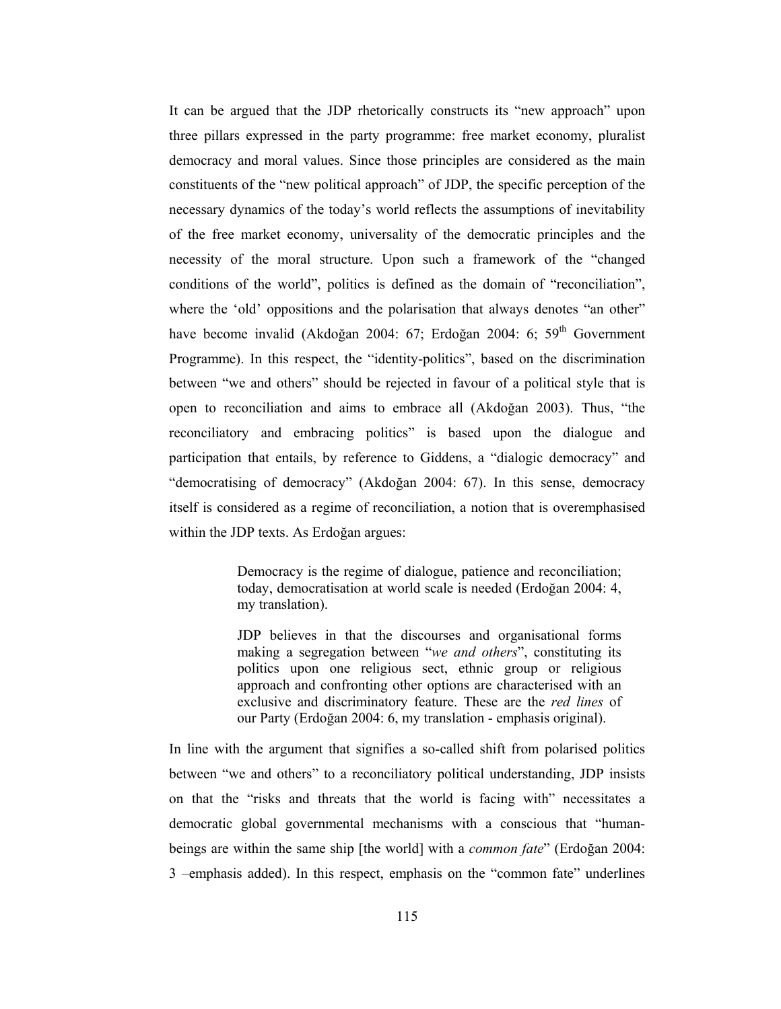It can be argued that the JDP rhetorically constructs its "new approach" upon three pillars expressed in the party programme: free market economy, pluralist democracy and moral values. Since those principles are considered as the main constituents of the "new political approach" of JDP, the specific perception of the necessary dynamics of the today's world reflects the assumptions of inevitability of the free market economy, universality of the democratic principles and the necessity of the moral structure. Upon such a framework of the "changed conditions of the world", politics is defined as the domain of "reconciliation", where the 'old' oppositions and the polarisation that always denotes "an other" have become invalid (Akdoğan 2004: 67; Erdoğan 2004: 6; 59<sup>th</sup> Government Programme). In this respect, the "identity-politics", based on the discrimination between "we and others" should be rejected in favour of a political style that is open to reconciliation and aims to embrace all (Akdoğan 2003). Thus, "the reconciliatory and embracing politics" is based upon the dialogue and participation that entails, by reference to Giddens, a "dialogic democracy" and "democratising of democracy" (Akdoğan 2004: 67). In this sense, democracy itself is considered as a regime of reconciliation, a notion that is overemphasised within the JDP texts. As Erdoğan argues:

> Democracy is the regime of dialogue, patience and reconciliation; today, democratisation at world scale is needed (Erdoğan 2004: 4, my translation).

> JDP believes in that the discourses and organisational forms making a segregation between "we and others", constituting its politics upon one religious sect, ethnic group or religious approach and confronting other options are characterised with an exclusive and discriminatory feature. These are the *red lines* of our Party (Erdoğan 2004: 6, my translation - emphasis original).

In line with the argument that signifies a so-called shift from polarised politics between "we and others" to a reconciliatory political understanding. JDP insists on that the "risks and threats that the world is facing with" necessitates a democratic global governmental mechanisms with a conscious that "humanbeings are within the same ship [the world] with a *common fate*" (Erdoğan 2004: 3 -emphasis added). In this respect, emphasis on the "common fate" underlines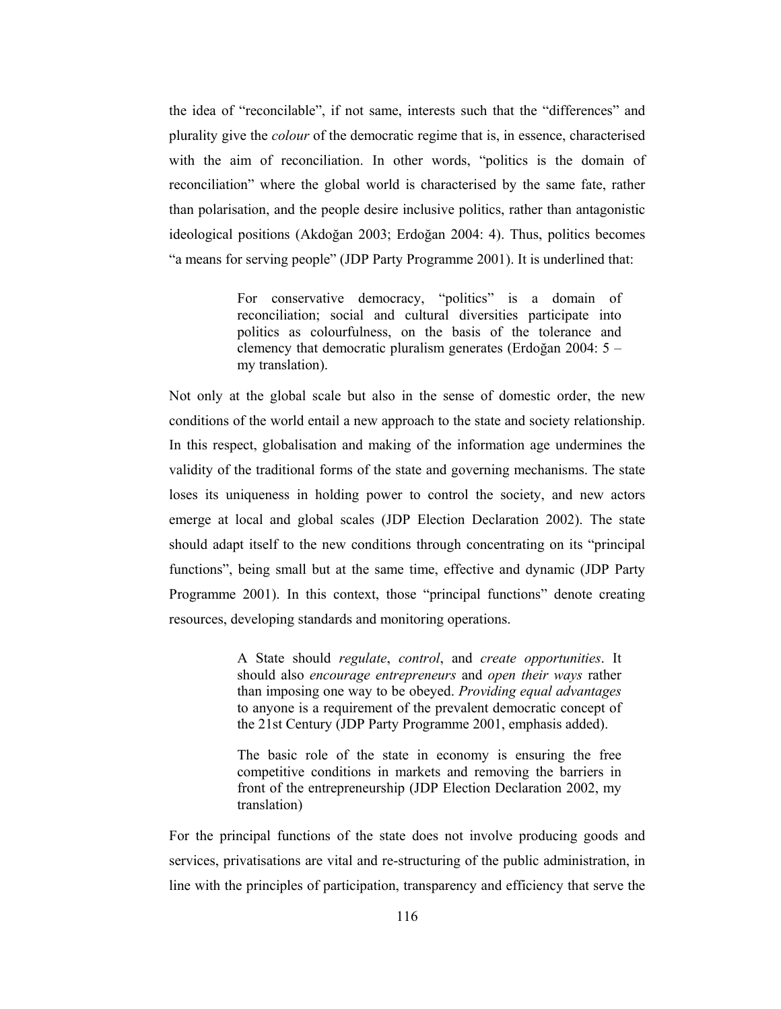the idea of "reconcilable", if not same, interests such that the "differences" and plurality give the *colour* of the democratic regime that is, in essence, characterised with the aim of reconciliation. In other words, "politics is the domain of reconciliation" where the global world is characterised by the same fate, rather than polarisation, and the people desire inclusive politics, rather than antagonistic ideological positions (Akdoğan 2003; Erdoğan 2004; 4). Thus, politics becomes "a means for serving people" (JDP Party Programme 2001). It is underlined that:

> For conservative democracy, "politics" is a domain of reconciliation; social and cultural diversities participate into politics as colourfulness, on the basis of the tolerance and clemency that democratic pluralism generates (Erdoğan 2004:  $5$ my translation).

Not only at the global scale but also in the sense of domestic order, the new conditions of the world entail a new approach to the state and society relationship. In this respect, globalisation and making of the information age undermines the validity of the traditional forms of the state and governing mechanisms. The state loses its uniqueness in holding power to control the society, and new actors emerge at local and global scales (JDP Election Declaration 2002). The state should adapt itself to the new conditions through concentrating on its "principal functions", being small but at the same time, effective and dynamic (JDP Party Programme 2001). In this context, those "principal functions" denote creating resources, developing standards and monitoring operations.

> A State should regulate, control, and create opportunities. It should also encourage entrepreneurs and open their ways rather than imposing one way to be obeyed. Providing equal advantages to anyone is a requirement of the prevalent democratic concept of the 21st Century (JDP Party Programme 2001, emphasis added).

> The basic role of the state in economy is ensuring the free competitive conditions in markets and removing the barriers in front of the entrepreneurship (JDP Election Declaration 2002, my translation)

For the principal functions of the state does not involve producing goods and services, privatisations are vital and re-structuring of the public administration, in line with the principles of participation, transparency and efficiency that serve the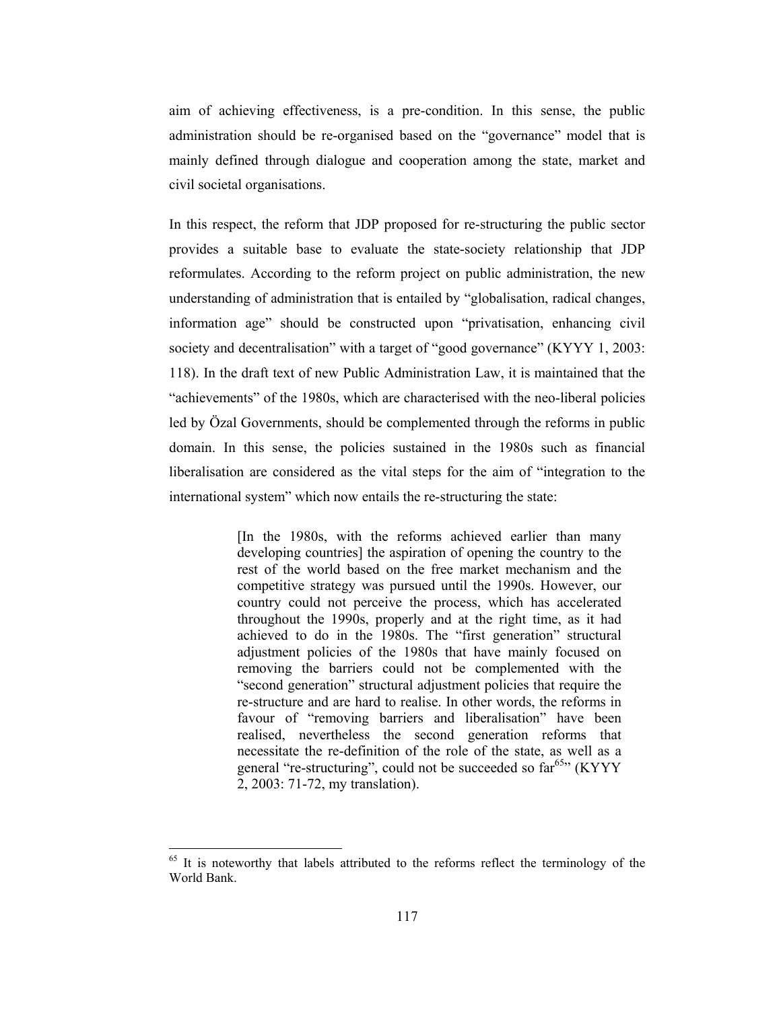aim of achieving effectiveness, is a pre-condition. In this sense, the public administration should be re-organised based on the "governance" model that is mainly defined through dialogue and cooperation among the state, market and civil societal organisations.

In this respect, the reform that JDP proposed for re-structuring the public sector provides a suitable base to evaluate the state-society relationship that JDP reformulates. According to the reform project on public administration, the new understanding of administration that is entailed by "globalisation, radical changes, information age" should be constructed upon "privatisation, enhancing civil society and decentralisation" with a target of "good governance" (KYYY 1, 2003: 118). In the draft text of new Public Administration Law, it is maintained that the "achievements" of the 1980s, which are characterised with the neo-liberal policies led by Özal Governments, should be complemented through the reforms in public domain. In this sense, the policies sustained in the 1980s such as financial liberalisation are considered as the vital steps for the aim of "integration to the international system" which now entails the re-structuring the state:

> [In the 1980s, with the reforms achieved earlier than many developing countries] the aspiration of opening the country to the rest of the world based on the free market mechanism and the competitive strategy was pursued until the 1990s. However, our country could not perceive the process, which has accelerated throughout the 1990s, properly and at the right time, as it had achieved to do in the 1980s. The "first generation" structural adjustment policies of the 1980s that have mainly focused on removing the barriers could not be complemented with the "second generation" structural adjustment policies that require the re-structure and are hard to realise. In other words, the reforms in favour of "removing barriers and liberalisation" have been realised, nevertheless the second generation reforms that necessitate the re-definition of the role of the state, as well as a general "re-structuring", could not be succeeded so far<sup>65</sup>" (KYYY 2, 2003: 71-72, my translation).

It is noteworthy that labels attributed to the reforms reflect the terminology of the World Bank.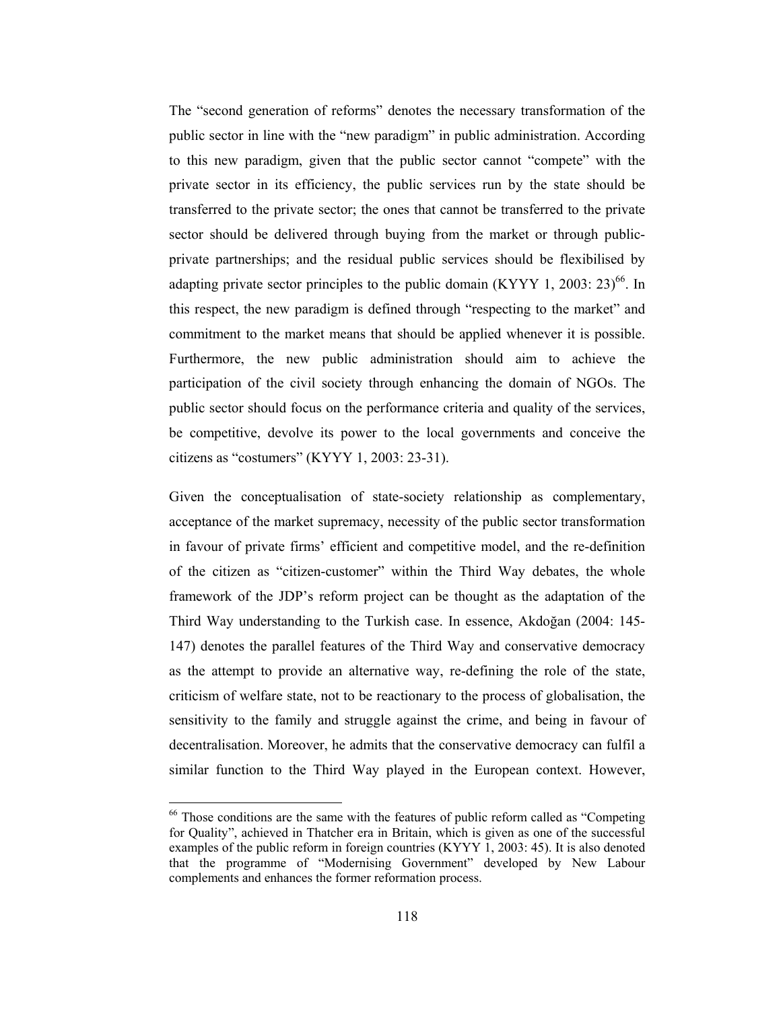The "second generation of reforms" denotes the necessary transformation of the public sector in line with the "new paradigm" in public administration. According to this new paradigm, given that the public sector cannot "compete" with the private sector in its efficiency, the public services run by the state should be transferred to the private sector; the ones that cannot be transferred to the private sector should be delivered through buying from the market or through publicprivate partnerships; and the residual public services should be flexibilised by adapting private sector principles to the public domain (KYYY 1, 2003: 23)<sup>66</sup>. In this respect, the new paradigm is defined through "respecting to the market" and commitment to the market means that should be applied whenever it is possible. Furthermore, the new public administration should aim to achieve the participation of the civil society through enhancing the domain of NGOs. The public sector should focus on the performance criteria and quality of the services, be competitive, devolve its power to the local governments and conceive the citizens as "costumers" (KYYY 1, 2003: 23-31).

Given the conceptualisation of state-society relationship as complementary, acceptance of the market supremacy, necessity of the public sector transformation in favour of private firms' efficient and competitive model, and the re-definition of the citizen as "citizen-customer" within the Third Way debates, the whole framework of the JDP's reform project can be thought as the adaptation of the Third Way understanding to the Turkish case. In essence, Akdoğan (2004: 145-147) denotes the parallel features of the Third Way and conservative democracy as the attempt to provide an alternative way, re-defining the role of the state, criticism of welfare state, not to be reactionary to the process of globalisation, the sensitivity to the family and struggle against the crime, and being in favour of decentralisation. Moreover, he admits that the conservative democracy can fulfil a similar function to the Third Way played in the European context. However,

<sup>&</sup>lt;sup>66</sup> Those conditions are the same with the features of public reform called as "Competing for Quality", achieved in Thatcher era in Britain, which is given as one of the successful examples of the public reform in foreign countries (KYYY 1, 2003: 45). It is also denoted that the programme of "Modernising Government" developed by New Labour complements and enhances the former reformation process.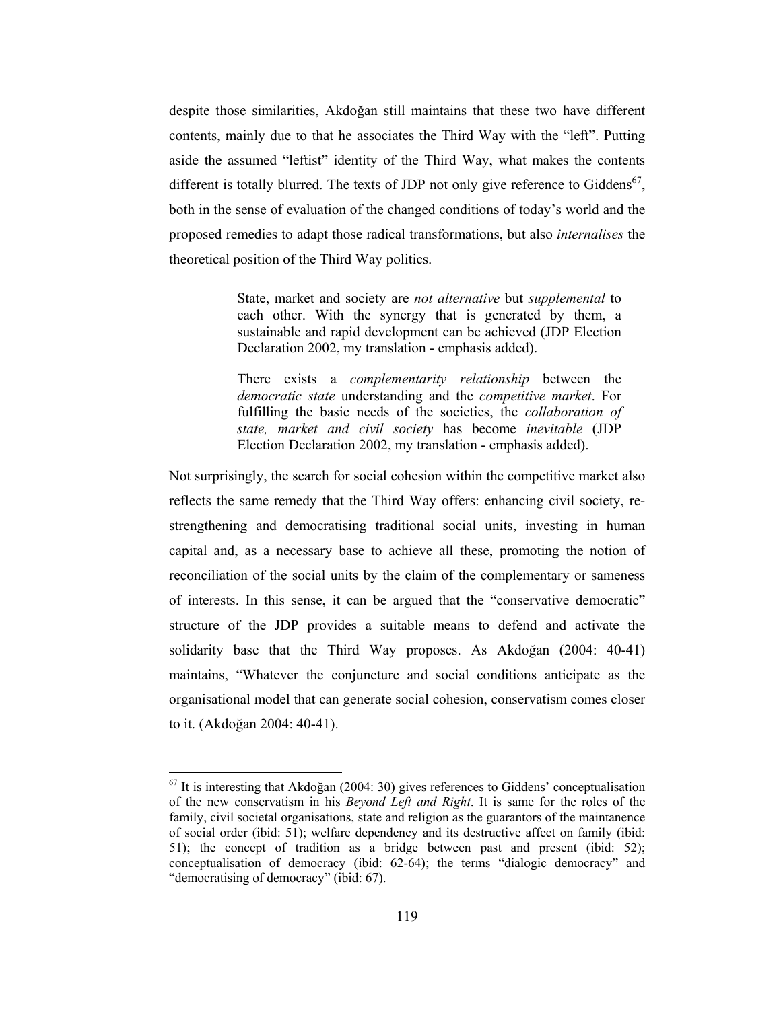despite those similarities, Akdoğan still maintains that these two have different contents, mainly due to that he associates the Third Way with the "left". Putting aside the assumed "leftist" identity of the Third Way, what makes the contents different is totally blurred. The texts of JDP not only give reference to Giddens<sup>67</sup>. both in the sense of evaluation of the changed conditions of today's world and the proposed remedies to adapt those radical transformations, but also *internalises* the theoretical position of the Third Way politics.

> State, market and society are *not alternative* but *supplemental* to each other. With the synergy that is generated by them, a sustainable and rapid development can be achieved (JDP Election Declaration 2002, my translation - emphasis added).

> There exists a *complementarity relationship* between the *democratic state* understanding and the *competitive market*. For fulfilling the basic needs of the societies, the collaboration of state, market and civil society has become inevitable (JDP Election Declaration 2002, my translation - emphasis added).

Not surprisingly, the search for social cohesion within the competitive market also reflects the same remedy that the Third Way offers: enhancing civil society, restrengthening and democratising traditional social units, investing in human capital and, as a necessary base to achieve all these, promoting the notion of reconciliation of the social units by the claim of the complementary or sameness of interests. In this sense, it can be argued that the "conservative democratic" structure of the JDP provides a suitable means to defend and activate the solidarity base that the Third Way proposes. As Akdoğan (2004: 40-41) maintains, "Whatever the conjuncture and social conditions anticipate as the organisational model that can generate social cohesion, conservatism comes closer to it. (Akdoğan 2004: 40-41).

 $^{67}$  It is interesting that Akdoğan (2004: 30) gives references to Giddens' conceptualisation of the new conservatism in his *Beyond Left and Right*. It is same for the roles of the family, civil societal organisations, state and religion as the guarantors of the maintanence of social order (ibid: 51); welfare dependency and its destructive affect on family (ibid: 51); the concept of tradition as a bridge between past and present (ibid: 52); conceptualisation of democracy (ibid: 62-64); the terms "dialogic democracy" and "democratising of democracy" (ibid: 67).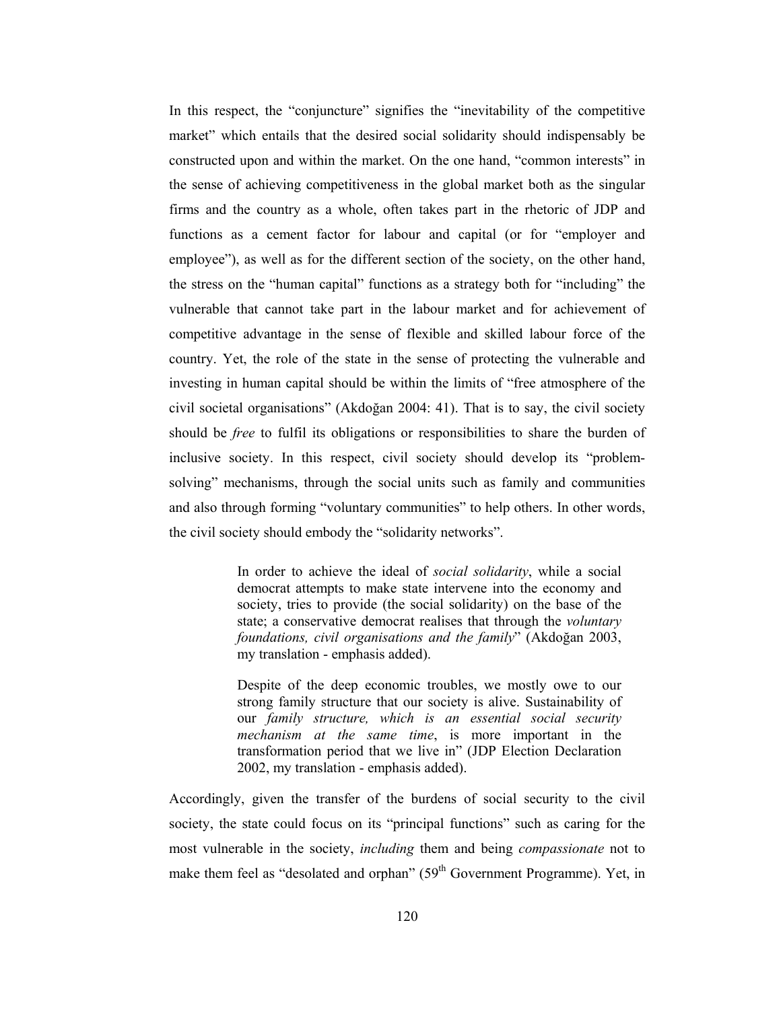In this respect, the "conjuncture" signifies the "inevitability of the competitive market" which entails that the desired social solidarity should indispensably be constructed upon and within the market. On the one hand, "common interests" in the sense of achieving competitiveness in the global market both as the singular firms and the country as a whole, often takes part in the rhetoric of JDP and functions as a cement factor for labour and capital (or for "employer and employee"), as well as for the different section of the society, on the other hand, the stress on the "human capital" functions as a strategy both for "including" the vulnerable that cannot take part in the labour market and for achievement of competitive advantage in the sense of flexible and skilled labour force of the country. Yet, the role of the state in the sense of protecting the vulnerable and investing in human capital should be within the limits of "free atmosphere of the civil societal organisations" (Akdoğan 2004: 41). That is to say, the civil society should be *free* to fulfil its obligations or responsibilities to share the burden of inclusive society. In this respect, civil society should develop its "problemsolving" mechanisms, through the social units such as family and communities and also through forming "voluntary communities" to help others. In other words, the civil society should embody the "solidarity networks".

> In order to achieve the ideal of *social solidarity*, while a social democrat attempts to make state intervene into the economy and society, tries to provide (the social solidarity) on the base of the state; a conservative democrat realises that through the *voluntary* foundations, civil organisations and the family" (Akdoğan 2003, my translation - emphasis added).

> Despite of the deep economic troubles, we mostly owe to our strong family structure that our society is alive. Sustainability of our family structure, which is an essential social security mechanism at the same time, is more important in the transformation period that we live in" (JDP Election Declaration 2002, my translation - emphasis added).

Accordingly, given the transfer of the burdens of social security to the civil society, the state could focus on its "principal functions" such as caring for the most vulnerable in the society, *including* them and being *compassionate* not to make them feel as "desolated and orphan" (59<sup>th</sup> Government Programme). Yet, in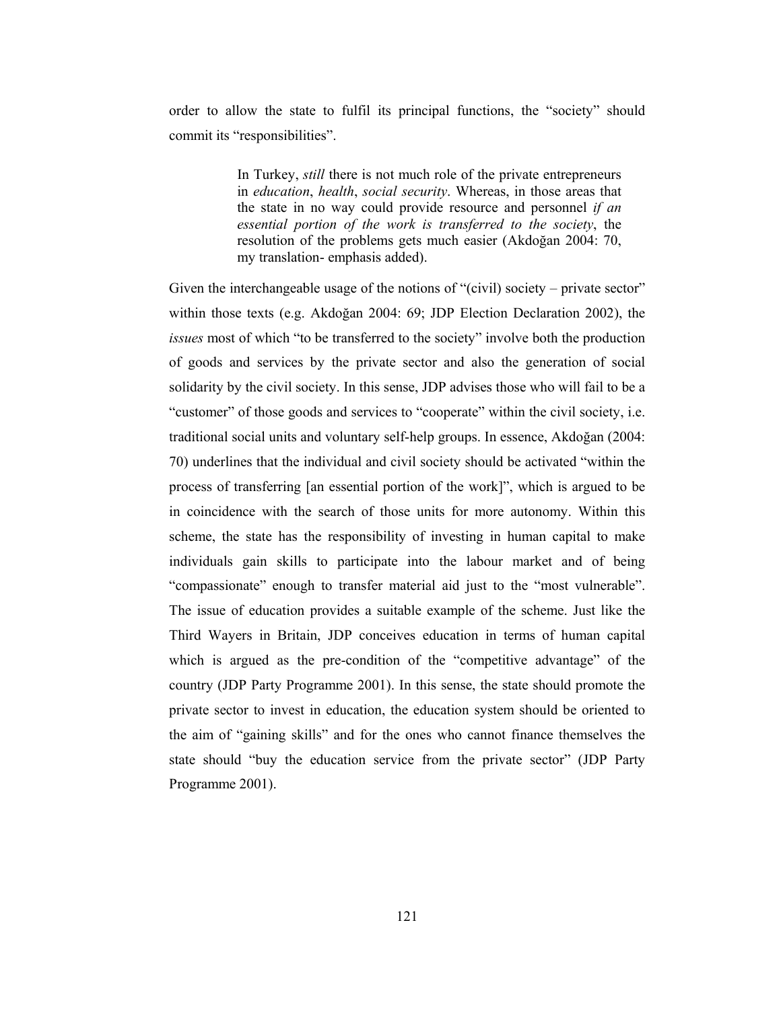order to allow the state to fulfil its principal functions, the "society" should commit its "responsibilities".

> In Turkey, *still* there is not much role of the private entrepreneurs in education, health, social security. Whereas, in those areas that the state in no way could provide resource and personnel if an essential portion of the work is transferred to the society, the resolution of the problems gets much easier (Akdoğan 2004: 70, my translation-emphasis added).

Given the interchangeable usage of the notions of "(civil) society – private sector" within those texts (e.g. Akdoğan 2004: 69; JDP Election Declaration 2002), the *issues* most of which "to be transferred to the society" involve both the production of goods and services by the private sector and also the generation of social solidarity by the civil society. In this sense, JDP advises those who will fail to be a "customer" of those goods and services to "cooperate" within the civil society, i.e. traditional social units and voluntary self-help groups. In essence, Akdoğan (2004: 70) underlines that the individual and civil society should be activated "within the process of transferring [an essential portion of the work]", which is argued to be in coincidence with the search of those units for more autonomy. Within this scheme, the state has the responsibility of investing in human capital to make individuals gain skills to participate into the labour market and of being "compassionate" enough to transfer material aid just to the "most vulnerable". The issue of education provides a suitable example of the scheme. Just like the Third Wayers in Britain, JDP conceives education in terms of human capital which is argued as the pre-condition of the "competitive advantage" of the country (JDP Party Programme 2001). In this sense, the state should promote the private sector to invest in education, the education system should be oriented to the aim of "gaining skills" and for the ones who cannot finance themselves the state should "buy the education service from the private sector" (JDP Party Programme 2001).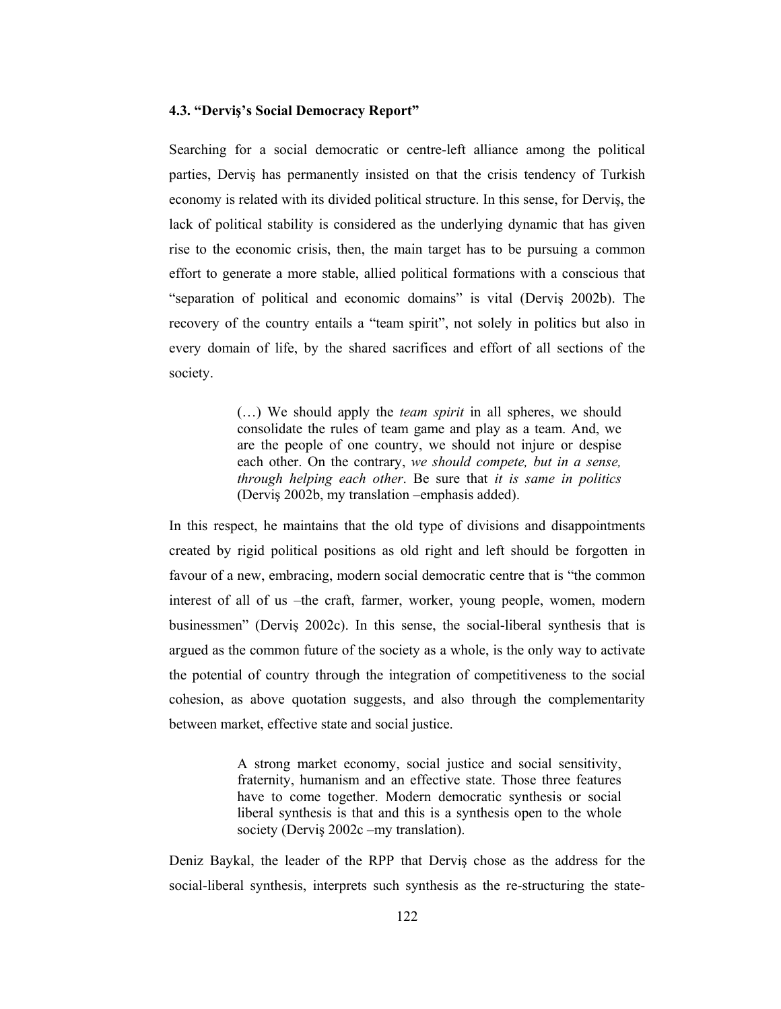## 4.3. "Derviş's Social Democracy Report"

Searching for a social democratic or centre-left alliance among the political parties, Dervis has permanently insisted on that the crisis tendency of Turkish economy is related with its divided political structure. In this sense, for Dervis, the lack of political stability is considered as the underlying dynamic that has given rise to the economic crisis, then, the main target has to be pursuing a common effort to generate a more stable, allied political formations with a conscious that "separation of political and economic domains" is vital (Dervis 2002b). The recovery of the country entails a "team spirit", not solely in politics but also in every domain of life, by the shared sacrifices and effort of all sections of the society.

> (...) We should apply the *team spirit* in all spheres, we should consolidate the rules of team game and play as a team. And, we are the people of one country, we should not injure or despise each other. On the contrary, we should compete, but in a sense, through helping each other. Be sure that it is same in politics (Derviş 2002b, my translation -emphasis added).

In this respect, he maintains that the old type of divisions and disappointments created by rigid political positions as old right and left should be forgotten in favour of a new, embracing, modern social democratic centre that is "the common" interest of all of us -the craft, farmer, worker, young people, women, modern businessmen" (Dervis 2002c). In this sense, the social-liberal synthesis that is argued as the common future of the society as a whole, is the only way to activate the potential of country through the integration of competitiveness to the social cohesion, as above quotation suggests, and also through the complementarity between market, effective state and social justice.

> A strong market economy, social justice and social sensitivity, fraternity, humanism and an effective state. Those three features have to come together. Modern democratic synthesis or social liberal synthesis is that and this is a synthesis open to the whole society (Dervis 2002c –my translation).

Deniz Baykal, the leader of the RPP that Dervis chose as the address for the social-liberal synthesis, interprets such synthesis as the re-structuring the state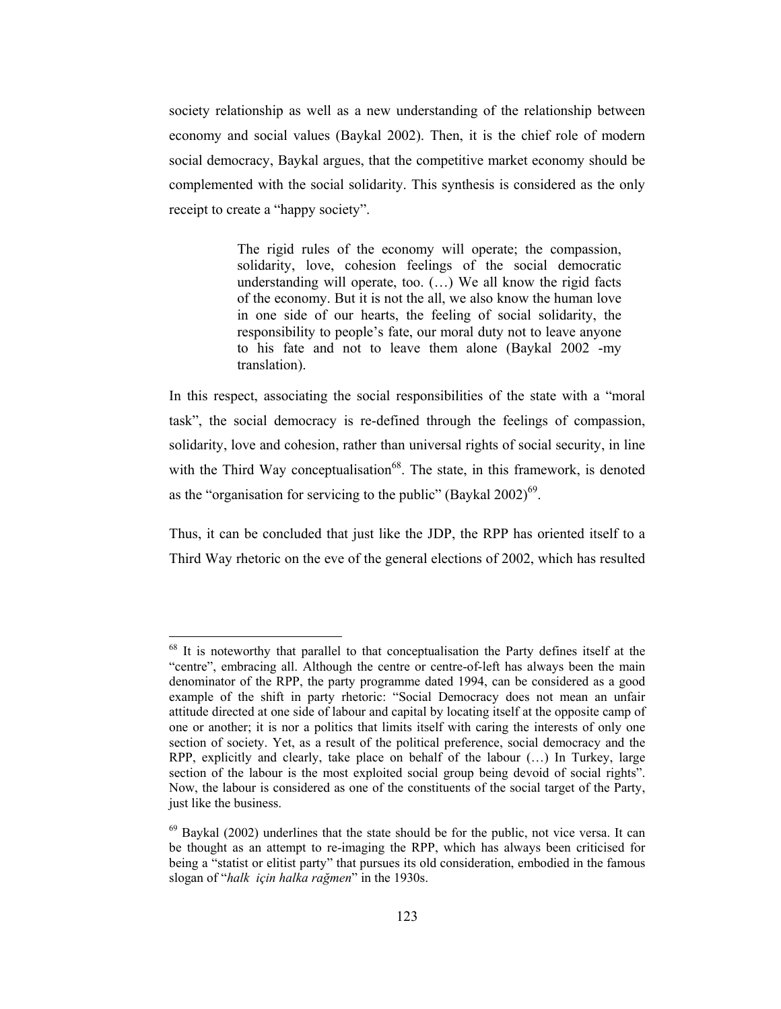society relationship as well as a new understanding of the relationship between economy and social values (Baykal 2002). Then, it is the chief role of modern social democracy, Baykal argues, that the competitive market economy should be complemented with the social solidarity. This synthesis is considered as the only receipt to create a "happy society".

> The rigid rules of the economy will operate; the compassion, solidarity, love, cohesion feelings of the social democratic understanding will operate, too.  $(...)$  We all know the rigid facts of the economy. But it is not the all, we also know the human love in one side of our hearts, the feeling of social solidarity, the responsibility to people's fate, our moral duty not to leave anyone to his fate and not to leave them alone (Baykal 2002 -my translation).

In this respect, associating the social responsibilities of the state with a "moral" task", the social democracy is re-defined through the feelings of compassion, solidarity, love and cohesion, rather than universal rights of social security, in line with the Third Way conceptualisation<sup>68</sup>. The state, in this framework, is denoted as the "organisation for servicing to the public" (Baykal  $2002$ )<sup>69</sup>.

Thus, it can be concluded that just like the JDP, the RPP has oriented itself to a Third Way rhetoric on the eve of the general elections of 2002, which has resulted

<sup>&</sup>lt;sup>68</sup> It is noteworthy that parallel to that conceptualisation the Party defines itself at the "centre", embracing all. Although the centre or centre-of-left has always been the main denominator of the RPP, the party programme dated 1994, can be considered as a good example of the shift in party rhetoric: "Social Democracy does not mean an unfair attitude directed at one side of labour and capital by locating itself at the opposite camp of one or another; it is nor a politics that limits itself with caring the interests of only one section of society. Yet, as a result of the political preference, social democracy and the RPP, explicitly and clearly, take place on behalf of the labour (...) In Turkey, large section of the labour is the most exploited social group being devoid of social rights". Now, the labour is considered as one of the constituents of the social target of the Party, just like the business.

 $^{69}$  Baykal (2002) underlines that the state should be for the public, not vice versa. It can be thought as an attempt to re-imaging the RPP, which has always been criticised for being a "statist or elitist party" that pursues its old consideration, embodied in the famous slogan of "halk için halka rağmen" in the 1930s.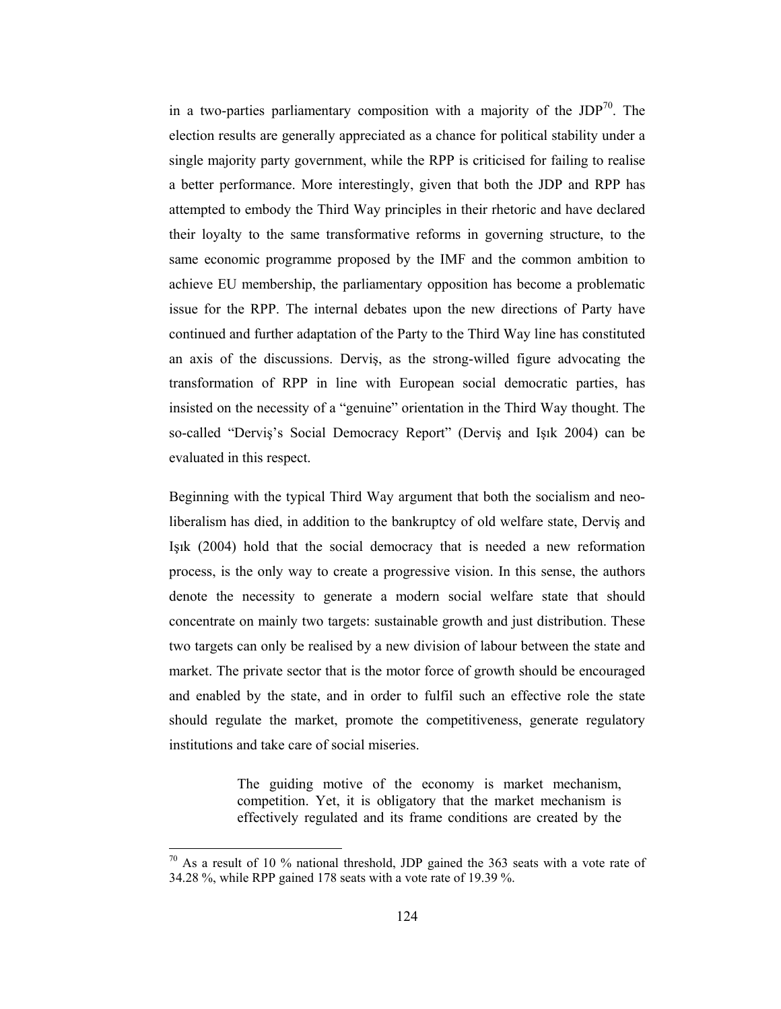in a two-parties parliamentary composition with a majority of the  $JDP^{70}$ . The election results are generally appreciated as a chance for political stability under a single majority party government, while the RPP is criticised for failing to realise a better performance. More interestingly, given that both the JDP and RPP has attempted to embody the Third Way principles in their rhetoric and have declared their loyalty to the same transformative reforms in governing structure, to the same economic programme proposed by the IMF and the common ambition to achieve EU membership, the parliamentary opposition has become a problematic issue for the RPP. The internal debates upon the new directions of Party have continued and further adaptation of the Party to the Third Way line has constituted an axis of the discussions. Dervis, as the strong-willed figure advocating the transformation of RPP in line with European social democratic parties, has insisted on the necessity of a "genuine" orientation in the Third Way thought. The so-called "Dervis's Social Democracy Report" (Dervis and Isik 2004) can be evaluated in this respect.

Beginning with the typical Third Way argument that both the socialism and neoliberalism has died, in addition to the bankruptcy of old welfare state, Dervis and Işık (2004) hold that the social democracy that is needed a new reformation process, is the only way to create a progressive vision. In this sense, the authors denote the necessity to generate a modern social welfare state that should concentrate on mainly two targets: sustainable growth and just distribution. These two targets can only be realised by a new division of labour between the state and market. The private sector that is the motor force of growth should be encouraged and enabled by the state, and in order to fulfil such an effective role the state should regulate the market, promote the competitiveness, generate regulatory institutions and take care of social miseries.

> The guiding motive of the economy is market mechanism, competition. Yet, it is obligatory that the market mechanism is effectively regulated and its frame conditions are created by the

 $70$  As a result of 10 % national threshold, JDP gained the 363 seats with a vote rate of 34.28 %, while RPP gained 178 seats with a vote rate of 19.39 %.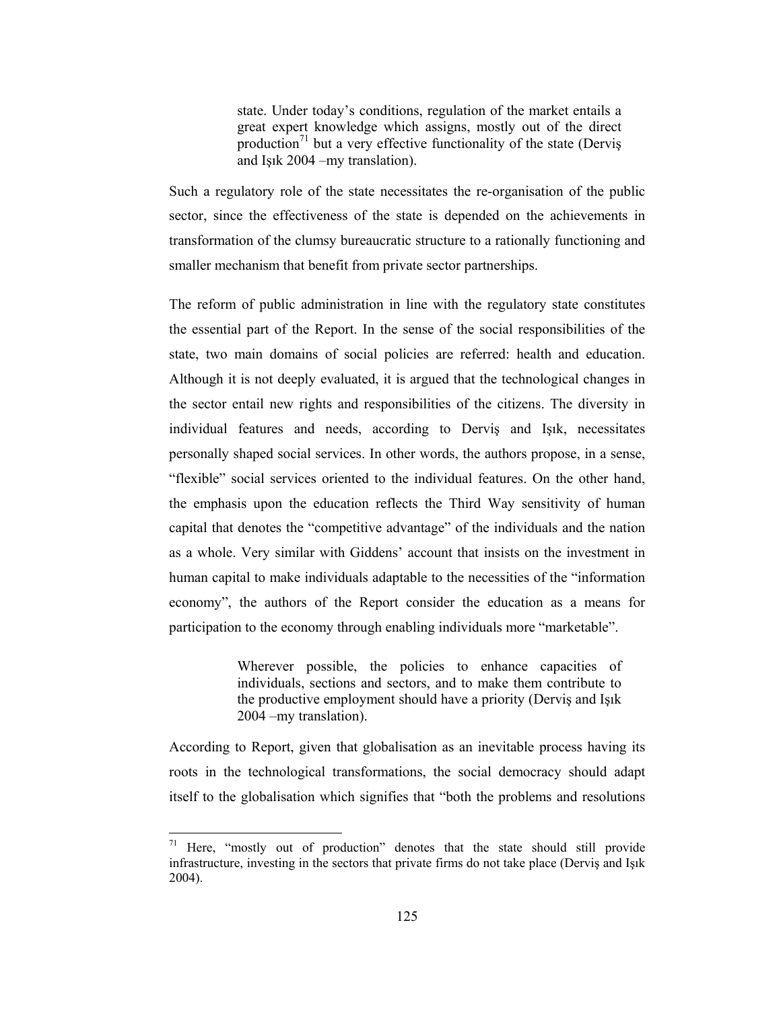state. Under today's conditions, regulation of the market entails a great expert knowledge which assigns, mostly out of the direct production<sup>71</sup> but a very effective functionality of the state (Dervis and Isik 2004 - my translation).

Such a regulatory role of the state necessitates the re-organisation of the public sector, since the effectiveness of the state is depended on the achievements in transformation of the clumsy bureaucratic structure to a rationally functioning and smaller mechanism that benefit from private sector partnerships.

The reform of public administration in line with the regulatory state constitutes the essential part of the Report. In the sense of the social responsibilities of the state, two main domains of social policies are referred: health and education. Although it is not deeply evaluated, it is argued that the technological changes in the sector entail new rights and responsibilities of the citizens. The diversity in individual features and needs, according to Dervis and Isik, necessitates personally shaped social services. In other words, the authors propose, in a sense, "flexible" social services oriented to the individual features. On the other hand, the emphasis upon the education reflects the Third Way sensitivity of human capital that denotes the "competitive advantage" of the individuals and the nation as a whole. Very similar with Giddens' account that insists on the investment in human capital to make individuals adaptable to the necessities of the "information" economy", the authors of the Report consider the education as a means for participation to the economy through enabling individuals more "marketable".

> Wherever possible, the policies to enhance capacities of individuals, sections and sectors, and to make them contribute to the productive employment should have a priority (Dervis and Isik 2004 – my translation).

According to Report, given that globalisation as an inevitable process having its roots in the technological transformations, the social democracy should adapt itself to the globalisation which signifies that "both the problems and resolutions"

<sup>&</sup>lt;sup>71</sup> Here, "mostly out of production" denotes that the state should still provide infrastructure, investing in the sectors that private firms do not take place (Dervis and Işık  $2004$ ).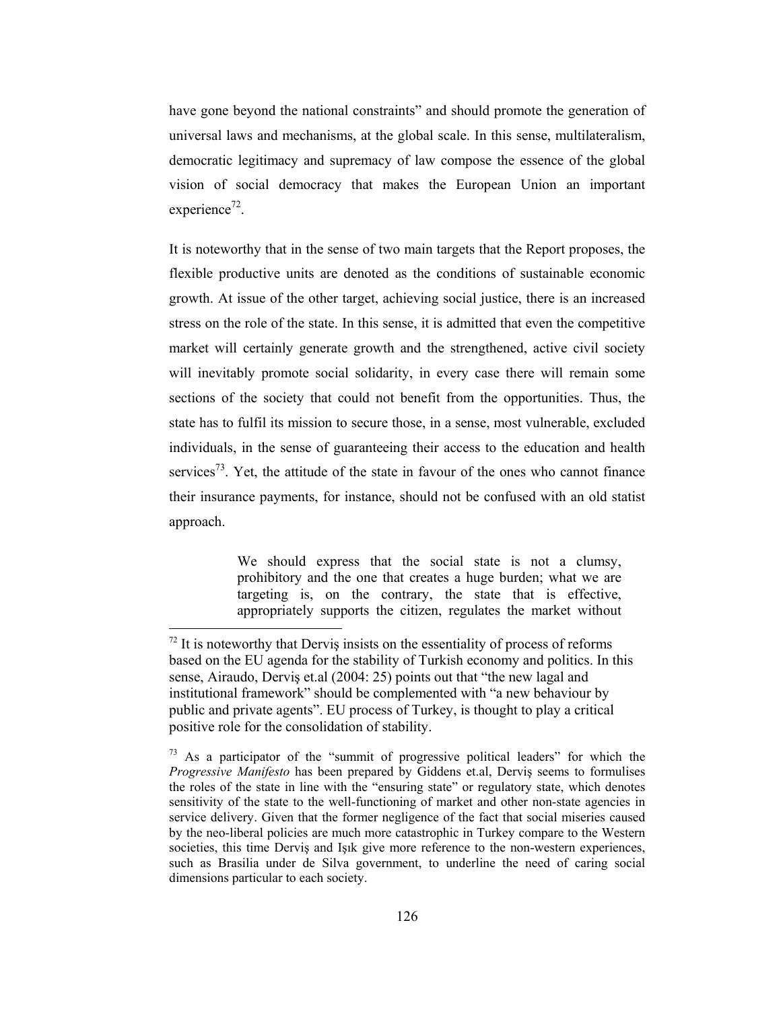have gone beyond the national constraints" and should promote the generation of universal laws and mechanisms, at the global scale. In this sense, multilateralism, democratic legitimacy and supremacy of law compose the essence of the global vision of social democracy that makes the European Union an important experience<sup>72</sup>.

It is noteworthy that in the sense of two main targets that the Report proposes, the flexible productive units are denoted as the conditions of sustainable economic growth. At issue of the other target, achieving social justice, there is an increased stress on the role of the state. In this sense, it is admitted that even the competitive market will certainly generate growth and the strengthened, active civil society will inevitably promote social solidarity, in every case there will remain some sections of the society that could not benefit from the opportunities. Thus, the state has to fulfil its mission to secure those, in a sense, most vulnerable, excluded individuals, in the sense of guaranteeing their access to the education and health services<sup>73</sup>. Yet, the attitude of the state in favour of the ones who cannot finance their insurance payments, for instance, should not be confused with an old statist approach.

> We should express that the social state is not a clumsy, prohibitory and the one that creates a huge burden; what we are targeting is, on the contrary, the state that is effective, appropriately supports the citizen, regulates the market without

 $\frac{72}{11}$  It is noteworthy that Dervis insists on the essentiality of process of reforms based on the EU agenda for the stability of Turkish economy and politics. In this sense, Airaudo, Dervis et al (2004: 25) points out that "the new lagal and institutional framework" should be complemented with "a new behaviour by public and private agents". EU process of Turkey, is thought to play a critical positive role for the consolidation of stability.

<sup>&</sup>lt;sup>73</sup> As a participator of the "summit of progressive political leaders" for which the Progressive Manifesto has been prepared by Giddens et.al, Dervis seems to formulises the roles of the state in line with the "ensuring state" or regulatory state, which denotes sensitivity of the state to the well-functioning of market and other non-state agencies in service delivery. Given that the former negligence of the fact that social miseries caused by the neo-liberal policies are much more catastrophic in Turkey compare to the Western societies, this time Derviş and Işık give more reference to the non-western experiences, such as Brasilia under de Silva government, to underline the need of caring social dimensions particular to each society.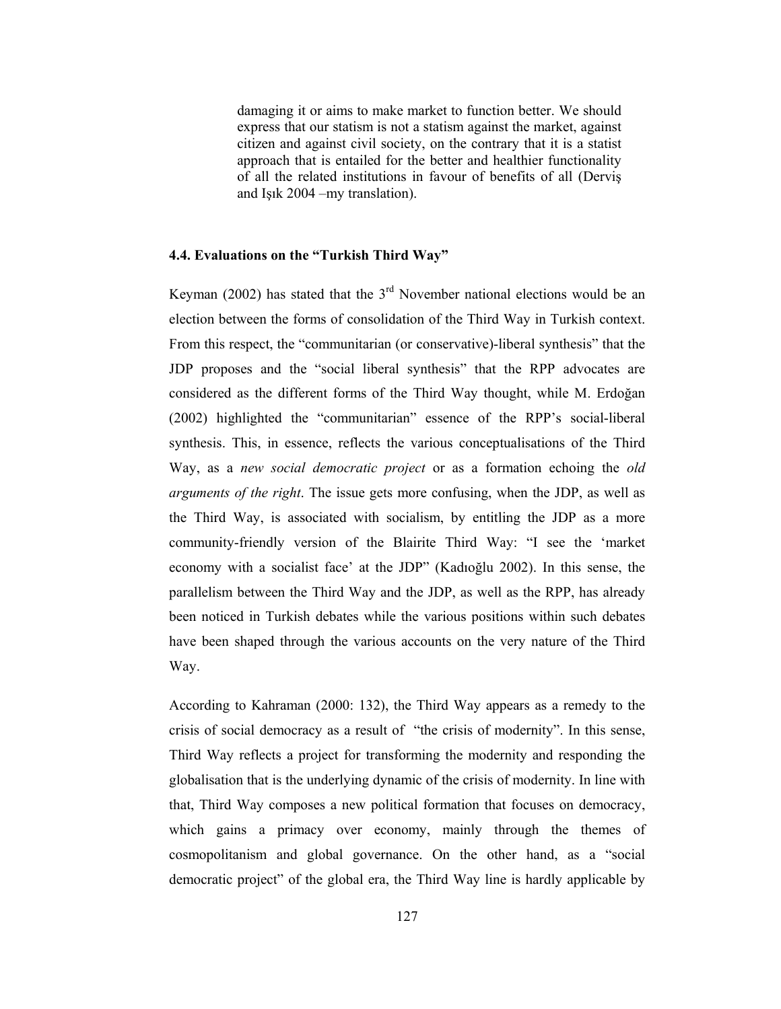damaging it or aims to make market to function better. We should express that our statism is not a statism against the market, against citizen and against civil society, on the contrary that it is a statist approach that is entailed for the better and healthier functionality of all the related institutions in favour of benefits of all (Dervis and Isik 2004 – my translation).

#### 4.4. Evaluations on the "Turkish Third Way"

Keyman (2002) has stated that the  $3<sup>rd</sup>$  November national elections would be an election between the forms of consolidation of the Third Way in Turkish context. From this respect, the "communitarian (or conservative)-liberal synthesis" that the JDP proposes and the "social liberal synthesis" that the RPP advocates are considered as the different forms of the Third Way thought, while M. Erdoğan (2002) highlighted the "communitarian" essence of the RPP's social-liberal synthesis. This, in essence, reflects the various conceptualisations of the Third Way, as a new social democratic project or as a formation echoing the old *arguments of the right*. The issue gets more confusing, when the JDP, as well as the Third Way, is associated with socialism, by entitling the JDP as a more community-friendly version of the Blairite Third Way: "I see the 'market economy with a socialist face' at the JDP" (Kadıoğlu 2002). In this sense, the parallelism between the Third Way and the JDP, as well as the RPP, has already been noticed in Turkish debates while the various positions within such debates have been shaped through the various accounts on the very nature of the Third Way.

According to Kahraman (2000: 132), the Third Way appears as a remedy to the crisis of social democracy as a result of "the crisis of modernity". In this sense, Third Way reflects a project for transforming the modernity and responding the globalisation that is the underlying dynamic of the crisis of modernity. In line with that, Third Way composes a new political formation that focuses on democracy, which gains a primacy over economy, mainly through the themes of cosmopolitanism and global governance. On the other hand, as a "social democratic project" of the global era, the Third Way line is hardly applicable by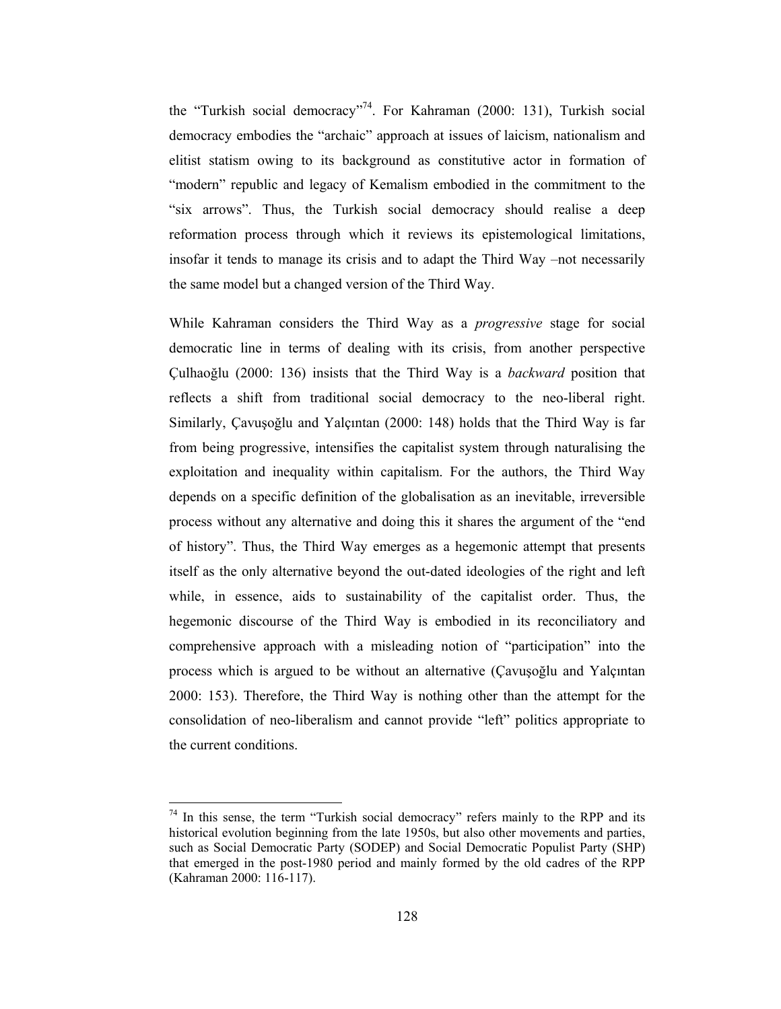the "Turkish social democracy"<sup>74</sup>. For Kahraman (2000: 131), Turkish social democracy embodies the "archaic" approach at issues of laicism, nationalism and elitist statism owing to its background as constitutive actor in formation of "modern" republic and legacy of Kemalism embodied in the commitment to the "six arrows". Thus, the Turkish social democracy should realise a deep reformation process through which it reviews its epistemological limitations, insofar it tends to manage its crisis and to adapt the Third Way –not necessarily the same model but a changed version of the Third Way.

While Kahraman considers the Third Way as a *progressive* stage for social democratic line in terms of dealing with its crisis, from another perspective Culhaoğlu (2000: 136) insists that the Third Way is a *backward* position that reflects a shift from traditional social democracy to the neo-liberal right. Similarly, Cavusoğlu and Yalçıntan (2000: 148) holds that the Third Way is far from being progressive, intensifies the capitalist system through naturalising the exploitation and inequality within capitalism. For the authors, the Third Way depends on a specific definition of the globalisation as an inevitable, irreversible process without any alternative and doing this it shares the argument of the "end" of history". Thus, the Third Way emerges as a hegemonic attempt that presents itself as the only alternative beyond the out-dated ideologies of the right and left while, in essence, aids to sustainability of the capitalist order. Thus, the hegemonic discourse of the Third Way is embodied in its reconciliatory and comprehensive approach with a misleading notion of "participation" into the process which is argued to be without an alternative (Cavusoğlu and Yalçıntan 2000: 153). Therefore, the Third Way is nothing other than the attempt for the consolidation of neo-liberalism and cannot provide "left" politics appropriate to the current conditions.

<sup>74</sup> In this sense, the term "Turkish social democracy" refers mainly to the RPP and its historical evolution beginning from the late 1950s, but also other movements and parties, such as Social Democratic Party (SODEP) and Social Democratic Populist Party (SHP) that emerged in the post-1980 period and mainly formed by the old cadres of the RPP (Kahraman 2000: 116-117).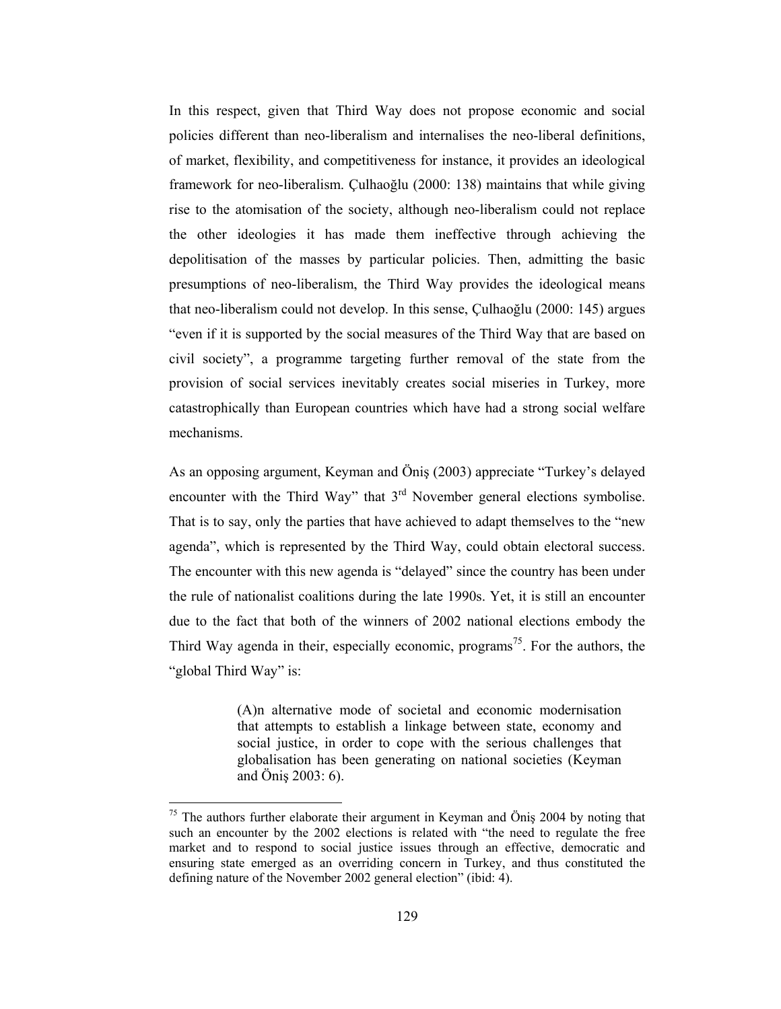In this respect, given that Third Way does not propose economic and social policies different than neo-liberalism and internalises the neo-liberal definitions, of market, flexibility, and competitiveness for instance, it provides an ideological framework for neo-liberalism. Culhaoğlu (2000: 138) maintains that while giving rise to the atomisation of the society, although neo-liberalism could not replace the other ideologies it has made them ineffective through achieving the depolitisation of the masses by particular policies. Then, admitting the basic presumptions of neo-liberalism, the Third Way provides the ideological means that neo-liberalism could not develop. In this sense, Culhaoğlu (2000: 145) argues "even if it is supported by the social measures of the Third Way that are based on civil society", a programme targeting further removal of the state from the provision of social services inevitably creates social miseries in Turkey, more catastrophically than European countries which have had a strong social welfare mechanisms.

As an opposing argument, Keyman and Önis (2003) appreciate "Turkey's delayed encounter with the Third Way" that  $3<sup>rd</sup>$  November general elections symbolise. That is to say, only the parties that have achieved to adapt themselves to the "new agenda", which is represented by the Third Way, could obtain electoral success. The encounter with this new agenda is "delayed" since the country has been under the rule of nationalist coalitions during the late 1990s. Yet, it is still an encounter due to the fact that both of the winners of 2002 national elections embody the Third Way agenda in their, especially economic, programs<sup>75</sup>. For the authors, the "global Third Way" is:

> (A)n alternative mode of societal and economic modernisation that attempts to establish a linkage between state, economy and social justice, in order to cope with the serious challenges that globalisation has been generating on national societies (Keyman and  $\ddot{O}$ niş 2003: 6).

 $75$  The authors further elaborate their argument in Keyman and Öniş 2004 by noting that such an encounter by the 2002 elections is related with "the need to regulate the free market and to respond to social justice issues through an effective, democratic and ensuring state emerged as an overriding concern in Turkey, and thus constituted the defining nature of the November 2002 general election" (ibid: 4).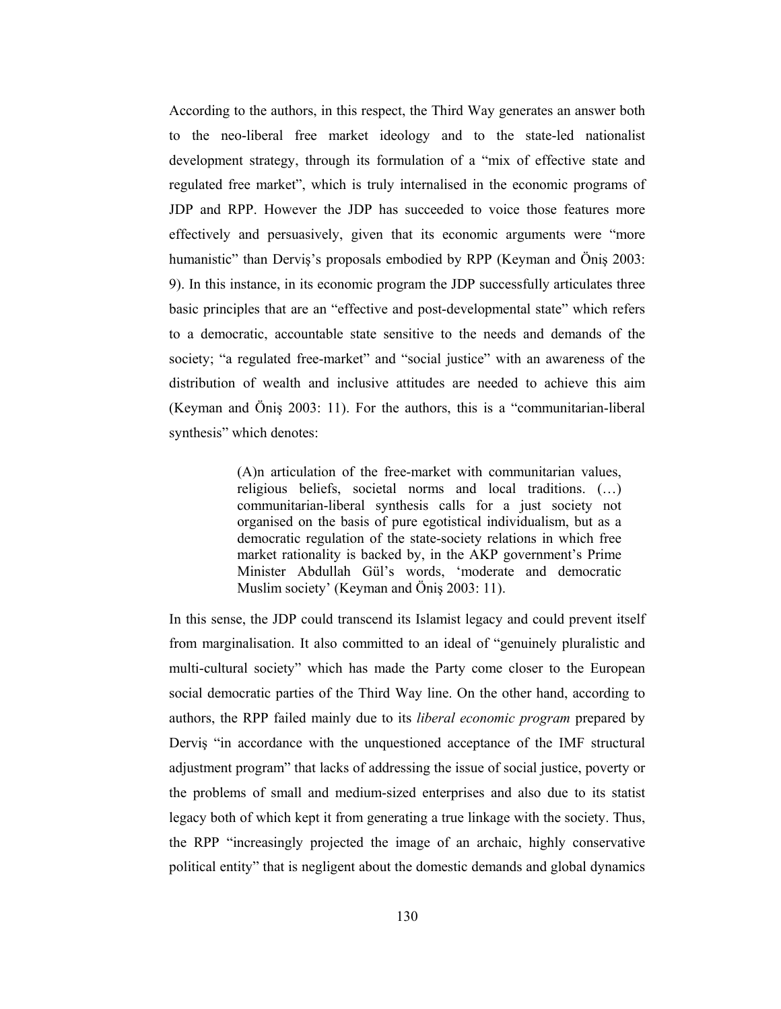According to the authors, in this respect, the Third Way generates an answer both to the neo-liberal free market ideology and to the state-led nationalist development strategy, through its formulation of a "mix of effective state and regulated free market", which is truly internalised in the economic programs of JDP and RPP. However the JDP has succeeded to voice those features more effectively and persuasively, given that its economic arguments were "more humanistic" than Dervis's proposals embodied by RPP (Keyman and Önis 2003: 9). In this instance, in its economic program the JDP successfully articulates three basic principles that are an "effective and post-developmental state" which refers to a democratic, accountable state sensitive to the needs and demands of the society; "a regulated free-market" and "social justice" with an awareness of the distribution of wealth and inclusive attitudes are needed to achieve this aim (Keyman and Önis 2003: 11). For the authors, this is a "communitarian-liberal synthesis" which denotes:

> (A)n articulation of the free-market with communitarian values, religious beliefs, societal norms and local traditions. (...) communitarian-liberal synthesis calls for a just society not organised on the basis of pure egotistical individualism, but as a democratic regulation of the state-society relations in which free market rationality is backed by, in the AKP government's Prime Minister Abdullah Gül's words, 'moderate and democratic Muslim society' (Keyman and Öniş 2003: 11).

In this sense, the JDP could transcend its Islamist legacy and could prevent itself from marginalisation. It also committed to an ideal of "genuinely pluralistic and multi-cultural society" which has made the Party come closer to the European social democratic parties of the Third Way line. On the other hand, according to authors, the RPP failed mainly due to its *liberal economic program* prepared by Dervis "in accordance with the unquestioned acceptance of the IMF structural adjustment program" that lacks of addressing the issue of social justice, poverty or the problems of small and medium-sized enterprises and also due to its statist legacy both of which kept it from generating a true linkage with the society. Thus, the RPP "increasingly projected the image of an archaic, highly conservative political entity" that is negligent about the domestic demands and global dynamics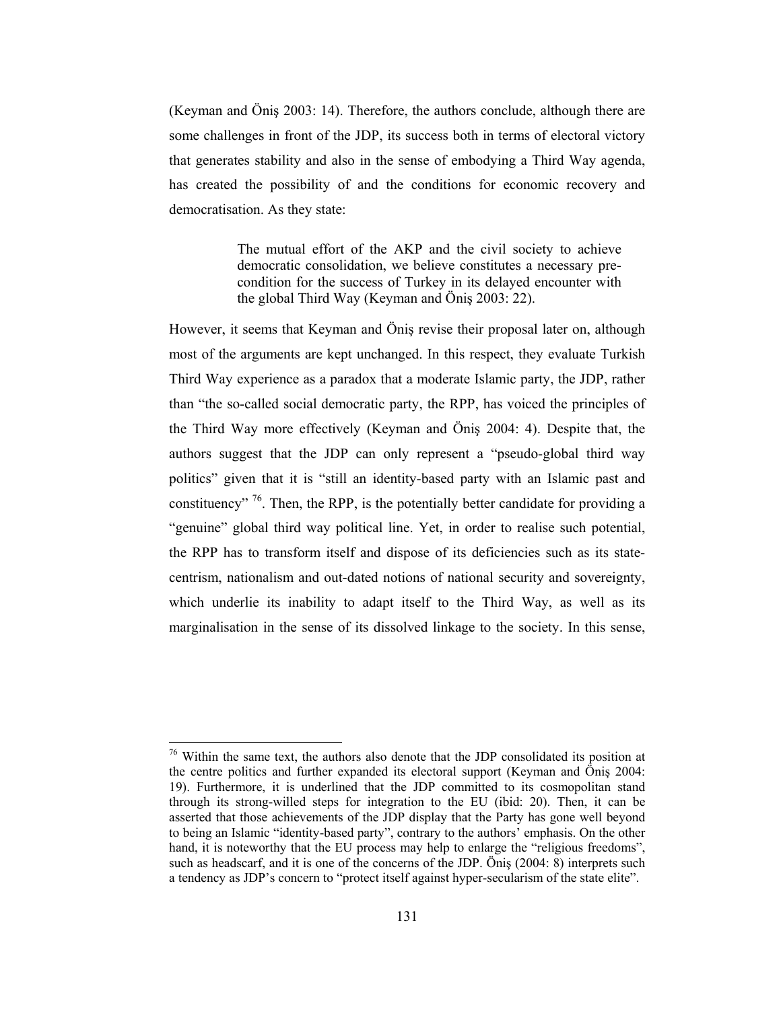(Keyman and Öniş 2003: 14). Therefore, the authors conclude, although there are some challenges in front of the JDP, its success both in terms of electoral victory that generates stability and also in the sense of embodying a Third Way agenda, has created the possibility of and the conditions for economic recovery and democratisation. As they state:

> The mutual effort of the AKP and the civil society to achieve democratic consolidation, we believe constitutes a necessary precondition for the success of Turkey in its delayed encounter with the global Third Way (Keyman and Önis 2003: 22).

However, it seems that Keyman and Öniş revise their proposal later on, although most of the arguments are kept unchanged. In this respect, they evaluate Turkish Third Way experience as a paradox that a moderate Islamic party, the JDP, rather than "the so-called social democratic party, the RPP, has voiced the principles of the Third Way more effectively (Keyman and Önis 2004: 4). Despite that, the authors suggest that the JDP can only represent a "pseudo-global third way politics" given that it is "still an identity-based party with an Islamic past and constituency"  $\frac{76}{6}$ . Then, the RPP, is the potentially better candidate for providing a "genuine" global third way political line. Yet, in order to realise such potential, the RPP has to transform itself and dispose of its deficiencies such as its statecentrism, nationalism and out-dated notions of national security and sovereignty, which underlie its inability to adapt itself to the Third Way, as well as its marginalisation in the sense of its dissolved linkage to the society. In this sense,

 $\frac{76}{10}$  Within the same text, the authors also denote that the JDP consolidated its position at the centre politics and further expanded its electoral support (Keyman and Öniş 2004: 19). Furthermore, it is underlined that the JDP committed to its cosmopolitan stand through its strong-willed steps for integration to the EU (ibid: 20). Then, it can be asserted that those achievements of the JDP display that the Party has gone well beyond to being an Islamic "identity-based party", contrary to the authors' emphasis. On the other hand, it is noteworthy that the EU process may help to enlarge the "religious freedoms", such as headscarf, and it is one of the concerns of the JDP. Öniş (2004: 8) interprets such a tendency as JDP's concern to "protect itself against hyper-secularism of the state elite".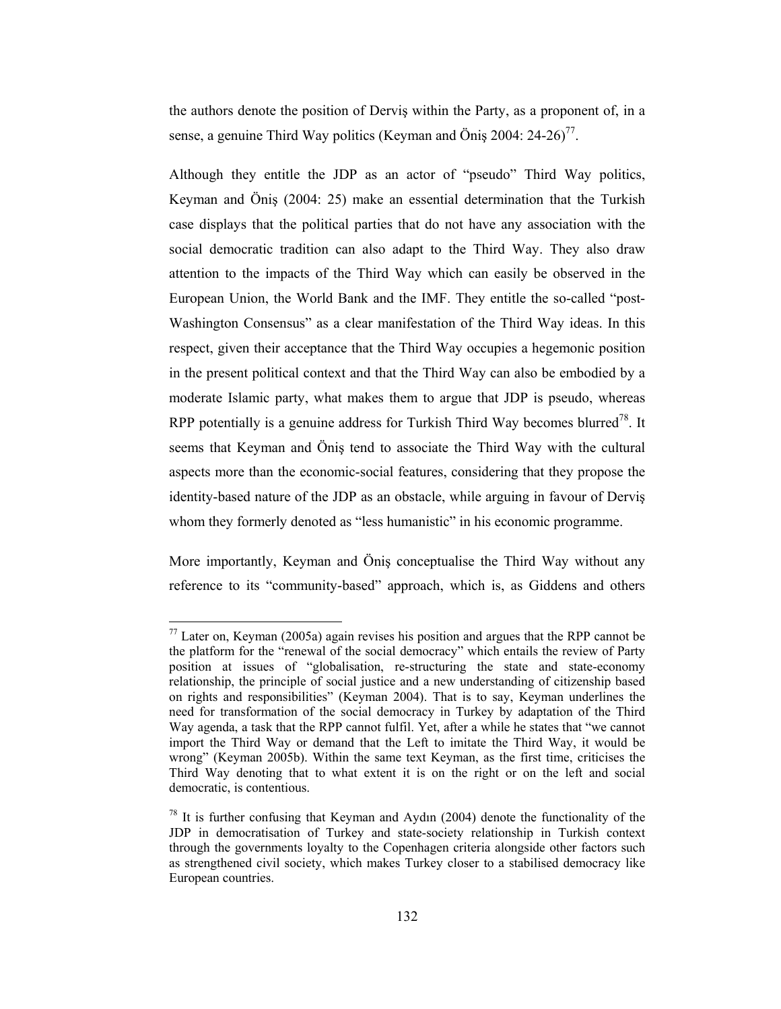the authors denote the position of Dervis within the Party, as a proponent of, in a sense, a genuine Third Way politics (Keyman and Önis 2004:  $24-26$ )<sup>77</sup>.

Although they entitle the JDP as an actor of "pseudo" Third Way politics, Keyman and Önis (2004: 25) make an essential determination that the Turkish case displays that the political parties that do not have any association with the social democratic tradition can also adapt to the Third Way. They also draw attention to the impacts of the Third Way which can easily be observed in the European Union, the World Bank and the IMF. They entitle the so-called "post-Washington Consensus" as a clear manifestation of the Third Way ideas. In this respect, given their acceptance that the Third Way occupies a hegemonic position in the present political context and that the Third Way can also be embodied by a moderate Islamic party, what makes them to argue that JDP is pseudo, whereas RPP potentially is a genuine address for Turkish Third Way becomes blurred<sup>78</sup>. It seems that Keyman and Önis tend to associate the Third Way with the cultural aspects more than the economic-social features, considering that they propose the identity-based nature of the JDP as an obstacle, while arguing in favour of Dervis whom they formerly denoted as "less humanistic" in his economic programme.

More importantly, Keyman and Öniş conceptualise the Third Way without any reference to its "community-based" approach, which is, as Giddens and others

 $^{77}$  Later on, Keyman (2005a) again revises his position and argues that the RPP cannot be the platform for the "renewal of the social democracy" which entails the review of Party position at issues of "globalisation, re-structuring the state and state-economy relationship, the principle of social justice and a new understanding of citizenship based on rights and responsibilities" (Keyman 2004). That is to say, Keyman underlines the need for transformation of the social democracy in Turkey by adaptation of the Third Way agenda, a task that the RPP cannot fulfil. Yet, after a while he states that "we cannot import the Third Way or demand that the Left to imitate the Third Way, it would be wrong" (Keyman 2005b). Within the same text Keyman, as the first time, criticises the Third Way denoting that to what extent it is on the right or on the left and social democratic, is contentious.

 $^{78}$  It is further confusing that Keyman and Aydın (2004) denote the functionality of the JDP in democratisation of Turkey and state-society relationship in Turkish context through the governments loyalty to the Copenhagen criteria alongside other factors such as strengthened civil society, which makes Turkey closer to a stabilised democracy like European countries.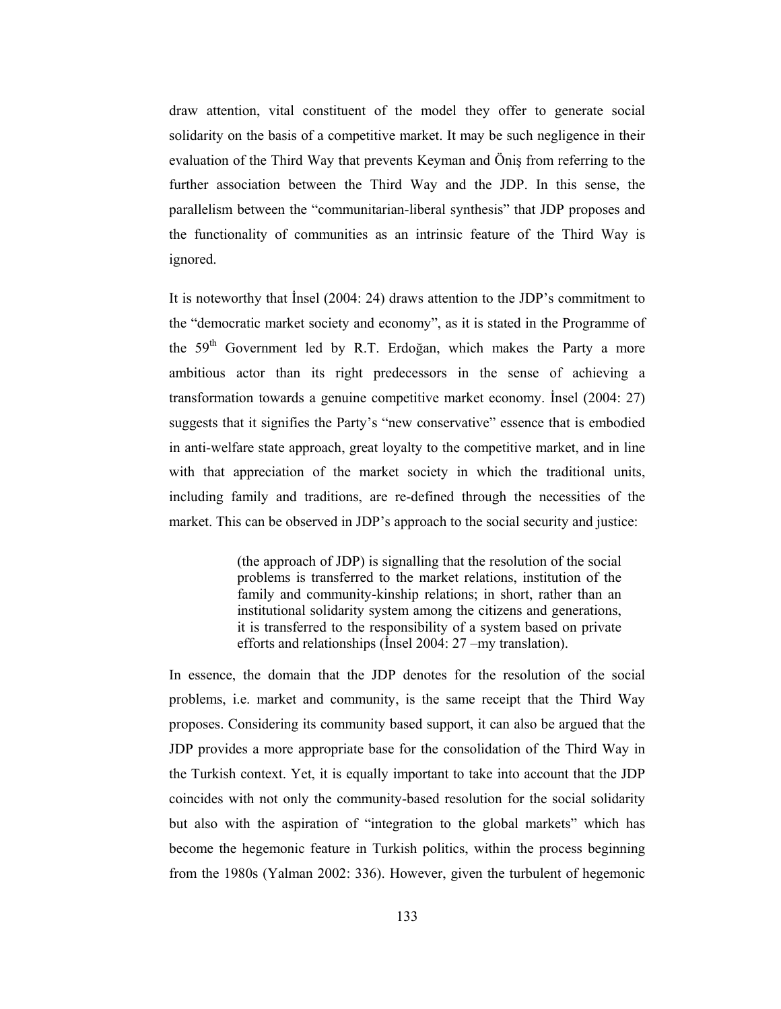draw attention, vital constituent of the model they offer to generate social solidarity on the basis of a competitive market. It may be such negligence in their evaluation of the Third Way that prevents Keyman and Önis from referring to the further association between the Third Way and the JDP. In this sense, the parallelism between the "communitarian-liberal synthesis" that JDP proposes and the functionality of communities as an intrinsic feature of the Third Way is ignored.

It is noteworthy that Insel (2004: 24) draws attention to the JDP's commitment to the "democratic market society and economy", as it is stated in the Programme of the 59<sup>th</sup> Government led by R.T. Erdoğan, which makes the Party a more ambitious actor than its right predecessors in the sense of achieving a transformation towards a genuine competitive market economy. Insel (2004: 27) suggests that it signifies the Party's "new conservative" essence that is embodied in anti-welfare state approach, great loyalty to the competitive market, and in line with that appreciation of the market society in which the traditional units, including family and traditions, are re-defined through the necessities of the market. This can be observed in JDP's approach to the social security and justice:

> (the approach of JDP) is signalling that the resolution of the social problems is transferred to the market relations, institution of the family and community-kinship relations; in short, rather than an institutional solidarity system among the citizens and generations, it is transferred to the responsibility of a system based on private efforts and relationships (Insel 2004: 27 –my translation).

In essence, the domain that the JDP denotes for the resolution of the social problems, i.e. market and community, is the same receipt that the Third Way proposes. Considering its community based support, it can also be argued that the JDP provides a more appropriate base for the consolidation of the Third Way in the Turkish context. Yet, it is equally important to take into account that the JDP coincides with not only the community-based resolution for the social solidarity but also with the aspiration of "integration to the global markets" which has become the hegemonic feature in Turkish politics, within the process beginning from the 1980s (Yalman 2002: 336). However, given the turbulent of hegemonic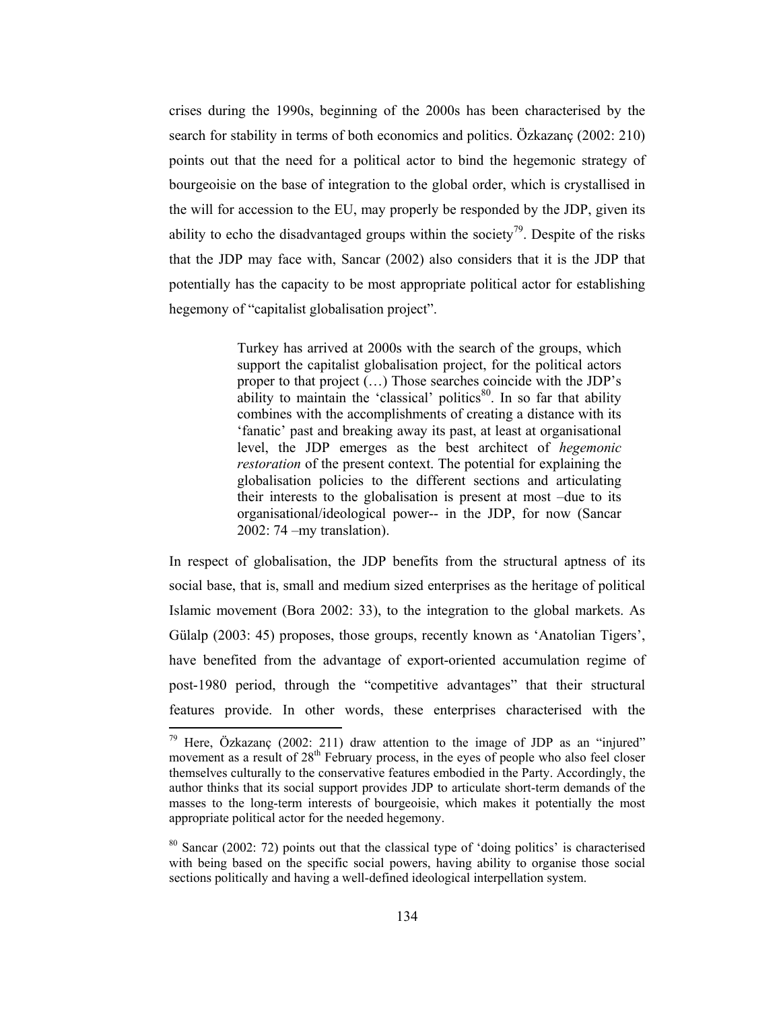crises during the 1990s, beginning of the 2000s has been characterised by the search for stability in terms of both economics and politics. Özkazanc (2002: 210) points out that the need for a political actor to bind the hegemonic strategy of bourgeoisie on the base of integration to the global order, which is crystallised in the will for accession to the EU, may properly be responded by the JDP, given its ability to echo the disadvantaged groups within the society<sup>79</sup>. Despite of the risks that the JDP may face with, Sancar (2002) also considers that it is the JDP that potentially has the capacity to be most appropriate political actor for establishing hegemony of "capitalist globalisation project".

> Turkey has arrived at 2000s with the search of the groups, which support the capitalist globalisation project, for the political actors proper to that project  $(...)$  Those searches coincide with the JDP's ability to maintain the 'classical' politics<sup>80</sup>. In so far that ability combines with the accomplishments of creating a distance with its 'fanatic' past and breaking away its past, at least at organisational level, the JDP emerges as the best architect of *hegemonic restoration* of the present context. The potential for explaining the globalisation policies to the different sections and articulating their interests to the globalisation is present at most -due to its organisational/ideological power-- in the JDP, for now (Sancar  $2002:74 - my translation)$ .

In respect of globalisation, the JDP benefits from the structural aptness of its social base, that is, small and medium sized enterprises as the heritage of political Islamic movement (Bora 2002: 33), to the integration to the global markets. As Gülalp (2003: 45) proposes, those groups, recently known as 'Anatolian Tigers', have benefited from the advantage of export-oriented accumulation regime of post-1980 period, through the "competitive advantages" that their structural features provide. In other words, these enterprises characterised with the

<sup>&</sup>lt;sup>79</sup> Here, Özkazanc (2002: 211) draw attention to the image of JDP as an "injured" movement as a result of 28<sup>th</sup> February process, in the eyes of people who also feel closer themselves culturally to the conservative features embodied in the Party. Accordingly, the author thinks that its social support provides JDP to articulate short-term demands of the masses to the long-term interests of bourgeoisie, which makes it potentially the most appropriate political actor for the needed hegemony.

 $80$  Sancar (2002: 72) points out that the classical type of 'doing politics' is characterised with being based on the specific social powers, having ability to organise those social sections politically and having a well-defined ideological interpellation system.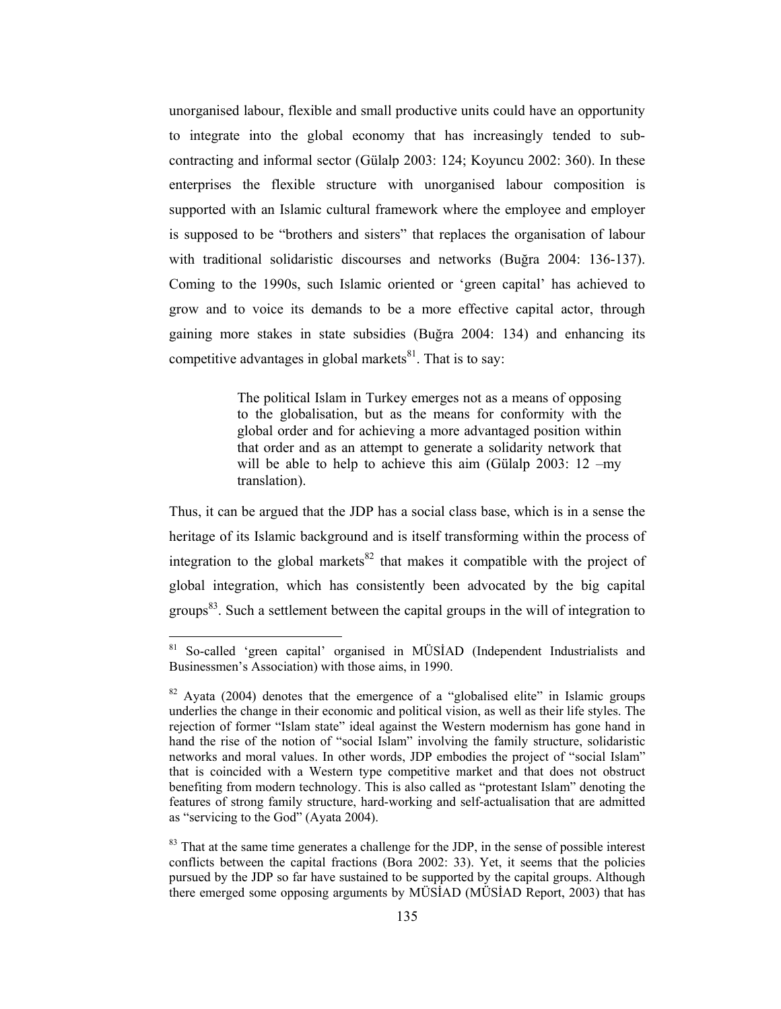unorganised labour, flexible and small productive units could have an opportunity to integrate into the global economy that has increasingly tended to subcontracting and informal sector (Gülalp 2003: 124; Koyuncu 2002: 360). In these enterprises the flexible structure with unorganised labour composition is supported with an Islamic cultural framework where the employee and employer is supposed to be "brothers and sisters" that replaces the organisation of labour with traditional solidaristic discourses and networks (Buğra 2004: 136-137). Coming to the 1990s, such Islamic oriented or 'green capital' has achieved to grow and to voice its demands to be a more effective capital actor, through gaining more stakes in state subsidies (Buğra 2004: 134) and enhancing its competitive advantages in global markets<sup>81</sup>. That is to say:

> The political Islam in Turkey emerges not as a means of opposing to the globalisation, but as the means for conformity with the global order and for achieving a more advantaged position within that order and as an attempt to generate a solidarity network that will be able to help to achieve this aim (Gülalp  $2003$ : 12 -my translation).

Thus, it can be argued that the JDP has a social class base, which is in a sense the heritage of its Islamic background and is itself transforming within the process of integration to the global markets<sup>82</sup> that makes it compatible with the project of global integration, which has consistently been advocated by the big capital groups<sup>83</sup>. Such a settlement between the capital groups in the will of integration to

<sup>&</sup>lt;sup>81</sup> So-called 'green capital' organised in MÜSİAD (Independent Industrialists and Businessmen's Association) with those aims, in 1990.

 $82$  Avata (2004) denotes that the emergence of a "globalised elite" in Islamic groups underlies the change in their economic and political vision, as well as their life styles. The rejection of former "Islam state" ideal against the Western modernism has gone hand in hand the rise of the notion of "social Islam" involving the family structure, solidaristic networks and moral values. In other words, JDP embodies the project of "social Islam" that is coincided with a Western type competitive market and that does not obstruct benefiting from modern technology. This is also called as "protestant Islam" denoting the features of strong family structure, hard-working and self-actualisation that are admitted as "servicing to the God" (Ayata 2004).

<sup>&</sup>lt;sup>83</sup> That at the same time generates a challenge for the JDP, in the sense of possible interest conflicts between the capital fractions (Bora 2002: 33). Yet, it seems that the policies pursued by the JDP so far have sustained to be supported by the capital groups. Although there emerged some opposing arguments by MÜSIAD (MÜSIAD Report, 2003) that has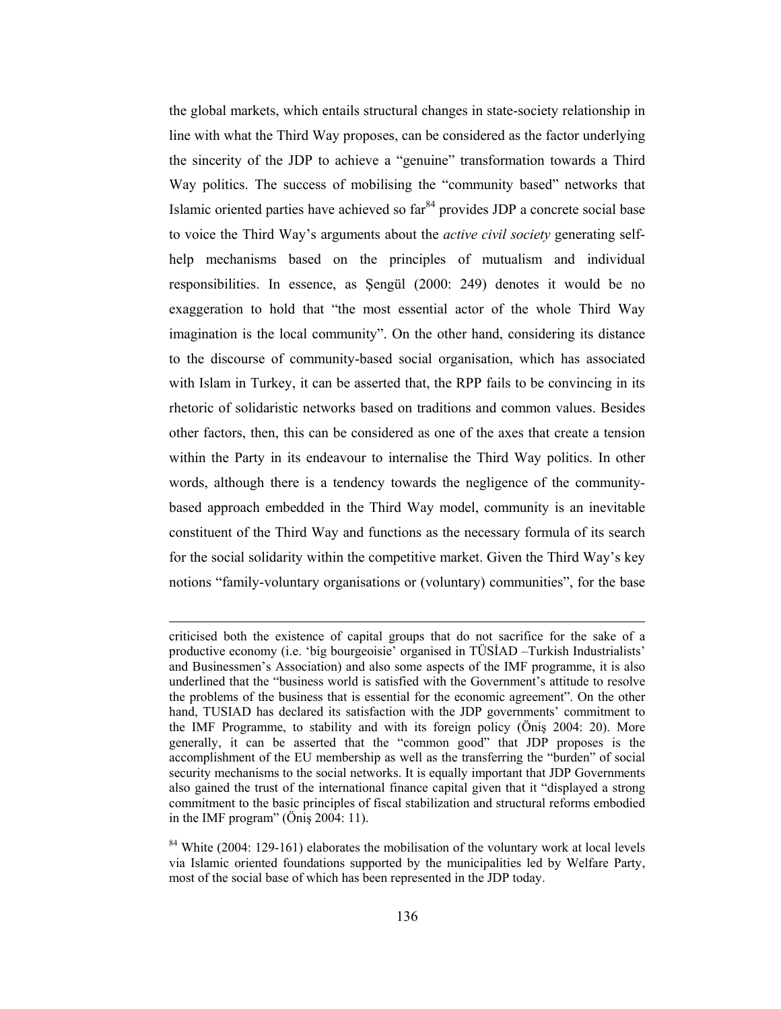the global markets, which entails structural changes in state-society relationship in line with what the Third Way proposes, can be considered as the factor underlying the sincerity of the JDP to achieve a "genuine" transformation towards a Third Way politics. The success of mobilising the "community based" networks that Islamic oriented parties have achieved so far<sup>84</sup> provides JDP a concrete social base to voice the Third Way's arguments about the *active civil society* generating selfhelp mechanisms based on the principles of mutualism and individual responsibilities. In essence, as Sengül (2000: 249) denotes it would be no exaggeration to hold that "the most essential actor of the whole Third Way imagination is the local community". On the other hand, considering its distance to the discourse of community-based social organisation, which has associated with Islam in Turkey, it can be asserted that, the RPP fails to be convincing in its rhetoric of solidaristic networks based on traditions and common values. Besides other factors, then, this can be considered as one of the axes that create a tension within the Party in its endeavour to internalise the Third Way politics. In other words, although there is a tendency towards the negligence of the communitybased approach embedded in the Third Way model, community is an inevitable constituent of the Third Way and functions as the necessary formula of its search for the social solidarity within the competitive market. Given the Third Way's key notions "family-voluntary organisations or (voluntary) communities", for the base

criticised both the existence of capital groups that do not sacrifice for the sake of a productive economy (i.e. 'big bourgeoisie' organised in TÜSİAD -Turkish Industrialists' and Businessmen's Association) and also some aspects of the IMF programme, it is also underlined that the "business world is satisfied with the Government's attitude to resolve the problems of the business that is essential for the economic agreement". On the other hand, TUSIAD has declared its satisfaction with the JDP governments' commitment to the IMF Programme, to stability and with its foreign policy (Öniş 2004: 20). More generally, it can be asserted that the "common good" that JDP proposes is the accomplishment of the EU membership as well as the transferring the "burden" of social security mechanisms to the social networks. It is equally important that JDP Governments also gained the trust of the international finance capital given that it "displayed a strong commitment to the basic principles of fiscal stabilization and structural reforms embodied in the IMF program" ( $\ddot{O}$ nis 2004: 11).

 $84$  White (2004: 129-161) elaborates the mobilisation of the voluntary work at local levels via Islamic oriented foundations supported by the municipalities led by Welfare Party, most of the social base of which has been represented in the JDP today.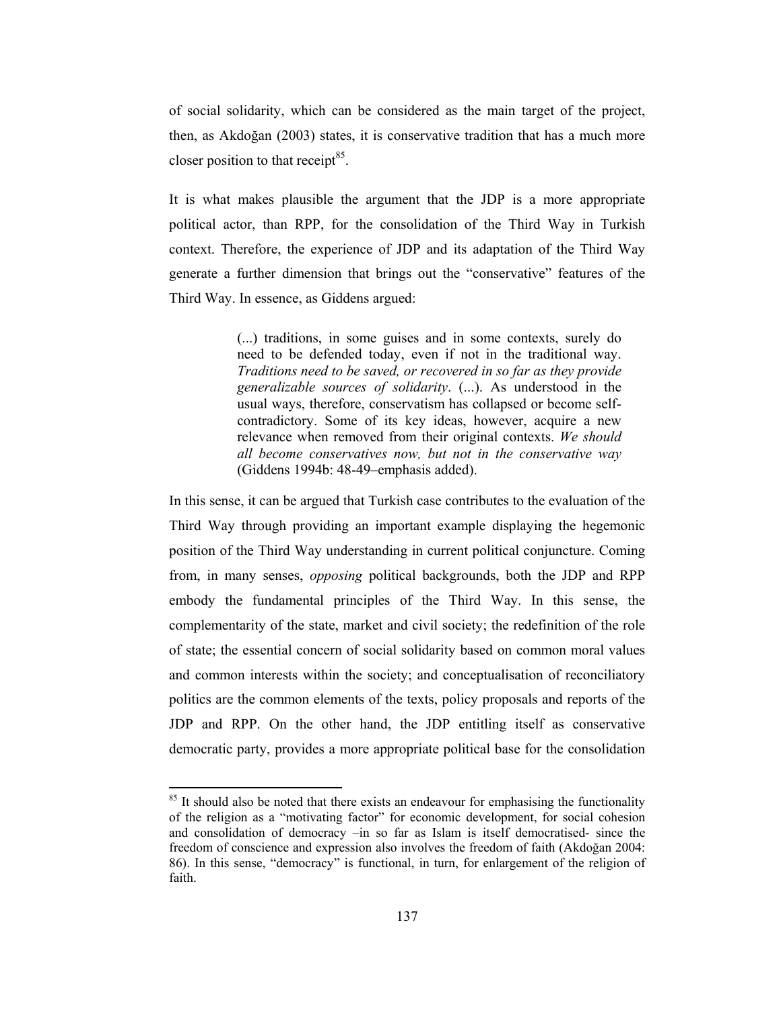of social solidarity, which can be considered as the main target of the project, then, as Akdoğan (2003) states, it is conservative tradition that has a much more closer position to that receipt<sup>85</sup>.

It is what makes plausible the argument that the JDP is a more appropriate political actor, than RPP, for the consolidation of the Third Way in Turkish context. Therefore, the experience of JDP and its adaptation of the Third Way generate a further dimension that brings out the "conservative" features of the Third Way. In essence, as Giddens argued:

> (...) traditions, in some guises and in some contexts, surely do need to be defended today, even if not in the traditional way. Traditions need to be saved, or recovered in so far as they provide generalizable sources of solidarity. (...). As understood in the usual ways, therefore, conservatism has collapsed or become selfcontradictory. Some of its key ideas, however, acquire a new relevance when removed from their original contexts. We should all become conservatives now, but not in the conservative way (Giddens 1994b: 48-49-emphasis added).

In this sense, it can be argued that Turkish case contributes to the evaluation of the Third Way through providing an important example displaying the hegemonic position of the Third Way understanding in current political conjuncture. Coming from, in many senses, *opposing* political backgrounds, both the JDP and RPP embody the fundamental principles of the Third Way. In this sense, the complementarity of the state, market and civil society; the redefinition of the role of state; the essential concern of social solidarity based on common moral values and common interests within the society; and conceptualisation of reconciliatory politics are the common elements of the texts, policy proposals and reports of the JDP and RPP. On the other hand, the JDP entitling itself as conservative democratic party, provides a more appropriate political base for the consolidation

<sup>&</sup>lt;sup>85</sup> It should also be noted that there exists an endeavour for emphasising the functionality of the religion as a "motivating factor" for economic development, for social cohesion and consolidation of democracy -in so far as Islam is itself democratised- since the freedom of conscience and expression also involves the freedom of faith (Akdoğan 2004: 86). In this sense, "democracy" is functional, in turn, for enlargement of the religion of faith.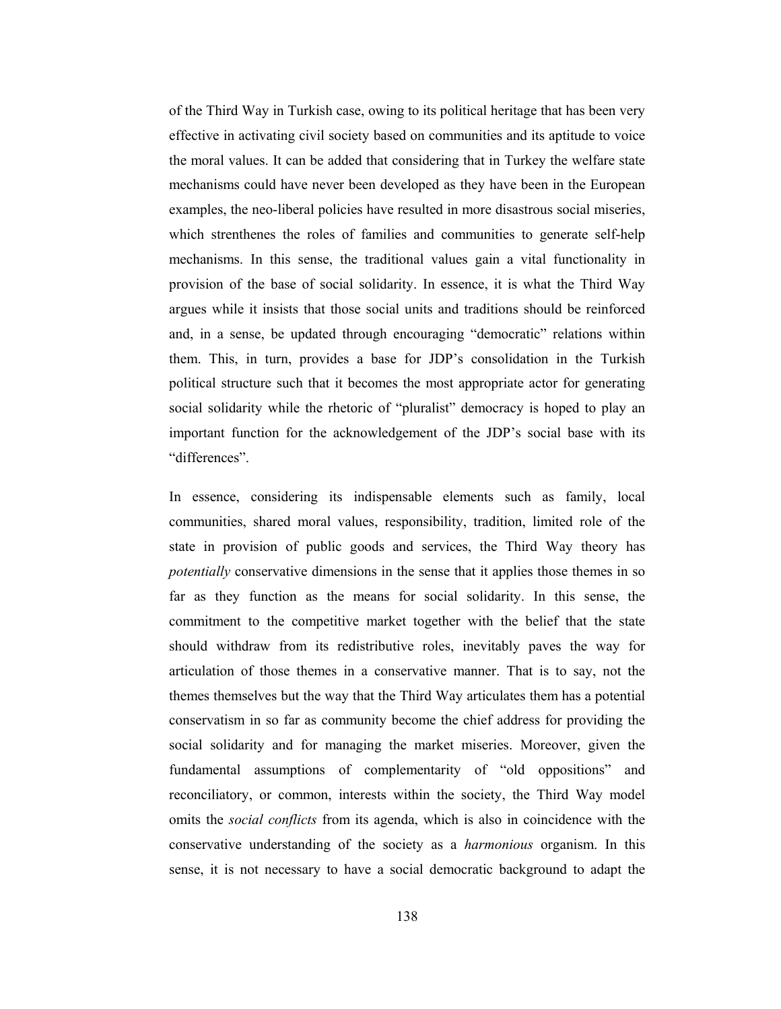of the Third Way in Turkish case, owing to its political heritage that has been very effective in activating civil society based on communities and its aptitude to voice the moral values. It can be added that considering that in Turkey the welfare state mechanisms could have never been developed as they have been in the European examples, the neo-liberal policies have resulted in more disastrous social miseries, which strenthenes the roles of families and communities to generate self-help mechanisms. In this sense, the traditional values gain a vital functionality in provision of the base of social solidarity. In essence, it is what the Third Way argues while it insists that those social units and traditions should be reinforced and, in a sense, be updated through encouraging "democratic" relations within them. This, in turn, provides a base for JDP's consolidation in the Turkish political structure such that it becomes the most appropriate actor for generating social solidarity while the rhetoric of "pluralist" democracy is hoped to play an important function for the acknowledgement of the JDP's social base with its "differences"

In essence, considering its indispensable elements such as family, local communities, shared moral values, responsibility, tradition, limited role of the state in provision of public goods and services, the Third Way theory has *potentially* conservative dimensions in the sense that it applies those themes in so far as they function as the means for social solidarity. In this sense, the commitment to the competitive market together with the belief that the state should withdraw from its redistributive roles, inevitably paves the way for articulation of those themes in a conservative manner. That is to say, not the themes themselves but the way that the Third Way articulates them has a potential conservatism in so far as community become the chief address for providing the social solidarity and for managing the market miseries. Moreover, given the fundamental assumptions of complementarity of "old oppositions" and reconciliatory, or common, interests within the society, the Third Way model omits the social conflicts from its agenda, which is also in coincidence with the conservative understanding of the society as a *harmonious* organism. In this sense, it is not necessary to have a social democratic background to adapt the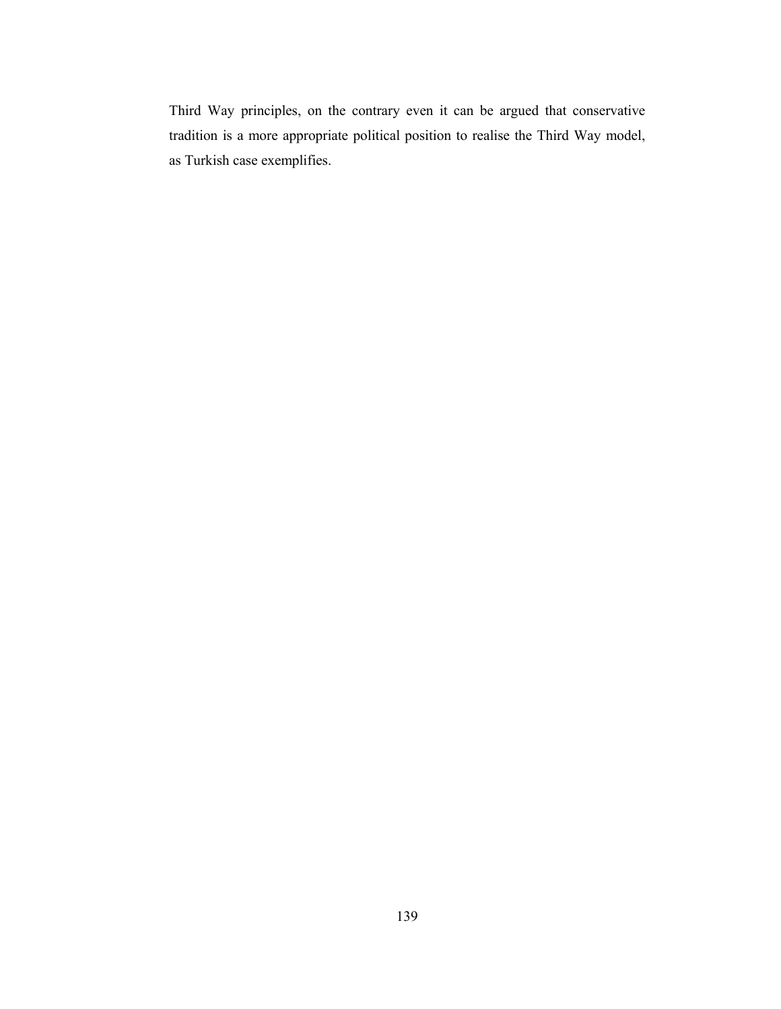Third Way principles, on the contrary even it can be argued that conservative tradition is a more appropriate political position to realise the Third Way model, as Turkish case exemplifies.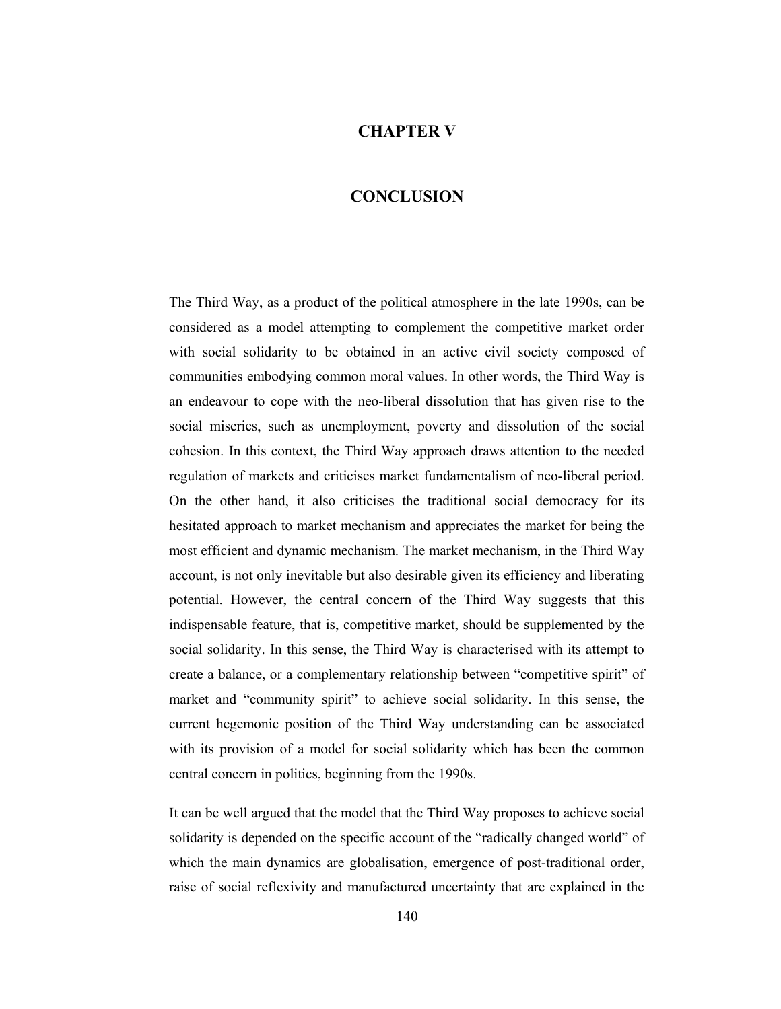## **CHAPTER V**

## **CONCLUSION**

The Third Way, as a product of the political atmosphere in the late 1990s, can be considered as a model attempting to complement the competitive market order with social solidarity to be obtained in an active civil society composed of communities embodying common moral values. In other words, the Third Way is an endeavour to cope with the neo-liberal dissolution that has given rise to the social miseries, such as unemployment, poverty and dissolution of the social cohesion. In this context, the Third Way approach draws attention to the needed regulation of markets and criticises market fundamentalism of neo-liberal period. On the other hand, it also criticises the traditional social democracy for its hesitated approach to market mechanism and appreciates the market for being the most efficient and dynamic mechanism. The market mechanism, in the Third Way account, is not only inevitable but also desirable given its efficiency and liberating potential. However, the central concern of the Third Way suggests that this indispensable feature, that is, competitive market, should be supplemented by the social solidarity. In this sense, the Third Way is characterised with its attempt to create a balance, or a complementary relationship between "competitive spirit" of market and "community spirit" to achieve social solidarity. In this sense, the current hegemonic position of the Third Way understanding can be associated with its provision of a model for social solidarity which has been the common central concern in politics, beginning from the 1990s.

It can be well argued that the model that the Third Way proposes to achieve social solidarity is depended on the specific account of the "radically changed world" of which the main dynamics are globalisation, emergence of post-traditional order, raise of social reflexivity and manufactured uncertainty that are explained in the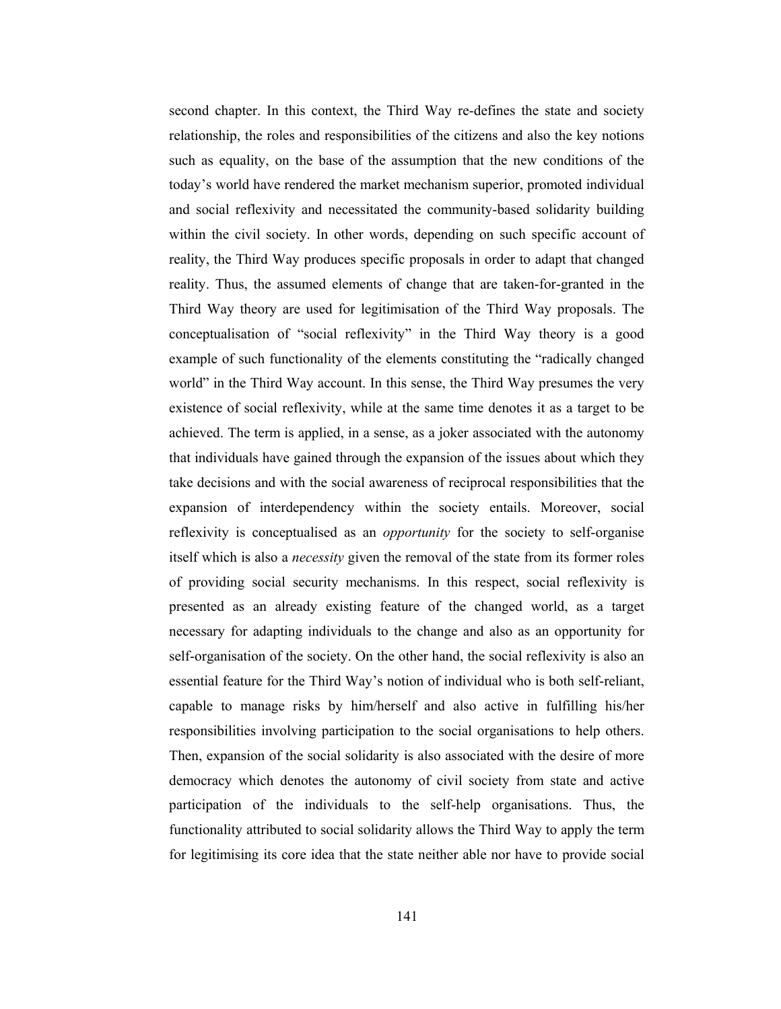second chapter. In this context, the Third Way re-defines the state and society relationship, the roles and responsibilities of the citizens and also the key notions such as equality, on the base of the assumption that the new conditions of the today's world have rendered the market mechanism superior, promoted individual and social reflexivity and necessitated the community-based solidarity building within the civil society. In other words, depending on such specific account of reality, the Third Way produces specific proposals in order to adapt that changed reality. Thus, the assumed elements of change that are taken-for-granted in the Third Way theory are used for legitimisation of the Third Way proposals. The conceptualisation of "social reflexivity" in the Third Way theory is a good example of such functionality of the elements constituting the "radically changed" world" in the Third Way account. In this sense, the Third Way presumes the very existence of social reflexivity, while at the same time denotes it as a target to be achieved. The term is applied, in a sense, as a joker associated with the autonomy that individuals have gained through the expansion of the issues about which they take decisions and with the social awareness of reciprocal responsibilities that the expansion of interdependency within the society entails. Moreover, social reflexivity is conceptualised as an *opportunity* for the society to self-organise itself which is also a *necessity* given the removal of the state from its former roles of providing social security mechanisms. In this respect, social reflexivity is presented as an already existing feature of the changed world, as a target necessary for adapting individuals to the change and also as an opportunity for self-organisation of the society. On the other hand, the social reflexivity is also an essential feature for the Third Way's notion of individual who is both self-reliant, capable to manage risks by him/herself and also active in fulfilling his/her responsibilities involving participation to the social organisations to help others. Then, expansion of the social solidarity is also associated with the desire of more democracy which denotes the autonomy of civil society from state and active participation of the individuals to the self-help organisations. Thus, the functionality attributed to social solidarity allows the Third Way to apply the term for legitimising its core idea that the state neither able nor have to provide social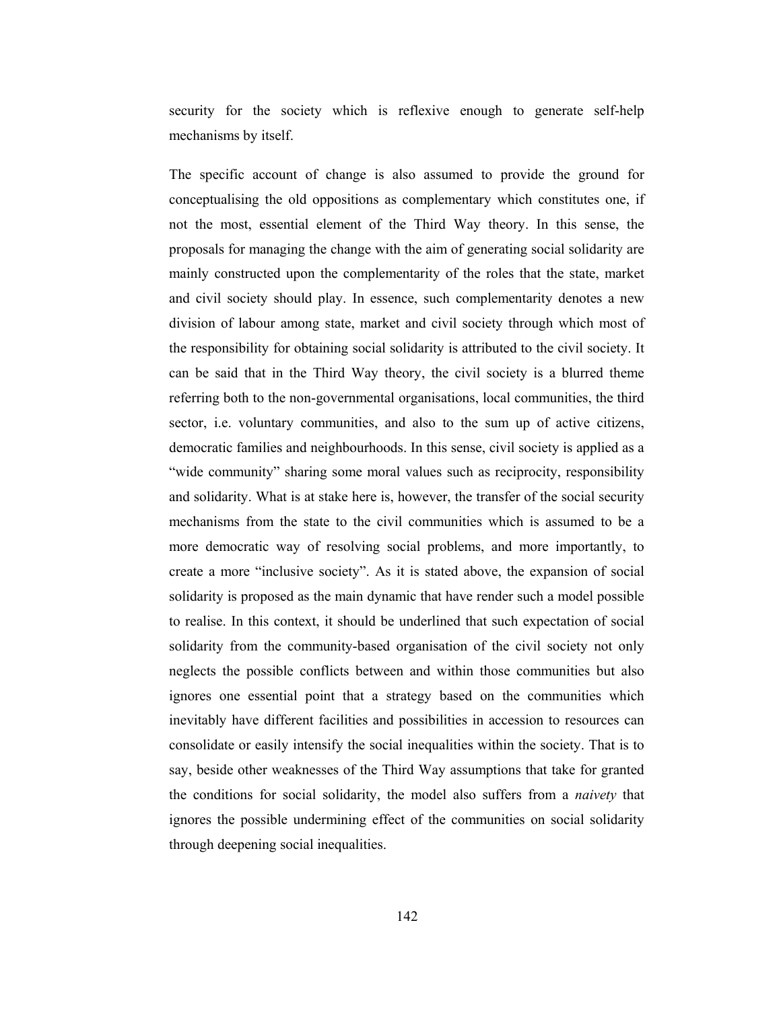security for the society which is reflexive enough to generate self-help mechanisms by itself.

The specific account of change is also assumed to provide the ground for conceptualising the old oppositions as complementary which constitutes one, if not the most, essential element of the Third Way theory. In this sense, the proposals for managing the change with the aim of generating social solidarity are mainly constructed upon the complementarity of the roles that the state, market and civil society should play. In essence, such complementarity denotes a new division of labour among state, market and civil society through which most of the responsibility for obtaining social solidarity is attributed to the civil society. It can be said that in the Third Way theory, the civil society is a blurred theme referring both to the non-governmental organisations, local communities, the third sector, i.e. voluntary communities, and also to the sum up of active citizens, democratic families and neighbourhoods. In this sense, civil society is applied as a "wide community" sharing some moral values such as reciprocity, responsibility and solidarity. What is at stake here is, however, the transfer of the social security mechanisms from the state to the civil communities which is assumed to be a more democratic way of resolving social problems, and more importantly, to create a more "inclusive society". As it is stated above, the expansion of social solidarity is proposed as the main dynamic that have render such a model possible to realise. In this context, it should be underlined that such expectation of social solidarity from the community-based organisation of the civil society not only neglects the possible conflicts between and within those communities but also ignores one essential point that a strategy based on the communities which inevitably have different facilities and possibilities in accession to resources can consolidate or easily intensify the social inequalities within the society. That is to say, beside other weaknesses of the Third Way assumptions that take for granted the conditions for social solidarity, the model also suffers from a *naivety* that ignores the possible undermining effect of the communities on social solidarity through deepening social inequalities.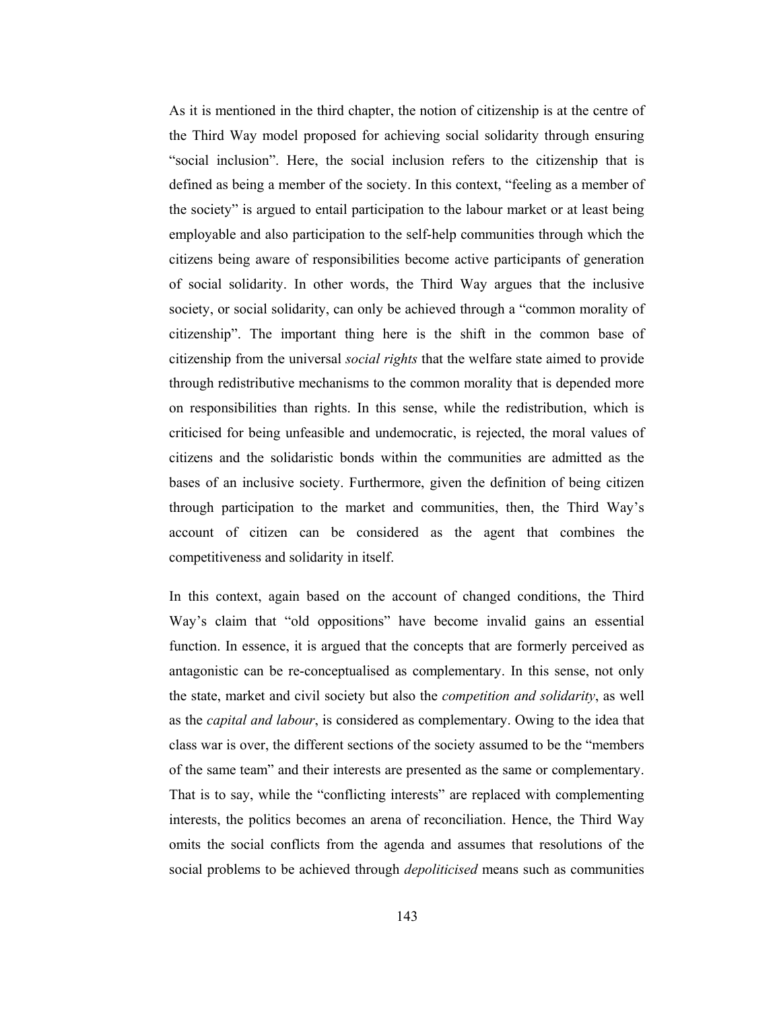As it is mentioned in the third chapter, the notion of citizenship is at the centre of the Third Way model proposed for achieving social solidarity through ensuring "social inclusion". Here, the social inclusion refers to the citizenship that is defined as being a member of the society. In this context, "feeling as a member of the society" is argued to entail participation to the labour market or at least being employable and also participation to the self-help communities through which the citizens being aware of responsibilities become active participants of generation of social solidarity. In other words, the Third Way argues that the inclusive society, or social solidarity, can only be achieved through a "common morality of citizenship". The important thing here is the shift in the common base of citizenship from the universal *social rights* that the welfare state aimed to provide through redistributive mechanisms to the common morality that is depended more on responsibilities than rights. In this sense, while the redistribution, which is criticised for being unfeasible and undemocratic, is rejected, the moral values of citizens and the solidaristic bonds within the communities are admitted as the bases of an inclusive society. Furthermore, given the definition of being citizen through participation to the market and communities, then, the Third Way's account of citizen can be considered as the agent that combines the competitiveness and solidarity in itself.

In this context, again based on the account of changed conditions, the Third Way's claim that "old oppositions" have become invalid gains an essential function. In essence, it is argued that the concepts that are formerly perceived as antagonistic can be re-conceptualised as complementary. In this sense, not only the state, market and civil society but also the *competition and solidarity*, as well as the *capital and labour*, is considered as complementary. Owing to the idea that class war is over, the different sections of the society assumed to be the "members" of the same team" and their interests are presented as the same or complementary. That is to say, while the "conflicting interests" are replaced with complementing interests, the politics becomes an arena of reconciliation. Hence, the Third Way omits the social conflicts from the agenda and assumes that resolutions of the social problems to be achieved through *depoliticised* means such as communities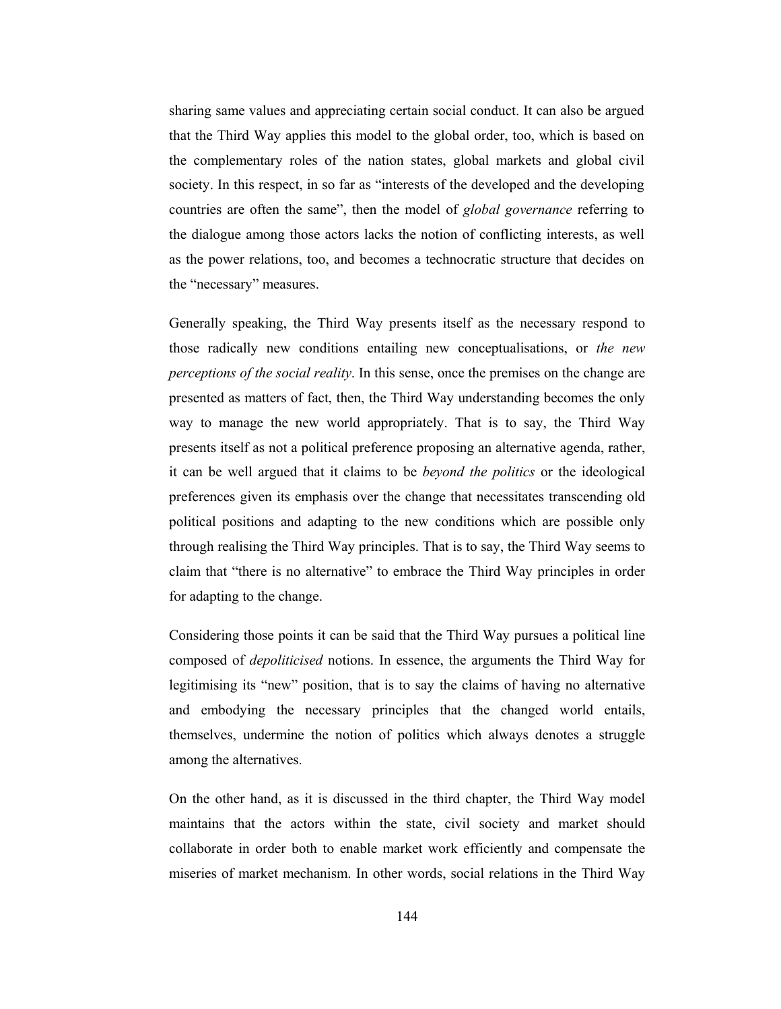sharing same values and appreciating certain social conduct. It can also be argued that the Third Way applies this model to the global order, too, which is based on the complementary roles of the nation states, global markets and global civil society. In this respect, in so far as "interests of the developed and the developing countries are often the same", then the model of *global governance* referring to the dialogue among those actors lacks the notion of conflicting interests, as well as the power relations, too, and becomes a technocratic structure that decides on the "necessary" measures.

Generally speaking, the Third Way presents itself as the necessary respond to those radically new conditions entailing new conceptualisations, or the new *perceptions of the social reality.* In this sense, once the premises on the change are presented as matters of fact, then, the Third Way understanding becomes the only way to manage the new world appropriately. That is to say, the Third Way presents itself as not a political preference proposing an alternative agenda, rather, it can be well argued that it claims to be *beyond the politics* or the ideological preferences given its emphasis over the change that necessitates transcending old political positions and adapting to the new conditions which are possible only through realising the Third Way principles. That is to say, the Third Way seems to claim that "there is no alternative" to embrace the Third Way principles in order for adapting to the change.

Considering those points it can be said that the Third Way pursues a political line composed of *depoliticised* notions. In essence, the arguments the Third Way for legitimising its "new" position, that is to say the claims of having no alternative and embodying the necessary principles that the changed world entails, themselves, undermine the notion of politics which always denotes a struggle among the alternatives.

On the other hand, as it is discussed in the third chapter, the Third Way model maintains that the actors within the state, civil society and market should collaborate in order both to enable market work efficiently and compensate the miseries of market mechanism. In other words, social relations in the Third Way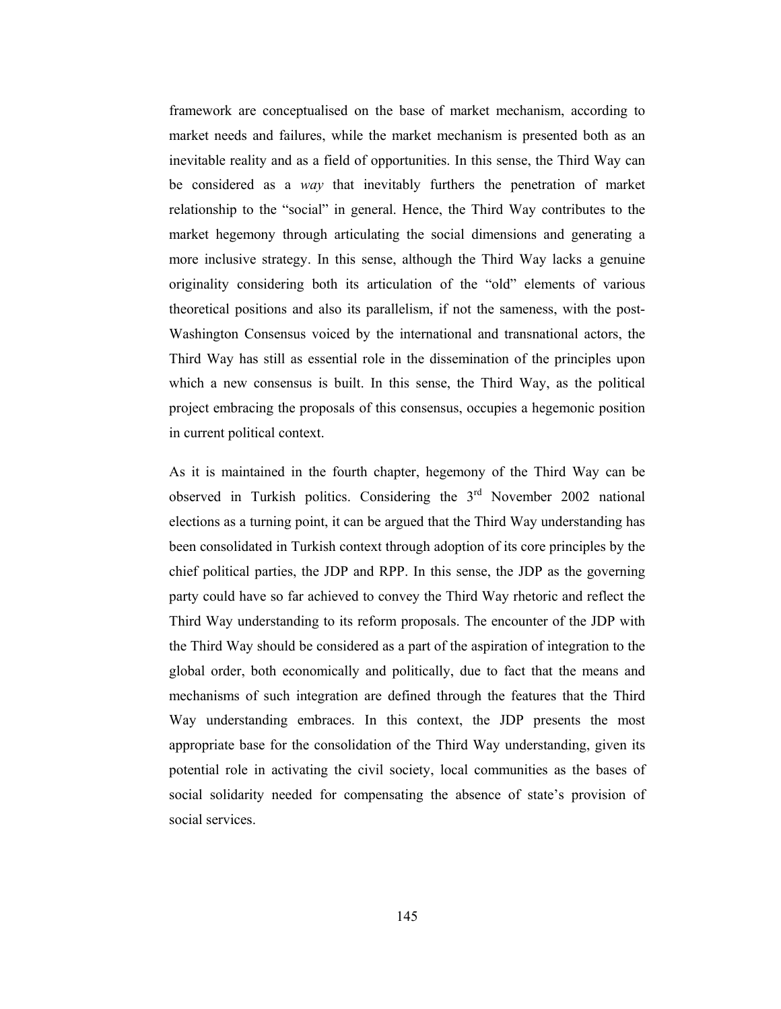framework are conceptualised on the base of market mechanism, according to market needs and failures, while the market mechanism is presented both as an inevitable reality and as a field of opportunities. In this sense, the Third Way can be considered as a *way* that inevitably furthers the penetration of market relationship to the "social" in general. Hence, the Third Way contributes to the market hegemony through articulating the social dimensions and generating a more inclusive strategy. In this sense, although the Third Way lacks a genuine originality considering both its articulation of the "old" elements of various theoretical positions and also its parallelism, if not the sameness, with the post-Washington Consensus voiced by the international and transnational actors, the Third Way has still as essential role in the dissemination of the principles upon which a new consensus is built. In this sense, the Third Way, as the political project embracing the proposals of this consensus, occupies a hegemonic position in current political context.

As it is maintained in the fourth chapter, hegemony of the Third Way can be observed in Turkish politics. Considering the  $3<sup>rd</sup>$  November 2002 national elections as a turning point, it can be argued that the Third Way understanding has been consolidated in Turkish context through adoption of its core principles by the chief political parties, the JDP and RPP. In this sense, the JDP as the governing party could have so far achieved to convey the Third Way rhetoric and reflect the Third Way understanding to its reform proposals. The encounter of the JDP with the Third Way should be considered as a part of the aspiration of integration to the global order, both economically and politically, due to fact that the means and mechanisms of such integration are defined through the features that the Third Way understanding embraces. In this context, the JDP presents the most appropriate base for the consolidation of the Third Way understanding, given its potential role in activating the civil society, local communities as the bases of social solidarity needed for compensating the absence of state's provision of social services.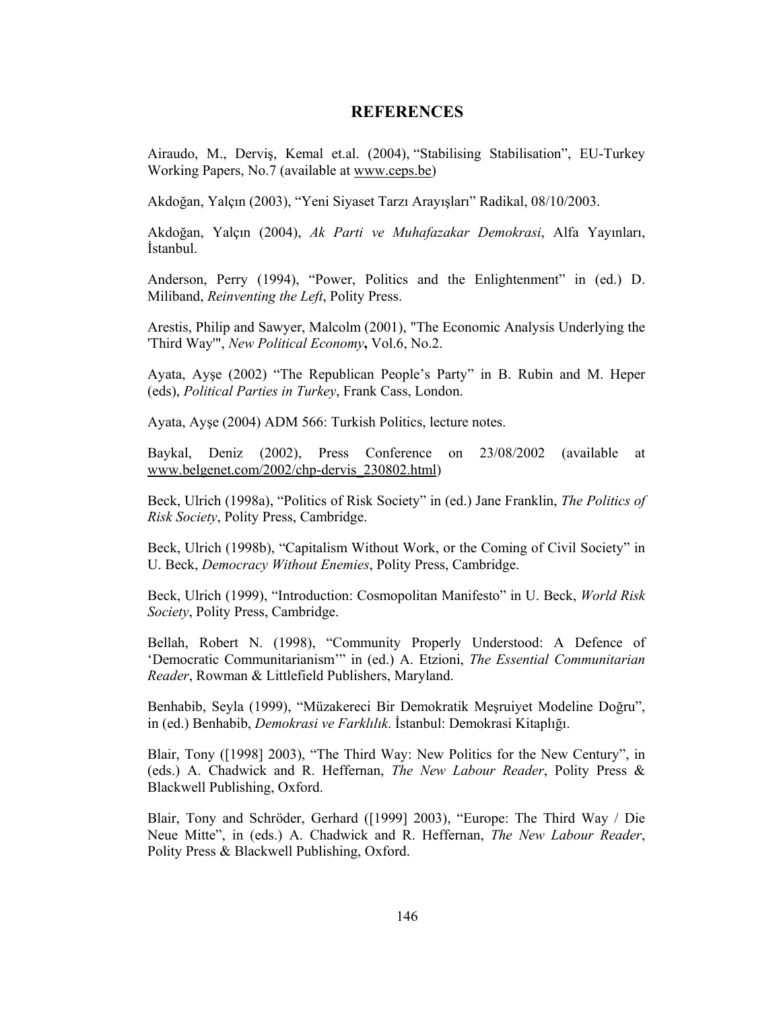## **REFERENCES**

Airaudo, M., Derviş, Kemal et.al. (2004), "Stabilising Stabilisation", EU-Turkey Working Papers, No.7 (available at www.ceps.be)

Akdoğan, Yalçın (2003), "Yeni Siyaset Tarzı Arayışları" Radikal, 08/10/2003.

Akdoğan, Yalçın (2004), Ak Parti ve Muhafazakar Demokrasi, Alfa Yayınları, İstanbul.

Anderson, Perry (1994), "Power, Politics and the Enlightenment" in (ed.) D. Miliband, Reinventing the Left, Polity Press.

Arestis, Philip and Sawyer, Malcolm (2001), "The Economic Analysis Underlying the 'Third Way'", New Political Economy, Vol.6, No.2.

Ayata, Ayşe (2002) "The Republican People's Party" in B. Rubin and M. Heper (eds), Political Parties in Turkey, Frank Cass, London.

Ayata, Ayşe (2004) ADM 566: Turkish Politics, lecture notes.

Baykal, Deniz (2002), Press Conference on 23/08/2002 (available at www.belgenet.com/2002/chp-dervis 230802.html)

Beck, Ulrich (1998a), "Politics of Risk Society" in (ed.) Jane Franklin, The Politics of Risk Society, Polity Press, Cambridge.

Beck, Ulrich (1998b), "Capitalism Without Work, or the Coming of Civil Society" in U. Beck, Democracy Without Enemies, Polity Press, Cambridge.

Beck, Ulrich (1999), "Introduction: Cosmopolitan Manifesto" in U. Beck, World Risk Society, Polity Press, Cambridge.

Bellah, Robert N. (1998), "Community Properly Understood: A Defence of 'Democratic Communitarianism'" in (ed.) A. Etzioni, The Essential Communitarian Reader, Rowman & Littlefield Publishers, Maryland.

Benhabib, Seyla (1999), "Müzakereci Bir Demokratik Meşruiyet Modeline Doğru", in (ed.) Benhabib, *Demokrasi ve Farklılık*. İstanbul: Demokrasi Kitaplığı.

Blair, Tony ([1998] 2003), "The Third Way: New Politics for the New Century", in (eds.) A. Chadwick and R. Heffernan, The New Labour Reader, Polity Press & Blackwell Publishing, Oxford.

Blair, Tony and Schröder, Gerhard ([1999] 2003), "Europe: The Third Way / Die Neue Mitte", in (eds.) A. Chadwick and R. Heffernan, The New Labour Reader, Polity Press & Blackwell Publishing, Oxford.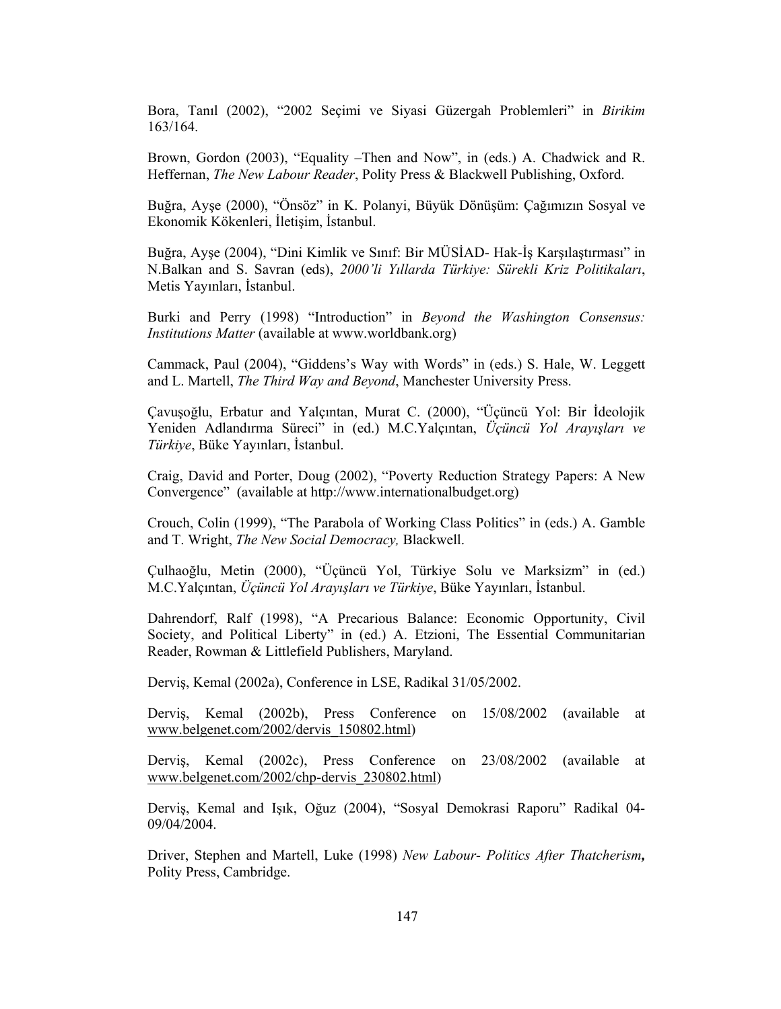Bora, Tanıl (2002), "2002 Seçimi ve Siyasi Güzergah Problemleri" in Birikim 163/164.

Brown, Gordon (2003), "Equality – Then and Now", in (eds.) A. Chadwick and R. Heffernan, The New Labour Reader, Polity Press & Blackwell Publishing, Oxford.

Buğra, Ayse (2000), "Önsöz" in K. Polanyi, Büyük Dönüşüm: Çağımızın Sosyal ve Ekonomik Kökenleri, İletişim, İstanbul.

Buğra, Ayşe (2004), "Dini Kimlik ve Sınıf: Bir MÜSİAD- Hak-İş Karşılaştırması" in N.Balkan and S. Savran (eds), 2000'li Yıllarda Türkiye: Sürekli Kriz Politikaları, Metis Yayınları, İstanbul.

Burki and Perry (1998) "Introduction" in Beyond the Washington Consensus: *Institutions Matter* (available at www.worldbank.org)

Cammack, Paul (2004), "Giddens's Way with Words" in (eds.) S. Hale, W. Leggett and L. Martell, The Third Way and Beyond, Manchester University Press.

Çavuşoğlu, Erbatur and Yalçıntan, Murat C. (2000), "Üçüncü Yol: Bir İdeolojik Yeniden Adlandırma Süreci" in (ed.) M.C.Yalçıntan, Üçüncü Yol Arayışları ve Türkiye, Büke Yayınları, İstanbul.

Craig, David and Porter, Doug (2002), "Poverty Reduction Strategy Papers: A New Convergence" (available at http://www.internationalbudget.org)

Crouch, Colin (1999), "The Parabola of Working Class Politics" in (eds.) A. Gamble and T. Wright, The New Social Democracy, Blackwell.

Çulhaoğlu, Metin (2000), "Üçüncü Yol, Türkiye Solu ve Marksizm" in (ed.) M.C.Yalçıntan, Üçüncü Yol Arayışları ve Türkiye, Büke Yayınları, İstanbul.

Dahrendorf, Ralf (1998), "A Precarious Balance: Economic Opportunity, Civil Society, and Political Liberty" in (ed.) A. Etzioni, The Essential Communitarian Reader, Rowman & Littlefield Publishers, Maryland.

Dervis, Kemal (2002a), Conference in LSE, Radikal 31/05/2002.

Dervis, Kemal (2002b), Press Conference on 15/08/2002 (available at www.belgenet.com/2002/dervis 150802.html)

Dervis, Kemal (2002c), Press Conference on 23/08/2002 (available at www.belgenet.com/2002/chp-dervis 230802.html)

Derviş, Kemal and Işık, Oğuz (2004), "Sosyal Demokrasi Raporu" Radikal 04-09/04/2004.

Driver, Stephen and Martell, Luke (1998) New Labour- Politics After Thatcherism, Polity Press, Cambridge.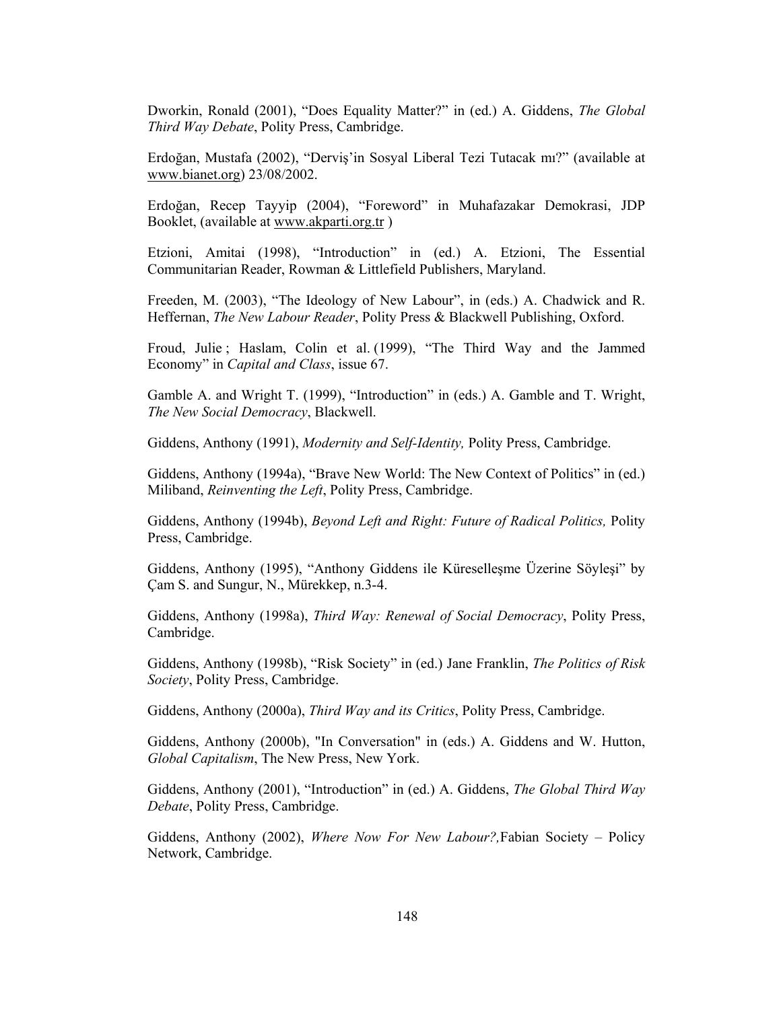Dworkin, Ronald (2001), "Does Equality Matter?" in (ed.) A. Giddens, The Global Third Way Debate, Polity Press, Cambridge.

Erdoğan, Mustafa (2002), "Derviş'in Sosyal Liberal Tezi Tutacak mı?" (available at www.bianet.org) 23/08/2002.

Erdoğan, Recep Tayyip (2004), "Foreword" in Muhafazakar Demokrasi, JDP Booklet, (available at www.akparti.org.tr)

Etzioni, Amitai (1998), "Introduction" in (ed.) A. Etzioni, The Essential Communitarian Reader, Rowman & Littlefield Publishers, Maryland.

Freeden, M. (2003), "The Ideology of New Labour", in (eds.) A. Chadwick and R. Heffernan, The New Labour Reader, Polity Press & Blackwell Publishing, Oxford.

Froud, Julie; Haslam, Colin et al. (1999), "The Third Way and the Jammed Economy" in Capital and Class, issue 67.

Gamble A. and Wright T. (1999), "Introduction" in (eds.) A. Gamble and T. Wright, The New Social Democracy, Blackwell.

Giddens, Anthony (1991), Modernity and Self-Identity, Polity Press, Cambridge.

Giddens, Anthony (1994a), "Brave New World: The New Context of Politics" in (ed.) Miliband, Reinventing the Left, Polity Press, Cambridge.

Giddens, Anthony (1994b), Beyond Left and Right: Future of Radical Politics, Polity Press, Cambridge.

Giddens, Anthony (1995), "Anthony Giddens ile Küresellesme Üzerine Söylesi" by Cam S. and Sungur, N., Mürekkep, n.3-4.

Giddens, Anthony (1998a), Third Way: Renewal of Social Democracy, Polity Press, Cambridge.

Giddens, Anthony (1998b), "Risk Society" in (ed.) Jane Franklin, The Politics of Risk Society, Polity Press, Cambridge.

Giddens, Anthony (2000a), Third Way and its Critics, Polity Press, Cambridge.

Giddens, Anthony (2000b), "In Conversation" in (eds.) A. Giddens and W. Hutton, Global Capitalism, The New Press, New York.

Giddens, Anthony (2001), "Introduction" in (ed.) A. Giddens, The Global Third Way Debate, Polity Press, Cambridge.

Giddens, Anthony (2002), Where Now For New Labour?, Fabian Society – Policy Network, Cambridge.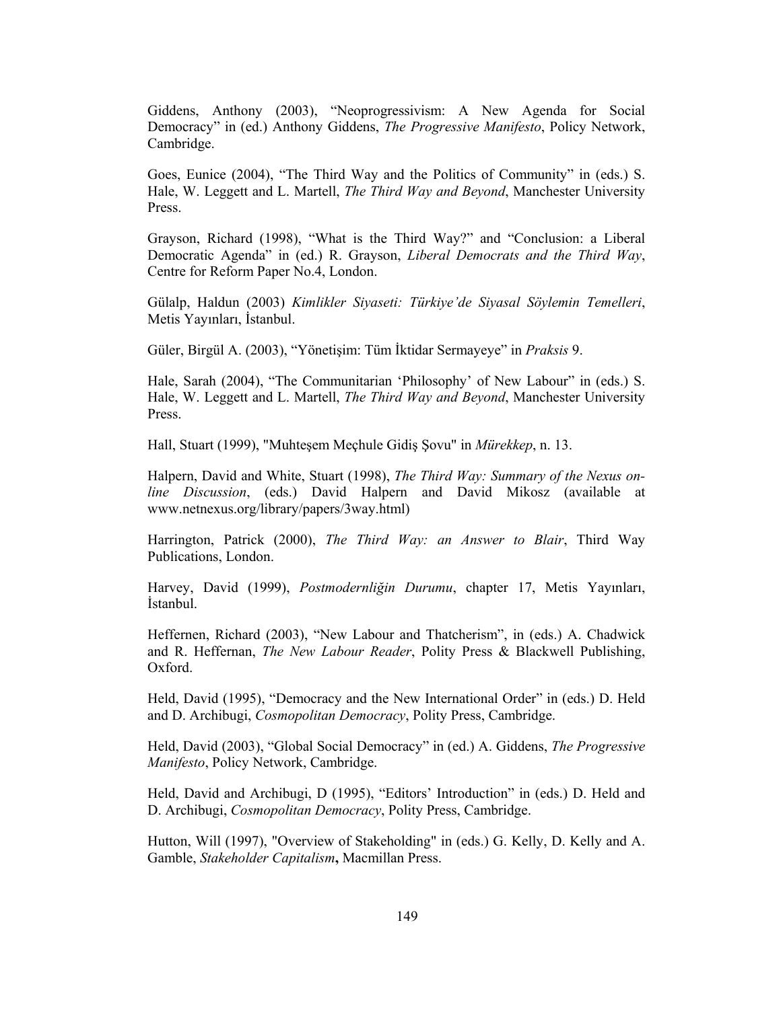Giddens, Anthony (2003), "Neoprogressivism: A New Agenda for Social Democracy" in (ed.) Anthony Giddens, *The Progressive Manifesto*, Policy Network, Cambridge.

Goes, Eunice (2004), "The Third Way and the Politics of Community" in (eds.) S. Hale, W. Leggett and L. Martell, *The Third Way and Beyond*, Manchester University Press.

Grayson, Richard (1998), "What is the Third Way?" and "Conclusion: a Liberal Democratic Agenda" in (ed.) R. Grayson, Liberal Democrats and the Third Way, Centre for Reform Paper No.4, London.

Gülalp, Haldun (2003) Kimlikler Siyaseti: Türkiye'de Siyasal Söylemin Temelleri, Metis Yayınları, İstanbul.

Güler, Birgül A. (2003), "Yönetişim: Tüm İktidar Sermayeye" in Praksis 9.

Hale, Sarah (2004), "The Communitarian 'Philosophy' of New Labour" in (eds.) S. Hale, W. Leggett and L. Martell, The Third Way and Beyond, Manchester University Press.

Hall, Stuart (1999), "Muhtesem Mechule Gidis Sovu" in Mürekkep, n. 13.

Halpern, David and White, Stuart (1998), The Third Way: Summary of the Nexus online Discussion, (eds.) David Halpern and David Mikosz (available at www.netnexus.org/library/papers/3way.html)

Harrington, Patrick (2000), The Third Way: an Answer to Blair, Third Way Publications, London.

Harvey, David (1999), Postmodernliğin Durumu, chapter 17, Metis Yayınları, İstanbul.

Heffernen, Richard (2003), "New Labour and Thatcherism", in (eds.) A. Chadwick and R. Heffernan, The New Labour Reader, Polity Press & Blackwell Publishing, Oxford.

Held, David (1995), "Democracy and the New International Order" in (eds.) D. Held and D. Archibugi, Cosmopolitan Democracy, Polity Press, Cambridge.

Held, David (2003), "Global Social Democracy" in (ed.) A. Giddens, The Progressive Manifesto, Policy Network, Cambridge.

Held, David and Archibugi, D (1995), "Editors' Introduction" in (eds.) D. Held and D. Archibugi, Cosmopolitan Democracy, Polity Press, Cambridge.

Hutton, Will (1997), "Overview of Stakeholding" in (eds.) G. Kelly, D. Kelly and A. Gamble, Stakeholder Capitalism, Macmillan Press.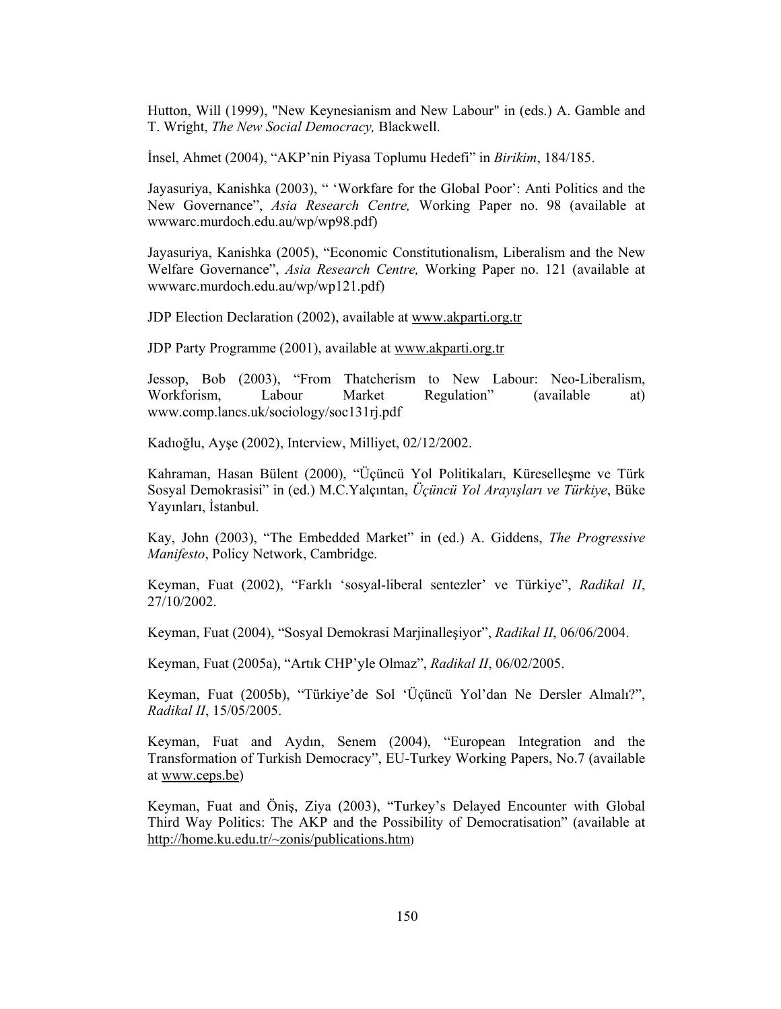Hutton, Will (1999), "New Keynesianism and New Labour" in (eds.) A. Gamble and T. Wright, The New Social Democracy, Blackwell.

Insel, Ahmet (2004), "AKP'nin Piyasa Toplumu Hedefi" in *Birikim*, 184/185.

Jayasuriya, Kanishka (2003), " 'Workfare for the Global Poor': Anti Politics and the New Governance", Asia Research Centre, Working Paper no. 98 (available at www.arc.murdoch.edu.au/wp/wp98.pdf)

Jayasuriya, Kanishka (2005), "Economic Constitutionalism, Liberalism and the New Welfare Governance", Asia Research Centre, Working Paper no. 121 (available at www.arc.murdoch.edu.au/wp/wp121.pdf)

JDP Election Declaration (2002), available at www.akparti.org.tr

JDP Party Programme (2001), available at www.akparti.org.tr

Jessop, Bob (2003), "From Thatcherism to New Labour: Neo-Liberalism, (available Regulation" Workforism, Labour Market at) www.comp.lancs.uk/sociology/soc131rj.pdf

Kadıoğlu, Ayse (2002), Interview, Milliyet, 02/12/2002.

Kahraman, Hasan Bülent (2000), "Üçüncü Yol Politikaları, Küreselleşme ve Türk Sosyal Demokrasisi" in (ed.) M.C.Yalçıntan, Üçüncü Yol Arayışları ve Türkiye, Büke Yavınları, İstanbul.

Kay, John (2003), "The Embedded Market" in (ed.) A. Giddens, The Progressive Manifesto, Policy Network, Cambridge.

Keyman, Fuat (2002), "Farklı 'sosyal-liberal sentezler' ve Türkiye", Radikal II, 27/10/2002.

Keyman, Fuat (2004), "Sosyal Demokrasi Marjinallesiyor", Radikal II, 06/06/2004.

Keyman, Fuat (2005a), "Artik CHP'yle Olmaz", Radikal II, 06/02/2005.

Keyman, Fuat (2005b), "Türkiye'de Sol 'Üçüncü Yol'dan Ne Dersler Almalı?", Radikal II, 15/05/2005.

Keyman, Fuat and Aydın, Senem (2004), "European Integration and the Transformation of Turkish Democracy", EU-Turkey Working Papers, No.7 (available at www.ceps.be)

Keyman, Fuat and Öniş, Ziya (2003), "Turkey's Delayed Encounter with Global Third Way Politics: The AKP and the Possibility of Democratisation" (available at http://home.ku.edu.tr/~zonis/publications.htm)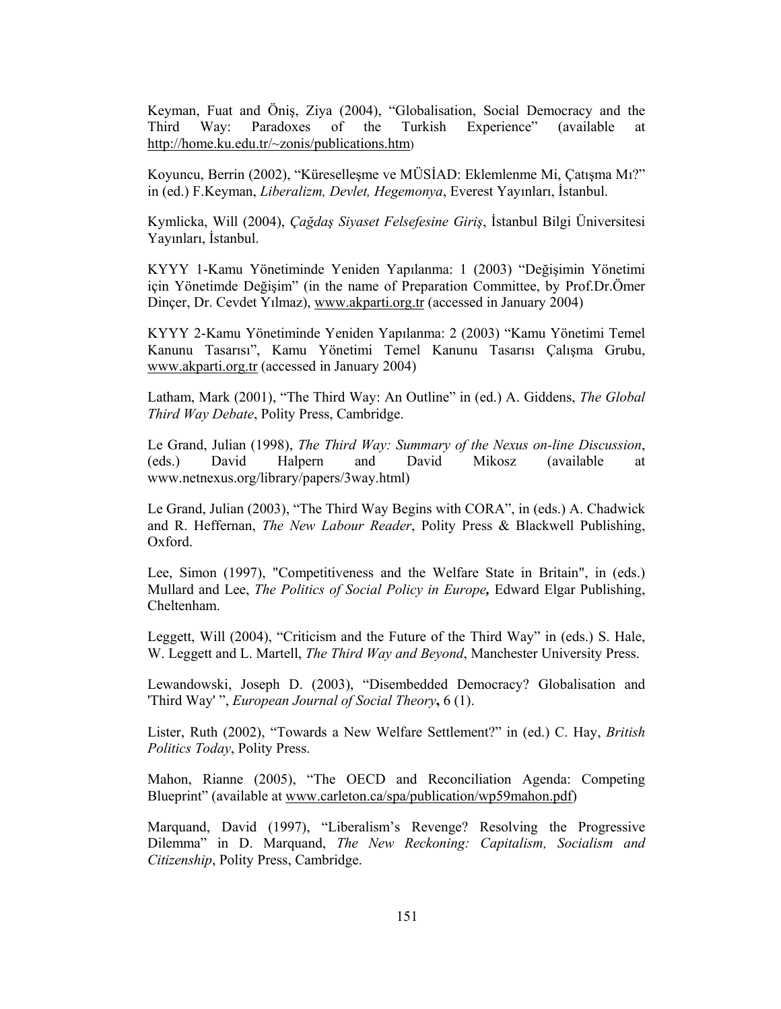Keyman, Fuat and Öniş, Ziya (2004), "Globalisation, Social Democracy and the Paradoxes of the Turkish Experience" Third Way: (available) at http://home.ku.edu.tr/~zonis/publications.htm)

Koyuncu, Berrin (2002), "Küreselleşme ve MÜSİAD: Eklemlenme Mi, Çatışma Mı?" in (ed.) F.Keyman, *Liberalizm, Devlet, Hegemonya*, Everest Yayınları, İstanbul.

Kymlicka, Will (2004), *Çağdaş Siyaset Felsefesine Giriş*, İstanbul Bilgi Üniversitesi Yayınları, İstanbul.

KYYY 1-Kamu Yönetiminde Yeniden Yapılanma: 1 (2003) "Değişimin Yönetimi için Yönetimde Değişim" (in the name of Preparation Committee, by Prof.Dr.Ömer Dincer, Dr. Cevdet Yılmaz), www.akparti.org.tr (accessed in January 2004)

KYYY 2-Kamu Yönetiminde Yeniden Yapılanma: 2 (2003) "Kamu Yönetimi Temel Kanunu Tasarısı", Kamu Yönetimi Temel Kanunu Tasarısı Çalışma Grubu, www.akparti.org.tr (accessed in January 2004)

Latham, Mark (2001), "The Third Way: An Outline" in (ed.) A. Giddens, *The Global* Third Way Debate, Polity Press, Cambridge.

Le Grand, Julian (1998), The Third Way: Summary of the Nexus on-line Discussion, David Halpern and David Mikosz *(available)*  $(eds.)$ at www.netnexus.org/library/papers/3way.html)

Le Grand, Julian (2003), "The Third Way Begins with CORA", in (eds.) A. Chadwick and R. Heffernan, The New Labour Reader, Polity Press & Blackwell Publishing, Oxford.

Lee, Simon (1997), "Competitiveness and the Welfare State in Britain", in (eds.) Mullard and Lee, *The Politics of Social Policy in Europe*, Edward Elgar Publishing, Cheltenham.

Leggett, Will (2004), "Criticism and the Future of the Third Way" in (eds.) S. Hale, W. Leggett and L. Martell, The Third Way and Beyond, Manchester University Press.

Lewandowski, Joseph D. (2003), "Disembedded Democracy? Globalisation and 'Third Way'", *European Journal of Social Theory*, 6(1).

Lister, Ruth (2002), "Towards a New Welfare Settlement?" in (ed.) C. Hay, *British* Politics Today, Polity Press.

Mahon, Rianne (2005), "The OECD and Reconciliation Agenda: Competing Blueprint" (available at www.carleton.ca/spa/publication/wp59mahon.pdf)

Marquand, David (1997), "Liberalism's Revenge? Resolving the Progressive Dilemma" in D. Marquand, The New Reckoning: Capitalism, Socialism and Citizenship, Polity Press, Cambridge.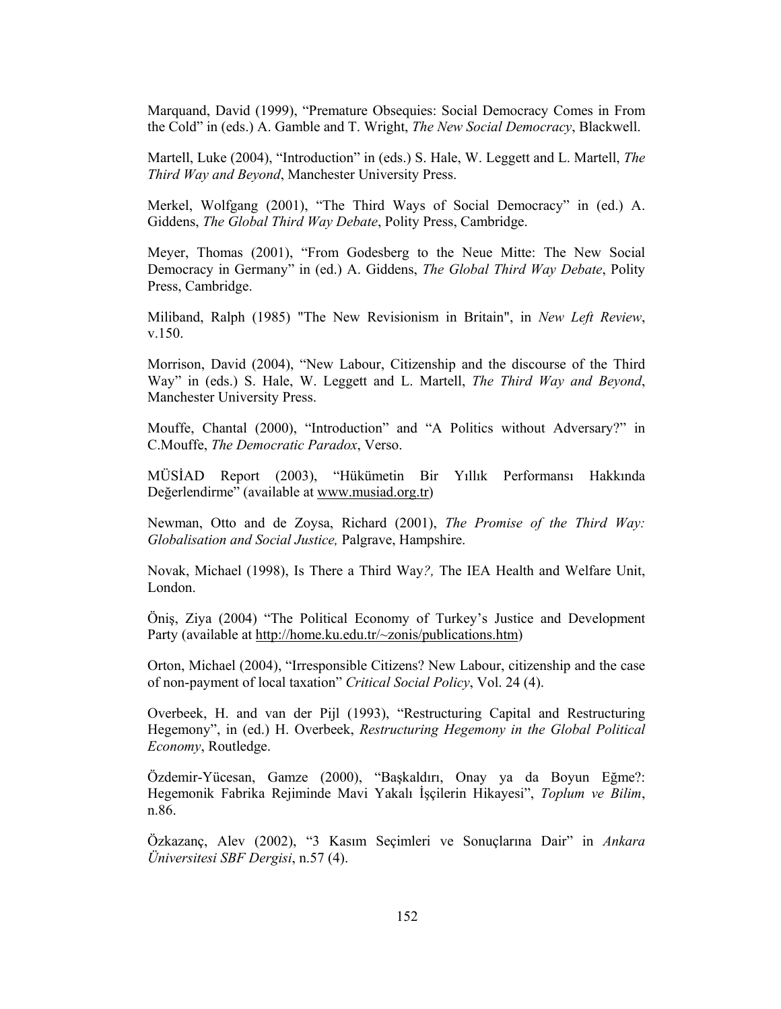Marquand, David (1999), "Premature Obsequies: Social Democracy Comes in From the Cold" in (eds.) A. Gamble and T. Wright, *The New Social Democracy*, Blackwell.

Martell, Luke (2004), "Introduction" in (eds.) S. Hale, W. Leggett and L. Martell, The Third Way and Beyond, Manchester University Press.

Merkel, Wolfgang (2001), "The Third Ways of Social Democracy" in (ed.) A. Giddens, The Global Third Way Debate, Polity Press, Cambridge.

Meyer, Thomas (2001), "From Godesberg to the Neue Mitte: The New Social Democracy in Germany" in (ed.) A. Giddens, The Global Third Way Debate, Polity Press, Cambridge.

Miliband, Ralph (1985) "The New Revisionism in Britain", in New Left Review,  $v.150.$ 

Morrison, David (2004), "New Labour, Citizenship and the discourse of the Third Way" in (eds.) S. Hale, W. Leggett and L. Martell, The Third Way and Beyond, Manchester University Press.

Mouffe, Chantal (2000), "Introduction" and "A Politics without Adversary?" in C.Mouffe, The Democratic Paradox, Verso.

MÜSİAD Report (2003), "Hükümetin Bir Yıllık Performansı Hakkında Değerlendirme" (available at www.musiad.org.tr)

Newman, Otto and de Zoysa, Richard (2001), The Promise of the Third Way: Globalisation and Social Justice, Palgrave, Hampshire.

Novak, Michael (1998), Is There a Third Way?, The IEA Health and Welfare Unit, London.

Önis, Ziya (2004) "The Political Economy of Turkey's Justice and Development Party (available at http://home.ku.edu.tr/~zonis/publications.htm)

Orton, Michael (2004), "Irresponsible Citizens? New Labour, citizenship and the case of non-payment of local taxation" Critical Social Policy, Vol. 24 (4).

Overbeek, H. and van der Pijl (1993), "Restructuring Capital and Restructuring Hegemony", in (ed.) H. Overbeek, Restructuring Hegemony in the Global Political Economy, Routledge.

Özdemir-Yücesan, Gamze (2000), "Başkaldırı, Onay ya da Boyun Eğme?: Hegemonik Fabrika Rejiminde Mavi Yakalı İşçilerin Hikayesi", Toplum ve Bilim, n.86.

Özkazanç, Alev (2002), "3 Kasım Seçimleri ve Sonuçlarına Dair" in Ankara Üniversitesi SBF Dergisi, n.57 (4).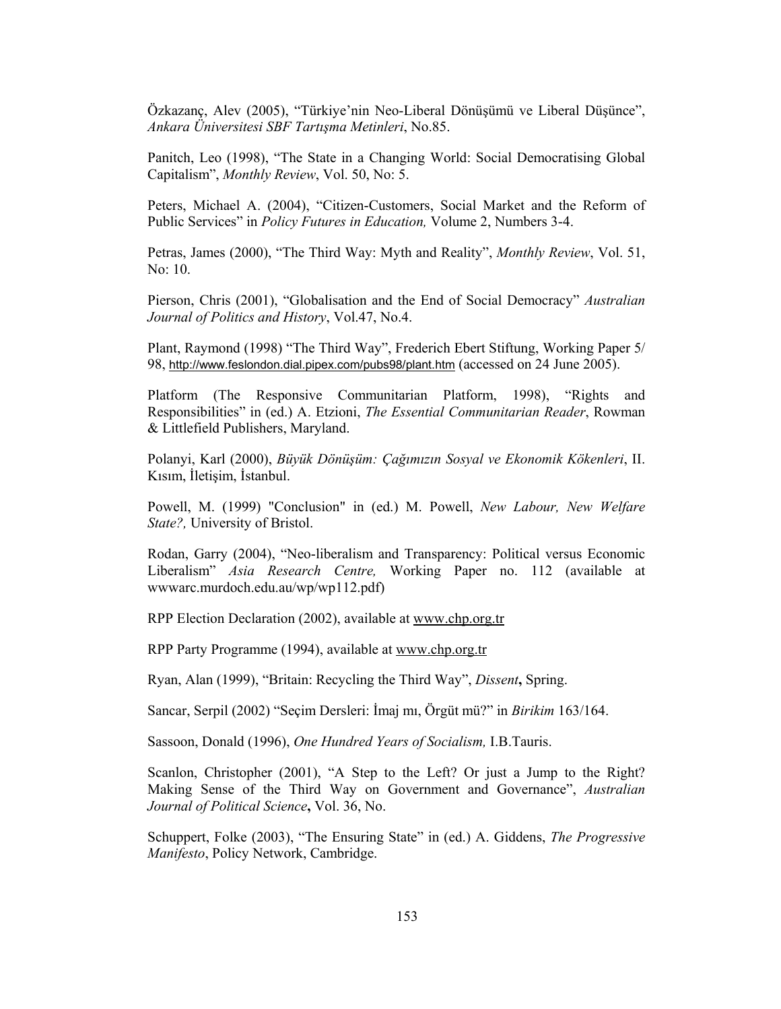Özkazanç, Alev (2005), "Türkiye'nin Neo-Liberal Dönüşümü ve Liberal Düşünce", Ankara Üniversitesi SBF Tartışma Metinleri, No.85.

Panitch, Leo (1998), "The State in a Changing World: Social Democratising Global Capitalism", Monthly Review, Vol. 50, No: 5.

Peters, Michael A. (2004), "Citizen-Customers, Social Market and the Reform of Public Services" in *Policy Futures in Education*, Volume 2, Numbers 3-4.

Petras, James (2000), "The Third Way: Myth and Reality", *Monthly Review*, Vol. 51, No: 10.

Pierson, Chris (2001), "Globalisation and the End of Social Democracy" Australian Journal of Politics and History, Vol.47, No.4.

Plant, Raymond (1998) "The Third Way", Frederich Ebert Stiftung, Working Paper 5/ 98, http://www.feslondon.dial.pipex.com/pubs98/plant.htm (accessed on 24 June 2005).

Platform (The Responsive Communitarian Platform, 1998), "Rights and Responsibilities" in (ed.) A. Etzioni, The Essential Communitarian Reader, Rowman & Littlefield Publishers, Maryland.

Polanyi, Karl (2000), Büyük Dönüşüm: Çağımızın Sosyal ve Ekonomik Kökenleri, II. Kısım, İletişim, İstanbul.

Powell, M. (1999) "Conclusion" in (ed.) M. Powell, New Labour, New Welfare State?, University of Bristol.

Rodan, Garry (2004), "Neo-liberalism and Transparency: Political versus Economic Liberalism" Asia Research Centre, Working Paper no. 112 (available at www.arc.murdoch.edu.au/wp/wp112.pdf)

RPP Election Declaration (2002), available at www.chp.org.tr

RPP Party Programme (1994), available at www.chp.org.tr

Ryan, Alan (1999), "Britain: Recycling the Third Way", Dissent, Spring.

Sancar, Serpil (2002) "Seçim Dersleri: İmaj mı, Örgüt mü?" in Birikim 163/164.

Sassoon, Donald (1996), One Hundred Years of Socialism, I.B.Tauris.

Scanlon, Christopher (2001), "A Step to the Left? Or just a Jump to the Right? Making Sense of the Third Way on Government and Governance", Australian Journal of Political Science, Vol. 36, No.

Schuppert, Folke (2003), "The Ensuring State" in (ed.) A. Giddens, *The Progressive* Manifesto, Policy Network, Cambridge.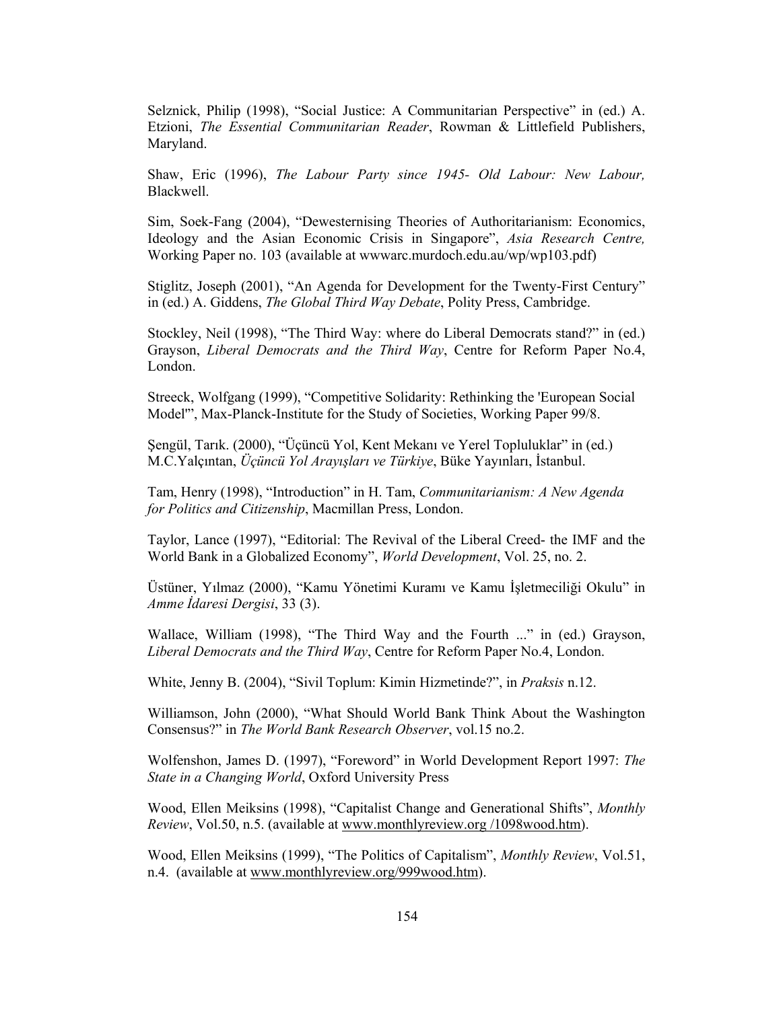Selznick, Philip (1998), "Social Justice: A Communitarian Perspective" in (ed.) A. Etzioni, The Essential Communitarian Reader, Rowman & Littlefield Publishers, Maryland.

Shaw, Eric (1996), The Labour Party since 1945- Old Labour: New Labour, Blackwell.

Sim, Soek-Fang (2004), "Dewesternising Theories of Authoritarianism: Economics, Ideology and the Asian Economic Crisis in Singapore", Asia Research Centre, Working Paper no. 103 (available at www.arc.murdoch.edu.au/wp/wp103.pdf)

Stiglitz, Joseph (2001), "An Agenda for Development for the Twenty-First Century" in (ed.) A. Giddens, *The Global Third Way Debate*, Polity Press, Cambridge.

Stockley, Neil (1998), "The Third Way: where do Liberal Democrats stand?" in (ed.) Grayson, Liberal Democrats and the Third Way, Centre for Reform Paper No.4, London.

Streeck, Wolfgang (1999), "Competitive Solidarity: Rethinking the 'European Social Model", Max-Planck-Institute for the Study of Societies, Working Paper 99/8.

Şengül, Tarık. (2000), "Üçüncü Yol, Kent Mekanı ve Yerel Topluluklar" in (ed.) M.C.Yalçıntan, Üçüncü Yol Arayışları ve Türkiye, Büke Yayınları, İstanbul.

Tam, Henry (1998), "Introduction" in H. Tam, Communitarianism: A New Agenda for Politics and Citizenship, Macmillan Press, London.

Taylor, Lance (1997), "Editorial: The Revival of the Liberal Creed- the IMF and the World Bank in a Globalized Economy", World Development, Vol. 25, no. 2.

Üstüner, Yılmaz (2000), "Kamu Yönetimi Kuramı ve Kamu İşletmeciliği Okulu" in Amme İdaresi Dergisi, 33 (3).

Wallace, William (1998), "The Third Way and the Fourth ..." in (ed.) Grayson, Liberal Democrats and the Third Way, Centre for Reform Paper No.4, London.

White, Jenny B. (2004), "Sivil Toplum: Kimin Hizmetinde?", in *Praksis* n.12.

Williamson, John (2000), "What Should World Bank Think About the Washington Consensus?" in The World Bank Research Observer, vol.15 no.2.

Wolfenshon, James D. (1997), "Foreword" in World Development Report 1997: The State in a Changing World, Oxford University Press

Wood, Ellen Meiksins (1998), "Capitalist Change and Generational Shifts", Monthly *Review*, Vol.50, n.5. (available at www.monthlyreview.org/1098wood.htm).

Wood, Ellen Meiksins (1999), "The Politics of Capitalism", Monthly Review, Vol.51, n.4. (available at www.monthlyreview.org/999wood.htm).